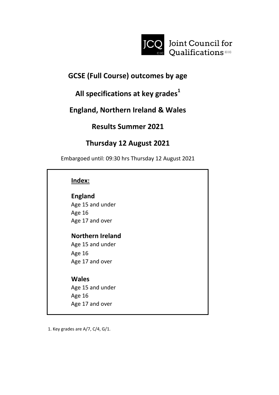

# **GCSE (Full Course) outcomes by age**

# **All specifications at key grades<sup>1</sup>**

# **England, Northern Ireland & Wales**

# **Results Summer 2021**

# **Thursday 12 August 2021**

Embargoed until: 09:30 hrs Thursday 12 August 2021

### **Index:**

# **England**

Age 15 and under Age 16 Age 17 and over

# **Northern Ireland**

Age 15 and under Age 16 Age 17 and over

### **Wales**

Age 15 and under Age 16 Age 17 and over

1. Key grades are A/7, C/4, G/1.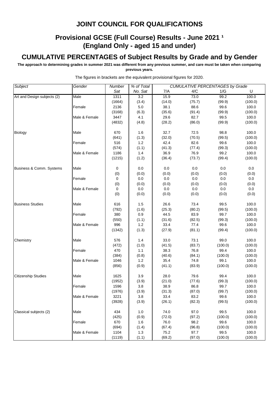### **Provisional GCSE (Full Course) Results - June 2021 1 (England Only - aged 15 and under)**

#### **CUMULATIVE PERCENTAGES of Subject Results by Grade and by Gender**

**The approach to determining grades in summer 2021 was different from any previous summer, and care must be taken when comparing previous years.**

| Subject                     | Gender        | Number | % of Total       |        |        | <b>CUMULATIVE PERCENTAGES by Grade</b> |         |
|-----------------------------|---------------|--------|------------------|--------|--------|----------------------------------------|---------|
|                             |               | Sat    | No. Sat          | 7/A    | 4/C    | 1/G                                    | U       |
| Art and Design subjects (2) | Male          | 1311   | $\overline{3.2}$ | 15.9   | 73.0   | 99.2                                   | 100.0   |
|                             |               | (1664) | (3.4)            | (14.0) | (75.7) | (99.9)                                 | (100.0) |
|                             | Female        | 2136   | $5.0\,$          | 38.1   | 88.6   | 99.6                                   | 100.0   |
|                             |               | (3168) | (6.3)            | (35.6) | (91.4) | (99.9)                                 | (100.0) |
|                             | Male & Female | 3447   | 4.1              | 29.6   | 82.7   | 99.5                                   | 100.0   |
|                             |               | (4832) | (4.8)            | (28.2) | (86.0) | (99.9)                                 | (100.0) |
| <b>Biology</b>              | Male          | 670    | 1.6              | 32.7   | 72.5   | 98.8                                   | 100.0   |
|                             |               | (641)  | (1.3)            | (32.0) | (70.5) | (99.5)                                 | (100.0) |
|                             | Female        | 516    | 1.2              | 42.4   | 82.6   | 99.6                                   | 100.0   |
|                             |               | (574)  | (1.1)            | (41.3) | (77.4) | (99.3)                                 | (100.0) |
|                             | Male & Female | 1186   | 1.4              | 36.9   | 76.9   | 99.2                                   | 100.0   |
|                             |               | (1215) | (1.2)            | (36.4) | (73.7) | (99.4)                                 | (100.0) |
| Business & Comm. Systems    | Male          | 0      | 0.0              | 0.0    | 0.0    | 0.0                                    | 0.0     |
|                             |               | (0)    | (0.0)            | (0.0)  | (0.0)  | (0.0)                                  | (0.0)   |
|                             | Female        | 0      | 0.0              | 0.0    | 0.0    | 0.0                                    | 0.0     |
|                             |               | (0)    | (0.0)            | (0.0)  | (0.0)  | (0.0)                                  | (0.0)   |
|                             | Male & Female | 0      | 0.0              | 0.0    | 0.0    | 0.0                                    | 0.0     |
|                             |               | (0)    | (0.0)            | (0.0)  | (0.0)  | (0.0)                                  | (0.0)   |
| <b>Business Studies</b>     | Male          | 616    | 1.5              | 26.6   | 73.4   | 99.5                                   | 100.0   |
|                             |               | (792)  | (1.6)            | (25.3) | (80.2) | (99.5)                                 | (100.0) |
|                             | Female        | 380    | 0.9              | 44.5   | 83.9   | 99.7                                   | 100.0   |
|                             |               | (550)  | (1.1)            | (31.6) | (82.5) | (99.3)                                 | (100.0) |
|                             | Male & Female | 996    | $1.2$            | 33.4   | 77.4   | 99.6                                   | 100.0   |
|                             |               | (1342) | (1.3)            | (27.9) | (81.1) | (99.4)                                 | (100.0) |
| Chemistry                   | Male          | 576    | 1.4              | 33.0   | 73.1   | 99.0                                   | 100.0   |
|                             |               | (472)  | (1.0)            | (41.5) | (83.7) | (100.0)                                | (100.0) |
|                             | Female        | 470    | 1.1              | 38.3   | 76.8   | 99.4                                   | 100.0   |
|                             |               | (384)  | (0.8)            | (40.6) | (84.1) | (100.0)                                | (100.0) |
|                             | Male & Female | 1046   | 1.2              | 35.4   | 74.8   | 99.1                                   | 100.0   |
|                             |               | (856)  | (0.9)            | (41.1) | (83.9) | (100.0)                                | (100.0) |
| <b>Citizenship Studies</b>  | Male          | 1625   | 3.9              | 28.0   | 79.6   | 99.4                                   | 100.0   |
|                             |               | (1952) | (3.9)            | (21.0) | (77.6) | (99.3)                                 | (100.0) |
|                             | Female        | 1596   | 3.8              | 38.9   | 86.8   | 99.7                                   | 100.0   |
|                             |               | (1976) | (3.9)            | (31.3) | (87.0) | (99.7)                                 | (100.0) |
|                             | Male & Female | 3221   | 3.8              | 33.4   | 83.2   | 99.6                                   | 100.0   |
|                             |               | (3928) | (3.9)            | (26.1) | (82.3) | (99.5)                                 | (100.0) |
| Classical subjects (2)      | Male          | 434    | 1.0              | 74.0   | 97.0   | 99.5                                   | 100.0   |
|                             |               | (425)  | (0.9)            | (72.0) | (97.2) | (100.0)                                | (100.0) |
|                             | Female        | 670    | 1.6              | 76.0   | 98.2   | 99.6                                   | 100.0   |
|                             |               | (694)  | (1.4)            | (67.4) | (96.8) | (100.0)                                | (100.0) |
|                             | Male & Female | 1104   | $1.3$            | 75.2   | 97.7   | 99.5                                   | 100.0   |
|                             |               | (1119) | (1.1)            | (69.2) | (97.0) | (100.0)                                | (100.0) |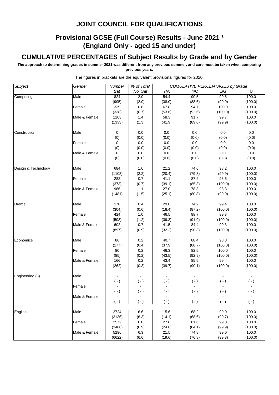### **Provisional GCSE (Full Course) Results - June 2021 1 (England Only - aged 15 and under)**

#### **CUMULATIVE PERCENTAGES of Subject Results by Grade and by Gender**

**The approach to determining grades in summer 2021 was different from any previous summer, and care must be taken when comparing previous years.**

| Subject             | Gender        | Number         | % of Total |           |           | <b>CUMULATIVE PERCENTAGES by Grade</b> |           |
|---------------------|---------------|----------------|------------|-----------|-----------|----------------------------------------|-----------|
|                     |               | Sat            | No. Sat    | 7/A       | 4/C       | 1/G                                    | U         |
| Computing           | Male          | 824            | 2.0        | 54.4      | 90.5      | 99.6                                   | 100.0     |
|                     |               | (995)          | (2.0)      | (38.0)    | (88.6)    | (99.9)                                 | (100.0)   |
|                     | Female        | 339            | 0.8        | 67.8      | 94.7      | 100.0                                  | 100.0     |
|                     |               | (338)          | (0.7)      | (53.6)    | (92.6)    | (100.0)                                | (100.0)   |
|                     | Male & Female | 1163           | 1.4        | 58.3      | 91.7      | 99.7                                   | 100.0     |
|                     |               | (1333)         | (1.3)      | (41.9)    | (89.6)    | (99.9)                                 | (100.0)   |
| Construction        | Male          | 0              | 0.0        | 0.0       | 0.0       | 0.0                                    | 0.0       |
|                     |               | (0)            | (0.0)      | (0.0)     | (0.0)     | (0.0)                                  | (0.0)     |
|                     | Female        | $\mathbf 0$    | $0.0\,$    | $0.0\,$   | 0.0       | 0.0                                    | 0.0       |
|                     |               | (0)            | (0.0)      | (0.0)     | (0.0)     | (0.0)                                  | (0.0)     |
|                     | Male & Female | 0              | 0.0        | $0.0\,$   | 0.0       | 0.0                                    | 0.0       |
|                     |               | (0)            | (0.0)      | (0.0)     | (0.0)     | (0.0)                                  | (0.0)     |
| Design & Technology | Male          | 684            | 1.6        | 21.2      | 74.6      | 98.2                                   | 100.0     |
|                     |               | (1108)         | (2.2)      | (20.4)    | (79.3)    | (99.9)                                 | (100.0)   |
|                     | Female        | 282            | 0.7        | 41.1      | 87.2      | 98.6                                   | 100.0     |
|                     |               | (373)          | (0.7)      | (39.1)    | (85.3)    | (100.0)                                | (100.0)   |
|                     | Male & Female | 966            | 1.1        | 27.0      | 78.3      | 98.3                                   | 100.0     |
|                     |               | (1481)         | (1.5)      | (25.1)    | (80.8)    | (99.9)                                 | (100.0)   |
| Drama               | Male          | 178            | 0.4        | 29.8      | 74.2      | 99.4                                   | 100.0     |
|                     |               | (304)          | (0.6)      | (18.4)    | (87.2)    | (100.0)                                | (100.0)   |
|                     | Female        | 424            | 1.0        | 46.5      | 88.7      | 99.3                                   | 100.0     |
|                     |               | (593)          | (1.2)      | (39.3)    | (91.9)    | (100.0)                                | (100.0)   |
|                     | Male & Female | 602            | 0.7        | 41.5      | 84.4      | 99.3                                   | 100.0     |
|                     |               | (897)          | (0.9)      | (32.2)    | (90.3)    | (100.0)                                | (100.0)   |
| Economics           | Male          | 86             | 0.2        | 40.7      | 88.4      | 98.8                                   | 100.0     |
|                     |               | (177)          | (0.4)      | (37.9)    | (88.7)    | (100.0)                                | (100.0)   |
|                     | Female        | 80             | 0.2        | 46.3      | 82.5      | 100.0                                  | 100.0     |
|                     |               | (85)           | (0.2)      | (43.5)    | (92.9)    | (100.0)                                | (100.0)   |
|                     | Male & Female | 166            | 0.2        | 43.4      | 85.5      | 99.4                                   | 100.0     |
|                     |               | (262)          | (0.3)      | (39.7)    | (90.1)    | (100.0)                                | (100.0)   |
| Engineering (8)     | Male          |                |            |           |           |                                        |           |
|                     |               | $( - )$        | $(\cdot)$  | $( - )$   | $(-)$     | $(\cdot)$                              | $(\cdot)$ |
|                     | Female        | $\blacksquare$ |            |           |           |                                        |           |
|                     |               | $(\cdot)$      | $(\cdot)$  | $(\cdot)$ | $(\cdot)$ | $(\cdot)$                              | $(\cdot)$ |
|                     | Male & Female |                |            |           |           |                                        |           |
|                     |               | $(\cdot)$      | $(\cdot)$  | $(\cdot)$ | $(\cdot)$ | $(\cdot)$                              | $(\cdot)$ |
| English             | Male          | 2724           | 6.6        | 15.6      | 68.2      | 99.0                                   | 100.0     |
|                     |               | (3136)         | (6.3)      | (14.1)    | (68.6)    | (99.7)                                 | (100.0)   |
|                     | Female        | 2572           | 6.0        | 27.8      | 81.6      | 99.0                                   | 100.0     |
|                     |               | (3486)         | (6.9)      | (24.6)    | (84.1)    | (99.9)                                 | (100.0)   |
|                     | Male & Female | 5296           | 6.3        | 21.5      | 74.8      | 99.0                                   | 100.0     |
|                     |               | (6622)         | (6.6)      | (19.6)    | (76.8)    | (99.8)                                 | (100.0)   |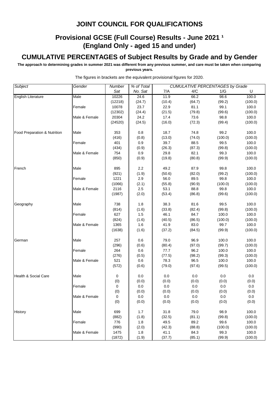### **Provisional GCSE (Full Course) Results - June 2021 1 (England Only - aged 15 and under)**

#### **CUMULATIVE PERCENTAGES of Subject Results by Grade and by Gender**

**The approach to determining grades in summer 2021 was different from any previous summer, and care must be taken when comparing previous years.**

| Subject                         | Gender        | Number  | % of Total |        |        | <b>CUMULATIVE PERCENTAGES by Grade</b> |         |
|---------------------------------|---------------|---------|------------|--------|--------|----------------------------------------|---------|
|                                 |               | Sat     | No. Sat    | 7/A    | 4/C    | 1/G                                    | U       |
| <b>English Literature</b>       | Male          | 10226   | 24.6       | 11.9   | 66.2   | 98.6                                   | 100.0   |
|                                 |               | (12218) | (24.7)     | (10.4) | (64.7) | (99.2)                                 | (100.0) |
|                                 | Female        | 10078   | 23.7       | 22.9   | 81.1   | 99.1                                   | 100.0   |
|                                 |               | (12302) | (24.4)     | (21.5) | (79.8) | (99.6)                                 | (100.0) |
|                                 | Male & Female | 20304   | 24.2       | 17.4   | 73.6   | 98.8                                   | 100.0   |
|                                 |               | (24520) | (24.5)     | (16.0) | (72.3) | (99.4)                                 | (100.0) |
| Food Preparation & Nutrition    | Male          | 353     | 0.8        | 18.7   | 74.8   | 99.2                                   | 100.0   |
|                                 |               | (416)   | (0.8)      | (13.0) | (74.0) | (100.0)                                | (100.0) |
|                                 | Female        | 401     | 0.9        | 39.7   | 88.5   | 99.5                                   | 100.0   |
|                                 |               | (434)   | (0.9)      | (26.3) | (87.3) | (99.8)                                 | (100.0) |
|                                 | Male & Female | 754     | 0.9        | 29.8   | 82.1   | 99.3                                   | 100.0   |
|                                 |               | (850)   | (0.9)      | (19.8) | (80.8) | (99.9)                                 | (100.0) |
| French                          | Male          | 895     | 2.2        | 49.2   | 87.9   | 99.8                                   | 100.0   |
|                                 |               | (921)   | (1.9)      | (50.6) | (82.0) | (99.2)                                 | (100.0) |
|                                 | Female        | 1221    | 2.9        | 56.0   | 89.5   | 99.8                                   | 100.0   |
|                                 |               | (1066)  | (2.1)      | (55.8) | (90.9) | (100.0)                                | (100.0) |
|                                 | Male & Female | 2116    | 2.5        | 53.1   | 88.8   | 99.8                                   | 100.0   |
|                                 |               | (1987)  | (2.0)      | (53.4) | (86.8) | (99.6)                                 | (100.0) |
| Geography                       | Male          | 738     | 1.8        | 38.3   | 81.6   | 99.5                                   | 100.0   |
|                                 |               | (814)   | (1.6)      | (33.8) | (82.4) | (99.8)                                 | (100.0) |
|                                 | Female        | 627     | 1.5        | 46.1   | 84.7   | 100.0                                  | 100.0   |
|                                 |               | (824)   | (1.6)      | (40.5) | (86.5) | (100.0)                                | (100.0) |
|                                 | Male & Female | 1365    | 1.6        | 41.9   | 83.0   | 99.7                                   | 100.0   |
|                                 |               | (1638)  | (1.6)      | (37.2) | (84.5) | (99.9)                                 | (100.0) |
| German                          | Male          | 257     | 0.6        | 79.0   | 96.9   | 100.0                                  | 100.0   |
|                                 |               | (296)   | (0.6)      | (80.4) | (97.0) | (99.7)                                 | (100.0) |
|                                 | Female        | 264     | 0.6        | 77.7   | 96.2   | 100.0                                  | 100.0   |
|                                 |               | (276)   | (0.5)      | (77.5) | (98.2) | (99.3)                                 | (100.0) |
|                                 | Male & Female | 521     | 0.6        | 78.3   | 96.5   | 100.0                                  | 100.0   |
|                                 |               | (572)   | (0.6)      | (79.0) | (97.6) | (99.5)                                 | (100.0) |
| <b>Health &amp; Social Care</b> | Male          | 0       | 0.0        | 0.0    | 0.0    | 0.0                                    | 0.0     |
|                                 |               | (0)     | (0.0)      | (0.0)  | (0.0)  | (0.0)                                  | (0.0)   |
|                                 | Female        | 0       | 0.0        | 0.0    | 0.0    | 0.0                                    | 0.0     |
|                                 |               | (0)     | (0.0)      | (0.0)  | (0.0)  | (0.0)                                  | (0.0)   |
|                                 | Male & Female | 0       | 0.0        | 0.0    | 0.0    | 0.0                                    | 0.0     |
|                                 |               | (0)     | (0.0)      | (0.0)  | (0.0)  | (0.0)                                  | (0.0)   |
| History                         | Male          | 699     | 1.7        | 31.8   | 79.0   | 98.9                                   | 100.0   |
|                                 |               | (882)   | (1.8)      | (32.5) | (81.1) | (99.8)                                 | (100.0) |
|                                 | Female        | 776     | 1.8        | 49.5   | 89.2   | 99.6                                   | 100.0   |
|                                 |               | (990)   | (2.0)      | (42.3) | (88.8) | (100.0)                                | (100.0) |
|                                 | Male & Female | 1475    | 1.8        | 41.1   | 84.3   | 99.3                                   | 100.0   |
|                                 |               | (1872)  | (1.9)      | (37.7) | (85.1) | (99.9)                                 | (100.0) |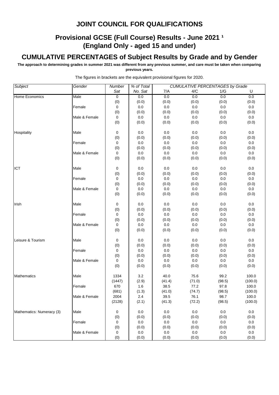### **Provisional GCSE (Full Course) Results - June 2021 1 (England Only - aged 15 and under)**

#### **CUMULATIVE PERCENTAGES of Subject Results by Grade and by Gender**

**The approach to determining grades in summer 2021 was different from any previous summer, and care must be taken when comparing previous years.**

| Subject                   | Gender        | <b>Number</b> | % of Total |         | <b>CUMULATIVE PERCENTAGES by Grade</b> |         |         |
|---------------------------|---------------|---------------|------------|---------|----------------------------------------|---------|---------|
|                           |               | Sat           | No. Sat    | 7/A     | 4/C                                    | 1/G     | U       |
| <b>Home Economics</b>     | Male          | 0             | 0.0        | 0.0     | 0.0                                    | 0.0     | 0.0     |
|                           |               | (0)           | (0.0)      | (0.0)   | (0.0)                                  | (0.0)   | (0.0)   |
|                           | Female        | 0             | $0.0\,$    | $0.0\,$ | $0.0\,$                                | $0.0\,$ | $0.0\,$ |
|                           |               | (0)           | (0.0)      | (0.0)   | (0.0)                                  | (0.0)   | (0.0)   |
|                           | Male & Female | 0             | 0.0        | $0.0\,$ | $0.0\,$                                | 0.0     | $0.0\,$ |
|                           |               | (0)           | (0.0)      | (0.0)   | (0.0)                                  | (0.0)   | (0.0)   |
| Hospitality               | Male          | 0             | 0.0        | $0.0\,$ | 0.0                                    | 0.0     | $0.0\,$ |
|                           |               | (0)           | (0.0)      | (0.0)   | (0.0)                                  | (0.0)   | (0.0)   |
|                           | Female        | 0             | 0.0        | $0.0\,$ | 0.0                                    | 0.0     | 0.0     |
|                           |               | (0)           | (0.0)      | (0.0)   | (0.0)                                  | (0.0)   | (0.0)   |
|                           | Male & Female | 0             | 0.0        | $0.0\,$ | 0.0                                    | $0.0\,$ | $0.0\,$ |
|                           |               | (0)           | (0.0)      | (0.0)   | (0.0)                                  | (0.0)   | (0.0)   |
| ICT                       | Male          | 0             | 0.0        | 0.0     | 0.0                                    | 0.0     | 0.0     |
|                           |               | (0)           | (0.0)      | (0.0)   | (0.0)                                  | (0.0)   | (0.0)   |
|                           | Female        | 0             | 0.0        | $0.0\,$ | $0.0\,$                                | $0.0\,$ | $0.0\,$ |
|                           |               | (0)           | (0.0)      | (0.0)   | (0.0)                                  | (0.0)   | (0.0)   |
|                           | Male & Female | 0             | 0.0        | $0.0\,$ | 0.0                                    | 0.0     | 0.0     |
|                           |               | (0)           | (0.0)      | (0.0)   | (0.0)                                  | (0.0)   | (0.0)   |
| Irish                     | Male          | 0             | 0.0        | 0.0     | 0.0                                    | 0.0     | 0.0     |
|                           |               | (0)           | (0.0)      | (0.0)   | (0.0)                                  | (0.0)   | (0.0)   |
|                           | Female        | 0             | 0.0        | $0.0\,$ | 0.0                                    | 0.0     | 0.0     |
|                           |               | (0)           | (0.0)      | (0.0)   | (0.0)                                  | (0.0)   | (0.0)   |
|                           | Male & Female | 0             | $0.0\,$    | $0.0\,$ | $0.0\,$                                | $0.0\,$ | $0.0\,$ |
|                           |               | (0)           | (0.0)      | (0.0)   | (0.0)                                  | (0.0)   | (0.0)   |
| Leisure & Tourism         | Male          | 0             | 0.0        | 0.0     | 0.0                                    | 0.0     | $0.0\,$ |
|                           |               | (0)           | (0.0)      | (0.0)   | (0.0)                                  | (0.0)   | (0.0)   |
|                           | Female        | 0             | $0.0\,$    | $0.0\,$ | 0.0                                    | $0.0\,$ | $0.0\,$ |
|                           |               | (0)           | (0.0)      | (0.0)   | (0.0)                                  | (0.0)   | (0.0)   |
|                           | Male & Female | 0             | 0.0        | $0.0\,$ | 0.0                                    | 0.0     | 0.0     |
|                           |               | (0)           | (0.0)      | (0.0)   | (0.0)                                  | (0.0)   | (0.0)   |
| Mathematics               | Male          | 1334          | 3.2        | 40.0    | 75.6                                   | 99.2    | 100.0   |
|                           |               | (1447)        | (2.9)      | (41.4)  | (71.0)                                 | (98.5)  | (100.0) |
|                           | Female        | 670           | 1.6        | 38.5    | 77.2                                   | 97.8    | 100.0   |
|                           |               | (681)         | (1.3)      | (41.0)  | (74.7)                                 | (98.5)  | (100.0) |
|                           | Male & Female | 2004          | 2.4        | 39.5    | 76.1                                   | 98.7    | 100.0   |
|                           |               | (2128)        | (2.1)      | (41.3)  | (72.2)                                 | (98.5)  | (100.0) |
| Mathematics: Numeracy (3) | Male          | 0             | 0.0        | 0.0     | 0.0                                    | 0.0     | 0.0     |
|                           |               | (0)           | (0.0)      | (0.0)   | (0.0)                                  | (0.0)   | (0.0)   |
|                           | Female        | 0             | 0.0        | $0.0\,$ | 0.0                                    | 0.0     | $0.0\,$ |
|                           |               | (0)           | (0.0)      | (0.0)   | (0.0)                                  | (0.0)   | (0.0)   |
|                           | Male & Female | 0             | 0.0        | 0.0     | 0.0                                    | 0.0     | 0.0     |
|                           |               | (0)           | (0.0)      | (0.0)   | (0.0)                                  | (0.0)   | (0.0)   |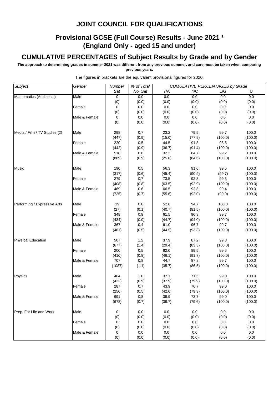### **Provisional GCSE (Full Course) Results - June 2021 1 (England Only - aged 15 and under)**

#### **CUMULATIVE PERCENTAGES of Subject Results by Grade and by Gender**

**The approach to determining grades in summer 2021 was different from any previous summer, and care must be taken when comparing previous years.**

| Subject                       | Gender        | Number | % of Total |        |         | <b>CUMULATIVE PERCENTAGES by Grade</b> |         |
|-------------------------------|---------------|--------|------------|--------|---------|----------------------------------------|---------|
|                               |               | Sat    | No. Sat    | 7/A    | 4/C     | 1/G                                    | U       |
| Mathematics (Additional)      | Male          | 0      | 0.0        | 0.0    | 0.0     | 0.0                                    | 0.0     |
|                               |               | (0)    | (0.0)      | (0.0)  | (0.0)   | (0.0)                                  | (0.0)   |
|                               | Female        | 0      | $0.0\,$    | 0.0    | 0.0     | 0.0                                    | 0.0     |
|                               |               | (0)    | (0.0)      | (0.0)  | (0.0)   | (0.0)                                  | (0.0)   |
|                               | Male & Female | 0      | 0.0        | 0.0    | 0.0     | 0.0                                    | 0.0     |
|                               |               | (0)    | (0.0)      | (0.0)  | (0.0)   | (0.0)                                  | (0.0)   |
| Media / Film / TV Studies (2) | Male          | 298    | 0.7        | 23.2   | 79.5    | 99.7                                   | 100.0   |
|                               |               | (447)  | (0.9)      | (15.0) | (77.9)  | (100.0)                                | (100.0) |
|                               | Female        | 220    | 0.5        | 44.5   | 91.8    | 98.6                                   | 100.0   |
|                               |               | (442)  | (0.9)      | (36.7) | (91.4)  | (100.0)                                | (100.0) |
|                               | Male & Female | 518    | 0.6        | 32.2   | 84.7    | 99.2                                   | 100.0   |
|                               |               | (889)  | (0.9)      | (25.8) | (84.6)  | (100.0)                                | (100.0) |
| Music                         | Male          | 190    | 0.5        | 56.3   | 91.6    | 99.5                                   | 100.0   |
|                               |               | (317)  | (0.6)      | (45.4) | (90.9)  | (99.7)                                 | (100.0) |
|                               | Female        | 279    | 0.7        | 73.5   | 92.8    | 99.3                                   | 100.0   |
|                               |               | (408)  | (0.8)      | (63.5) | (92.9)  | (100.0)                                | (100.0) |
|                               | Male & Female | 469    | 0.6        | 66.5   | 92.3    | 99.4                                   | 100.0   |
|                               |               | (725)  | (0.7)      | (55.6) | (92.0)  | (99.9)                                 | (100.0) |
| Performing / Expressive Arts  | Male          | 19     | 0.0        | 52.6   | 94.7    | 100.0                                  | 100.0   |
|                               |               | (27)   | (0.1)      | (40.7) | (81.5)  | (100.0)                                | (100.0) |
|                               | Female        | 348    | 0.8        | 61.5   | 96.8    | 99.7                                   | 100.0   |
|                               |               | (434)  | (0.9)      | (44.7) | (94.0)  | (100.0)                                | (100.0) |
|                               | Male & Female | 367    | 0.4        | 61.0   | 96.7    | 99.7                                   | 100.0   |
|                               |               | (461)  | (0.5)      | (44.5) | (93.3)  | (100.0)                                | (100.0) |
| <b>Physical Education</b>     | Male          | 507    | 1.2        | 37.9   | 87.2    | 99.8                                   | 100.0   |
|                               |               | (677)  | (1.4)      | (29.4) | (83.3)  | (100.0)                                | (100.0) |
|                               | Female        | 200    | 0.5        | 62.0   | 89.5    | 99.5                                   | 100.0   |
|                               |               | (410)  | (0.8)      | (46.1) | (91.7)  | (100.0)                                | (100.0) |
|                               | Male & Female | 707    | 0.8        | 44.7   | 87.8    | 99.7                                   | 100.0   |
|                               |               | (1087) | (1.1)      | (35.7) | (86.5)  | (100.0)                                | (100.0) |
| Physics                       | Male          | 404    | 1.0        | 37.1   | 71.5    | 99.0                                   | 100.0   |
|                               |               | (422)  | (0.9)      | (37.9) | (79.9)  | (100.0)                                | (100.0) |
|                               | Female        | 287    | 0.7        | 43.9   | 76.7    | 99.0                                   | 100.0   |
|                               |               | (256)  | (0.5)      | (42.6) | (79.3)  | (100.0)                                | (100.0) |
|                               | Male & Female | 691    | 0.8        | 39.9   | 73.7    | 99.0                                   | 100.0   |
|                               |               | (678)  | (0.7)      | (39.7) | (79.6)  | (100.0)                                | (100.0) |
| Prep. For Life and Work       | Male          | 0      | 0.0        | 0.0    | 0.0     | 0.0                                    | 0.0     |
|                               |               | (0)    | (0.0)      | (0.0)  | (0.0)   | (0.0)                                  | (0.0)   |
|                               | Female        | 0      | 0.0        | 0.0    | $0.0\,$ | 0.0                                    | 0.0     |
|                               |               | (0)    | (0.0)      | (0.0)  | (0.0)   | (0.0)                                  | (0.0)   |
|                               | Male & Female | 0      | 0.0        | 0.0    | 0.0     | 0.0                                    | 0.0     |
|                               |               | (0)    | (0.0)      | (0.0)  | (0.0)   | (0.0)                                  | (0.0)   |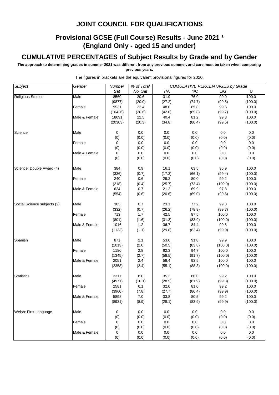### **Provisional GCSE (Full Course) Results - June 2021 1 (England Only - aged 15 and under)**

#### **CUMULATIVE PERCENTAGES of Subject Results by Grade and by Gender**

**The approach to determining grades in summer 2021 was different from any previous summer, and care must be taken when comparing previous years.**

| <b>Subject</b>              | Gender        | Number  | % of Total |         |         | <b>CUMULATIVE PERCENTAGES by Grade</b> |         |
|-----------------------------|---------------|---------|------------|---------|---------|----------------------------------------|---------|
|                             |               | Sat     | No. Sat    | 7/A     | 4/C     | 1/G                                    | U       |
| <b>Religious Studies</b>    | Male          | 8560    | 20.6       | 31.9    | 76.0    | 99.0                                   | 100.0   |
|                             |               | (9877)  | (20.0)     | (27.2)  | (74.7)  | (99.5)                                 | (100.0) |
|                             | Female        | 9531    | 22.4       | 48.0    | 85.8    | 99.5                                   | 100.0   |
|                             |               | (10426) | (20.6)     | (42.0)  | (85.8)  | (99.7)                                 | (100.0) |
|                             | Male & Female | 18091   | 21.5       | 40.4    | 81.2    | 99.3                                   | 100.0   |
|                             |               | (20303) | (20.3)     | (34.8)  | (80.4)  | (99.6)                                 | (100.0) |
| Science                     | Male          | 0       | 0.0        | 0.0     | 0.0     | 0.0                                    | 0.0     |
|                             |               | (0)     | (0.0)      | (0.0)   | (0.0)   | (0.0)                                  | (0.0)   |
|                             | Female        | 0       | 0.0        | 0.0     | 0.0     | 0.0                                    | 0.0     |
|                             |               | (0)     | (0.0)      | (0.0)   | (0.0)   | (0.0)                                  | (0.0)   |
|                             | Male & Female | 0       | 0.0        | 0.0     | 0.0     | 0.0                                    | 0.0     |
|                             |               | (0)     | (0.0)      | (0.0)   | (0.0)   | (0.0)                                  | (0.0)   |
| Science: Double Award (4)   | Male          | 384     | 0.9        | 16.1    | 63.5    | 96.9                                   | 100.0   |
|                             |               | (336)   | (0.7)      | (17.3)  | (66.1)  | (99.4)                                 | (100.0) |
|                             | Female        | 240     | 0.6        | 29.2    | 80.0    | 99.2                                   | 100.0   |
|                             |               | (218)   | (0.4)      | (25.7)  | (73.4)  | (100.0)                                | (100.0) |
|                             | Male & Female | 624     | 0.7        | 21.2    | 69.9    | 97.8                                   | 100.0   |
|                             |               | (554)   | (0.6)      | (20.6)  | (69.0)  | (99.6)                                 | (100.0) |
| Social Science subjects (2) | Male          | 303     | 0.7        | 23.1    | 77.2    | 99.3                                   | 100.0   |
|                             |               | (332)   | (0.7)      | (26.2)  | (78.9)  | (99.7)                                 | (100.0) |
|                             | Female        | 713     | 1.7        | 42.5    | 87.5    | 100.0                                  | 100.0   |
|                             |               | (801)   | (1.6)      | (31.3)  | (83.9)  | (100.0)                                | (100.0) |
|                             | Male & Female | 1016    | 1.2        | 36.7    | 84.4    | 99.8                                   | 100.0   |
|                             |               | (1133)  | (1.1)      | (29.8)  | (82.4)  | (99.9)                                 | (100.0) |
| Spanish                     | Male          | 871     | 2.1        | 53.0    | 91.8    | 99.9                                   | 100.0   |
|                             |               | (1013)  | (2.0)      | (50.5)  | (83.8)  | (100.0)                                | (100.0) |
|                             | Female        | 1180    | 2.8        | 62.3    | 94.7    | 100.0                                  | 100.0   |
|                             |               | (1345)  | (2.7)      | (58.5)  | (91.7)  | (100.0)                                | (100.0) |
|                             | Male & Female | 2051    | 2.4        | 58.4    | 93.5    | 100.0                                  | 100.0   |
|                             |               | (2358)  | (2.4)      | (55.1)  | (88.3)  | (100.0)                                | (100.0) |
| <b>Statistics</b>           | Male          | 3317    | 8.0        | 35.2    | 80.0    | 99.2                                   | 100.0   |
|                             |               | (4971)  | (10.1)     | (28.5)  | (81.9)  | (99.8)                                 | (100.0) |
|                             | Female        | 2581    | 6.1        | 32.0    | 81.0    | 99.2                                   | 100.0   |
|                             |               | (3960)  | (7.8)      | (27.7)  | (86.4)  | (99.9)                                 | (100.0) |
|                             | Male & Female | 5898    | 7.0        | 33.8    | 80.5    | 99.2                                   | 100.0   |
|                             |               | (8931)  | (8.9)      | (28.1)  | (83.9)  | (99.9)                                 | (100.0) |
| Welsh: First Language       | Male          | 0       | 0.0        | 0.0     | 0.0     | 0.0                                    | 0.0     |
|                             |               | (0)     | (0.0)      | (0.0)   | (0.0)   | (0.0)                                  | (0.0)   |
|                             | Female        | 0       | 0.0        | $0.0\,$ | $0.0\,$ | 0.0                                    | 0.0     |
|                             |               | (0)     | (0.0)      | (0.0)   | (0.0)   | (0.0)                                  | (0.0)   |
|                             | Male & Female | 0       | 0.0        | 0.0     | 0.0     | 0.0                                    | 0.0     |
|                             |               | (0)     | (0.0)      | (0.0)   | (0.0)   | (0.0)                                  | (0.0)   |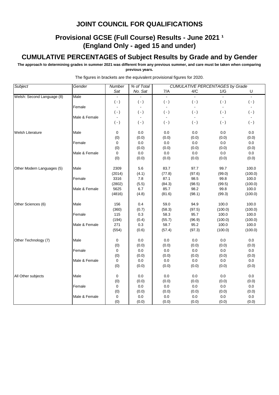### **Provisional GCSE (Full Course) Results - June 2021 1 (England Only - aged 15 and under)**

#### **CUMULATIVE PERCENTAGES of Subject Results by Grade and by Gender**

**The approach to determining grades in summer 2021 was different from any previous summer, and care must be taken when comparing previous years.**

| Subject                    | Gender        | Number         | % of Total |                | <b>CUMULATIVE PERCENTAGES by Grade</b> |                |                |  |  |
|----------------------------|---------------|----------------|------------|----------------|----------------------------------------|----------------|----------------|--|--|
|                            |               | Sat            | No. Sat    | 7/A            | 4/C                                    | 1/G            | $\sf U$        |  |  |
| Welsh: Second Language (8) | Male          |                |            |                |                                        |                |                |  |  |
|                            |               | $(-)$          | $(-)$      | $(-)$          | $(-)$                                  | $(-)$          | $( - )$        |  |  |
|                            | Female        | $\blacksquare$ |            | $\blacksquare$ |                                        | $\blacksquare$ | $\blacksquare$ |  |  |
|                            |               | $(-)$          | $(-)$      | $(-)$          | $(-)$                                  | $(-)$          | $( - )$        |  |  |
|                            | Male & Female | $\blacksquare$ |            |                |                                        |                |                |  |  |
|                            |               | $(-)$          | $(-)$      | $(-)$          | $(-)$                                  | $(\cdot)$      | $(-)$          |  |  |
| <b>Welsh Literature</b>    | Male          | $\mathbf 0$    | 0.0        | 0.0            | 0.0                                    | 0.0            | 0.0            |  |  |
|                            |               | (0)            | (0.0)      | (0.0)          | (0.0)                                  | (0.0)          | (0.0)          |  |  |
|                            | Female        | 0              | 0.0        | 0.0            | 0.0                                    | 0.0            | 0.0            |  |  |
|                            |               | (0)            | (0.0)      | (0.0)          | (0.0)                                  | (0.0)          | (0.0)          |  |  |
|                            | Male & Female | 0              | 0.0        | 0.0            | 0.0                                    | 0.0            | 0.0            |  |  |
|                            |               | (0)            | (0.0)      | (0.0)          | (0.0)                                  | (0.0)          | (0.0)          |  |  |
| Other Modern Languages (5) | Male          | 2309           | 5.6        | 83.7           | 97.7                                   | 99.7           | 100.0          |  |  |
|                            |               | (2014)         | (4.1)      | (77.8)         | (97.6)                                 | (99.0)         | (100.0)        |  |  |
|                            | Female        | 3316           | 7.8        | 87.1           | 98.5                                   | 99.8           | 100.0          |  |  |
|                            |               | (2802)         | (5.5)      | (84.3)         | (98.5)                                 | (99.5)         | (100.0)        |  |  |
|                            | Male & Female | 5625           | 6.7        | 85.7           | 98.2                                   | 99.8           | 100.0          |  |  |
|                            |               | (4816)         | (4.8)      | (81.6)         | (98.1)                                 | (99.3)         | (100.0)        |  |  |
| Other Sciences (6)         | Male          | 156            | 0.4        | 59.0           | 94.9                                   | 100.0          | 100.0          |  |  |
|                            |               | (360)          | (0.7)      | (58.3)         | (97.5)                                 | (100.0)        | (100.0)        |  |  |
|                            | Female        | 115            | 0.3        | 58.3           | 95.7                                   | 100.0          | 100.0          |  |  |
|                            |               | (194)          | (0.4)      | (55.7)         | (96.9)                                 | (100.0)        | (100.0)        |  |  |
|                            | Male & Female | 271            | 0.3        | 58.7           | 95.2                                   | 100.0          | 100.0          |  |  |
|                            |               | (554)          | (0.6)      | (57.4)         | (97.3)                                 | (100.0)        | (100.0)        |  |  |
| Other Technology (7)       | Male          | 0              | 0.0        | 0.0            | 0.0                                    | 0.0            | 0.0            |  |  |
|                            |               | (0)            | (0.0)      | (0.0)          | (0.0)                                  | (0.0)          | (0.0)          |  |  |
|                            | Female        | 0              | 0.0        | 0.0            | 0.0                                    | 0.0            | 0.0            |  |  |
|                            |               | (0)            | (0.0)      | (0.0)          | (0.0)                                  | (0.0)          | (0.0)          |  |  |
|                            | Male & Female | 0              | 0.0        | 0.0            | 0.0                                    | 0.0            | 0.0            |  |  |
|                            |               | (0)            | (0.0)      | (0.0)          | (0.0)                                  | (0.0)          | (0.0)          |  |  |
| All Other subjects         | Male          | 0              | 0.0        | 0.0            | 0.0                                    | 0.0            | 0.0            |  |  |
|                            |               | (0)            | (0.0)      | (0.0)          | (0.0)                                  | (0.0)          | (0.0)          |  |  |
|                            | Female        | $\mathbf 0$    | $0.0\,$    | 0.0            | $0.0\,$                                | $0.0\,$        | 0.0            |  |  |
|                            |               | (0)            | (0.0)      | (0.0)          | (0.0)                                  | (0.0)          | (0.0)          |  |  |
|                            | Male & Female | $\pmb{0}$      | 0.0        | 0.0            | $0.0\,$                                | 0.0            | 0.0            |  |  |
|                            |               | (0)            | (0.0)      | (0.0)          | (0.0)                                  | (0.0)          | (0.0)          |  |  |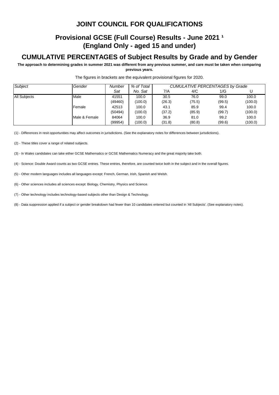### **Provisional GCSE (Full Course) Results - June 2021 1 (England Only - aged 15 and under)**

#### **CUMULATIVE PERCENTAGES of Subject Results by Grade and by Gender**

**The approach to determining grades in summer 2021 was different from any previous summer, and care must be taken when comparing previous years.**

| Subject             | Gender        | Number  | % of Total | CUMULATIVE PERCENTAGES by Grade |        |        |         |  |
|---------------------|---------------|---------|------------|---------------------------------|--------|--------|---------|--|
|                     |               | Sat     | No. Sat    | 7/A                             | 4/C    | 1/G    |         |  |
| <b>All Subjects</b> | Male          | 41551   | 100.0      | 30.5                            | 76.0   | 99.0   | 100.0   |  |
|                     |               | (49460) | (100.0)    | (26.3)                          | (75.5) | (99.5) | (100.0) |  |
|                     | Female        | 42513   | 100.0      | 43.1                            | 85.9   | 99.4   | 100.0   |  |
|                     |               | (50494) | (100.0)    | (37.2)                          | (85.9) | (99.7) | (100.0) |  |
|                     | Male & Female | 84064   | 100.0      | 36.9                            | 81.0   | 99.2   | 100.0   |  |
|                     |               | (99954) | (100.0)    | (31.8)                          | (80.8) | (99.6) | (100.0) |  |

The figures in brackets are the equivalent provisional figures for 2020.

(1) - Differences in resit opportunities may affect outcomes in jurisdictions. (See the explanatory notes for differences between jurisdictions).

(2) - These titles cover a range of related subjects.

(3) - In Wales candidates can take either GCSE Mathematics or GCSE Mathematics Numeracy and the great majority take both.

(4) - Science: Double Award counts as two GCSE entries. These entries, therefore, are counted twice both in the subject and in the overall figures.

(5) - Other modern languages includes all languages except: French, German, Irish, Spanish and Welsh.

(6) - Other sciences includes all sciences except: Biology, Chemistry, Physics and Science.

(7) - Other technology includes technology-based subjects other than Design & Technology.

(8) - Data suppression applied if a subject or gender breakdown had fewer than 10 candidates entered but counted in 'All Subjects'. (See explanatory notes).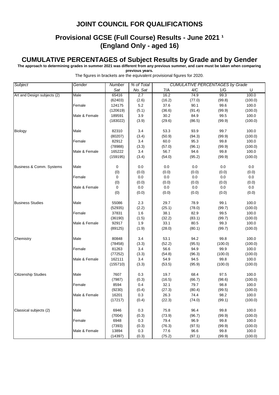### **Provisional GCSE (Full Course) Results - June 2021 <sup>1</sup> (England Only - aged 16)**

#### **CUMULATIVE PERCENTAGES of Subject Results by Grade and by Gender**

**The approach to determining grades in summer 2021 was different from any previous summer, and care must be taken when comparing** 

**previous years.**

| <b>Subject</b>              | Gender        | Number   | % of Total | <b>CUMULATIVE PERCENTAGES by Grade</b> |         |         |         |  |
|-----------------------------|---------------|----------|------------|----------------------------------------|---------|---------|---------|--|
|                             |               | Sat      | No. Sat    | 7/A                                    | 4/C     | 1/G     | U       |  |
| Art and Design subjects (2) | Male          | 65416    | 2.7        | 16.2                                   | 74.9    | 99.3    | 100.0   |  |
|                             |               | (62403)  | (2.6)      | (16.2)                                 | (77.0)  | (99.8)  | (100.0) |  |
|                             | Female        | 124175   | $5.2\,$    | 37.6                                   | 90.1    | 99.6    | 100.0   |  |
|                             |               | (120619) | (5.1)      | (36.6)                                 | (91.4)  | (99.9)  | (100.0) |  |
|                             | Male & Female | 189591   | 3.9        | 30.2                                   | 84.9    | 99.5    | 100.0   |  |
|                             |               | (183022) | (3.9)      | (29.6)                                 | (86.5)  | (99.9)  | (100.0) |  |
|                             |               |          |            |                                        |         |         |         |  |
| <b>Biology</b>              | Male          | 82310    | 3.4        | 53.3                                   | 93.9    | 99.7    | 100.0   |  |
|                             |               | (80207)  | (3.4)      | (50.9)                                 | (94.3)  | (99.9)  | (100.0) |  |
|                             | Female        | 82912    | 3.4        | 60.0                                   | 95.3    | 99.8    | 100.0   |  |
|                             |               | (78988)  | (3.3)      | (57.0)                                 | (96.1)  | (99.9)  | (100.0) |  |
|                             | Male & Female | 165222   | 3.4        | 56.7                                   | 94.6    | 99.8    | 100.0   |  |
|                             |               | (159195) | (3.4)      | (54.0)                                 | (95.2)  | (99.9)  | (100.0) |  |
|                             |               |          |            |                                        |         |         |         |  |
| Business & Comm. Systems    | Male          | 0        | 0.0        | 0.0                                    | 0.0     | 0.0     | 0.0     |  |
|                             |               | (0)      | (0.0)      | (0.0)                                  | (0.0)   | (0.0)   | (0.0)   |  |
|                             | Female        | 0        | 0.0        | $0.0\,$                                | 0.0     | 0.0     | 0.0     |  |
|                             |               | (0)      | (0.0)      | (0.0)                                  | (0.0)   | (0.0)   | (0.0)   |  |
|                             | Male & Female | 0        | 0.0        | $0.0\,$                                | $0.0\,$ | 0.0     | 0.0     |  |
|                             |               | (0)      | (0.0)      | (0.0)                                  | (0.0)   | (0.0)   | (0.0)   |  |
|                             |               |          |            |                                        |         |         |         |  |
| <b>Business Studies</b>     | Male          | 55086    | 2.3        | 29.7                                   | 78.9    | 99.1    | 100.0   |  |
|                             |               | (52935)  | (2.2)      | (25.1)                                 | (78.0)  | (99.7)  | (100.0) |  |
|                             | Female        | 37831    | 1.6        | 38.1                                   | 82.9    | 99.5    | 100.0   |  |
|                             |               | (36190)  | (1.5)      | (32.2)                                 | (83.1)  | (99.7)  | (100.0) |  |
|                             | Male & Female | 92917    | 1.9        | 33.1                                   | 80.5    | 99.3    | 100.0   |  |
|                             |               | (89125)  | (1.9)      | (28.0)                                 | (80.1)  | (99.7)  | (100.0) |  |
|                             |               |          |            |                                        |         |         |         |  |
| Chemistry                   | Male          | 80848    | 3.4        | 53.1                                   | 94.2    | 99.8    | 100.0   |  |
|                             |               | (78458)  | (3.3)      | (52.2)                                 | (95.5)  | (100.0) | (100.0) |  |
|                             | Female        | 81263    | 3.4        | 56.6                                   | 94.9    | 99.9    | 100.0   |  |
|                             |               | (77252)  | (3.3)      | (54.8)                                 | (96.3)  | (100.0) | (100.0) |  |
|                             | Male & Female | 162111   | 3.4        | 54.9                                   | 94.5    | 99.8    | 100.0   |  |
|                             |               | (155710) | (3.3)      | (53.5)                                 | (95.9)  | (100.0) | (100.0) |  |
|                             |               |          |            |                                        |         |         |         |  |
| <b>Citizenship Studies</b>  | Male          | 7607     | 0.3        | 19.7                                   | 68.4    | 97.5    | 100.0   |  |
|                             |               | (7987)   | (0.3)      | (16.5)                                 | (66.7)  | (98.6)  | (100.0) |  |
|                             | Female        | 8594     | 0.4        | 32.1                                   | 79.7    | 98.8    | 100.0   |  |
|                             |               | (9230)   | (0.4)      | (27.3)                                 | (80.4)  | (99.5)  | (100.0) |  |
|                             | Male & Female | 16201    | 0.3        | 26.3                                   | 74.4    | 98.2    | 100.0   |  |
|                             |               | (17217)  | (0.4)      | (22.3)                                 | (74.0)  | (99.1)  | (100.0) |  |
|                             |               |          |            |                                        |         |         |         |  |
| Classical subjects (2)      | Male          | 6946     | 0.3        | 75.8                                   | 96.4    | 99.8    | 100.0   |  |
|                             |               | (7004)   | (0.3)      | (73.9)                                 | (96.7)  | (99.9)  | (100.0) |  |
|                             | Female        | 6948     | 0.3        | 79.4                                   | 96.9    | 99.8    | 100.0   |  |
|                             |               | (7393)   | (0.3)      | (76.3)                                 | (97.5)  | (99.9)  | (100.0) |  |
|                             | Male & Female | 13894    | 0.3        | 77.6                                   | 96.6    | 99.8    | 100.0   |  |
|                             |               | (14397)  | (0.3)      | (75.2)                                 | (97.1)  | (99.9)  | (100.0) |  |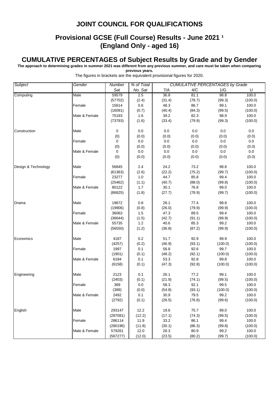### **Provisional GCSE (Full Course) Results - June 2021 1 (England Only - aged 16)**

#### **CUMULATIVE PERCENTAGES of Subject Results by Grade and by Gender**

**The approach to determining grades in summer 2021 was different from any previous summer, and care must be taken when comparing** 

**previous years.**

| <b>Subject</b>      | Gender        | Number   | % of Total   | <b>CUMULATIVE PERCENTAGES by Grade</b> |                |                |         |  |
|---------------------|---------------|----------|--------------|----------------------------------------|----------------|----------------|---------|--|
|                     |               | Sat      | No. Sat      | 7/A                                    | 4/C            | 1/G            | U       |  |
| Computing           | Male          | 59579    | 2.5          | 36.8                                   | 81.1           | 98.8           | 100.0   |  |
|                     |               | (57702)  | (2.4)        | (31.4)                                 | (78.7)         | (99.3)         | (100.0) |  |
|                     | Female        | 15614    | 0.6          | 48.3                                   | 86.7           | 99.1           | 100.0   |  |
|                     |               | (16091)  | (0.7)        | (40.4)                                 | (84.3)         | (99.5)         | (100.0) |  |
|                     | Male & Female | 75193    | 1.6          | 39.2                                   | 82.3           | 98.9           | 100.0   |  |
|                     |               | (73793)  | (1.6)        | (33.4)                                 | (79.9)         | (99.3)         | (100.0) |  |
|                     |               |          |              |                                        |                |                |         |  |
| Construction        | Male          | 0        | 0.0          | 0.0                                    | 0.0            | 0.0            | 0.0     |  |
|                     |               | (0)      | (0.0)        | (0.0)                                  | (0.0)          | (0.0)          | (0.0)   |  |
|                     | Female        | 0        | 0.0          | 0.0                                    | 0.0            | 0.0            | 0.0     |  |
|                     |               | (0)      | (0.0)        | (0.0)                                  | (0.0)          | (0.0)          | (0.0)   |  |
|                     | Male & Female | 0        | 0.0          | 0.0                                    | 0.0            | 0.0            | 0.0     |  |
|                     |               | (0)      | (0.0)        | (0.0)                                  | (0.0)          | (0.0)          | (0.0)   |  |
| Design & Technology | Male          | 56845    | 2.4          | 24.2                                   | 73.2           | 98.8           | 100.0   |  |
|                     |               |          |              | (22.2)                                 | (75.2)         |                |         |  |
|                     |               | (61363)  | (2.6)        | 44.7                                   |                | (99.7)         | (100.0) |  |
|                     | Female        | 23277    | 1.0          |                                        | 85.8           | 99.4           | 100.0   |  |
|                     | Male & Female | (25462)  | (1.1)<br>1.7 | (40.7)<br>30.1                         | (88.0)<br>76.8 | (99.8)<br>99.0 | (100.0) |  |
|                     |               | 80122    |              |                                        |                |                | 100.0   |  |
|                     |               | (86825)  | (1.8)        | (27.7)                                 | (78.9)         | (99.7)         | (100.0) |  |
| Drama               | Male          | 19672    | 0.8          | 28.1                                   | 77.4           | 98.8           | 100.0   |  |
|                     |               | (19906)  | (0.8)        | (26.0)                                 | (79.9)         | (99.9)         | (100.0) |  |
|                     | Female        | 36063    | 1.5          | 47.3                                   | 89.5           | 99.4           | 100.0   |  |
|                     |               | (36644)  | (1.5)        | (42.7)                                 | (91.1)         | (99.9)         | (100.0) |  |
|                     | Male & Female | 55735    | 1.2          | 40.6                                   | 85.3           | 99.2           | 100.0   |  |
|                     |               | (56550)  | (1.2)        | (36.8)                                 | (87.2)         | (99.9)         | (100.0) |  |
| Economics           | Male          | 4187     | 0.2          | 51.7                                   | 92.9           | 99.9           | 100.0   |  |
|                     |               | (4257)   | (0.2)        | (46.9)                                 | (93.1)         | (100.0)        | (100.0) |  |
|                     | Female        | 1997     | 0.1          | 56.8                                   | 92.6           | 99.7           | 100.0   |  |
|                     |               | (1901)   | (0.1)        | (48.2)                                 | (92.1)         | (100.0)        | (100.0) |  |
|                     | Male & Female | 6184     | 0.1          | 53.3                                   | 92.8           | 99.8           | 100.0   |  |
|                     |               | (6158)   | (0.1)        | (47.3)                                 | (92.8)         | (100.0)        | (100.0) |  |
|                     |               |          |              |                                        |                |                |         |  |
| Engineering         | Male          | 2123     | 0.1          | 26.1                                   | 77.2           | 99.1           | 100.0   |  |
|                     |               | (2403)   | (0.1)        | (21.9)                                 | (74.1)         | (99.5)         | (100.0) |  |
|                     | Female        | 369      | 0.0          | 58.3                                   | 92.1           | 99.5           | 100.0   |  |
|                     |               | (389)    | (0.0)        | (54.8)                                 | (93.1)         | (100.0)        | (100.0) |  |
|                     | Male & Female | 2492     | 0.1          | 30.9                                   | 79.5           | 99.2           | 100.0   |  |
|                     |               | (2792)   | (0.1)        | (26.5)                                 | (76.8)         | (99.6)         | (100.0) |  |
| English             | Male          | 293147   | 12.2         | 19.6                                   | 75.7           | 99.0           | 100.0   |  |
|                     |               | (287081) | (12.2)       | (17.1)                                 | (74.3)         | (99.5)         | (100.0) |  |
|                     | Female        | 286114   | 11.9         | 33.2                                   | 86.1           | 99.4           | 100.0   |  |
|                     |               | (280196) | (11.8)       | (30.1)                                 | (86.3)         | (99.8)         | (100.0) |  |
|                     | Male & Female | 579261   | 12.0         | 26.3                                   | 80.9           | 99.2           | 100.0   |  |
|                     |               | (567277) | (12.0)       | (23.5)                                 | (80.2)         | (99.7)         | (100.0) |  |
|                     |               |          |              |                                        |                |                |         |  |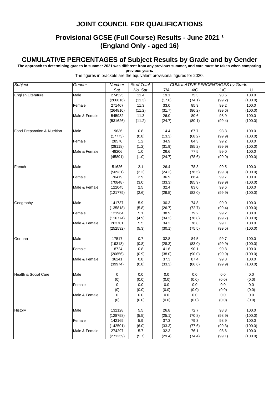### **Provisional GCSE (Full Course) Results - June 2021 1 (England Only - aged 16)**

#### **CUMULATIVE PERCENTAGES of Subject Results by Grade and by Gender**

**The approach to determining grades in summer 2021 was different from any previous summer, and care must be taken when comparing** 

**previous years.**

| <b>Subject</b>                  | Gender        | Number   | % of Total |        | <b>CUMULATIVE PERCENTAGES by Grade</b> |         |         |  |
|---------------------------------|---------------|----------|------------|--------|----------------------------------------|---------|---------|--|
|                                 |               | Sat      | No. Sat    | 7/A    | 4/C                                    | 1/G     | U       |  |
| English Literature              | Male          | 274525   | 11.4       | 19.1   | 75.3                                   | 98.6    | 100.0   |  |
|                                 |               | (266816) | (11.3)     | (17.8) | (74.1)                                 | (99.2)  | (100.0) |  |
|                                 | Female        | 271407   | 11.3       | 33.0   | 85.9                                   | 99.2    | 100.0   |  |
|                                 |               | (264810) | (11.2)     | (31.7) | (86.2)                                 | (99.6)  | (100.0) |  |
|                                 | Male & Female | 545932   | 11.3       | 26.0   | 80.6                                   | 98.9    | 100.0   |  |
|                                 |               | (531626) | (11.2)     | (24.7) | (80.1)                                 | (99.4)  | (100.0) |  |
|                                 |               |          |            |        |                                        |         |         |  |
| Food Preparation & Nutrition    | Male          | 19636    | 0.8        | 14.4   | 67.7                                   | 98.8    | 100.0   |  |
|                                 |               | (17773)  | (0.8)      | (13.3) | (68.2)                                 | (99.9)  | (100.0) |  |
|                                 | Female        | 28570    | 1.2        | 34.9   | 84.3                                   | 99.2    | 100.0   |  |
|                                 |               | (28118)  | (1.2)      | (31.9) | (85.2)                                 | (99.9)  | (100.0) |  |
|                                 | Male & Female | 48206    | $1.0$      | 26.6   | 77.5                                   | 99.0    | 100.0   |  |
|                                 |               | (45891)  | (1.0)      | (24.7) | (78.6)                                 | (99.9)  | (100.0) |  |
|                                 |               |          |            |        |                                        |         |         |  |
| French                          | Male          | 51626    | 2.1        | 26.4   | 78.3                                   | 99.5    | 100.0   |  |
|                                 |               | (50931)  | (2.2)      | (24.2) | (76.5)                                 | (99.8)  | (100.0) |  |
|                                 | Female        | 70419    | 2.9        | 36.9   | 86.4                                   | 99.7    | 100.0   |  |
|                                 |               | (70848)  | (3.0)      | (33.3) | (85.9)                                 | (99.9)  | (100.0) |  |
|                                 | Male & Female | 122045   | 2.5        | 32.4   | 83.0                                   | 99.6    | 100.0   |  |
|                                 |               | (121779) | (2.6)      | (29.5) | (82.0)                                 | (99.9)  | (100.0) |  |
|                                 |               |          |            |        |                                        |         |         |  |
| Geography                       | Male          | 141737   | 5.9        | 30.3   | 74.8                                   | 99.0    | 100.0   |  |
|                                 |               | (135818) | (5.8)      | (26.7) | (72.7)                                 | (99.4)  | (100.0) |  |
|                                 | Female        | 121964   | 5.1        | 38.9   | 79.2                                   | 99.2    | 100.0   |  |
|                                 |               | (116774) | (4.9)      | (34.2) | (78.8)                                 | (99.7)  | (100.0) |  |
|                                 | Male & Female | 263701   | 5.5        | 34.2   | 76.8                                   | 99.1    | 100.0   |  |
|                                 |               | (252592) | (5.3)      | (30.1) | (75.5)                                 | (99.5)  | (100.0) |  |
|                                 |               |          |            |        |                                        |         |         |  |
| German                          | Male          | 17517    | 0.7        | 32.8   | 84.5                                   | 99.7    | 100.0   |  |
|                                 |               | (19318)  | (0.8)      | (28.3) | (83.0)                                 | (99.9)  | (100.0) |  |
|                                 | Female        | 18724    | 0.8        | 41.6   | 90.1                                   | 99.8    | 100.0   |  |
|                                 |               | (20656)  | (0.9)      | (38.0) | (90.0)                                 | (99.9)  | (100.0) |  |
|                                 | Male & Female | 36241    | $0.8\,$    | 37.3   | 87.4                                   | 99.8    | 100.0   |  |
|                                 |               | (39974)  | (0.8)      | (33.3) | (86.6)                                 | (99.9)  | (100.0) |  |
|                                 |               |          |            |        |                                        |         |         |  |
| <b>Health &amp; Social Care</b> | Male          | 0        | 0.0        | 0.0    | 0.0                                    | 0.0     | 0.0     |  |
|                                 |               | (0)      | (0.0)      | (0.0)  | (0.0)                                  | (0.0)   | (0.0)   |  |
|                                 | Female        | 0        | 0.0        | 0.0    | 0.0                                    | 0.0     | 0.0     |  |
|                                 |               | (0)      | (0.0)      | (0.0)  | (0.0)                                  | (0.0)   | (0.0)   |  |
|                                 | Male & Female | 0        | 0.0        | 0.0    | $0.0\,$                                | $0.0\,$ | 0.0     |  |
|                                 |               | (0)      | (0.0)      | (0.0)  | (0.0)                                  | (0.0)   | (0.0)   |  |
|                                 |               |          |            |        |                                        |         |         |  |
| History                         | Male          | 132128   | 5.5        | 26.8   | 72.7                                   | 98.3    | 100.0   |  |
|                                 |               | (128758) | (5.5)      | (25.1) | (70.8)                                 | (98.9)  | (100.0) |  |
|                                 | Female        | 142169   | 5.9        | 37.3   | 79.3                                   | 98.9    | 100.0   |  |
|                                 |               | (142501) | (6.0)      | (33.3) | (77.6)                                 | (99.3)  | (100.0) |  |
|                                 | Male & Female | 274297   | 5.7        | 32.3   | 76.1                                   | 98.6    | 100.0   |  |
|                                 |               | (271259) | (5.7)      | (29.4) | (74.4)                                 | (99.1)  | (100.0) |  |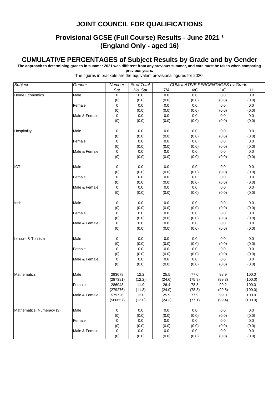### **Provisional GCSE (Full Course) Results - June 2021 1 (England Only - aged 16)**

#### **CUMULATIVE PERCENTAGES of Subject Results by Grade and by Gender**

**The approach to determining grades in summer 2021 was different from any previous summer, and care must be taken when comparing** 

**previous years.**

| Subject                   | Gender        | Number         | % of Total | <b>CUMULATIVE PERCENTAGES by Grade</b> |         |         |         |  |  |
|---------------------------|---------------|----------------|------------|----------------------------------------|---------|---------|---------|--|--|
|                           |               | Sat            | No. Sat    | 7/A                                    | 4/C     | 1/G     | U       |  |  |
| <b>Home Economics</b>     | Male          | $\overline{0}$ | 0.0        | 0.0                                    | 0.0     | 0.0     | 0.0     |  |  |
|                           |               | (0)            | (0.0)      | (0.0)                                  | (0.0)   | (0.0)   | (0.0)   |  |  |
|                           | Female        | 0              | 0.0        | 0.0                                    | 0.0     | 0.0     | 0.0     |  |  |
|                           |               | (0)            | (0.0)      | (0.0)                                  | (0.0)   | (0.0)   | (0.0)   |  |  |
|                           | Male & Female | 0              | 0.0        | 0.0                                    | 0.0     | 0.0     | $0.0\,$ |  |  |
|                           |               |                | (0.0)      | (0.0)                                  |         | (0.0)   | (0.0)   |  |  |
|                           |               | (0)            |            |                                        | (0.0)   |         |         |  |  |
| Hospitality               | Male          | 0              | 0.0        | 0.0                                    | 0.0     | 0.0     | 0.0     |  |  |
|                           |               | (0)            | (0.0)      | (0.0)                                  | (0.0)   | (0.0)   | (0.0)   |  |  |
|                           | Female        | $\mathsf 0$    | $0.0\,$    | $0.0\,$                                | 0.0     | $0.0\,$ | 0.0     |  |  |
|                           |               | (0)            | (0.0)      | (0.0)                                  | (0.0)   | (0.0)   | (0.0)   |  |  |
|                           | Male & Female | 0              | $0.0\,$    | $0.0\,$                                | $0.0\,$ | 0.0     | 0.0     |  |  |
|                           |               | (0)            | (0.0)      | (0.0)                                  | (0.0)   | (0.0)   | (0.0)   |  |  |
|                           |               |                |            |                                        |         |         |         |  |  |
| ICT                       | Male          | 0              | 0.0        | 0.0                                    | 0.0     | 0.0     | $0.0\,$ |  |  |
|                           |               | (0)            | (0.0)      | (0.0)                                  | (0.0)   | (0.0)   | (0.0)   |  |  |
|                           | Female        | 0              | 0.0        | $0.0\,$                                | 0.0     | 0.0     | 0.0     |  |  |
|                           |               | (0)            | (0.0)      | (0.0)                                  | (0.0)   | (0.0)   | (0.0)   |  |  |
|                           | Male & Female | 0              | $0.0\,$    | $0.0\,$                                | 0.0     | 0.0     | 0.0     |  |  |
|                           |               | (0)            | (0.0)      | (0.0)                                  | (0.0)   | (0.0)   | (0.0)   |  |  |
| Irish                     | Male          | 0              | 0.0        | 0.0                                    | 0.0     | 0.0     | $0.0\,$ |  |  |
|                           |               | (0)            | (0.0)      | (0.0)                                  | (0.0)   | (0.0)   | (0.0)   |  |  |
|                           | Female        | 0              | $0.0\,$    | $0.0\,$                                | 0.0     | 0.0     | 0.0     |  |  |
|                           |               | (0)            | (0.0)      | (0.0)                                  | (0.0)   | (0.0)   | (0.0)   |  |  |
|                           | Male & Female | 0              | $0.0\,$    | 0.0                                    | 0.0     | 0.0     | 0.0     |  |  |
|                           |               | (0)            | (0.0)      | (0.0)                                  | (0.0)   | (0.0)   | (0.0)   |  |  |
|                           |               |                |            |                                        |         |         |         |  |  |
| Leisure & Tourism         | Male          | 0              | 0.0        | 0.0                                    | 0.0     | 0.0     | 0.0     |  |  |
|                           |               | (0)            | (0.0)      | (0.0)                                  | (0.0)   | (0.0)   | (0.0)   |  |  |
|                           | Female        | $\mathbf 0$    | 0.0        | 0.0                                    | 0.0     | 0.0     | 0.0     |  |  |
|                           |               | (0)            | (0.0)      | (0.0)                                  | (0.0)   | (0.0)   | (0.0)   |  |  |
|                           | Male & Female | 0              | 0.0        | $0.0\,$                                | 0.0     | 0.0     | $0.0\,$ |  |  |
|                           |               | (0)            | (0.0)      | (0.0)                                  | (0.0)   | (0.0)   | (0.0)   |  |  |
| <b>Mathematics</b>        | Male          | 293678         | 12.2       | 25.5                                   | 77.0    | 98.9    | 100.0   |  |  |
|                           |               | (287381)       | (12.2)     | (24.6)                                 | (75.9)  | (99.3)  | (100.0) |  |  |
|                           | Female        | 286048         | 11.9       | 26.4                                   | 78.8    | 99.2    | 100.0   |  |  |
|                           |               | (279276)       | (11.8)     | (24.0)                                 | (78.3)  | (99.5)  | (100.0) |  |  |
|                           | Male & Female | 579726         | 12.0       | 25.9                                   | 77.9    | 99.0    | 100.0   |  |  |
|                           |               | (566657)       | (12.0)     | (24.3)                                 | (77.1)  | (99.4)  | (100.0) |  |  |
|                           |               |                |            |                                        |         |         |         |  |  |
| Mathematics: Numeracy (3) | Male          | 0              | 0.0        | 0.0                                    | $0.0\,$ | 0.0     | 0.0     |  |  |
|                           |               | (0)            | (0.0)      | (0.0)                                  | (0.0)   | (0.0)   | (0.0)   |  |  |
|                           | Female        | 0              | 0.0        | 0.0                                    | 0.0     | $0.0\,$ | 0.0     |  |  |
|                           |               | (0)            | (0.0)      | (0.0)                                  | (0.0)   | (0.0)   | (0.0)   |  |  |
|                           | Male & Female | 0              | 0.0        | 0.0                                    | 0.0     | 0.0     | $0.0\,$ |  |  |
|                           |               | (0)            | (0.0)      | (0.0)                                  | (0.0)   | (0.0)   | (0.0)   |  |  |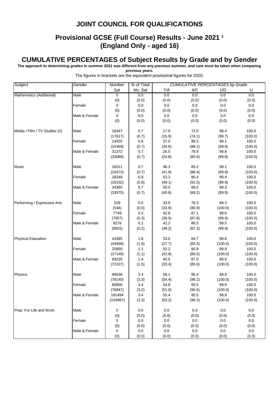### **Provisional GCSE (Full Course) Results - June 2021 1 (England Only - aged 16)**

#### **CUMULATIVE PERCENTAGES of Subject Results by Grade and by Gender**

**The approach to determining grades in summer 2021 was different from any previous summer, and care must be taken when comparing previous years.**

| Subject                       | Gender        |           | % of Total | <b>CUMULATIVE PERCENTAGES by Grade</b> |        |         |         |  |
|-------------------------------|---------------|-----------|------------|----------------------------------------|--------|---------|---------|--|
|                               |               | Sat       | No. Sat    | 7/A                                    | 4/C    | 1/G     | U       |  |
| Mathematics (Additional)      | Male          | $\pmb{0}$ | 0.0        | 0.0                                    | 0.0    | 0.0     | 0.0     |  |
|                               |               | (0)       | (0.0)      | (0.0)                                  | (0.0)  | (0.0)   | (0.0)   |  |
|                               | Female        | 0         | 0.0        | $0.0\,$                                | 0.0    | 0.0     | 0.0     |  |
|                               |               | (0)       | (0.0)      | (0.0)                                  | (0.0)  | (0.0)   | (0.0)   |  |
|                               | Male & Female | 0         | $0.0\,$    | 0.0                                    | 0.0    | 0.0     | $0.0\,$ |  |
|                               |               | (0)       | (0.0)      | (0.0)                                  | (0.0)  | (0.0)   | (0.0)   |  |
| Media / Film / TV Studies (2) | Male          | 16447     | 0.7        | 17.0                                   | 72.0   | 98.4    | 100.0   |  |
|                               |               | (17617)   | (0.7)      | (15.9)                                 | (74.1) | (99.7)  | (100.0) |  |
|                               | Female        | 14925     | 0.6        | 37.0                                   | 86.3   | 99.1    | 100.0   |  |
|                               |               | (15469)   | (0.7)      | (34.6)                                 | (88.1) | (99.9)  | (100.0) |  |
|                               | Male & Female | 31372     | 0.7        | 26.5                                   | 78.8   | 98.8    | 100.0   |  |
|                               |               | (33086)   | (0.7)      | (24.6)                                 | (80.6) | (99.8)  | (100.0) |  |
| Music                         | Male          | 16011     | 0.7        | 46.3                                   | 85.2   | 99.1    | 100.0   |  |
|                               |               | (15473)   | (0.7)      | (41.9)                                 | (86.4) | (99.9)  | (100.0) |  |
|                               | Female        | 18349     | 0.8        | 53.2                                   | 90.4   | 99.4    | 100.0   |  |
|                               |               | (18102)   | (0.8)      | (49.1)                                 | (91.5) | (99.9)  | (100.0) |  |
|                               | Male & Female | 34360     | 0.7        | 50.0                                   | 88.0   | 99.3    | 100.0   |  |
|                               |               | (33575)   | (0.7)      | (45.8)                                 | (89.2) | (99.9)  | (100.0) |  |
| Performing / Expressive Arts  | Male          | 529       | 0.0        | 33.6                                   | 78.3   | 98.3    | 100.0   |  |
|                               |               | (544)     | (0.0)      | (33.8)                                 | (80.9) | (100.0) | (100.0) |  |
|                               | Female        | 7749      | 0.3        | 42.8                                   | 87.1   | 99.6    | 100.0   |  |
|                               |               | (7957)    | (0.3)      | (38.5)                                 | (87.8) | (99.9)  | (100.0) |  |
|                               | Male & Female | 8278      | $0.2\,$    | 42.2                                   | 86.5   | 99.5    | 100.0   |  |
|                               |               | (8501)    | (0.2)      | (38.2)                                 | (87.3) | (99.9)  | (100.0) |  |
| <b>Physical Education</b>     | Male          | 43385     | 1.8        | 33.6                                   | 84.7   | 99.8    | 100.0   |  |
|                               |               | (44958)   | (1.9)      | (27.7)                                 | (83.3) | (100.0) | (100.0) |  |
|                               | Female        | 25850     | 1.1        | 52.2                                   | 90.9   | 99.9    | 100.0   |  |
|                               |               | (27149)   | (1.1)      | (42.8)                                 | (89.5) | (100.0) | (100.0) |  |
|                               | Male & Female | 69235     | 1.4        | 40.5                                   | 87.0   | 99.8    | 100.0   |  |
|                               |               | (72107)   | (1.5)      | (33.4)                                 | (85.6) | (100.0) | (100.0) |  |
| Physics                       | Male          | 80638     | 3.4        | 56.1                                   | 95.4   | 99.8    | 100.0   |  |
|                               |               | (78140)   | (3.3)      | (54.4)                                 | (96.1) | (100.0) | (100.0) |  |
|                               | Female        | 80856     | 3.4        | 54.8                                   | 95.5   | 99.9    | 100.0   |  |
|                               |               | (76847)   | (3.2)      | (51.9)                                 | (96.5) | (100.0) | (100.0) |  |
|                               | Male & Female | 161494    | 3.4        | 55.4                                   | 95.5   | 99.8    | 100.0   |  |
|                               |               | (154987)  | (3.3)      | (53.2)                                 | (96.3) | (100.0) | (100.0) |  |
| Prep. For Life and Work       | Male          | 0         | 0.0        | 0.0                                    | 0.0    | 0.0     | 0.0     |  |
|                               |               | (0)       | (0.0)      | (0.0)                                  | (0.0)  | (0.0)   | (0.0)   |  |
|                               | Female        | 0         | 0.0        | 0.0                                    | 0.0    | 0.0     | 0.0     |  |
|                               |               | (0)       | (0.0)      | (0.0)                                  | (0.0)  | (0.0)   | (0.0)   |  |
|                               | Male & Female | 0         | 0.0        | 0.0                                    | 0.0    | 0.0     | 0.0     |  |
|                               |               | (0)       | (0.0)      | (0.0)                                  | (0.0)  | (0.0)   | (0.0)   |  |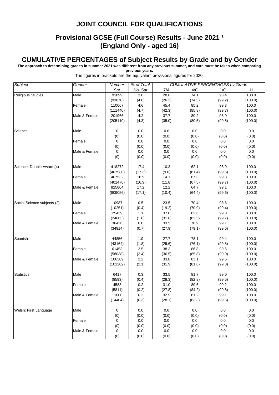### **Provisional GCSE (Full Course) Results - June 2021 <sup>1</sup> (England Only - aged 16)**

#### **CUMULATIVE PERCENTAGES of Subject Results by Grade and by Gender**

**The approach to determining grades in summer 2021 was different from any previous summer, and care must be taken when comparing** 

**previous years.**

|                             | The figures in brackets are the equivalent provisional figures for 2020. |             |            |        |                                        |        |         |  |  |
|-----------------------------|--------------------------------------------------------------------------|-------------|------------|--------|----------------------------------------|--------|---------|--|--|
| Subject                     | Gender                                                                   | Number      | % of Total |        | <b>CUMULATIVE PERCENTAGES by Grade</b> |        |         |  |  |
|                             |                                                                          | Sat         | No. Sat    | 7/A    | 4/C                                    | 1/G    | U       |  |  |
| <b>Religious Studies</b>    | Male                                                                     | 91899       | 3.8        | 28.6   | 74.1                                   | 98.4   | 100.0   |  |  |
|                             |                                                                          | (93670)     | (4.0)      | (26.3) | (74.3)                                 | (99.2) | (100.0) |  |  |
|                             | Female                                                                   | 110067      | 4.6        | 45.4   | 85.2                                   | 99.3   | 100.0   |  |  |
|                             |                                                                          | (111440)    | (4.7)      | (42.3) | (85.8)                                 | (99.7) | (100.0) |  |  |
|                             | Male & Female                                                            | 201966      | 4.2        | 37.7   | 80.2                                   | 98.9   | 100.0   |  |  |
|                             |                                                                          | (205110)    | (4.3)      | (35.0) | (80.5)                                 | (99.5) | (100.0) |  |  |
| Science                     | Male                                                                     | 0           | 0.0        | 0.0    | 0.0                                    | 0.0    | 0.0     |  |  |
|                             |                                                                          | (0)         | (0.0)      | (0.0)  | (0.0)                                  | (0.0)  | (0.0)   |  |  |
|                             | Female                                                                   | 0           | 0.0        | 0.0    | 0.0                                    | 0.0    | 0.0     |  |  |
|                             |                                                                          | (0)         | (0.0)      | (0.0)  | (0.0)                                  | (0.0)  | (0.0)   |  |  |
|                             | Male & Female                                                            | $\mathbf 0$ | 0.0        | 0.0    | 0.0                                    | 0.0    | 0.0     |  |  |
|                             |                                                                          | (0)         | (0.0)      | (0.0)  | (0.0)                                  | (0.0)  | (0.0)   |  |  |
| Science: Double Award (4)   | Male                                                                     | 418272      | 17.4       | 10.3   | 62.1                                   | 98.9   | 100.0   |  |  |
|                             |                                                                          | (407580)    | (17.3)     | (9.0)  | (61.4)                                 | (99.5) | (100.0) |  |  |
|                             | Female                                                                   | 407532      | 16.9       | 14.1   | 67.3                                   | 99.3   | 100.0   |  |  |
|                             |                                                                          | (401476)    | (16.9)     | (11.8) | (67.5)                                 | (99.7) | (100.0) |  |  |
|                             | Male & Female                                                            | 825804      | 17.2       | 12.2   | 64.7                                   | 99.1   | 100.0   |  |  |
|                             |                                                                          | (809056)    | (17.1)     | (10.4) | (64.4)                                 | (99.6) | (100.0) |  |  |
| Social Science subjects (2) | Male                                                                     | 10987       | 0.5        | 23.5   | 70.4                                   | 98.6   | 100.0   |  |  |
|                             |                                                                          | (10251)     | (0.4)      | (19.2) | (70.9)                                 | (99.4) | (100.0) |  |  |
|                             | Female                                                                   | 25439       | 1.1        | 37.8   | 82.6                                   | 99.3   | 100.0   |  |  |
|                             |                                                                          | (24663)     | (1.0)      | (31.6) | (82.5)                                 | (99.7) | (100.0) |  |  |
|                             | Male & Female                                                            | 36426       | 0.8        | 33.5   | 78.9                                   | 99.1   | 100.0   |  |  |
|                             |                                                                          | (34914)     | (0.7)      | (27.9) | (79.1)                                 | (99.6) | (100.0) |  |  |
| Spanish                     | Male                                                                     | 44856       | 1.9        | 27.7   | 78.1                                   | 99.4   | 100.0   |  |  |
|                             |                                                                          | (43164)     | (1.8)      | (25.6) | (76.1)                                 | (99.8) | (100.0) |  |  |
|                             | Female                                                                   | 61453       | 2.5        | 38.3   | 86.8                                   | 99.6   | 100.0   |  |  |
|                             |                                                                          | (58038)     | (2.4)      | (36.5) | (85.8)                                 | (99.9) | (100.0) |  |  |
|                             | Male & Female                                                            | 106309      | 2.2        | 33.8   | 83.1                                   | 99.5   | 100.0   |  |  |
|                             |                                                                          | (101202)    | (2.1)      | (31.9) | (81.6)                                 | (99.8) | (100.0) |  |  |
| <b>Statistics</b>           | Male                                                                     | 6417        | 0.3        | 33.5   | 81.7                                   | 99.0   | 100.0   |  |  |
|                             |                                                                          | (8593)      | (0.4)      | (28.3) | (82.8)                                 | (99.5) | (100.0) |  |  |
|                             | Female                                                                   | 4583        | 0.2        | 31.0   | 80.6                                   | 99.2   | 100.0   |  |  |
|                             |                                                                          | (5811)      | (0.2)      | (27.8) | (84.2)                                 | (99.8) | (100.0) |  |  |
|                             | Male & Female                                                            | 11000       | 0.2        | 32.5   | 81.2                                   | 99.1   | 100.0   |  |  |
|                             |                                                                          | (14404)     | (0.3)      | (28.1) | (83.3)                                 | (99.6) | (100.0) |  |  |
| Welsh: First Language       | Male                                                                     | 0           | 0.0        | 0.0    | 0.0                                    | 0.0    | 0.0     |  |  |
|                             |                                                                          | (0)         | (0.0)      | (0.0)  | (0.0)                                  | (0.0)  | (0.0)   |  |  |
|                             | Female                                                                   | 0           | 0.0        | 0.0    | 0.0                                    | 0.0    | 0.0     |  |  |
|                             |                                                                          | (0)         | (0.0)      | (0.0)  | (0.0)                                  | (0.0)  | (0.0)   |  |  |
|                             | Male & Female                                                            | 0           | 0.0        | 0.0    | 0.0                                    | 0.0    | 0.0     |  |  |
|                             |                                                                          | (0)         | (0.0)      | (0.0)  | (0.0)                                  | (0.0)  | (0.0)   |  |  |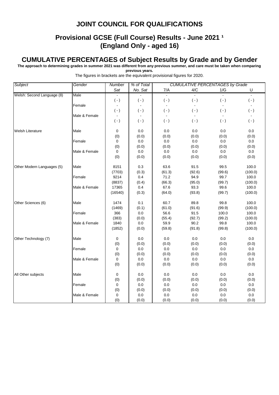### **Provisional GCSE (Full Course) Results - June 2021 1 (England Only - aged 16)**

#### **CUMULATIVE PERCENTAGES of Subject Results by Grade and by Gender**

**The approach to determining grades in summer 2021 was different from any previous summer, and care must be taken when comparing** 

**previous years.**

| <b>Subject</b>             | Gender        | Number         | % of Total |                | <b>CUMULATIVE PERCENTAGES by Grade</b> |                |              |
|----------------------------|---------------|----------------|------------|----------------|----------------------------------------|----------------|--------------|
|                            |               | Sat            | No. Sat    | 7/A            | $4/C$                                  | 1/G            | U            |
| Welsh: Second Language (8) | Male          |                |            | $\overline{a}$ |                                        | $\overline{a}$ | $\mathbf{L}$ |
|                            |               | $( - )$        | $(-)$      | $(\cdot)$      | $(-)$                                  | $( - )$        | $(-)$        |
|                            | Female        | $\blacksquare$ |            |                |                                        | $\blacksquare$ | $\omega$     |
|                            |               | $(-)$          | $(\cdot)$  | $(\cdot)$      | $(-)$                                  | $(-)$          | $(-)$        |
|                            | Male & Female | $\blacksquare$ |            |                |                                        |                |              |
|                            |               | $(-)$          | $(-)$      | $(\cdot)$      | $(-)$                                  | $(-)$          | $(-)$        |
| Welsh Literature           | Male          | 0              | 0.0        | 0.0            | 0.0                                    | 0.0            | 0.0          |
|                            |               | (0)            | (0.0)      | (0.0)          | (0.0)                                  | (0.0)          | (0.0)        |
|                            | Female        | 0              | 0.0        | $0.0\,$        | 0.0                                    | 0.0            | 0.0          |
|                            |               | (0)            | (0.0)      | (0.0)          | (0.0)                                  | (0.0)          | (0.0)        |
|                            | Male & Female | 0              | 0.0        | 0.0            | 0.0                                    | 0.0            | 0.0          |
|                            |               | (0)            | (0.0)      | (0.0)          | (0.0)                                  | (0.0)          | (0.0)        |
| Other Modern Languages (5) | Male          | 8151           | 0.3        | 63.6           | 91.5                                   | 99.5           | 100.0        |
|                            |               | (7703)         | (0.3)      | (61.3)         | (92.6)                                 | (99.6)         | (100.0)      |
|                            | Female        | 9214           | 0.4        | 71.2           | 94.9                                   | 99.7           | 100.0        |
|                            |               | (8837)         | (0.4)      | (66.3)         | (95.0)                                 | (99.7)         | (100.0)      |
|                            | Male & Female | 17365          | 0.4        | 67.6           | 93.3                                   | 99.6           | 100.0        |
|                            |               | (16540)        | (0.3)      | (64.0)         | (93.8)                                 | (99.7)         | (100.0)      |
| Other Sciences (6)         | Male          | 1474           | 0.1        | 60.7           | 89.8                                   | 99.8           | 100.0        |
|                            |               | (1469)         | (0.1)      | (61.0)         | (91.6)                                 | (99.9)         | (100.0)      |
|                            | Female        | 366            | 0.0        | 56.6           | 91.5                                   | 100.0          | 100.0        |
|                            |               | (383)          | (0.0)      | (55.4)         | (92.7)                                 | (99.2)         | (100.0)      |
|                            | Male & Female | 1840           | 0.0        | 59.9           | 90.2                                   | 99.8           | 100.0        |
|                            |               | (1852)         | (0.0)      | (59.8)         | (91.8)                                 | (99.8)         | (100.0)      |
| Other Technology (7)       | Male          | 0              | 0.0        | 0.0            | 0.0                                    | 0.0            | $0.0\,$      |
|                            |               | (0)            | (0.0)      | (0.0)          | (0.0)                                  | (0.0)          | (0.0)        |
|                            | Female        | $\mathbf 0$    | 0.0        | 0.0            | 0.0                                    | 0.0            | 0.0          |
|                            |               | (0)            | (0.0)      | (0.0)          | (0.0)                                  | (0.0)          | (0.0)        |
|                            | Male & Female | $\mathbf 0$    | $0.0\,$    | 0.0            | 0.0                                    | $0.0\,$        | 0.0          |
|                            |               | (0)            | (0.0)      | (0.0)          | (0.0)                                  | (0.0)          | (0.0)        |
| All Other subjects         | Male          | 0              | 0.0        | 0.0            | 0.0                                    | 0.0            | 0.0          |
|                            |               | (0)            | (0.0)      | (0.0)          | (0.0)                                  | (0.0)          | (0.0)        |
|                            | Female        | 0              | 0.0        | 0.0            | 0.0                                    | $0.0\,$        | $0.0\,$      |
|                            |               | (0)            | (0.0)      | (0.0)          | (0.0)                                  | (0.0)          | (0.0)        |
|                            | Male & Female | 0              | 0.0        | 0.0            | 0.0                                    | 0.0            | 0.0          |
|                            |               | (0)            | (0.0)      | (0.0)          | (0.0)                                  | (0.0)          | (0.0)        |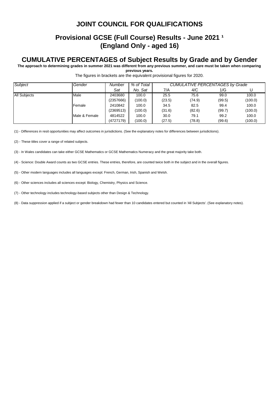#### **Provisional GCSE (Full Course) Results - June 2021 1 (England Only - aged 16)**

#### **CUMULATIVE PERCENTAGES of Subject Results by Grade and by Gender**

**The approach to determining grades in summer 2021 was different from any previous summer, and care must be taken when comparing previous years.**

The figures in brackets are the equivalent provisional figures for 2020.

| Subject             | Gender        | Number    | % of Total | <b>CUMULATIVE PERCENTAGES by Grade</b> |        |        |         |
|---------------------|---------------|-----------|------------|----------------------------------------|--------|--------|---------|
|                     |               | Sat       | No. Sat    | 7/A                                    | 4/C    | 1/G    |         |
| <b>All Subjects</b> | Male          | 2403680   | 100.0      | 25.5                                   | 75.6   | 99.0   | 100.0   |
|                     |               | (2357666) | (100.0)    | (23.5)                                 | (74.9) | (99.5) | (100.0) |
|                     | Female        | 2410842   | 100.0      | 34.5                                   | 82.5   | 99.4   | 100.0   |
|                     |               | (2369513) | (100.0)    | (31.6)                                 | (82.6) | (99.7) | (100.0) |
|                     | Male & Female | 4814522   | 100.0      | 30.0                                   | 79.1   | 99.2   | 100.0   |
|                     |               | (4727179) | (100.0)    | (27.5)                                 | (78.8) | (99.6) | (100.0) |

(1) - Differences in resit opportunities may affect outcomes in jurisdictions. (See the explanatory notes for differences between jurisdictions).

(2) - These titles cover a range of related subjects.

(3) - In Wales candidates can take either GCSE Mathematics or GCSE Mathematics Numeracy and the great majority take both.

(4) - Science: Double Award counts as two GCSE entries. These entries, therefore, are counted twice both in the subject and in the overall figures.

(5) - Other modern languages includes all languages except: French, German, Irish, Spanish and Welsh.

(6) - Other sciences includes all sciences except: Biology, Chemistry, Physics and Science.

(7) - Other technology includes technology-based subjects other than Design & Technology.

(8) - Data suppression applied if a subject or gender breakdown had fewer than 10 candidates entered but counted in 'All Subjects'. (See explanatory notes).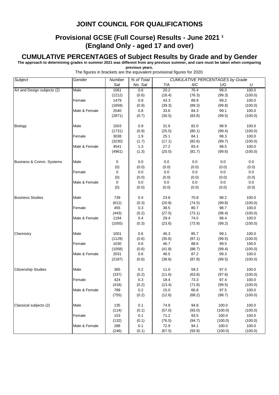#### **Provisional GCSE (Full Course) Results - June 2021 1 (England Only - aged 17 and over)**

#### **CUMULATIVE PERCENTAGES of Subject Results by Grade and by Gender**

**The approach to determining grades in summer 2021 was different from any previous summer, and care must be taken when comparing previous years.**

| <b>Subject</b>              | Gender        | Number | % of Total | <b>CUMULATIVE PERCENTAGES by Grade</b> |        |         |         |
|-----------------------------|---------------|--------|------------|----------------------------------------|--------|---------|---------|
|                             |               | Sat    | No. Sat    | 7/A                                    | 4/C    | 1/G     | U       |
| Art and Design subjects (2) | Male          | 1061   | 0.6        | 20.2                                   | 76.4   | 99.0    | 100.0   |
|                             |               | (1212) | (0.6)      | (18.4)                                 | (76.3) | (99.3)  | (100.0) |
|                             | Female        | 1479   | 0.9        | 43.3                                   | 89.9   | 99.2    | 100.0   |
|                             |               | (1659) | (0.9)      | (39.3)                                 | (89.3) | (99.8)  | (100.0) |
|                             | Male & Female | 2540   | $0.8\,$    | 33.6                                   | 84.3   | 99.1    | 100.0   |
|                             |               | (2871) | (0.7)      | (30.5)                                 | (83.8) | (99.5)  | (100.0) |
|                             |               |        |            |                                        |        |         |         |
| <b>Biology</b>              | Male          | 1503   | 0.9        | 31.6                                   | 82.0   | 98.9    | 100.0   |
|                             |               | (1731) | (0.9)      | (25.5)                                 | (80.1) | (99.4)  | (100.0) |
|                             | Female        | 3038   | 1.9        | 25.1                                   | 84.1   | 98.3    | 100.0   |
|                             |               | (3230) | (1.7)      | (17.1)                                 | (82.6) | (99.7)  | (100.0) |
|                             | Male & Female | 4541   | 1.3        | 27.2                                   | 83.4   | 98.5    | 100.0   |
|                             |               | (4961) | (1.3)      | (20.0)                                 | (81.7) | (99.6)  | (100.0) |
| Business & Comm. Systems    | Male          | 0      | 0.0        | 0.0                                    | 0.0    | 0.0     | $0.0\,$ |
|                             |               | (0)    | (0.0)      | (0.0)                                  | (0.0)  | (0.0)   | (0.0)   |
|                             | Female        | 0      | $0.0\,$    | $0.0\,$                                | 0.0    | $0.0\,$ | 0.0     |
|                             |               | (0)    | (0.0)      | (0.0)                                  | (0.0)  | (0.0)   | (0.0)   |
|                             | Male & Female | 0      | 0.0        | $0.0\,$                                | 0.0    | 0.0     | 0.0     |
|                             |               | (0)    | (0.0)      | (0.0)                                  | (0.0)  | (0.0)   | (0.0)   |
|                             |               |        |            |                                        |        |         |         |
| <b>Business Studies</b>     | Male          | 739    | 0.4        | 23.8                                   | 70.8   | 98.2    | 100.0   |
|                             |               | (612)  | (0.3)      | (20.8)                                 | (74.5) | (99.8)  | (100.0) |
|                             | Female        | 455    | 0.3        | 38.5                                   | 80.7   | 98.7    | 100.0   |
|                             |               | (443)  | (0.2)      | (27.5)                                 | (73.1) | (98.4)  | (100.0) |
|                             | Male & Female | 1194   | 0.4        | 29.4                                   | 74.5   | 98.4    | 100.0   |
|                             |               | (1055) | (0.3)      | (23.6)                                 | (73.9) | (99.2)  | (100.0) |
| Chemistry                   | Male          | 1001   | 0.6        | 46.3                                   | 85.7   | 99.1    | 100.0   |
|                             |               | (1129) | (0.6)      | (35.6)                                 | (87.1) | (99.5)  | (100.0) |
|                             | Female        | 1030   | 0.6        | 46.7                                   | 88.6   | 99.5    | 100.0   |
|                             |               | (1058) | (0.6)      | (41.8)                                 | (88.7) | (99.4)  | (100.0) |
|                             | Male & Female | 2031   | 0.6        | 46.5                                   | 87.2   | 99.3    | 100.0   |
|                             |               | (2187) | (0.6)      | (38.6)                                 | (87.8) | (99.5)  | (100.0) |
| <b>Citizenship Studies</b>  | Male          | 365    | 0.2        | 11.0                                   | 59.2   | 97.5    | 100.0   |
|                             |               | (337)  | (0.2)      | (11.6)                                 | (63.8) | (97.6)  | (100.0) |
|                             | Female        | 424    | 0.3        | 18.4                                   | 73.3   | 97.4    | 100.0   |
|                             |               | (418)  | (0.2)      | (13.4)                                 | (71.8) | (99.5)  | (100.0) |
|                             | Male & Female | 789    | $0.2\,$    | 15.0                                   | 66.8   | 97.5    | 100.0   |
|                             |               | (755)  | (0.2)      | (12.6)                                 | (68.2) | (98.7)  | (100.0) |
|                             |               |        |            |                                        |        |         |         |
| Classical subjects (2)      | Male          | 135    | 0.1        | 74.8                                   | 94.8   | 100.0   | 100.0   |
|                             |               | (114)  | (0.1)      | (57.0)                                 | (93.0) | (100.0) | (100.0) |
|                             | Female        | 153    | 0.1        | 71.2                                   | 93.5   | 100.0   | 100.0   |
|                             |               | (132)  | (0.1)      | (76.5)                                 | (94.7) | (100.0) | (100.0) |
|                             | Male & Female | 288    | 0.1        | 72.9                                   | 94.1   | 100.0   | 100.0   |
|                             |               | (246)  | (0.1)      | (67.5)                                 | (93.9) | (100.0) | (100.0) |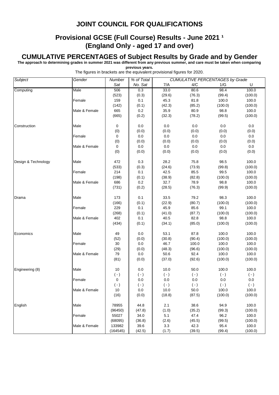#### **Provisional GCSE (Full Course) Results - June 2021 1 (England Only - aged 17 and over)**

#### **CUMULATIVE PERCENTAGES of Subject Results by Grade and by Gender**

**The approach to determining grades in summer 2021 was different from any previous summer, and care must be taken when comparing previous years.**

| Subject             | Gender        | Number           | % of Total       | <b>CUMULATIVE PERCENTAGES by Grade</b> |           |           |           |  |
|---------------------|---------------|------------------|------------------|----------------------------------------|-----------|-----------|-----------|--|
|                     |               | Sat              | No. Sat          | 7/A                                    | 4/C       | 1/G       | U         |  |
| Computing           | Male          | 506              | 0.3              | 33.0                                   | 80.6      | 98.4      | 100.0     |  |
|                     |               | (523)            | (0.3)            | (29.6)                                 | (76.3)    | (99.4)    | (100.0)   |  |
|                     | Female        | 159              | 0.1              | 45.3                                   | 81.8      | 100.0     | 100.0     |  |
|                     |               | (142)            | (0.1)            | (42.3)                                 | (85.2)    | (100.0)   | (100.0)   |  |
|                     | Male & Female | 665              | $0.2\,$          | 35.9                                   | 80.9      | 98.8      | 100.0     |  |
|                     |               | (665)            | (0.2)            | (32.3)                                 | (78.2)    | (99.5)    | (100.0)   |  |
|                     |               |                  |                  |                                        |           |           |           |  |
| Construction        | Male          | 0                | 0.0              | 0.0                                    | 0.0       | 0.0       | 0.0       |  |
|                     |               | (0)              | (0.0)            | (0.0)                                  | (0.0)     | (0.0)     | (0.0)     |  |
|                     | Female        | 0                | 0.0              | 0.0                                    | 0.0       | 0.0       | 0.0       |  |
|                     |               | (0)              | (0.0)            | (0.0)                                  | (0.0)     | (0.0)     | (0.0)     |  |
|                     | Male & Female | 0                | 0.0              | $0.0\,$                                | $0.0\,$   | 0.0       | $0.0\,$   |  |
|                     |               | (0)              | (0.0)            | (0.0)                                  | (0.0)     | (0.0)     | (0.0)     |  |
| Design & Technology | Male          | 472              | 0.3              | 28.2                                   | 75.8      | 98.5      | 100.0     |  |
|                     |               | (533)            | (0.3)            | (24.6)                                 | (73.9)    | (99.8)    | (100.0)   |  |
|                     | Female        | 214              | 0.1              | 42.5                                   | 85.5      | 99.5      | 100.0     |  |
|                     |               | (198)            | (0.1)            | (38.9)                                 | (82.8)    | (100.0)   | (100.0)   |  |
|                     | Male & Female | 686              | 0.2              | 32.7                                   | 78.9      | 98.8      | 100.0     |  |
|                     |               | (731)            | (0.2)            | (28.5)                                 | (76.3)    | (99.9)    | (100.0)   |  |
|                     |               |                  |                  |                                        |           |           |           |  |
| Drama               | Male          | 173              | 0.1              | 33.5                                   | 79.2      | 98.3      | 100.0     |  |
|                     |               | (166)            | (0.1)            | (22.9)                                 | (80.7)    | (100.0)   | (100.0)   |  |
|                     | Female        | 229              | 0.1              | 45.9                                   | 85.6      | 99.1      | 100.0     |  |
|                     |               | (268)            | (0.1)            | (41.0)                                 | (87.7)    | (100.0)   | (100.0)   |  |
|                     | Male & Female | 402              | 0.1              | 40.5                                   | 82.8      | 98.8      | 100.0     |  |
|                     |               | (434)            | (0.1)            | (34.1)                                 | (85.0)    | (100.0)   | (100.0)   |  |
| Economics           | Male          | 49               | 0.0              | 53.1                                   | 87.8      | 100.0     | 100.0     |  |
|                     |               | (52)             | (0.0)            | (30.8)                                 | (90.4)    | (100.0)   | (100.0)   |  |
|                     | Female        | 30               | 0.0              | 46.7                                   | 100.0     | 100.0     | 100.0     |  |
|                     |               | (29)             | (0.0)            | (48.3)                                 | (96.6)    | (100.0)   | (100.0)   |  |
|                     | Male & Female | 79               | $0.0\,$          | 50.6                                   | 92.4      | 100.0     | 100.0     |  |
|                     |               | (81)             | (0.0)            | (37.0)                                 | (92.6)    | (100.0)   | (100.0)   |  |
|                     |               |                  |                  |                                        |           |           |           |  |
| Engineering (8)     | Male          | 10               | 0.0              | 10.0                                   | 50.0      | 100.0     | 100.0     |  |
|                     |               | $(-)$            | $(\cdot)$        | $(\cdot)$                              | $(\cdot)$ | $(\cdot)$ | $(\cdot)$ |  |
|                     | Female        | 0                | $0.0\,$          | 0.0                                    | 0.0       | 0.0       | 0.0       |  |
|                     |               | $(\,\text{-}\,)$ | $(\,\text{-}\,)$ | $(\cdot)$                              | $(-)$     | $(\cdot)$ | $(\cdot)$ |  |
|                     | Male & Female | 10               | 0.0              | 10.0                                   | 50.0      | 100.0     | 100.0     |  |
|                     |               | (16)             | (0.0)            | (18.8)                                 | (87.5)    | (100.0)   | (100.0)   |  |
| English             | Male          | 78955            | 44.8             | 2.1                                    | 38.6      | 94.9      | 100.0     |  |
|                     |               | (96450)          | (47.8)           | (1.0)                                  | (35.2)    | (99.3)    | (100.0)   |  |
|                     | Female        | 55027            | 34.0             | 5.1                                    | 47.4      | 96.2      | 100.0     |  |
|                     |               | (68095)          | (36.8)           | (2.6)                                  | (45.5)    | (99.5)    | (100.0)   |  |
|                     | Male & Female | 133982           | 39.6             | 3.3                                    | 42.3      | 95.4      | 100.0     |  |
|                     |               | (164545)         | (42.5)           | (1.7)                                  | (39.5)    | (99.4)    | (100.0)   |  |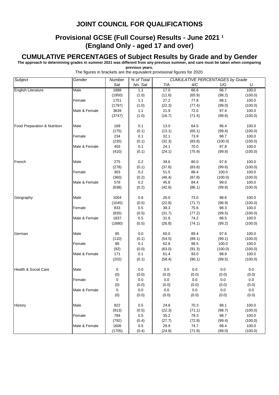#### **Provisional GCSE (Full Course) Results - June 2021 1 (England Only - aged 17 and over)**

#### **CUMULATIVE PERCENTAGES of Subject Results by Grade and by Gender**

**The approach to determining grades in summer 2021 was different from any previous summer, and care must be taken when comparing previous years.**

| <b>Subject</b>                  | Gender        | Number | % of Total |        | <b>CUMULATIVE PERCENTAGES by Grade</b> |         |         |  |  |
|---------------------------------|---------------|--------|------------|--------|----------------------------------------|---------|---------|--|--|
|                                 |               | Sat    | No. Sat    | 7/A    | 4/C                                    | 1/G     | U       |  |  |
| <b>English Literature</b>       | Male          | 1888   | 1.1        | 17.0   | 66.6                                   | 96.7    | 100.0   |  |  |
|                                 |               | (1950) | (1.0)      | (11.6) | (65.9)                                 | (98.2)  | (100.0) |  |  |
|                                 | Female        | 1751   | 1.1        | 27.2   | 77.8                                   | 98.1    | 100.0   |  |  |
|                                 |               | (1797) | (1.0)      | (22.3) | (77.4)                                 | (99.0)  | (100.0) |  |  |
|                                 | Male & Female | 3639   | 1.1        | 21.9   | 72.0                                   | 97.4    | 100.0   |  |  |
|                                 |               | (3747) | (1.0)      | (16.7) | (71.4)                                 | (98.6)  | (100.0) |  |  |
|                                 |               |        |            |        |                                        |         |         |  |  |
| Food Preparation & Nutrition    | Male          | 169    | 0.1        | 13.0   | 64.5                                   | 96.4    | 100.0   |  |  |
|                                 |               | (175)  | (0.1)      | (13.1) | (65.1)                                 | (99.4)  | (100.0) |  |  |
|                                 | Female        | 234    | 0.1        | 32.1   | 73.9                                   | 98.7    | 100.0   |  |  |
|                                 |               | (235)  | (0.1)      | (32.3) | (83.8)                                 | (100.0) | (100.0) |  |  |
|                                 | Male & Female | 403    | 0.1        | 24.1   | 70.0                                   | 97.8    | 100.0   |  |  |
|                                 |               | (410)  | (0.1)      | (24.1) | (75.9)                                 | (99.8)  | (100.0) |  |  |
|                                 |               |        |            |        |                                        |         |         |  |  |
| French                          | Male          | 275    | $0.2\,$    | 39.6   | 80.0                                   | 97.8    | 100.0   |  |  |
|                                 |               | (278)  | (0.1)      | (37.8) | (83.8)                                 | (99.6)  | (100.0) |  |  |
|                                 | Female        | 303    | 0.2        | 51.5   | 88.4                                   | 100.0   | 100.0   |  |  |
|                                 |               | (360)  | (0.2)      | (46.4) | (87.8)                                 | (100.0) | (100.0) |  |  |
|                                 | Male & Female | 578    | 0.2        | 45.8   | 84.4                                   | 99.0    | 100.0   |  |  |
|                                 |               | (638)  | (0.2)      | (42.6) | (86.1)                                 | (99.8)  | (100.0) |  |  |
|                                 |               |        |            |        |                                        |         |         |  |  |
| Geography                       | Male          | 1004   | 0.6        | 26.0   | 73.0                                   | 98.6    | 100.0   |  |  |
|                                 |               | (1045) | (0.5)      | (22.8) | (71.7)                                 | (98.9)  | (100.0) |  |  |
|                                 | Female        | 833    | 0.5        | 38.3   | 75.6                                   | 98.3    | 100.0   |  |  |
|                                 |               | (835)  | (0.5)      | (31.7) | (77.2)                                 | (99.5)  | (100.0) |  |  |
|                                 | Male & Female | 1837   | 0.5        | 31.6   | 74.2                                   | 98.5    | 100.0   |  |  |
|                                 |               | (1880) | (0.5)      | (26.8) | (74.1)                                 | (99.2)  | (100.0) |  |  |
|                                 |               |        |            |        |                                        |         |         |  |  |
| German                          | Male          | 85     | 0.0        | 60.0   | 89.4                                   | 97.6    | 100.0   |  |  |
|                                 |               | (110)  | (0.1)      | (54.5) | (89.1)                                 | (99.1)  | (100.0) |  |  |
|                                 | Female        | 86     | 0.1        | 62.8   | 96.5                                   | 100.0   | 100.0   |  |  |
|                                 |               | (92)   | (0.0)      | (63.0) | (91.3)                                 | (100.0) | (100.0) |  |  |
|                                 | Male & Female | 171    | 0.1        | 61.4   | 93.0                                   | 98.8    | 100.0   |  |  |
|                                 |               | (202)  | (0.1)      | (58.4) | (90.1)                                 | (99.5)  | (100.0) |  |  |
|                                 |               |        |            |        |                                        |         |         |  |  |
| <b>Health &amp; Social Care</b> | Male          | 0      | 0.0        | 0.0    | 0.0                                    | 0.0     | 0.0     |  |  |
|                                 |               | (0)    | (0.0)      | (0.0)  | (0.0)                                  | (0.0)   | (0.0)   |  |  |
|                                 | Female        | 0      | 0.0        | 0.0    | 0.0                                    | 0.0     | 0.0     |  |  |
|                                 |               | (0)    | (0.0)      | (0.0)  | (0.0)                                  | (0.0)   | (0.0)   |  |  |
|                                 | Male & Female | 0      | 0.0        | 0.0    | 0.0                                    | 0.0     | $0.0\,$ |  |  |
|                                 |               | (0)    | (0.0)      | (0.0)  | (0.0)                                  | (0.0)   | (0.0)   |  |  |
|                                 |               |        |            |        |                                        |         |         |  |  |
| History                         | Male          | 822    | 0.5        | 24.8   | 70.3                                   | 98.1    | 100.0   |  |  |
|                                 |               | (913)  | (0.5)      | (22.3) | (71.1)                                 | (98.7)  | (100.0) |  |  |
|                                 | Female        | 784    | 0.5        | 35.2   | 79.3                                   | 98.7    | 100.0   |  |  |
|                                 |               | (792)  | (0.4)      | (27.7) | (72.9)                                 | (99.4)  | (100.0) |  |  |
|                                 | Male & Female | 1606   | 0.5        | 29.9   | 74.7                                   | 98.4    | 100.0   |  |  |
|                                 |               | (1705) | (0.4)      | (24.8) | (71.9)                                 | (99.0)  | (100.0) |  |  |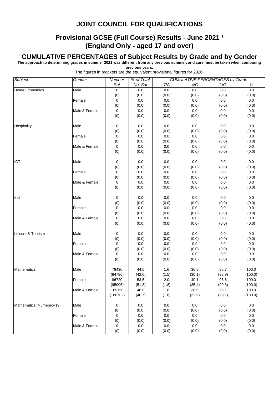#### **Provisional GCSE (Full Course) Results - June 2021 1 (England Only - aged 17 and over)**

#### **CUMULATIVE PERCENTAGES of Subject Results by Grade and by Gender**

**The approach to determining grades in summer 2021 was different from any previous summer, and care must be taken when comparing previous years.**

| <b>Subject</b>            | Gender        | Number<br>% of Total |              |              |                  | <b>CUMULATIVE PERCENTAGES by Grade</b> |              |  |
|---------------------------|---------------|----------------------|--------------|--------------|------------------|----------------------------------------|--------------|--|
|                           |               | Sat                  | No. Sat      | 7/A          | 4/C              | 1/G                                    | U            |  |
| <b>Home Economics</b>     | Male          | $\overline{0}$       | 0.0          | 0.0          | 0.0              | 0.0                                    | 0.0          |  |
|                           |               | (0)                  | (0.0)        | (0.0)        | (0.0)            | (0.0)                                  | (0.0)        |  |
|                           | Female        | 0                    | $0.0\,$      | $0.0\,$      | $0.0\,$          | $0.0\,$                                | 0.0          |  |
|                           |               | (0)                  | (0.0)        | (0.0)        | (0.0)            | (0.0)                                  | (0.0)        |  |
|                           | Male & Female | 0                    | 0.0          | 0.0          | 0.0              | 0.0                                    | 0.0          |  |
|                           |               | (0)                  | (0.0)        | (0.0)        | (0.0)            | (0.0)                                  | (0.0)        |  |
|                           |               |                      |              |              |                  |                                        |              |  |
| Hospitality               | Male          | 0                    | 0.0          | 0.0          | 0.0              | 0.0                                    | 0.0          |  |
|                           |               | (0)                  | (0.0)        | (0.0)        | (0.0)            | (0.0)                                  | (0.0)        |  |
|                           | Female        | 0                    | 0.0          | $0.0\,$      | 0.0              | 0.0                                    | 0.0          |  |
|                           |               | (0)                  | (0.0)        | (0.0)        | (0.0)            | (0.0)                                  | (0.0)        |  |
|                           | Male & Female | 0                    | $0.0\,$      | $0.0\,$      | 0.0              | $0.0\,$                                | $0.0\,$      |  |
|                           |               | (0)                  | (0.0)        | (0.0)        | (0.0)            | (0.0)                                  | (0.0)        |  |
| ICT                       | Male          | 0                    | 0.0          | 0.0          | 0.0              | 0.0                                    | 0.0          |  |
|                           |               | (0)                  | (0.0)        | (0.0)        | (0.0)            | (0.0)                                  | (0.0)        |  |
|                           | Female        | 0                    | $0.0\,$      | 0.0          | 0.0              | 0.0                                    | $0.0\,$      |  |
|                           |               | (0)                  | (0.0)        | (0.0)        | (0.0)            | (0.0)                                  | (0.0)        |  |
|                           | Male & Female | 0                    | 0.0          | 0.0          | 0.0              | 0.0                                    | 0.0          |  |
|                           |               | (0)                  | (0.0)        | (0.0)        | (0.0)            | (0.0)                                  | (0.0)        |  |
|                           |               |                      |              |              |                  |                                        |              |  |
| Irish<br>Male             |               | 0                    | 0.0          | 0.0          | 0.0              | 0.0                                    | 0.0          |  |
|                           |               | (0)                  | (0.0)        | (0.0)        | (0.0)            | (0.0)                                  | (0.0)        |  |
|                           | Female        | 0                    | 0.0          | $0.0\,$      | 0.0              | 0.0                                    | $0.0\,$      |  |
|                           |               | (0)                  | (0.0)        | (0.0)        | (0.0)            | (0.0)                                  | (0.0)        |  |
|                           | Male & Female | 0                    | $0.0\,$      | $0.0\,$      | 0.0              | $0.0\,$                                | $0.0\,$      |  |
|                           |               | (0)                  | (0.0)        | (0.0)        | (0.0)            | (0.0)                                  | (0.0)        |  |
|                           |               |                      |              |              |                  |                                        |              |  |
| Leisure & Tourism         | Male          | 0                    | 0.0          | 0.0<br>(0.0) | 0.0              | 0.0                                    | 0.0          |  |
|                           | Female        | (0)<br>0             | (0.0)<br>0.0 | $0.0\,$      | (0.0)<br>$0.0\,$ | (0.0)<br>0.0                           | (0.0)<br>0.0 |  |
|                           |               | (0)                  | (0.0)        | (0.0)        | (0.0)            | (0.0)                                  | (0.0)        |  |
|                           | Male & Female | 0                    | 0.0          | 0.0          | 0.0              | 0.0                                    | 0.0          |  |
|                           |               | (0)                  | (0.0)        | (0.0)        | (0.0)            | (0.0)                                  | (0.0)        |  |
|                           |               |                      |              |              |                  |                                        |              |  |
| <b>Mathematics</b>        | Male          | 78430                | 44.5         | 1.6          | 36.8             | 95.7                                   | 100.0        |  |
|                           |               | (84786)              | (42.0)       | (1.5)        | (30.1)           | (98.9)                                 | (100.0)      |  |
|                           | Female        | 86720                | 53.5         | 2.0          | 40.1             | 96.6                                   | 100.0        |  |
|                           |               | (95996)              | (51.8)       | (1.8)        | (35.4)           | (99.3)                                 | (100.0)      |  |
|                           | Male & Female | 165150               | 48.8         | 1.8          | 38.6             | 96.1                                   | 100.0        |  |
|                           |               | (180782)             | (46.7)       | (1.6)        | (32.9)           | (99.1)                                 | (100.0)      |  |
|                           |               |                      |              |              |                  |                                        |              |  |
| Mathematics: Numeracy (3) | Male          | 0                    | 0.0          | 0.0          | 0.0              | 0.0                                    | 0.0          |  |
|                           |               | (0)                  | (0.0)        | (0.0)        | (0.0)            | (0.0)                                  | (0.0)        |  |
|                           | Female        | 0                    | 0.0          | 0.0          | 0.0              | $0.0\,$                                | $0.0\,$      |  |
|                           |               | (0)                  | (0.0)        | (0.0)        | (0.0)            | (0.0)                                  | (0.0)        |  |
|                           | Male & Female | 0                    | 0.0          | 0.0          | 0.0              | 0.0                                    | 0.0          |  |
|                           |               | (0)                  | (0.0)        | (0.0)        | (0.0)            | (0.0)                                  | (0.0)        |  |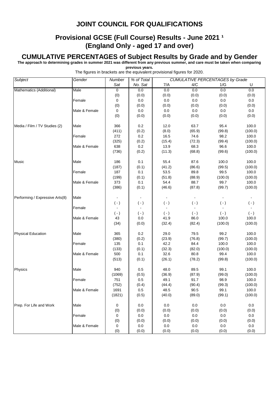#### **Provisional GCSE (Full Course) Results - June 2021 1 (England Only - aged 17 and over)**

#### **CUMULATIVE PERCENTAGES of Subject Results by Grade and by Gender**

**The approach to determining grades in summer 2021 was different from any previous summer, and care must be taken when comparing previous years.**

| Subject                                 | Gender        | Number           | % of Total |           |           | <b>CUMULATIVE PERCENTAGES by Grade</b> |           |  |  |
|-----------------------------------------|---------------|------------------|------------|-----------|-----------|----------------------------------------|-----------|--|--|
|                                         |               | Sat              | No. Sat    | 7/A       | 4/C       | 1/G                                    | U         |  |  |
| Mathematics (Additional)                | Male          | $\overline{0}$   | 0.0        | 0.0       | 0.0       | 0.0                                    | 0.0       |  |  |
|                                         |               | (0)              | (0.0)      | (0.0)     | (0.0)     | (0.0)                                  | (0.0)     |  |  |
|                                         | Female        | 0                | 0.0        | $0.0\,$   | $0.0\,$   | $0.0\,$                                | 0.0       |  |  |
|                                         |               | (0)              | (0.0)      | (0.0)     | (0.0)     | (0.0)                                  | (0.0)     |  |  |
|                                         | Male & Female | 0                | $0.0\,$    | 0.0       | $0.0\,$   | 0.0                                    | $0.0\,$   |  |  |
|                                         |               | (0)              | (0.0)      | (0.0)     | (0.0)     | (0.0)                                  | (0.0)     |  |  |
|                                         |               |                  |            |           |           |                                        |           |  |  |
| Media / Film / TV Studies (2)           | Male          | 366              | $0.2\,$    | 12.0      | 63.7      | 95.4                                   | 100.0     |  |  |
|                                         |               | (411)            | (0.2)      | (8.0)     | (65.9)    | (99.8)                                 | (100.0)   |  |  |
|                                         | Female        | 272              | 0.2        | 16.5      | 74.6      | 98.2                                   | 100.0     |  |  |
|                                         |               | (325)            | (0.2)      | (15.4)    | (72.3)    | (99.4)                                 | (100.0)   |  |  |
|                                         | Male & Female | 638              | 0.2        | 13.9      | 68.3      | 96.6                                   | 100.0     |  |  |
|                                         |               | (736)            | (0.2)      | (11.3)    | (68.8)    | (99.6)                                 | (100.0)   |  |  |
|                                         |               |                  |            |           |           |                                        |           |  |  |
| Music                                   | Male          | 186              | 0.1        | 55.4      | 87.6      | 100.0                                  | 100.0     |  |  |
|                                         |               | (187)            | (0.1)      | (41.2)    | (86.6)    | (99.5)                                 | (100.0)   |  |  |
|                                         | Female        | 187              | 0.1        | 53.5      | 89.8      | 99.5                                   | 100.0     |  |  |
|                                         |               | (199)            | (0.1)      | (51.8)    | (88.9)    | (100.0)                                | (100.0)   |  |  |
|                                         | Male & Female | 373              | 0.1        | 54.4      | 88.7      | 99.7                                   | 100.0     |  |  |
|                                         |               | (386)            | (0.1)      | (46.6)    | (87.8)    | (99.7)                                 | (100.0)   |  |  |
|                                         |               |                  |            |           |           |                                        |           |  |  |
| Performing / Expressive Arts(8)<br>Male |               |                  |            |           |           |                                        |           |  |  |
|                                         |               | $(\cdot)$        | $(\cdot)$  | $( - )$   | $(\cdot)$ | $(\cdot)$                              | $(\cdot)$ |  |  |
|                                         | Female        |                  |            |           |           |                                        |           |  |  |
|                                         |               | $(\,\text{-}\,)$ | $(\cdot)$  | $(\cdot)$ | $(\cdot)$ | $(\cdot)$                              | $(\cdot)$ |  |  |
|                                         | Male & Female | 43               | 0.0        | 41.9      | 86.0      | 100.0                                  | 100.0     |  |  |
|                                         |               | (34)             | (0.0)      | (32.4)    | (82.4)    | (100.0)                                | (100.0)   |  |  |
|                                         |               |                  |            |           |           |                                        |           |  |  |
| <b>Physical Education</b>               | Male          | 365              | $0.2\,$    | 29.0      | 79.5      | 99.2                                   | 100.0     |  |  |
|                                         |               | (380)            | (0.2)      | (23.9)    | (76.8)    | (99.7)                                 | (100.0)   |  |  |
|                                         | Female        | 135              | 0.1        | 42.2      | 84.4      | 100.0                                  | 100.0     |  |  |
|                                         |               | (133)            | (0.1)      | (32.3)    | (82.0)    | (100.0)                                | (100.0)   |  |  |
|                                         | Male & Female | 500              | 0.1        | 32.6      | 80.8      | 99.4                                   | 100.0     |  |  |
|                                         |               | (513)            | (0.1)      | (26.1)    | (78.2)    | (99.8)                                 | (100.0)   |  |  |
|                                         |               |                  |            |           |           |                                        |           |  |  |
| Physics                                 | Male          | 940              | 0.5        | 48.0      | 89.5      | 99.1                                   | 100.0     |  |  |
|                                         |               | (1069)           | (0.5)      | (36.9)    | (87.9)    | (99.0)                                 | (100.0)   |  |  |
|                                         | Female        | 751              | 0.5        | 49.1      | 91.7      | 98.9                                   | 100.0     |  |  |
|                                         |               | (752)            | (0.4)      | (44.4)    | (90.4)    | (99.3)                                 | (100.0)   |  |  |
|                                         | Male & Female | 1691             | 0.5        | 48.5      | 90.5      | 99.1                                   | 100.0     |  |  |
|                                         |               | (1821)           | (0.5)      | (40.0)    | (89.0)    | (99.1)                                 | (100.0)   |  |  |
|                                         |               |                  |            |           |           |                                        |           |  |  |
| Prep. For Life and Work                 | Male          | 0                | 0.0        | 0.0       | 0.0       | 0.0                                    | 0.0       |  |  |
|                                         |               | (0)              | (0.0)      | (0.0)     | (0.0)     | (0.0)                                  | (0.0)     |  |  |
|                                         | Female        | 0                | 0.0        | 0.0       | 0.0       | 0.0                                    | 0.0       |  |  |
|                                         |               | (0)              | (0.0)      | (0.0)     | (0.0)     | (0.0)                                  | (0.0)     |  |  |
|                                         | Male & Female | 0                | 0.0        | 0.0       | 0.0       | $0.0\,$                                | 0.0       |  |  |
|                                         |               | (0)              | (0.0)      | (0.0)     | (0.0)     | (0.0)                                  | (0.0)     |  |  |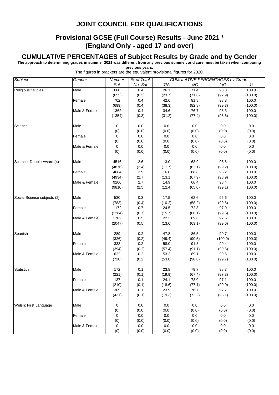#### **Provisional GCSE (Full Course) Results - June 2021 1 (England Only - aged 17 and over)**

#### **CUMULATIVE PERCENTAGES of Subject Results by Grade and by Gender**

**The approach to determining grades in summer 2021 was different from any previous summer, and care must be taken when comparing previous years.**

| Subject                     | Gender        | Number | % of Total | <b>CUMULATIVE PERCENTAGES by Grade</b> |         |         |         |
|-----------------------------|---------------|--------|------------|----------------------------------------|---------|---------|---------|
|                             |               | Sat    | No. Sat    | 7/A                                    | 4/C     | 1/G     | U       |
| <b>Religious Studies</b>    | Male          | 660    | 0.4        | 26.1                                   | 71.4    | 98.3    | 100.0   |
|                             |               | (655)  | (0.3)      | (23.7)                                 | (71.6)  | (97.9)  | (100.0) |
|                             | Female        | 702    | 0.4        | 42.6                                   | 81.8    | 98.3    | 100.0   |
|                             |               | (699)  | (0.4)      | (38.3)                                 | (82.8)  | (99.3)  | (100.0) |
|                             | Male & Female | 1362   | 0.4        | 34.6                                   | 76.7    | 98.3    | 100.0   |
|                             |               | (1354) | (0.3)      | (31.2)                                 | (77.4)  | (98.6)  | (100.0) |
|                             |               |        |            |                                        |         |         |         |
| Science                     | Male          | 0      | 0.0        | 0.0                                    | 0.0     | 0.0     | $0.0\,$ |
|                             |               | (0)    | (0.0)      | (0.0)                                  | (0.0)   | (0.0)   | (0.0)   |
|                             | Female        | 0      | 0.0        | $0.0\,$                                | 0.0     | 0.0     | 0.0     |
|                             |               | (0)    | (0.0)      | (0.0)                                  | (0.0)   | (0.0)   | (0.0)   |
|                             | Male & Female | 0      | $0.0\,$    | $0.0\,$                                | $0.0\,$ | $0.0\,$ | $0.0\,$ |
|                             |               | (0)    | (0.0)      | (0.0)                                  | (0.0)   | (0.0)   | (0.0)   |
|                             |               |        |            |                                        |         |         |         |
| Science: Double Award (4)   | Male          | 4516   | 2.6        | 13.0                                   | 63.9    | 98.6    | 100.0   |
|                             |               | (4876) | (2.4)      | (11.7)                                 | (62.1)  | (99.2)  | (100.0) |
|                             | Female        | 4684   | $2.9\,$    | 16.8                                   | 68.8    | 98.2    | 100.0   |
|                             |               | (4934) | (2.7)      | (13.1)                                 | (67.9)  | (98.9)  | (100.0) |
|                             | Male & Female | 9200   | 2.7        | 14.9                                   | 66.4    | 98.4    | 100.0   |
|                             |               | (9810) | (2.5)      | (12.4)                                 | (65.0)  | (99.1)  | (100.0) |
|                             |               |        |            |                                        |         |         |         |
| Social Science subjects (2) | Male          | 530    | 0.3        | 17.5                                   | 62.6    | 96.6    | 100.0   |
|                             |               | (783)  | (0.4)      | (10.2)                                 | (58.2)  | (99.6)  | (100.0) |
|                             | Female        | 1172   | 0.7        | 24.5                                   | 72.8    | 97.9    | 100.0   |
|                             |               | (1264) | (0.7)      | (15.7)                                 | (66.1)  | (99.5)  | (100.0) |
|                             | Male & Female | 1702   | 0.5        | 22.3                                   | 69.6    | 97.5    | 100.0   |
|                             |               | (2047) | (0.5)      | (13.6)                                 | (63.1)  | (99.6)  | (100.0) |
|                             |               |        |            |                                        |         |         |         |
| Spanish                     | Male          | 289    | 0.2        | 47.8                                   | 86.5    | 99.7    | 100.0   |
|                             |               | (326)  | (0.2)      | (49.4)                                 | (90.5)  | (100.0) | (100.0) |
|                             | Female        | 333    | 0.2        | 58.0                                   | 91.3    | 99.4    | 100.0   |
|                             |               | (394)  | (0.2)      | (57.4)                                 | (91.1)  | (99.5)  | (100.0) |
|                             | Male & Female | 622    | 0.2        | 53.2                                   | 89.1    | 99.5    | 100.0   |
|                             |               | (720)  | (0.2)      | (53.8)                                 | (90.8)  | (99.7)  | (100.0) |
|                             |               |        |            |                                        |         |         |         |
| <b>Statistics</b>           | Male          | 172    | 0.1        | 23.8                                   | 79.7    | 98.3    | 100.0   |
|                             |               | (221)  | (0.1)      | (19.9)                                 | (67.4)  | (97.3)  | (100.0) |
|                             | Female        | 137    | 0.1        | 24.1                                   | 73.0    | 97.1    | 100.0   |
|                             |               | (210)  | (0.1)      | (18.6)                                 | (77.1)  | (99.0)  | (100.0) |
|                             | Male & Female | 309    | 0.1        | 23.9                                   | 76.7    | 97.7    | 100.0   |
|                             |               | (431)  | (0.1)      | (19.3)                                 | (72.2)  | (98.1)  | (100.0) |
|                             |               |        |            |                                        |         |         |         |
| Welsh: First Language       | Male          | 0      | 0.0        | 0.0                                    | 0.0     | 0.0     | 0.0     |
|                             |               | (0)    | (0.0)      | (0.0)                                  | (0.0)   | (0.0)   | (0.0)   |
|                             | Female        | 0      | 0.0        | 0.0                                    | 0.0     | 0.0     | 0.0     |
|                             |               | (0)    | (0.0)      | (0.0)                                  | (0.0)   | (0.0)   | (0.0)   |
|                             | Male & Female | 0      | 0.0        | 0.0                                    | 0.0     | 0.0     | 0.0     |
|                             |               | (0)    | (0.0)      | (0.0)                                  | (0.0)   | (0.0)   | (0.0)   |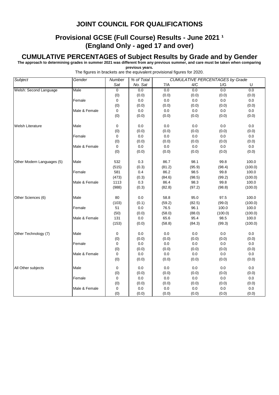### **Provisional GCSE (Full Course) Results - June 2021 1 (England Only - aged 17 and over)**

#### **CUMULATIVE PERCENTAGES of Subject Results by Grade and by Gender**

**The approach to determining grades in summer 2021 was different from any previous summer, and care must be taken when comparing previous years.**

| The figures in brackets are the equivalent provisional figures for 2020. |  |  |  |  |  |
|--------------------------------------------------------------------------|--|--|--|--|--|
|                                                                          |  |  |  |  |  |

| Subject                    | Gender        | Number         | % of Total |         |        | <b>CUMULATIVE PERCENTAGES by Grade</b> |         |
|----------------------------|---------------|----------------|------------|---------|--------|----------------------------------------|---------|
|                            |               | Sat            | No. Sat    | 7/A     | 4/C    | 1/G                                    | U       |
| Welsh: Second Language     | Male          | $\overline{0}$ | 0.0        | 0.0     | 0.0    | 0.0                                    | 0.0     |
|                            |               | (0)            | (0.0)      | (0.0)   | (0.0)  | (0.0)                                  | (0.0)   |
|                            | Female        | 0              | 0.0        | 0.0     | 0.0    | 0.0                                    | 0.0     |
|                            |               | (0)            | (0.0)      | (0.0)   | (0.0)  | (0.0)                                  | (0.0)   |
|                            | Male & Female | $\mathbf 0$    | 0.0        | 0.0     | 0.0    | 0.0                                    | $0.0\,$ |
|                            |               | (0)            | (0.0)      | (0.0)   | (0.0)  | (0.0)                                  | (0.0)   |
| <b>Welsh Literature</b>    | Male          | 0              | 0.0        | 0.0     | 0.0    | 0.0                                    | 0.0     |
|                            |               | (0)            | (0.0)      | (0.0)   | (0.0)  | (0.0)                                  | (0.0)   |
|                            | Female        | 0              | 0.0        | 0.0     | 0.0    | 0.0                                    | $0.0\,$ |
|                            |               | (0)            | (0.0)      | (0.0)   | (0.0)  | (0.0)                                  | (0.0)   |
|                            | Male & Female | $\mathbf 0$    | 0.0        | 0.0     | 0.0    | 0.0                                    | $0.0\,$ |
|                            |               | (0)            | (0.0)      | (0.0)   | (0.0)  | (0.0)                                  | (0.0)   |
| Other Modern Languages (5) | Male          | 532            | 0.3        | 86.7    | 98.1   | 99.8                                   | 100.0   |
|                            |               | (515)          | (0.3)      | (81.2)  | (95.9) | (98.4)                                 | (100.0) |
|                            | Female        | 581            | 0.4        | 86.2    | 98.5   | 99.8                                   | 100.0   |
|                            |               | (473)          | (0.3)      | (84.6)  | (98.5) | (99.2)                                 | (100.0) |
|                            | Male & Female | 1113           | 0.3        | 86.4    | 98.3   | 99.8                                   | 100.0   |
|                            |               | (988)          | (0.3)      | (82.8)  | (97.2) | (98.8)                                 | (100.0) |
| Other Sciences (6)         | Male          | 80             | $0.0\,$    | 58.8    | 95.0   | 97.5                                   | 100.0   |
|                            |               | (103)          | (0.1)      | (59.2)  | (82.5) | (99.0)                                 | (100.0) |
|                            | Female        | 51             | $0.0\,$    | 76.5    | 96.1   | 100.0                                  | 100.0   |
|                            |               | (50)           | (0.0)      | (58.0)  | (88.0) | (100.0)                                | (100.0) |
|                            | Male & Female | 131            | 0.0        | 65.6    | 95.4   | 98.5                                   | 100.0   |
|                            |               | (153)          | (0.0)      | (58.8)  | (84.3) | (99.3)                                 | (100.0) |
| Other Technology (7)       | Male          | 0              | 0.0        | 0.0     | 0.0    | 0.0                                    | 0.0     |
|                            |               | (0)            | (0.0)      | (0.0)   | (0.0)  | (0.0)                                  | (0.0)   |
|                            | Female        | $\mathbf 0$    | 0.0        | $0.0\,$ | 0.0    | 0.0                                    | $0.0\,$ |
|                            |               | (0)            | (0.0)      | (0.0)   | (0.0)  | (0.0)                                  | (0.0)   |
|                            | Male & Female | $\mathbf 0$    | 0.0        | 0.0     | 0.0    | 0.0                                    | 0.0     |
|                            |               | (0)            | (0.0)      | (0.0)   | (0.0)  | (0.0)                                  | (0.0)   |
| All Other subjects         | Male          | 0              | 0.0        | 0.0     | 0.0    | 0.0                                    | 0.0     |
|                            |               | (0)            | (0.0)      | (0.0)   | (0.0)  | (0.0)                                  | (0.0)   |
|                            | Female        | 0              | 0.0        | 0.0     | 0.0    | 0.0                                    | 0.0     |
|                            |               | (0)            | (0.0)      | (0.0)   | (0.0)  | (0.0)                                  | (0.0)   |
|                            | Male & Female | $\mathbf 0$    | 0.0        | 0.0     | 0.0    | 0.0                                    | 0.0     |
|                            |               | (0)            | (0.0)      | (0.0)   | (0.0)  | (0.0)                                  | (0.0)   |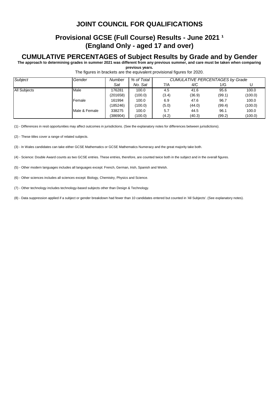### **Provisional GCSE (Full Course) Results - June 2021 1 (England Only - aged 17 and over)**

#### **CUMULATIVE PERCENTAGES of Subject Results by Grade and by Gender**

**The approach to determining grades in summer 2021 was different from any previous summer, and care must be taken when comparing previous years.**

The figures in brackets are the equivalent provisional figures for 2020.

| Subject             | Gender        | <b>Number</b> | % of Total | <b>CUMULATIVE PERCENTAGES by Grade</b> |        |        |         |  |
|---------------------|---------------|---------------|------------|----------------------------------------|--------|--------|---------|--|
|                     |               | Sat           | No. Sat    | 7/A                                    | 4/C    | 1/G    |         |  |
| <b>All Subjects</b> | Male          | 176281        | 100.0      | 4.5                                    | 41.6   | 95.6   | 100.0   |  |
|                     |               | (201658)      | (100.0)    | (3.4)                                  | (36.9) | (99.1) | (100.0) |  |
|                     | Female        | 161994        | 100.0      | 6.9                                    | 47.6   | 96.7   | 100.0   |  |
|                     |               | (185246)      | (100.0)    | (5.0)                                  | (44.0) | (99.4) | (100.0) |  |
|                     | Male & Female | 338275        | 100.0      | 5.7                                    | 44.5   | 96.1   | 100.0   |  |
|                     |               | (386904)      | (100.0)    | (4.2)                                  | (40.3) | (99.2) | (100.0) |  |

(1) - Differences in resit opportunities may affect outcomes in jurisdictions. (See the explanatory notes for differences between jurisdictions).

(2) - These titles cover a range of related subjects.

(3) - In Wales candidates can take either GCSE Mathematics or GCSE Mathematics Numeracy and the great majority take both.

(4) - Science: Double Award counts as two GCSE entries. These entries, therefore, are counted twice both in the subject and in the overall figures.

(5) - Other modern languages includes all languages except: French, German, Irish, Spanish and Welsh.

(6) - Other sciences includes all sciences except: Biology, Chemistry, Physics and Science.

(7) - Other technology includes technology-based subjects other than Design & Technology.

(8) - Data suppression applied if a subject or gender breakdown had fewer than 10 candidates entered but counted in 'All Subjects'. (See explanatory notes).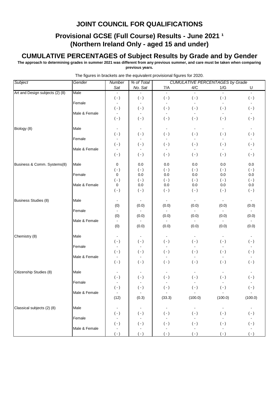### **Provisional GCSE (Full Course) Results - June 2021 1 (Northern Ireland Only - aged 15 and under)**

#### **CUMULATIVE PERCENTAGES of Subject Results by Grade and by Gender**

**The approach to determining grades in summer 2021 was different from any previous summer, and care must be taken when comparing previous years.**

| Subject                         | Gender        | Number                      | % of Total          |                             | <b>CUMULATIVE PERCENTAGES by Grade</b> |                           |                     |
|---------------------------------|---------------|-----------------------------|---------------------|-----------------------------|----------------------------------------|---------------------------|---------------------|
|                                 |               | Sat                         | No. Sat             | 7/A                         | 4/C                                    | 1/G                       | U                   |
| Art and Design subjects (2) (8) | Male          |                             |                     | $\blacksquare$              | $\blacksquare$                         |                           | $\blacksquare$      |
|                                 |               | $(\cdot)$                   | $( - )$             | $( - )$                     | $(\cdot)$                              | $(\cdot)$                 | $(\,\text{-}\,)$    |
|                                 | Female        |                             |                     |                             | $\blacksquare$                         | $\blacksquare$            |                     |
|                                 | Male & Female | $(\cdot)$<br>$\blacksquare$ | $(\cdot)$<br>$\sim$ | $(\cdot)$<br>$\blacksquare$ | $(\cdot)$<br>$\sim$                    | $( - )$<br>$\blacksquare$ | $(\cdot)$<br>$\sim$ |
|                                 |               | $(\cdot)$                   | $( - )$             | $(\cdot)$                   | $( - )$                                | $( - )$                   | $(\cdot)$           |
|                                 |               |                             |                     |                             |                                        |                           |                     |
| Biology (8)                     | Male          | $\blacksquare$              |                     |                             |                                        |                           |                     |
|                                 |               | $( - )$                     | $(\cdot)$           | $(\cdot)$                   | $(\cdot)$                              | $( - )$                   | $(\cdot)$           |
|                                 | Female        | $\blacksquare$              |                     | $\blacksquare$              | $\omega$                               | $\blacksquare$            |                     |
|                                 | Male & Female | $(-)$                       | $(\cdot)$           | $(\cdot)$                   | $(\cdot)$                              | $(\cdot)$                 | $(\cdot)$           |
|                                 |               | $(\cdot)$                   | $( - )$             | $(\cdot)$                   | $(\cdot)$                              | $(\cdot)$                 | $(\cdot)$           |
|                                 |               |                             |                     |                             |                                        |                           |                     |
| Business & Comm. Systems(8)     | Male          | 0                           | 0.0                 | 0.0                         | 0.0                                    | 0.0                       | $0.0\,$             |
|                                 |               | $( - )$                     | $(\cdot)$           | $( - )$                     | $( - )$                                | $(\cdot)$                 | $(\cdot)$           |
|                                 | Female        | 0                           | 0.0                 | 0.0                         | 0.0                                    | 0.0                       | 0.0                 |
|                                 |               | $(\cdot)$                   | $( - )$             | $( - )$                     | $(\cdot)$                              | $(\cdot)$                 | $(\cdot)$           |
|                                 | Male & Female | $\pmb{0}$                   | $0.0\,$             | 0.0                         | $0.0\,$                                | $0.0\,$                   | $0.0\,$             |
|                                 |               | $(\,\text{-}\,)$            | $(\cdot)$           | $( - )$                     | $(\cdot)$                              | $(-)$                     | $(\cdot)$           |
| <b>Business Studies (8)</b>     | Male          | $\blacksquare$              | $\blacksquare$      | $\blacksquare$              | $\blacksquare$                         | $\blacksquare$            |                     |
|                                 |               | (0)                         | (0.0)               | (0.0)                       | (0.0)                                  | (0.0)                     | (0.0)               |
|                                 | Female        |                             |                     |                             |                                        |                           |                     |
|                                 |               | (0)                         | (0.0)               | (0.0)                       | (0.0)                                  | (0.0)                     | (0.0)               |
|                                 | Male & Female |                             |                     |                             |                                        |                           |                     |
|                                 |               | (0)                         | (0.0)               | (0.0)                       | (0.0)                                  | (0.0)                     | (0.0)               |
| Chemistry (8)                   | Male          | $\blacksquare$              |                     | $\blacksquare$              | $\blacksquare$                         |                           |                     |
|                                 |               | $(\cdot)$                   | $(\cdot)$           | $(\cdot)$                   | $( - )$                                | $(\cdot)$                 | $(\cdot)$           |
|                                 | Female        | $\blacksquare$              |                     |                             |                                        | $\blacksquare$            |                     |
|                                 |               | $(\cdot)$                   | $(\cdot)$           | $(\cdot)$                   | $(\cdot)$                              | $( - )$                   | $(\cdot)$           |
|                                 | Male & Female | $\blacksquare$              |                     | $\blacksquare$              | $\blacksquare$                         | $\blacksquare$            |                     |
|                                 |               | $( - )$                     | $(\cdot)$           | $( - )$                     | $( - )$                                | $(-)$                     | $(\cdot)$           |
| Citizenship Studies (8)         | Male          | $\overline{\phantom{a}}$    |                     |                             |                                        |                           |                     |
|                                 |               | $(\,\text{-}\,)$            | $(\cdot)$           | $(\cdot)$                   | $(\cdot)$                              | $( - )$                   | $(\cdot)$           |
|                                 | Female        | $\blacksquare$              | $\omega$            | $\blacksquare$              | $\blacksquare$                         | $\blacksquare$            |                     |
|                                 |               | $(\,\text{-}\,)$            | $(\,\text{-}\,)$    | $(\cdot)$                   | $(\cdot)$                              | $(\cdot)$                 | $(\cdot)$           |
|                                 | Male & Female | $\sim$                      | $\sim$              | $\blacksquare$              |                                        | $\blacksquare$            |                     |
|                                 |               | (12)                        | (0.3)               | (33.3)                      | (100.0)                                | (100.0)                   | (100.0)             |
|                                 |               |                             |                     |                             |                                        |                           |                     |
| Classical subjects (2) (8)      | Male          | $\blacksquare$              | $\blacksquare$      | $\blacksquare$              | $\blacksquare$                         | $\blacksquare$            | $\sim$<br>$(\cdot)$ |
|                                 | Female        | $(\cdot)$<br>$\blacksquare$ | $(\cdot)$           | $(\cdot)$<br>$\blacksquare$ | $(\cdot)$                              | $(\cdot)$                 |                     |
|                                 |               | $(\,\text{-}\,)$            | $(\cdot)$           | $(\cdot)$                   | $(\cdot)$                              | $(\cdot)$                 | $(\cdot)$           |
|                                 | Male & Female |                             |                     |                             |                                        |                           |                     |
|                                 |               | $( - )$                     | $(\,\text{-}\,)$    | $(\cdot)$                   | $(\cdot)$                              | $(-)$                     | $(\cdot)$           |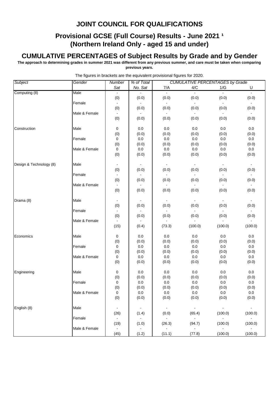### **Provisional GCSE (Full Course) Results - June 2021 1 (Northern Ireland Only - aged 15 and under)**

#### **CUMULATIVE PERCENTAGES of Subject Results by Grade and by Gender**

**The approach to determining grades in summer 2021 was different from any previous summer, and care must be taken when comparing previous years.**

| Sat<br>No. Sat<br>7/A<br>4/C<br>1/G<br>U<br>Male<br>$\mathbf{r}$<br>$\mathbf{r}$<br>$\omega$<br>(0)<br>(0.0)<br>(0.0)<br>(0.0)<br>(0.0)<br>(0.0)<br>Female<br>$\sim$<br>$\sim$<br>$\sim$<br>$\sim$<br>(0)<br>(0.0)<br>(0.0)<br>(0.0)<br>(0.0)<br>(0.0)<br>Male & Female<br>$\blacksquare$<br>$\blacksquare$<br>$\blacksquare$<br>$\sim$<br>$\sim$<br>(0)<br>(0.0)<br>(0.0)<br>(0.0)<br>(0.0)<br>(0.0)<br>0<br>$0.0\,$<br>$0.0\,$<br>0.0<br>$0.0\,$<br>Construction<br>Male<br>0.0<br>(0)<br>(0.0)<br>(0.0)<br>(0.0)<br>(0.0)<br>(0.0)<br>$0.0\,$<br>$0.0\,$<br>0<br>0.0<br>0.0<br>0.0<br>Female<br>(0)<br>(0.0)<br>(0.0)<br>(0.0)<br>(0.0)<br>(0.0)<br>$0.0\,$<br>$0.0\,$<br>$0.0\,$<br>$0.0\,$<br>Male & Female<br>0<br>$0.0\,$<br>(0)<br>(0.0)<br>(0.0)<br>(0.0)<br>(0.0)<br>(0.0)<br>Male<br>Design & Technology (8)<br>$\blacksquare$<br>$\sim$<br>$\blacksquare$<br>$\mathcal{L}_{\mathbf{r}}$<br>$\blacksquare$<br>$\blacksquare$<br>(0)<br>(0.0)<br>(0.0)<br>(0.0)<br>(0.0)<br>(0.0)<br>Female<br>$\blacksquare$<br>$\blacksquare$<br>$\sim$<br>$\blacksquare$<br>(0)<br>(0.0)<br>(0.0)<br>(0.0)<br>(0.0)<br>(0.0)<br>Male & Female<br>$\blacksquare$<br>$\sim$<br>(0)<br>(0.0)<br>(0.0)<br>(0.0)<br>(0.0)<br>(0.0)<br>Male<br>$\sim$<br>$\blacksquare$<br>$\sim$<br>$\sim$<br>$\blacksquare$<br>(0)<br>(0.0)<br>(0.0)<br>(0.0)<br>(0.0)<br>(0.0)<br>Female<br>$\sim$ $-$<br>(0)<br>(0.0)<br>(0.0)<br>(0.0)<br>(0.0)<br>(0.0)<br>Male & Female<br>$\blacksquare$<br>(15)<br>(73.3)<br>(100.0)<br>(100.0)<br>(100.0)<br>(0.4)<br>$0.0\,$<br>0.0<br>$0.0\,$<br>0.0<br>0.0<br>Economics<br>Male<br>0<br>(0)<br>(0.0)<br>(0.0)<br>(0.0)<br>(0.0)<br>(0.0)<br>$0.0\,$<br>$0.0\,$<br>$0.0\,$<br>$0.0\,$<br>Female<br>0<br>0.0<br>(0)<br>(0.0)<br>(0.0)<br>(0.0)<br>(0.0)<br>(0.0)<br>$0.0\,$<br>$0.0\,$<br>Male & Female<br>0<br>0.0<br>0.0<br>$0.0\,$<br>(0)<br>(0.0)<br>(0.0)<br>(0.0)<br>(0.0)<br>(0.0)<br>0.0<br>0.0<br>0.0<br>0.0<br>Male<br>0<br>0.0<br>(0)<br>(0.0)<br>(0.0)<br>(0.0)<br>(0.0)<br>(0.0)<br>0<br>$0.0\,$<br>0.0<br>$0.0\,$<br>Female<br>0.0<br>0.0<br>(0)<br>(0.0)<br>(0.0)<br>(0.0)<br>(0.0)<br>(0.0)<br>Male & Female<br>0<br>0.0<br>0.0<br>0.0<br>0.0<br>0.0<br>(0.0)<br>(0)<br>(0.0)<br>(0.0)<br>(0.0)<br>(0.0)<br>$\sim$<br>English (8)<br>Male<br>$\sim$<br>$\sim$<br>$\sim$ $-$<br>$\blacksquare$<br>$\blacksquare$<br>(26)<br>(1.4)<br>(0.0)<br>(65.4)<br>(100.0)<br>(100.0)<br>Female<br>$\sim$ $^{-1}$<br>$\sim$<br>$\sim 10^{-11}$<br>$\sim$<br>$\blacksquare$<br>$\sim$<br>(1.0)<br>(26.3)<br>(94.7)<br>(19)<br>(100.0)<br>(100.0)<br>Male & Female<br>$\sim$<br>$\sim$<br>$\sim 100$<br>(45)<br>(1.2)<br>(11.1)<br>(77.8)<br>(100.0)<br>(100.0) | Subject       | Gender | <b>Number</b> | % of Total | <b>CUMULATIVE PERCENTAGES by Grade</b> |  |  |
|-------------------------------------------------------------------------------------------------------------------------------------------------------------------------------------------------------------------------------------------------------------------------------------------------------------------------------------------------------------------------------------------------------------------------------------------------------------------------------------------------------------------------------------------------------------------------------------------------------------------------------------------------------------------------------------------------------------------------------------------------------------------------------------------------------------------------------------------------------------------------------------------------------------------------------------------------------------------------------------------------------------------------------------------------------------------------------------------------------------------------------------------------------------------------------------------------------------------------------------------------------------------------------------------------------------------------------------------------------------------------------------------------------------------------------------------------------------------------------------------------------------------------------------------------------------------------------------------------------------------------------------------------------------------------------------------------------------------------------------------------------------------------------------------------------------------------------------------------------------------------------------------------------------------------------------------------------------------------------------------------------------------------------------------------------------------------------------------------------------------------------------------------------------------------------------------------------------------------------------------------------------------------------------------------------------------------------------------------------------------------------------------------------------------------------------------------------------------------------------------------------------------------------------------------------------------------------------------------------------------------------------------------------------------------------------|---------------|--------|---------------|------------|----------------------------------------|--|--|
|                                                                                                                                                                                                                                                                                                                                                                                                                                                                                                                                                                                                                                                                                                                                                                                                                                                                                                                                                                                                                                                                                                                                                                                                                                                                                                                                                                                                                                                                                                                                                                                                                                                                                                                                                                                                                                                                                                                                                                                                                                                                                                                                                                                                                                                                                                                                                                                                                                                                                                                                                                                                                                                                                     |               |        |               |            |                                        |  |  |
|                                                                                                                                                                                                                                                                                                                                                                                                                                                                                                                                                                                                                                                                                                                                                                                                                                                                                                                                                                                                                                                                                                                                                                                                                                                                                                                                                                                                                                                                                                                                                                                                                                                                                                                                                                                                                                                                                                                                                                                                                                                                                                                                                                                                                                                                                                                                                                                                                                                                                                                                                                                                                                                                                     | Computing (8) |        |               |            |                                        |  |  |
|                                                                                                                                                                                                                                                                                                                                                                                                                                                                                                                                                                                                                                                                                                                                                                                                                                                                                                                                                                                                                                                                                                                                                                                                                                                                                                                                                                                                                                                                                                                                                                                                                                                                                                                                                                                                                                                                                                                                                                                                                                                                                                                                                                                                                                                                                                                                                                                                                                                                                                                                                                                                                                                                                     |               |        |               |            |                                        |  |  |
|                                                                                                                                                                                                                                                                                                                                                                                                                                                                                                                                                                                                                                                                                                                                                                                                                                                                                                                                                                                                                                                                                                                                                                                                                                                                                                                                                                                                                                                                                                                                                                                                                                                                                                                                                                                                                                                                                                                                                                                                                                                                                                                                                                                                                                                                                                                                                                                                                                                                                                                                                                                                                                                                                     |               |        |               |            |                                        |  |  |
|                                                                                                                                                                                                                                                                                                                                                                                                                                                                                                                                                                                                                                                                                                                                                                                                                                                                                                                                                                                                                                                                                                                                                                                                                                                                                                                                                                                                                                                                                                                                                                                                                                                                                                                                                                                                                                                                                                                                                                                                                                                                                                                                                                                                                                                                                                                                                                                                                                                                                                                                                                                                                                                                                     |               |        |               |            |                                        |  |  |
|                                                                                                                                                                                                                                                                                                                                                                                                                                                                                                                                                                                                                                                                                                                                                                                                                                                                                                                                                                                                                                                                                                                                                                                                                                                                                                                                                                                                                                                                                                                                                                                                                                                                                                                                                                                                                                                                                                                                                                                                                                                                                                                                                                                                                                                                                                                                                                                                                                                                                                                                                                                                                                                                                     |               |        |               |            |                                        |  |  |
|                                                                                                                                                                                                                                                                                                                                                                                                                                                                                                                                                                                                                                                                                                                                                                                                                                                                                                                                                                                                                                                                                                                                                                                                                                                                                                                                                                                                                                                                                                                                                                                                                                                                                                                                                                                                                                                                                                                                                                                                                                                                                                                                                                                                                                                                                                                                                                                                                                                                                                                                                                                                                                                                                     |               |        |               |            |                                        |  |  |
|                                                                                                                                                                                                                                                                                                                                                                                                                                                                                                                                                                                                                                                                                                                                                                                                                                                                                                                                                                                                                                                                                                                                                                                                                                                                                                                                                                                                                                                                                                                                                                                                                                                                                                                                                                                                                                                                                                                                                                                                                                                                                                                                                                                                                                                                                                                                                                                                                                                                                                                                                                                                                                                                                     |               |        |               |            |                                        |  |  |
|                                                                                                                                                                                                                                                                                                                                                                                                                                                                                                                                                                                                                                                                                                                                                                                                                                                                                                                                                                                                                                                                                                                                                                                                                                                                                                                                                                                                                                                                                                                                                                                                                                                                                                                                                                                                                                                                                                                                                                                                                                                                                                                                                                                                                                                                                                                                                                                                                                                                                                                                                                                                                                                                                     |               |        |               |            |                                        |  |  |
|                                                                                                                                                                                                                                                                                                                                                                                                                                                                                                                                                                                                                                                                                                                                                                                                                                                                                                                                                                                                                                                                                                                                                                                                                                                                                                                                                                                                                                                                                                                                                                                                                                                                                                                                                                                                                                                                                                                                                                                                                                                                                                                                                                                                                                                                                                                                                                                                                                                                                                                                                                                                                                                                                     |               |        |               |            |                                        |  |  |
|                                                                                                                                                                                                                                                                                                                                                                                                                                                                                                                                                                                                                                                                                                                                                                                                                                                                                                                                                                                                                                                                                                                                                                                                                                                                                                                                                                                                                                                                                                                                                                                                                                                                                                                                                                                                                                                                                                                                                                                                                                                                                                                                                                                                                                                                                                                                                                                                                                                                                                                                                                                                                                                                                     |               |        |               |            |                                        |  |  |
|                                                                                                                                                                                                                                                                                                                                                                                                                                                                                                                                                                                                                                                                                                                                                                                                                                                                                                                                                                                                                                                                                                                                                                                                                                                                                                                                                                                                                                                                                                                                                                                                                                                                                                                                                                                                                                                                                                                                                                                                                                                                                                                                                                                                                                                                                                                                                                                                                                                                                                                                                                                                                                                                                     |               |        |               |            |                                        |  |  |
|                                                                                                                                                                                                                                                                                                                                                                                                                                                                                                                                                                                                                                                                                                                                                                                                                                                                                                                                                                                                                                                                                                                                                                                                                                                                                                                                                                                                                                                                                                                                                                                                                                                                                                                                                                                                                                                                                                                                                                                                                                                                                                                                                                                                                                                                                                                                                                                                                                                                                                                                                                                                                                                                                     |               |        |               |            |                                        |  |  |
|                                                                                                                                                                                                                                                                                                                                                                                                                                                                                                                                                                                                                                                                                                                                                                                                                                                                                                                                                                                                                                                                                                                                                                                                                                                                                                                                                                                                                                                                                                                                                                                                                                                                                                                                                                                                                                                                                                                                                                                                                                                                                                                                                                                                                                                                                                                                                                                                                                                                                                                                                                                                                                                                                     |               |        |               |            |                                        |  |  |
|                                                                                                                                                                                                                                                                                                                                                                                                                                                                                                                                                                                                                                                                                                                                                                                                                                                                                                                                                                                                                                                                                                                                                                                                                                                                                                                                                                                                                                                                                                                                                                                                                                                                                                                                                                                                                                                                                                                                                                                                                                                                                                                                                                                                                                                                                                                                                                                                                                                                                                                                                                                                                                                                                     |               |        |               |            |                                        |  |  |
|                                                                                                                                                                                                                                                                                                                                                                                                                                                                                                                                                                                                                                                                                                                                                                                                                                                                                                                                                                                                                                                                                                                                                                                                                                                                                                                                                                                                                                                                                                                                                                                                                                                                                                                                                                                                                                                                                                                                                                                                                                                                                                                                                                                                                                                                                                                                                                                                                                                                                                                                                                                                                                                                                     |               |        |               |            |                                        |  |  |
|                                                                                                                                                                                                                                                                                                                                                                                                                                                                                                                                                                                                                                                                                                                                                                                                                                                                                                                                                                                                                                                                                                                                                                                                                                                                                                                                                                                                                                                                                                                                                                                                                                                                                                                                                                                                                                                                                                                                                                                                                                                                                                                                                                                                                                                                                                                                                                                                                                                                                                                                                                                                                                                                                     |               |        |               |            |                                        |  |  |
|                                                                                                                                                                                                                                                                                                                                                                                                                                                                                                                                                                                                                                                                                                                                                                                                                                                                                                                                                                                                                                                                                                                                                                                                                                                                                                                                                                                                                                                                                                                                                                                                                                                                                                                                                                                                                                                                                                                                                                                                                                                                                                                                                                                                                                                                                                                                                                                                                                                                                                                                                                                                                                                                                     |               |        |               |            |                                        |  |  |
|                                                                                                                                                                                                                                                                                                                                                                                                                                                                                                                                                                                                                                                                                                                                                                                                                                                                                                                                                                                                                                                                                                                                                                                                                                                                                                                                                                                                                                                                                                                                                                                                                                                                                                                                                                                                                                                                                                                                                                                                                                                                                                                                                                                                                                                                                                                                                                                                                                                                                                                                                                                                                                                                                     |               |        |               |            |                                        |  |  |
|                                                                                                                                                                                                                                                                                                                                                                                                                                                                                                                                                                                                                                                                                                                                                                                                                                                                                                                                                                                                                                                                                                                                                                                                                                                                                                                                                                                                                                                                                                                                                                                                                                                                                                                                                                                                                                                                                                                                                                                                                                                                                                                                                                                                                                                                                                                                                                                                                                                                                                                                                                                                                                                                                     |               |        |               |            |                                        |  |  |
|                                                                                                                                                                                                                                                                                                                                                                                                                                                                                                                                                                                                                                                                                                                                                                                                                                                                                                                                                                                                                                                                                                                                                                                                                                                                                                                                                                                                                                                                                                                                                                                                                                                                                                                                                                                                                                                                                                                                                                                                                                                                                                                                                                                                                                                                                                                                                                                                                                                                                                                                                                                                                                                                                     | Drama (8)     |        |               |            |                                        |  |  |
|                                                                                                                                                                                                                                                                                                                                                                                                                                                                                                                                                                                                                                                                                                                                                                                                                                                                                                                                                                                                                                                                                                                                                                                                                                                                                                                                                                                                                                                                                                                                                                                                                                                                                                                                                                                                                                                                                                                                                                                                                                                                                                                                                                                                                                                                                                                                                                                                                                                                                                                                                                                                                                                                                     |               |        |               |            |                                        |  |  |
|                                                                                                                                                                                                                                                                                                                                                                                                                                                                                                                                                                                                                                                                                                                                                                                                                                                                                                                                                                                                                                                                                                                                                                                                                                                                                                                                                                                                                                                                                                                                                                                                                                                                                                                                                                                                                                                                                                                                                                                                                                                                                                                                                                                                                                                                                                                                                                                                                                                                                                                                                                                                                                                                                     |               |        |               |            |                                        |  |  |
|                                                                                                                                                                                                                                                                                                                                                                                                                                                                                                                                                                                                                                                                                                                                                                                                                                                                                                                                                                                                                                                                                                                                                                                                                                                                                                                                                                                                                                                                                                                                                                                                                                                                                                                                                                                                                                                                                                                                                                                                                                                                                                                                                                                                                                                                                                                                                                                                                                                                                                                                                                                                                                                                                     |               |        |               |            |                                        |  |  |
|                                                                                                                                                                                                                                                                                                                                                                                                                                                                                                                                                                                                                                                                                                                                                                                                                                                                                                                                                                                                                                                                                                                                                                                                                                                                                                                                                                                                                                                                                                                                                                                                                                                                                                                                                                                                                                                                                                                                                                                                                                                                                                                                                                                                                                                                                                                                                                                                                                                                                                                                                                                                                                                                                     |               |        |               |            |                                        |  |  |
|                                                                                                                                                                                                                                                                                                                                                                                                                                                                                                                                                                                                                                                                                                                                                                                                                                                                                                                                                                                                                                                                                                                                                                                                                                                                                                                                                                                                                                                                                                                                                                                                                                                                                                                                                                                                                                                                                                                                                                                                                                                                                                                                                                                                                                                                                                                                                                                                                                                                                                                                                                                                                                                                                     |               |        |               |            |                                        |  |  |
|                                                                                                                                                                                                                                                                                                                                                                                                                                                                                                                                                                                                                                                                                                                                                                                                                                                                                                                                                                                                                                                                                                                                                                                                                                                                                                                                                                                                                                                                                                                                                                                                                                                                                                                                                                                                                                                                                                                                                                                                                                                                                                                                                                                                                                                                                                                                                                                                                                                                                                                                                                                                                                                                                     |               |        |               |            |                                        |  |  |
|                                                                                                                                                                                                                                                                                                                                                                                                                                                                                                                                                                                                                                                                                                                                                                                                                                                                                                                                                                                                                                                                                                                                                                                                                                                                                                                                                                                                                                                                                                                                                                                                                                                                                                                                                                                                                                                                                                                                                                                                                                                                                                                                                                                                                                                                                                                                                                                                                                                                                                                                                                                                                                                                                     |               |        |               |            |                                        |  |  |
|                                                                                                                                                                                                                                                                                                                                                                                                                                                                                                                                                                                                                                                                                                                                                                                                                                                                                                                                                                                                                                                                                                                                                                                                                                                                                                                                                                                                                                                                                                                                                                                                                                                                                                                                                                                                                                                                                                                                                                                                                                                                                                                                                                                                                                                                                                                                                                                                                                                                                                                                                                                                                                                                                     |               |        |               |            |                                        |  |  |
|                                                                                                                                                                                                                                                                                                                                                                                                                                                                                                                                                                                                                                                                                                                                                                                                                                                                                                                                                                                                                                                                                                                                                                                                                                                                                                                                                                                                                                                                                                                                                                                                                                                                                                                                                                                                                                                                                                                                                                                                                                                                                                                                                                                                                                                                                                                                                                                                                                                                                                                                                                                                                                                                                     |               |        |               |            |                                        |  |  |
|                                                                                                                                                                                                                                                                                                                                                                                                                                                                                                                                                                                                                                                                                                                                                                                                                                                                                                                                                                                                                                                                                                                                                                                                                                                                                                                                                                                                                                                                                                                                                                                                                                                                                                                                                                                                                                                                                                                                                                                                                                                                                                                                                                                                                                                                                                                                                                                                                                                                                                                                                                                                                                                                                     |               |        |               |            |                                        |  |  |
|                                                                                                                                                                                                                                                                                                                                                                                                                                                                                                                                                                                                                                                                                                                                                                                                                                                                                                                                                                                                                                                                                                                                                                                                                                                                                                                                                                                                                                                                                                                                                                                                                                                                                                                                                                                                                                                                                                                                                                                                                                                                                                                                                                                                                                                                                                                                                                                                                                                                                                                                                                                                                                                                                     |               |        |               |            |                                        |  |  |
|                                                                                                                                                                                                                                                                                                                                                                                                                                                                                                                                                                                                                                                                                                                                                                                                                                                                                                                                                                                                                                                                                                                                                                                                                                                                                                                                                                                                                                                                                                                                                                                                                                                                                                                                                                                                                                                                                                                                                                                                                                                                                                                                                                                                                                                                                                                                                                                                                                                                                                                                                                                                                                                                                     |               |        |               |            |                                        |  |  |
|                                                                                                                                                                                                                                                                                                                                                                                                                                                                                                                                                                                                                                                                                                                                                                                                                                                                                                                                                                                                                                                                                                                                                                                                                                                                                                                                                                                                                                                                                                                                                                                                                                                                                                                                                                                                                                                                                                                                                                                                                                                                                                                                                                                                                                                                                                                                                                                                                                                                                                                                                                                                                                                                                     | Engineering   |        |               |            |                                        |  |  |
|                                                                                                                                                                                                                                                                                                                                                                                                                                                                                                                                                                                                                                                                                                                                                                                                                                                                                                                                                                                                                                                                                                                                                                                                                                                                                                                                                                                                                                                                                                                                                                                                                                                                                                                                                                                                                                                                                                                                                                                                                                                                                                                                                                                                                                                                                                                                                                                                                                                                                                                                                                                                                                                                                     |               |        |               |            |                                        |  |  |
|                                                                                                                                                                                                                                                                                                                                                                                                                                                                                                                                                                                                                                                                                                                                                                                                                                                                                                                                                                                                                                                                                                                                                                                                                                                                                                                                                                                                                                                                                                                                                                                                                                                                                                                                                                                                                                                                                                                                                                                                                                                                                                                                                                                                                                                                                                                                                                                                                                                                                                                                                                                                                                                                                     |               |        |               |            |                                        |  |  |
|                                                                                                                                                                                                                                                                                                                                                                                                                                                                                                                                                                                                                                                                                                                                                                                                                                                                                                                                                                                                                                                                                                                                                                                                                                                                                                                                                                                                                                                                                                                                                                                                                                                                                                                                                                                                                                                                                                                                                                                                                                                                                                                                                                                                                                                                                                                                                                                                                                                                                                                                                                                                                                                                                     |               |        |               |            |                                        |  |  |
|                                                                                                                                                                                                                                                                                                                                                                                                                                                                                                                                                                                                                                                                                                                                                                                                                                                                                                                                                                                                                                                                                                                                                                                                                                                                                                                                                                                                                                                                                                                                                                                                                                                                                                                                                                                                                                                                                                                                                                                                                                                                                                                                                                                                                                                                                                                                                                                                                                                                                                                                                                                                                                                                                     |               |        |               |            |                                        |  |  |
|                                                                                                                                                                                                                                                                                                                                                                                                                                                                                                                                                                                                                                                                                                                                                                                                                                                                                                                                                                                                                                                                                                                                                                                                                                                                                                                                                                                                                                                                                                                                                                                                                                                                                                                                                                                                                                                                                                                                                                                                                                                                                                                                                                                                                                                                                                                                                                                                                                                                                                                                                                                                                                                                                     |               |        |               |            |                                        |  |  |
|                                                                                                                                                                                                                                                                                                                                                                                                                                                                                                                                                                                                                                                                                                                                                                                                                                                                                                                                                                                                                                                                                                                                                                                                                                                                                                                                                                                                                                                                                                                                                                                                                                                                                                                                                                                                                                                                                                                                                                                                                                                                                                                                                                                                                                                                                                                                                                                                                                                                                                                                                                                                                                                                                     |               |        |               |            |                                        |  |  |
|                                                                                                                                                                                                                                                                                                                                                                                                                                                                                                                                                                                                                                                                                                                                                                                                                                                                                                                                                                                                                                                                                                                                                                                                                                                                                                                                                                                                                                                                                                                                                                                                                                                                                                                                                                                                                                                                                                                                                                                                                                                                                                                                                                                                                                                                                                                                                                                                                                                                                                                                                                                                                                                                                     |               |        |               |            |                                        |  |  |
|                                                                                                                                                                                                                                                                                                                                                                                                                                                                                                                                                                                                                                                                                                                                                                                                                                                                                                                                                                                                                                                                                                                                                                                                                                                                                                                                                                                                                                                                                                                                                                                                                                                                                                                                                                                                                                                                                                                                                                                                                                                                                                                                                                                                                                                                                                                                                                                                                                                                                                                                                                                                                                                                                     |               |        |               |            |                                        |  |  |
|                                                                                                                                                                                                                                                                                                                                                                                                                                                                                                                                                                                                                                                                                                                                                                                                                                                                                                                                                                                                                                                                                                                                                                                                                                                                                                                                                                                                                                                                                                                                                                                                                                                                                                                                                                                                                                                                                                                                                                                                                                                                                                                                                                                                                                                                                                                                                                                                                                                                                                                                                                                                                                                                                     |               |        |               |            |                                        |  |  |
|                                                                                                                                                                                                                                                                                                                                                                                                                                                                                                                                                                                                                                                                                                                                                                                                                                                                                                                                                                                                                                                                                                                                                                                                                                                                                                                                                                                                                                                                                                                                                                                                                                                                                                                                                                                                                                                                                                                                                                                                                                                                                                                                                                                                                                                                                                                                                                                                                                                                                                                                                                                                                                                                                     |               |        |               |            |                                        |  |  |
|                                                                                                                                                                                                                                                                                                                                                                                                                                                                                                                                                                                                                                                                                                                                                                                                                                                                                                                                                                                                                                                                                                                                                                                                                                                                                                                                                                                                                                                                                                                                                                                                                                                                                                                                                                                                                                                                                                                                                                                                                                                                                                                                                                                                                                                                                                                                                                                                                                                                                                                                                                                                                                                                                     |               |        |               |            |                                        |  |  |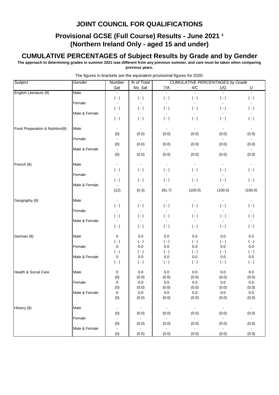### **Provisional GCSE (Full Course) Results - June 2021 1 (Northern Ireland Only - aged 15 and under)**

#### **CUMULATIVE PERCENTAGES of Subject Results by Grade and by Gender**

**The approach to determining grades in summer 2021 was different from any previous summer, and care must be taken when comparing previous years.**

| Subject                         | Gender        | Number                    | % of Total               |                           | <b>CUMULATIVE PERCENTAGES by Grade</b> |                             |                     |
|---------------------------------|---------------|---------------------------|--------------------------|---------------------------|----------------------------------------|-----------------------------|---------------------|
|                                 |               | Sat                       | No. Sat                  | 7/A                       | 4/C                                    | 1/G                         | U                   |
| English Literature (8)          | Male          |                           |                          | $\blacksquare$            | $\blacksquare$                         |                             | $\blacksquare$      |
|                                 |               | $(\cdot)$                 | $(\cdot)$                | $(\cdot)$                 | $(\cdot)$                              | $(\cdot)$                   | $(\cdot)$           |
|                                 | Female        |                           |                          |                           |                                        | $\blacksquare$              |                     |
|                                 |               | $( - )$                   | $(\cdot)$                | $(\cdot)$                 | $(\cdot)$                              | $(\cdot)$                   | $(\cdot)$           |
|                                 | Male & Female | $\blacksquare$<br>$( - )$ | $\sim$                   | $\blacksquare$<br>$( - )$ | $\sim$<br>$(\cdot)$                    | $\blacksquare$<br>$(\cdot)$ | $\sim$<br>$(\cdot)$ |
|                                 |               |                           | $(\cdot)$                |                           |                                        |                             |                     |
| Food Preparation & Nutrition(8) | Male          |                           |                          |                           |                                        |                             |                     |
|                                 |               | (0)                       | (0.0)                    | (0.0)                     | (0.0)                                  | (0.0)                       | (0.0)               |
|                                 | Female        |                           |                          |                           |                                        |                             |                     |
|                                 |               | (0)                       | (0.0)                    | (0.0)                     | (0.0)                                  | (0.0)                       | (0.0)               |
|                                 | Male & Female |                           |                          |                           |                                        |                             |                     |
|                                 |               | (0)                       | (0.0)                    | (0.0)                     | (0.0)                                  | (0.0)                       | (0.0)               |
| French (8)                      | Male          | $\blacksquare$            | $\blacksquare$           | $\blacksquare$            | $\blacksquare$                         | $\blacksquare$              | $\sim$              |
|                                 |               | $( - )$                   | $(\cdot)$                | $(\cdot)$                 | $(\cdot)$                              | $(\cdot)$                   | $(\cdot)$           |
|                                 | Female        | $\blacksquare$            | $\blacksquare$           | $\blacksquare$            |                                        | $\blacksquare$              | $\blacksquare$      |
|                                 |               | $( - )$                   | $(\cdot)$                | $( - )$                   | $(\cdot)$                              | $(\cdot)$                   | $(\cdot)$           |
|                                 | Male & Female |                           |                          |                           |                                        |                             |                     |
|                                 |               | (12)                      | (0.3)                    | (91.7)                    | (100.0)                                | (100.0)                     | (100.0)             |
|                                 |               |                           |                          |                           |                                        |                             |                     |
| Geography (8)                   | Male          | $\blacksquare$            | $\overline{\phantom{a}}$ | $\blacksquare$            |                                        |                             |                     |
|                                 |               | $(-)$                     | $(\cdot)$                | $(\cdot)$                 | $(\cdot)$                              | $(\cdot)$                   | $(\cdot)$           |
|                                 | Female        | $( - )$                   | $(\cdot)$                | $(\cdot)$                 | $(\cdot)$                              | $(\cdot)$                   | $(\cdot)$           |
|                                 | Male & Female | $\blacksquare$            |                          |                           |                                        |                             |                     |
|                                 |               | $(\,\text{-}\,)$          | $(\cdot)$                | $( - )$                   | $(\cdot)$                              | $(\cdot)$                   | $(\cdot)$           |
|                                 |               |                           |                          |                           |                                        |                             |                     |
| German (8)                      | Male          | 0                         | $0.0\,$                  | 0.0                       | 0.0                                    | 0.0                         | $0.0\,$             |
|                                 |               | $(\cdot)$                 | $(\cdot)$                | $(\cdot)$                 | $(\cdot)$                              | $(\cdot)$                   | $(\cdot)$           |
|                                 | Female        | 0                         | 0.0                      | 0.0                       | 0.0                                    | 0.0                         | 0.0                 |
|                                 |               | $( - )$                   | $(\cdot)$                | $( - )$                   | $(\cdot)$                              | $(\cdot)$                   | $(\cdot)$           |
|                                 | Male & Female | 0<br>$( - )$              | 0.0                      | 0.0                       | 0.0                                    | 0.0<br>$(\cdot)$            | 0.0<br>$(\cdot)$    |
|                                 |               |                           | $(\cdot)$                | $(\cdot)$                 | $(\cdot)$                              |                             |                     |
| Health & Social Care            | Male          | 0                         | 0.0                      | 0.0                       | 0.0                                    | 0.0                         | $0.0\,$             |
|                                 |               | (0)                       | (0.0)                    | (0.0)                     | (0.0)                                  | (0.0)                       | (0.0)               |
|                                 | Female        | 0                         | $0.0\,$                  | 0.0                       | 0.0                                    | 0.0                         | $0.0\,$             |
|                                 |               | (0)                       | (0.0)                    | (0.0)                     | (0.0)                                  | (0.0)                       | (0.0)               |
|                                 | Male & Female | 0                         | 0.0                      | 0.0                       | 0.0                                    | 0.0                         | 0.0                 |
|                                 |               | (0)                       | (0.0)                    | (0.0)                     | (0.0)                                  | (0.0)                       | (0.0)               |
|                                 |               |                           |                          |                           |                                        |                             |                     |
| History (8)                     | Male          | $\blacksquare$<br>(0)     | $\sim$<br>(0.0)          | $\sim$<br>(0.0)           | $\sim$<br>(0.0)                        | $\sim$<br>(0.0)             | $\sim$<br>(0.0)     |
|                                 | Female        | $\blacksquare$            | $\sim$                   | $\bullet$                 | $\sim$                                 | $\sim$                      | $\sim$              |
|                                 |               | (0)                       | (0.0)                    | (0.0)                     | (0.0)                                  | (0.0)                       | (0.0)               |
|                                 | Male & Female |                           | $\sim$                   | $\sim$                    | $\sim$                                 | $\sim$ .                    | $\sim$              |
|                                 |               | (0)                       | (0.0)                    | (0.0)                     | (0.0)                                  | (0.0)                       | (0.0)               |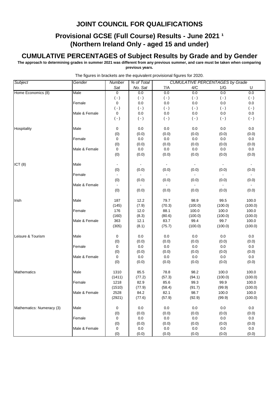#### **Provisional GCSE (Full Course) Results - June 2021 1 (Northern Ireland Only - aged 15 and under)**

#### **CUMULATIVE PERCENTAGES of Subject Results by Grade and by Gender**

**The approach to determining grades in summer 2021 was different from any previous summer, and care must be taken when comparing previous years.**

| Subject                   | Gender        | <b>CUMULATIVE PERCENTAGES by Grade</b><br>Number<br>% of Total |           |           |           |                |                           |  |  |
|---------------------------|---------------|----------------------------------------------------------------|-----------|-----------|-----------|----------------|---------------------------|--|--|
|                           |               | Sat                                                            | No. Sat   | 7/A       | 4/C       | 1/G            | U                         |  |  |
| Home Economics (8)        | Male          | $\overline{0}$                                                 | 0.0       | 0.0       | 0.0       | 0.0            | 0.0                       |  |  |
|                           |               | $( - )$                                                        | $(\cdot)$ | $(\cdot)$ | $(\cdot)$ | $(\cdot)$      | $(\cdot)$                 |  |  |
|                           | Female        | 0                                                              | 0.0       | 0.0       | 0.0       | 0.0            | 0.0                       |  |  |
|                           |               | $(\cdot)$                                                      | $(\cdot)$ | $(\cdot)$ | $(\cdot)$ | $(\cdot)$      | $(\cdot)$                 |  |  |
|                           | Male & Female | 0                                                              | 0.0       | 0.0       | 0.0       | 0.0            | $0.0\,$                   |  |  |
|                           |               | $(\cdot)$                                                      | $(\cdot)$ | $(\cdot)$ | $(\cdot)$ | $(\cdot)$      | $(\cdot)$                 |  |  |
|                           |               |                                                                |           |           |           |                |                           |  |  |
| Hospitality               | Male          | 0                                                              | 0.0       | 0.0       | 0.0       | 0.0            | 0.0                       |  |  |
|                           |               | (0)                                                            | (0.0)     | (0.0)     | (0.0)     | (0.0)          | (0.0)                     |  |  |
|                           | Female        | 0                                                              | $0.0\,$   | $0.0\,$   | $0.0\,$   | $0.0\,$        | $0.0\,$                   |  |  |
|                           |               | (0)                                                            | (0.0)     | (0.0)     | (0.0)     | (0.0)          | (0.0)                     |  |  |
|                           | Male & Female | 0                                                              | $0.0\,$   | $0.0\,$   | $0.0\,$   | $0.0\,$        | $0.0\,$                   |  |  |
|                           |               | (0)                                                            | (0.0)     | (0.0)     | (0.0)     | (0.0)          | (0.0)                     |  |  |
|                           |               |                                                                |           |           |           |                |                           |  |  |
| ICT(8)                    | Male          |                                                                |           |           |           | $\blacksquare$ | $\blacksquare$            |  |  |
|                           |               | (0)                                                            | (0.0)     | (0.0)     | (0.0)     | (0.0)          | (0.0)                     |  |  |
|                           | Female        | $\blacksquare$                                                 |           | $\Box$    | $\sim$    | $\sim$         | $\mathbb{Z}^{\mathbb{Z}}$ |  |  |
|                           |               | (0)                                                            | (0.0)     | (0.0)     | (0.0)     | (0.0)          | (0.0)                     |  |  |
|                           | Male & Female | $\blacksquare$                                                 |           | $\Box$    |           | $\sim$         | $\sim$                    |  |  |
|                           |               | (0)                                                            | (0.0)     | (0.0)     | (0.0)     | (0.0)          | (0.0)                     |  |  |
|                           |               |                                                                |           |           |           |                |                           |  |  |
| Irish                     | Male          | 187                                                            | 12.2      | 79.7      | 98.9      | 99.5           | 100.0                     |  |  |
|                           |               | (145)                                                          | (7.9)     | (70.3)    | (100.0)   | (100.0)        | (100.0)                   |  |  |
|                           | Female        | 176                                                            | 12.0      | 88.1      | 100.0     | 100.0          | 100.0                     |  |  |
|                           |               | (160)                                                          | (8.3)     | (80.6)    | (100.0)   | (100.0)        | (100.0)                   |  |  |
|                           | Male & Female | 363                                                            | 12.1      | 83.7      | 99.4      | 99.7           | 100.0                     |  |  |
|                           |               | (305)                                                          | (8.1)     | (75.7)    | (100.0)   | (100.0)        | (100.0)                   |  |  |
|                           |               |                                                                |           |           |           |                |                           |  |  |
| Leisure & Tourism         | Male          | 0                                                              | 0.0       | $0.0\,$   | 0.0       | 0.0            | $0.0\,$                   |  |  |
|                           |               | (0)                                                            | (0.0)     | (0.0)     | (0.0)     | (0.0)          | (0.0)                     |  |  |
|                           | Female        | 0                                                              | $0.0\,$   | 0.0       | 0.0       | $0.0\,$        | $0.0\,$                   |  |  |
|                           |               | (0)                                                            | (0.0)     | (0.0)     | (0.0)     | (0.0)          | (0.0)                     |  |  |
|                           | Male & Female | 0                                                              | 0.0       | $0.0\,$   | 0.0       | 0.0            | $0.0\,$                   |  |  |
|                           |               | (0)                                                            | (0.0)     | (0.0)     | (0.0)     | (0.0)          | (0.0)                     |  |  |
|                           |               |                                                                |           |           |           |                |                           |  |  |
| <b>Mathematics</b>        | Male          | 1310                                                           | 85.5      | 78.8      | 98.2      | 100.0          | 100.0                     |  |  |
|                           |               | (1411)                                                         | (77.2)    | (57.3)    | (94.1)    | (100.0)        | (100.0)                   |  |  |
|                           | Female        | 1218                                                           | 82.9      | 85.6      | 99.3      | 99.9           | 100.0                     |  |  |
|                           |               | (1510)                                                         | (77.9)    | (58.4)    | (91.7)    | (99.9)         | (100.0)                   |  |  |
|                           | Male & Female | 2528                                                           | 84.2      | 82.1      | 98.7      | 100.0          | 100.0                     |  |  |
|                           |               | (2921)                                                         | (77.6)    | (57.9)    | (92.9)    | (99.9)         | (100.0)                   |  |  |
|                           |               |                                                                |           |           |           |                |                           |  |  |
| Mathematics: Numeracy (3) | Male          | $\mathbf 0$                                                    | 0.0       | 0.0       | 0.0       | 0.0            | 0.0                       |  |  |
|                           |               | (0)                                                            | (0.0)     | (0.0)     | (0.0)     | (0.0)          | (0.0)                     |  |  |
|                           | Female        | 0                                                              | 0.0       | $0.0\,$   | $0.0\,$   | $0.0\,$        | 0.0                       |  |  |
|                           |               | (0)                                                            | (0.0)     | (0.0)     | (0.0)     | (0.0)          | (0.0)                     |  |  |
|                           | Male & Female | 0                                                              | 0.0       | 0.0       | 0.0       | 0.0            | 0.0                       |  |  |
|                           |               | (0)                                                            | (0.0)     | (0.0)     | (0.0)     | (0.0)          | (0.0)                     |  |  |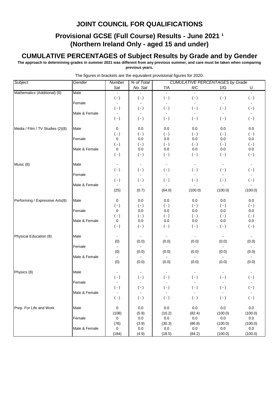### **Provisional GCSE (Full Course) Results - June 2021 1 (Northern Ireland Only - aged 15 and under)**

#### **CUMULATIVE PERCENTAGES of Subject Results by Grade and by Gender**

**The approach to determining grades in summer 2021 was different from any previous summer, and care must be taken when comparing previous years.**

| Subject                          | Gender        | Number                    | % of Total                  |                             | <b>CUMULATIVE PERCENTAGES by Grade</b> |                  |                      |
|----------------------------------|---------------|---------------------------|-----------------------------|-----------------------------|----------------------------------------|------------------|----------------------|
|                                  |               | Sat                       | No. Sat                     | 7/A                         | 4/C                                    | 1/G              | U                    |
| Mathematics (Additional) (8)     | Male          |                           |                             | $\blacksquare$              |                                        |                  | $\blacksquare$       |
|                                  |               | $(-)$                     | $(\cdot)$                   | $( - )$                     | $(\cdot)$                              | $(\cdot)$        | $(\cdot)$            |
|                                  | Female        |                           |                             |                             | $\blacksquare$                         | $\blacksquare$   |                      |
|                                  |               | $( - )$                   | $(\cdot)$                   | $(\cdot)$                   | $(\cdot)$                              | $( - )$          | $(\cdot)$            |
|                                  | Male & Female | $\blacksquare$            | $\sim$                      | $\blacksquare$              | $\sim$                                 | $\blacksquare$   | $\sim$               |
|                                  |               | $( - )$                   | $(\cdot)$                   | $(\cdot)$                   | $( - )$                                | $(\cdot)$        | $(\cdot)$            |
| Media / Film / TV Studies (2)(8) | Male          | 0                         | 0.0                         | 0.0                         | 0.0                                    | 0.0              | 0.0                  |
|                                  |               | $( - )$                   | $( - )$                     | $( - )$                     | $(\cdot)$                              | $(\cdot)$        | $(\cdot)$            |
|                                  | Female        | 0                         | 0.0                         | 0.0                         | 0.0                                    | 0.0              | 0.0                  |
|                                  |               | $(-)$                     | $(\cdot)$                   | $(\cdot)$                   | $(\cdot)$                              | $(\cdot)$        | $(\cdot)$            |
|                                  | Male & Female | 0                         | 0.0                         | 0.0                         | 0.0                                    | 0.0              | 0.0                  |
|                                  |               | $(\cdot)$                 | $(\cdot)$                   | $(\cdot)$                   | $( - )$                                | $(\cdot)$        | $(\cdot)$            |
|                                  |               |                           |                             |                             |                                        | $\blacksquare$   | $\blacksquare$       |
| Music (8)                        | Male          | $\blacksquare$<br>$( - )$ | $\blacksquare$<br>$(\cdot)$ | $\blacksquare$<br>$(\cdot)$ | $\blacksquare$<br>$(\cdot)$            | $(\cdot)$        | $(\cdot)$            |
|                                  | Female        | $\blacksquare$            |                             | $\blacksquare$              |                                        | $\blacksquare$   | $\blacksquare$       |
|                                  |               | $(\cdot)$                 | $(\cdot)$                   | $( - )$                     | $(\cdot)$                              | $( - )$          | $(\cdot)$            |
|                                  | Male & Female |                           |                             |                             |                                        |                  |                      |
|                                  |               | (25)                      | (0.7)                       | (64.0)                      | (100.0)                                | (100.0)          | (100.0)              |
|                                  |               |                           |                             |                             |                                        |                  |                      |
| Performing / Expressive Arts(8)  | Male          | 0                         | 0.0                         | 0.0                         | 0.0                                    | 0.0              | 0.0                  |
|                                  |               | $( - )$                   | $(\cdot)$                   | $( - )$                     | $(\cdot)$                              | $(\cdot)$        | $(\cdot)$            |
|                                  | Female        | $\pmb{0}$                 | $0.0\,$                     | 0.0                         | 0.0                                    | 0.0              | $0.0\,$              |
|                                  | Male & Female | $( - )$<br>0              | $(\cdot)$<br>0.0            | $(\cdot)$<br>0.0            | $(\cdot)$<br>0.0                       | $(\cdot)$<br>0.0 | $(\cdot)$<br>$0.0\,$ |
|                                  |               | $( - )$                   | $(\cdot)$                   | $( - )$                     | $(\cdot)$                              | $(\cdot)$        | $(\cdot)$            |
|                                  |               |                           |                             |                             |                                        |                  |                      |
| Physical Education (8)           | Male          |                           |                             |                             |                                        |                  |                      |
|                                  |               | (0)                       | (0.0)                       | (0.0)                       | (0.0)                                  | (0.0)            | (0.0)                |
|                                  | Female        |                           |                             |                             |                                        |                  |                      |
|                                  |               | (0)                       | (0.0)                       | (0.0)                       | (0.0)                                  | (0.0)            | (0.0)                |
|                                  | Male & Female | (0)                       | (0.0)                       | (0.0)                       | (0.0)                                  | (0.0)            | (0.0)                |
|                                  |               |                           |                             |                             |                                        |                  |                      |
| Physics (8)                      | Male          |                           |                             |                             |                                        |                  |                      |
|                                  |               | $(\cdot)$                 | $(\cdot)$                   | $(\cdot)$                   | $(\cdot)$                              | $(\cdot)$        | $(\cdot)$            |
|                                  | Female        | $\blacksquare$            | $\sim$                      | $\blacksquare$              |                                        | L.               |                      |
|                                  |               | $(\,\text{-}\,)$          | $(\cdot)$                   | $(\,\cdot\,)$               | $(\cdot)$                              | $(\cdot)$        | $(\cdot)$            |
|                                  | Male & Female | $\blacksquare$            | $\sim$                      | $\blacksquare$              |                                        |                  | $\sim$               |
|                                  |               | $(\cdot)$                 | $(\cdot)$                   | $(\cdot)$                   | $(\cdot)$                              | $(\cdot)$        | $(\cdot)$            |
| Prep. For Life and Work          | Male          | $\pmb{0}$                 | $0.0\,$                     | $0.0\,$                     | $0.0\,$                                | $0.0\,$          | $0.0\,$              |
|                                  |               | (108)                     | (5.9)                       | (10.2)                      | (82.4)                                 | (100.0)          | (100.0)              |
|                                  | Female        | 0                         | $0.0\,$                     | $0.0\,$                     | 0.0                                    | $0.0\,$          | 0.0                  |
|                                  |               | (76)                      | (3.9)                       | (30.3)                      | (86.8)                                 | (100.0)          | (100.0)              |
|                                  | Male & Female | 0                         | $0.0\,$                     | $0.0\,$                     | $0.0\,$                                | $0.0\,$          | 0.0                  |
|                                  |               | (184)                     | (4.9)                       | (18.5)                      | (84.2)                                 | (100.0)          | (100.0)              |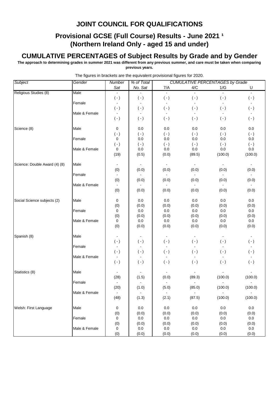### **Provisional GCSE (Full Course) Results - June 2021 1 (Northern Ireland Only - aged 15 and under)**

#### **CUMULATIVE PERCENTAGES of Subject Results by Grade and by Gender**

**The approach to determining grades in summer 2021 was different from any previous summer, and care must be taken when comparing previous years.**

| Subject                       | Gender        | Number           | % of Total       |                  |                | <b>CUMULATIVE PERCENTAGES by Grade</b> |                |
|-------------------------------|---------------|------------------|------------------|------------------|----------------|----------------------------------------|----------------|
|                               |               | Sat              | No. Sat          | 7/A              | 4/C            | 1/G                                    | U              |
| Religious Studies (8)         | Male          |                  |                  | $\sim$           |                | $\mathbf{r}$                           | $\omega$       |
|                               |               | $(\cdot)$        | $(\cdot)$        | $(\cdot)$        | $(\cdot)$      | $(\cdot)$                              | $(\cdot)$      |
|                               | Female        | $\blacksquare$   |                  |                  |                | $\blacksquare$                         |                |
|                               |               | $( - )$          | $(\,\text{-}\,)$ | $( - )$          | $(\cdot)$      | $(\cdot)$                              | $(\cdot)$      |
|                               | Male & Female | $\blacksquare$   |                  | $\sim$           | $\sim$         | $\blacksquare$                         | $\sim$         |
|                               |               | $(\cdot)$        | $(\cdot)$        | $(\cdot)$        | $(\cdot)$      | $(\cdot)$                              | $(\cdot)$      |
| Science (8)                   | Male          | 0                | 0.0              | $0.0\,$          | $0.0\,$        | 0.0                                    | $0.0\,$        |
|                               |               | $(\cdot)$        | $(\cdot)$        | $(\cdot)$        | $(\cdot)$      | $(\cdot)$                              | $(\cdot)$      |
|                               | Female        | $\mathbf 0$      | $0.0\,$          | 0.0              | 0.0            | 0.0                                    | $0.0\,$        |
|                               |               | $( - )$          | $(\cdot)$        | $(\cdot)$        | $(\cdot)$      | $(\cdot)$                              | $(\cdot)$      |
|                               | Male & Female | 0                | 0.0              | $0.0\,$          | $0.0\,$        | $0.0\,$                                | $0.0\,$        |
|                               |               | (19)             | (0.5)            | (0.0)            | (89.5)         | (100.0)                                | (100.0)        |
| Science: Double Award (4) (8) | Male          | $\blacksquare$   |                  | $\blacksquare$   |                | $\blacksquare$                         | $\blacksquare$ |
|                               |               | (0)              | (0.0)            | (0.0)            | (0.0)          | (0.0)                                  | (0.0)          |
|                               | Female        | $\blacksquare$   |                  | $\omega$         | $\blacksquare$ | $\omega$                               | $\sim$         |
|                               |               | (0)              | (0.0)            | (0.0)            | (0.0)          | (0.0)                                  | (0.0)          |
|                               | Male & Female |                  |                  | $\sim$           | $\sim$         | $\sim$                                 | $\sim$         |
|                               |               | (0)              | (0.0)            | (0.0)            | (0.0)          | (0.0)                                  | (0.0)          |
| Social Science subjects (2)   | Male          | $\pmb{0}$        | 0.0              | $0.0\,$          | 0.0            | $0.0\,$                                | $0.0\,$        |
|                               |               | (0)              | (0.0)            | (0.0)            | (0.0)          | (0.0)                                  | (0.0)          |
|                               | Female        | $\pmb{0}$        | $0.0\,$          | $0.0\,$          | 0.0            | 0.0                                    | 0.0            |
|                               |               | (0)              | (0.0)            | (0.0)            | (0.0)          | (0.0)                                  | (0.0)          |
|                               | Male & Female | $\pmb{0}$        | $0.0\,$          | $0.0\,$          | 0.0            | $0.0\,$                                | $0.0\,$        |
|                               |               | (0)              | (0.0)            | (0.0)            | (0.0)          | (0.0)                                  | (0.0)          |
|                               |               |                  |                  |                  |                |                                        |                |
| Spanish (8)                   | Male          | $\blacksquare$   |                  | $\blacksquare$   | $\sim$         | $\blacksquare$                         | $\blacksquare$ |
|                               |               | $(\,\text{-}\,)$ | $(\cdot)$        | $(\cdot)$        | $(\cdot)$      | $(\cdot)$                              | $(\cdot)$      |
|                               | Female        | $\blacksquare$   |                  | $\blacksquare$   |                | $\blacksquare$                         |                |
|                               |               | $(\cdot)$        | $(\,\text{-}\,)$ | $(\,\text{-}\,)$ | $(\cdot)$      | $(\cdot)$                              | $(\cdot)$      |
|                               | Male & Female | $\blacksquare$   |                  |                  |                |                                        |                |
|                               |               | $(\cdot)$        | $(\cdot)$        | $(\cdot)$        | $(\cdot)$      | $(\cdot)$                              | $(\cdot)$      |
| Statistics (8)                | Male          |                  |                  |                  |                |                                        |                |
|                               |               | (28)             | (1.5)            | (0.0)            | (89.3)         | (100.0)                                | (100.0)        |
|                               | Female        | $\blacksquare$   |                  |                  |                |                                        |                |
|                               |               | (20)             | (1.0)            | (5.0)            | (85.0)         | (100.0)                                | (100.0)        |
|                               | Male & Female | $\sim$           |                  |                  |                |                                        |                |
|                               |               | (48)             | (1.3)            | (2.1)            | (87.5)         | (100.0)                                | (100.0)        |
| Welsh: First Language         | Male          | 0                | 0.0              | $0.0\,$          | 0.0            | $0.0\,$                                | $0.0\,$        |
|                               |               | (0)              | (0.0)            | (0.0)            | (0.0)          | (0.0)                                  | (0.0)          |
|                               | Female        | 0                | 0.0              | 0.0              | 0.0            | 0.0                                    | $0.0\,$        |
|                               |               | (0)              | (0.0)            | (0.0)            | (0.0)          | (0.0)                                  | (0.0)          |
|                               | Male & Female | 0                | $0.0\,$          | $0.0\,$          | $0.0\,$        | $0.0\,$                                | $0.0\,$        |
|                               |               | (0)              | (0.0)            | (0.0)            | (0.0)          | (0.0)                                  | (0.0)          |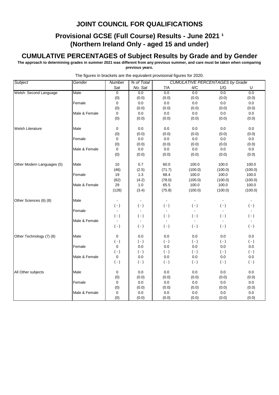### **Provisional GCSE (Full Course) Results - June 2021 1 (Northern Ireland Only - aged 15 and under)**

#### **CUMULATIVE PERCENTAGES of Subject Results by Grade and by Gender**

**The approach to determining grades in summer 2021 was different from any previous summer, and care must be taken when comparing previous years.**

| Subject                    | Gender        | Number                   | % of Total     |                | <b>CUMULATIVE PERCENTAGES by Grade</b> |              |           |
|----------------------------|---------------|--------------------------|----------------|----------------|----------------------------------------|--------------|-----------|
|                            |               | Sat                      | No. Sat        | 7/A            | 4/C                                    | 1/G          | U         |
| Welsh: Second Language     | Male          | $\overline{0}$           | 0.0            | 0.0            | 0.0                                    | 0.0          | 0.0       |
|                            |               | (0)                      | (0.0)          | (0.0)          | (0.0)                                  | (0.0)        | (0.0)     |
|                            | Female        | 0                        | 0.0            | 0.0            | 0.0                                    | 0.0          | 0.0       |
|                            |               | (0)                      | (0.0)          | (0.0)          | (0.0)                                  | (0.0)        | (0.0)     |
|                            | Male & Female | 0                        | 0.0            | $0.0\,$        | 0.0                                    | 0.0          | 0.0       |
|                            |               | (0)                      | (0.0)          | (0.0)          | (0.0)                                  | (0.0)        | (0.0)     |
| <b>Welsh Literature</b>    | Male          | 0                        | 0.0            | 0.0            | 0.0                                    | 0.0          | 0.0       |
|                            |               | (0)                      | (0.0)          | (0.0)          | (0.0)                                  | (0.0)        | (0.0)     |
|                            | Female        | 0                        | $0.0\,$        | 0.0            | $0.0\,$                                | $0.0\,$      | $0.0\,$   |
|                            |               | (0)                      | (0.0)          | (0.0)          | (0.0)                                  | (0.0)        | (0.0)     |
|                            | Male & Female | 0                        | 0.0            | $0.0\,$        | 0.0                                    | 0.0          | 0.0       |
|                            |               | (0)                      | (0.0)          | (0.0)          | (0.0)                                  | (0.0)        | (0.0)     |
| Other Modern Languages (5) | Male          | 10                       | 0.7            | 60.0           | 100.0                                  | 100.0        | 100.0     |
|                            |               | (46)                     | (2.5)          | (71.7)         | (100.0)                                | (100.0)      | (100.0)   |
|                            | Female        | 19                       | 1.3            | 68.4           | 100.0                                  | 100.0        | 100.0     |
|                            |               | (82)                     | (4.2)          | (78.0)         | (100.0)                                | (100.0)      | (100.0)   |
|                            | Male & Female | 29                       | 1.0            | 65.5           | 100.0                                  | 100.0        | 100.0     |
|                            |               | (128)                    | (3.4)          | (75.8)         | (100.0)                                | (100.0)      | (100.0)   |
| Other Sciences (6) (8)     | Male          | $\overline{\phantom{a}}$ |                |                |                                        | $\mathbf{r}$ |           |
|                            |               | $( - )$                  | $(\cdot)$      | $( - )$        | $(-)$                                  | $(\cdot)$    | $( - )$   |
|                            | Female        | $\blacksquare$           | $\blacksquare$ | $\blacksquare$ |                                        |              |           |
|                            |               | $(\cdot)$                | $(\cdot)$      | $( - )$        | $( - )$                                | $(\cdot)$    | $(\cdot)$ |
|                            | Male & Female | $\blacksquare$           |                |                |                                        |              |           |
|                            |               | $(-)$                    | $(\cdot)$      | $( - )$        | $(-)$                                  | $( - )$      | $(-)$     |
| Other Technology (7) (8)   | Male          | 0                        | 0.0            | 0.0            | 0.0                                    | 0.0          | 0.0       |
|                            |               | $( - )$                  | $(-)$          | $( - )$        | $(-)$                                  | $(-)$        | $(\cdot)$ |
|                            | Female        | 0                        | 0.0            | 0.0            | 0.0                                    | 0.0          | 0.0       |
|                            |               | $(-)$                    | $(-)$          | $( - )$        | $(-)$                                  | $(-)$        | $(\cdot)$ |
|                            | Male & Female | $\mathbf 0$              | 0.0            | 0.0            | 0.0                                    | 0.0          | $0.0\,$   |
|                            |               | $(\cdot)$                | $(\cdot)$      | $( - )$        | $(\cdot)$                              | $(\cdot)$    | $(\cdot)$ |
| All Other subjects         | Male          | 0                        | 0.0            | 0.0            | 0.0                                    | 0.0          | $0.0\,$   |
|                            |               | (0)                      | (0.0)          | (0.0)          | (0.0)                                  | (0.0)        | (0.0)     |
|                            | Female        | 0                        | $0.0\,$        | $0.0\,$        | 0.0                                    | $0.0\,$      | $0.0\,$   |
|                            |               | (0)                      | (0.0)          | (0.0)          | (0.0)                                  | (0.0)        | (0.0)     |
|                            | Male & Female | 0                        | $0.0\,$        | 0.0            | 0.0                                    | 0.0          | 0.0       |
|                            |               | (0)                      | (0.0)          | (0.0)          | (0.0)                                  | (0.0)        | (0.0)     |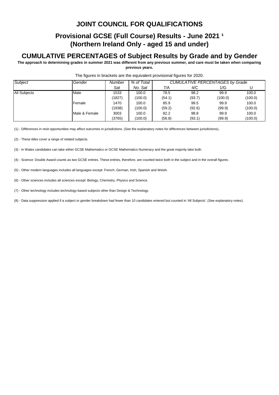### **Provisional GCSE (Full Course) Results - June 2021 1 (Northern Ireland Only - aged 15 and under)**

#### **CUMULATIVE PERCENTAGES of Subject Results by Grade and by Gender**

**The approach to determining grades in summer 2021 was different from any previous summer, and care must be taken when comparing previous years.**

| Subject             | Gender        | Number | % of Total |        |        | <b>CUMULATIVE PERCENTAGES by Grade</b> |         |
|---------------------|---------------|--------|------------|--------|--------|----------------------------------------|---------|
|                     |               | Sat    | No. Sat    | 7/A    | 4/C    | 1/G                                    |         |
| <b>All Subjects</b> | Male          | 1533   | 100.0      | 78.5   | 98.2   | 99.9                                   | 100.0   |
|                     |               | (1827) | (100.0)    | (54.1) | (93.7) | (100.0)                                | (100.0) |
|                     | Female        | 1470   | 100.0      | 85.9   | 99.5   | 99.9                                   | 100.0   |
|                     |               | (1938) | (100.0)    | (59.2) | (92.6) | (99.9)                                 | (100.0) |
|                     | Male & Female | 3003   | 100.0      | 82.2   | 98.8   | 99.9                                   | 100.0   |
|                     |               | (3765) | (100.0)    | (56.8) | (93.1) | (99.9)                                 | (100.0) |

#### The figures in brackets are the equivalent provisional figures for 2020.

(1) - Differences in resit opportunities may affect outcomes in jurisdictions. (See the explanatory notes for differences between jurisdictions).

(2) - These titles cover a range of related subjects.

(3) - In Wales candidates can take either GCSE Mathematics or GCSE Mathematics Numeracy and the great majority take both.

(4) - Science: Double Award counts as two GCSE entries. These entries, therefore, are counted twice both in the subject and in the overall figures.

(5) - Other modern languages includes all languages except: French, German, Irish, Spanish and Welsh.

(6) - Other sciences includes all sciences except: Biology, Chemistry, Physics and Science.

(7) - Other technology includes technology-based subjects other than Design & Technology.

(8) - Data suppression applied if a subject or gender breakdown had fewer than 10 candidates entered but counted in 'All Subjects'. (See explanatory notes).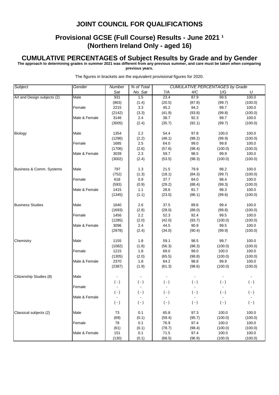#### **Provisional GCSE (Full Course) Results - June 2021 1 (Northern Ireland Only - aged 16)**

#### **CUMULATIVE PERCENTAGES of Subject Results by Grade and by Gender**

**The approach to determining grades in summer 2021 was different from any previous summer, and care must be taken when comparing** 

**previous years.**

| Subject                     | Gender        | <b>Number</b> | % of Total |           |           | <b>CUMULATIVE PERCENTAGES by Grade</b> |           |
|-----------------------------|---------------|---------------|------------|-----------|-----------|----------------------------------------|-----------|
|                             |               | Sat           | No. Sat    | 7/A       | 4/C       | 1/G                                    | U         |
| Art and Design subjects (2) | Male          | 931           | 1.5        | 23.4      | 87.9      | 99.5                                   | 100.0     |
|                             |               | (863)         | (1.4)      | (20.5)    | (87.8)    | (99.7)                                 | (100.0)   |
|                             | Female        | 2215          | 3.3        | 45.2      | 94.2      | 99.7                                   | 100.0     |
|                             |               | (2142)        | (3.3)      | (41.9)    | (93.8)    | (99.8)                                 | (100.0)   |
|                             | Male & Female | 3146          | 2.4        | 38.7      | 92.3      | 99.7                                   | 100.0     |
|                             |               | (3005)        | (2.4)      | (35.7)    | (92.1)    | (99.7)                                 | (100.0)   |
|                             |               |               |            |           |           |                                        |           |
| <b>Biology</b>              | Male          | 1354          | 2.2        | 54.4      | 97.8      | 100.0                                  | 100.0     |
|                             |               | (1296)        | (2.2)      | (48.1)    | (98.2)    | (99.9)                                 | (100.0)   |
|                             | Female        | 1685          | 2.5        | 64.0      | 99.0      | 99.8                                   | 100.0     |
|                             |               | (1706)        | (2.6)      | (57.6)    | (98.4)    | (100.0)                                | (100.0)   |
|                             | Male & Female | 3039          | 2.3        | 59.7      | 98.5      | 99.9                                   | 100.0     |
|                             |               | (3002)        | (2.4)      | (53.5)    | (98.3)    | (100.0)                                | (100.0)   |
|                             |               |               |            |           |           |                                        |           |
| Business & Comm. Systems    | Male          | 797           | 1.3        | 21.5      | 79.9      | 98.2                                   | 100.0     |
|                             |               | (752)         | (1.3)      | (18.1)    | (84.3)    | (99.7)                                 | (100.0)   |
|                             | Female        | 618           | 0.9        | 37.7      | 84.0      | 98.4                                   | 100.0     |
|                             |               | (593)         | (0.9)      | (29.2)    | (88.4)    | (99.3)                                 | (100.0)   |
|                             | Male & Female | 1415          | 1.1        | 28.6      | 81.7      | 98.3                                   | 100.0     |
|                             |               | (1345)        | (1.1)      | (23.0)    | (86.1)    | (99.6)                                 | (100.0)   |
|                             |               |               |            |           |           |                                        |           |
| <b>Business Studies</b>     | Male          | 1640          | 2.6        | 37.5      | 89.6      | 99.4                                   | 100.0     |
|                             |               | (1693)        | (2.8)      | (28.0)    | (88.0)    | (99.8)                                 | (100.0)   |
|                             | Female        | 1456          | 2.2        | 52.3      | 92.4      | 99.5                                   | 100.0     |
|                             |               | (1285)        | (2.0)      | (42.0)    | (93.7)    | (100.0)                                | (100.0)   |
|                             | Male & Female | 3096          | 2.4        | 44.5      | 90.9      | 99.5                                   | 100.0     |
|                             |               | (2978)        | (2.4)      | (34.0)    | (90.4)    | (99.9)                                 | (100.0)   |
|                             |               |               |            |           |           |                                        |           |
| Chemistry                   | Male          | 1155          | 1.8        | 59.1      | 98.5      | 99.7                                   | 100.0     |
|                             |               | (1082)        | (1.8)      | (56.3)    | (98.3)    | (100.0)                                | (100.0)   |
|                             | Female        | 1215          | 1.8        | 69.0      | 99.0      | 100.0                                  | 100.0     |
|                             |               | (1305)        | (2.0)      | (65.5)    | (98.8)    | (100.0)                                | (100.0)   |
|                             | Male & Female | 2370          | 1.8        | 64.2      | 98.8      | 99.9                                   | 100.0     |
|                             |               | (2387)        | (1.9)      | (61.3)    | (98.6)    | (100.0)                                | (100.0)   |
|                             |               |               |            |           |           |                                        |           |
| Citizenship Studies (8)     | Male          |               |            |           |           |                                        |           |
|                             |               | $(\cdot)$     | $(\cdot)$  | $( - )$   | $(-)$     | $(\cdot)$                              | $(\cdot)$ |
|                             | Female        |               |            |           |           |                                        |           |
|                             |               | $(\cdot)$     | $(\cdot)$  | $(\cdot)$ | $(\cdot)$ | $(\cdot)$                              | $(\cdot)$ |
|                             | Male & Female |               |            |           |           |                                        |           |
|                             |               | $(\cdot)$     | $(\cdot)$  | $(\cdot)$ | $( - )$   | $(\cdot)$                              | $(\cdot)$ |
|                             |               |               |            |           |           |                                        |           |
| Classical subjects (2)      | Male          | 73            | 0.1        | 65.8      | 97.3      | 100.0                                  | 100.0     |
|                             |               | (69)          | (0.1)      | (59.4)    | (95.7)    | (100.0)                                | (100.0)   |
|                             | Female        | 78            | 0.1        | 76.9      | 97.4      | 100.0                                  | 100.0     |
|                             |               | (61)          | (0.1)      | (78.7)    | (98.4)    | (100.0)                                | (100.0)   |
|                             | Male & Female | 151           | 0.1        | 71.5      | 97.4      | 100.0                                  | 100.0     |
|                             |               | (130)         | (0.1)      | (68.5)    | (96.9)    | (100.0)                                | (100.0)   |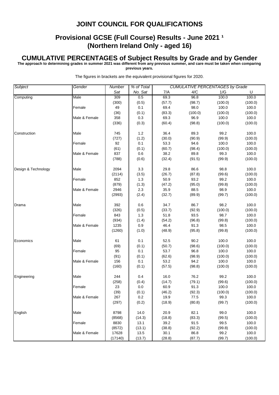#### **Provisional GCSE (Full Course) Results - June 2021 1 (Northern Ireland Only - aged 16)**

#### **CUMULATIVE PERCENTAGES of Subject Results by Grade and by Gender**

**The approach to determining grades in summer 2021 was different from any previous summer, and care must be taken when comparing** 

**previous years.**

| Subject             | Gender        | <b>Number</b> | % of Total |        |         | <b>CUMULATIVE PERCENTAGES by Grade</b> |         |
|---------------------|---------------|---------------|------------|--------|---------|----------------------------------------|---------|
|                     |               | Sat           | No. Sat    | 7/A    | 4/C     | 1/G                                    | U       |
| Computing           | Male          | 309           | 0.5        | 69.3   | 96.8    | 100.0                                  | 100.0   |
|                     |               | (300)         | (0.5)      | (57.7) | (98.7)  | (100.0)                                | (100.0) |
|                     | Female        | 49            | 0.1        | 69.4   | 98.0    | 100.0                                  | 100.0   |
|                     |               | (36)          | (0.1)      | (83.3) | (100.0) | (100.0)                                | (100.0) |
|                     | Male & Female | 358           | 0.3        | 69.3   | 96.9    | 100.0                                  | 100.0   |
|                     |               | (336)         | (0.3)      | (60.4) | (98.8)  | (100.0)                                | (100.0) |
|                     |               |               |            |        |         |                                        |         |
| Construction        | Male          | 745           | 1.2        | 36.4   | 89.3    | 99.2                                   | 100.0   |
|                     |               | (727)         | (1.2)      | (30.0) | (90.9)  | (99.9)                                 | (100.0) |
|                     | Female        | 92            | 0.1        | 53.3   | 94.6    | 100.0                                  | 100.0   |
|                     |               | (61)          | (0.1)      | (60.7) | (98.4)  | (100.0)                                | (100.0) |
|                     | Male & Female | 837           | 0.6        | 38.2   | 89.8    | 99.3                                   | 100.0   |
|                     |               | (788)         | (0.6)      | (32.4) | (91.5)  | (99.9)                                 | (100.0) |
|                     |               |               |            |        |         |                                        |         |
| Design & Technology | Male          | 2094          | 3.3        | 29.8   | 86.6    | 98.8                                   | 100.0   |
|                     |               | (2114)        | (3.5)      | (26.7) | (87.8)  | (99.6)                                 | (100.0) |
|                     | Female        | 852           | 1.3        | 50.9   | 93.2    | 99.2                                   | 100.0   |
|                     |               | (879)         | (1.3)      | (47.2) | (95.0)  | (99.8)                                 | (100.0) |
|                     | Male & Female | 2946          | $2.3\,$    | 35.9   | 88.5    | 98.9                                   | 100.0   |
|                     |               | (2993)        | (2.4)      | (32.7) | (89.9)  | (99.7)                                 | (100.0) |
|                     |               |               |            |        |         |                                        |         |
| Drama               | Male          | 392           | 0.6        | 34.7   | 86.7    | 98.2                                   | 100.0   |
|                     |               | (326)         | (0.5)      | (33.7) | (92.9)  | (100.0)                                | (100.0) |
|                     | Female        | 843           | 1.3        | 51.8   | 93.5    | 98.7                                   | 100.0   |
|                     |               | (934)         | (1.4)      | (54.2) | (96.8)  | (99.8)                                 | (100.0) |
|                     | Male & Female | 1235          | 0.9        | 46.4   | 91.3    | 98.5                                   | 100.0   |
|                     |               | (1260)        | (1.0)      | (48.9) | (95.8)  | (99.8)                                 | (100.0) |
|                     |               |               |            |        |         |                                        |         |
| Economics           | Male          | 61            | 0.1        | 52.5   | 90.2    | 100.0                                  | 100.0   |
|                     |               | (69)          | (0.1)      | (50.7) | (98.6)  | (100.0)                                | (100.0) |
|                     | Female        | 95            | 0.1        | 53.7   | 96.8    | 100.0                                  | 100.0   |
|                     |               | (91)          | (0.1)      | (62.6) | (98.9)  | (100.0)                                | (100.0) |
|                     | Male & Female | 156           | 0.1        | 53.2   | 94.2    | 100.0                                  | 100.0   |
|                     |               | (160)         | (0.1)      | (57.5) | (98.8)  | (100.0)                                | (100.0) |
|                     |               |               |            |        |         |                                        |         |
| Engineering         | Male          | 244           | 0.4        | 16.0   | 76.2    | 99.2                                   | 100.0   |
|                     |               | (258)         | (0.4)      | (14.7) | (79.1)  | (99.6)                                 | (100.0) |
|                     | Female        | 23            | 0.0        | 60.9   | 91.3    | 100.0                                  | 100.0   |
|                     |               | (39)          | (0.1)      | (46.2) | (92.3)  | (100.0)                                | (100.0) |
|                     | Male & Female | 267           | $0.2\,$    | 19.9   | 77.5    | 99.3                                   | 100.0   |
|                     |               | (297)         | (0.2)      | (18.9) | (80.8)  | (99.7)                                 | (100.0) |
|                     |               |               |            |        |         |                                        |         |
| English             | Male          | 8798          | 14.0       | 20.9   | 82.1    | 99.0                                   | 100.0   |
|                     |               | (8568)        | (14.3)     | (18.8) | (83.3)  | (99.5)                                 | (100.0) |
|                     | Female        | 8830          | 13.1       | 39.2   | 91.5    | 99.5                                   | 100.0   |
|                     |               | (8572)        | (13.1)     | (38.8) | (92.2)  | (99.8)                                 | (100.0) |
|                     | Male & Female | 17628         | 13.5       | 30.1   | 86.8    | 99.2                                   | 100.0   |
|                     |               | (17140)       | (13.7)     | (28.8) | (87.7)  | (99.7)                                 | (100.0) |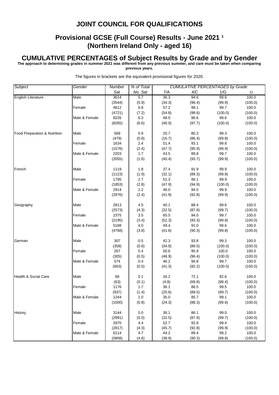#### **Provisional GCSE (Full Course) Results - June 2021 1 (Northern Ireland Only - aged 16)**

#### **CUMULATIVE PERCENTAGES of Subject Results by Grade and by Gender**

**The approach to determining grades in summer 2021 was different from any previous summer, and care must be taken when comparing** 

**previous years.**

| Subject                         | Gender        | Number | % of Total | <b>CUMULATIVE PERCENTAGES by Grade</b> |        |         |         |
|---------------------------------|---------------|--------|------------|----------------------------------------|--------|---------|---------|
|                                 |               | Sat    | No. Sat    | 7/A                                    | 4/C    | 1/G     | U       |
| English Literature              | Male          | 3614   | 5.7        | 36.3                                   | 94.6   | 99.6    | 100.0   |
|                                 |               | (3544) | (5.9)      | (34.3)                                 | (96.4) | (99.9)  | (100.0) |
|                                 | Female        | 4612   | 6.8        | 57.2                                   | 98.1   | 99.7    | 100.0   |
|                                 |               | (4721) | (7.2)      | (54.8)                                 | (98.6) | (100.0) | (100.0) |
|                                 | Male & Female | 8226   | 6.3        | 48.0                                   | 96.6   | 99.6    | 100.0   |
|                                 |               | (8265) | (6.6)      | (46.0)                                 | (97.7) | (100.0) | (100.0) |
| Food Preparation & Nutrition    | Male          | 569    | 0.9        | 20.7                                   | 80.3   | 99.3    | 100.0   |
|                                 |               | (479)  | (0.8)      | (16.7)                                 | (86.4) | (99.8)  | (100.0) |
|                                 | Female        | 1634   | 2.4        | 51.4                                   | 93.1   | 99.8    | 100.0   |
|                                 |               | (1576) | (2.4)      | (47.7)                                 | (95.9) | (99.9)  | (100.0) |
|                                 | Male & Female | 2203   | 1.7        | 43.5                                   | 89.8   | 99.7    | 100.0   |
|                                 |               | (2055) | (1.6)      | (40.4)                                 | (93.7) | (99.9)  | (100.0) |
| French                          | Male          | 1119   | 1.8        | 37.4                                   | 91.9   | 99.9    | 100.0   |
|                                 |               | (1123) | (1.9)      | (32.1)                                 | (89.3) | (99.8)  | (100.0) |
|                                 | Female        | 1795   | 2.7        | 51.3                                   | 96.1   | 99.9    | 100.0   |
|                                 |               | (1853) | (2.8)      | (47.9)                                 | (94.9) | (100.0) | (100.0) |
|                                 | Male & Female | 2914   | 2.2        | 46.0                                   | 94.5   | 99.9    | 100.0   |
|                                 |               | (2976) | (2.4)      | (41.9)                                 | (92.8) | (99.9)  | (100.0) |
| Geography                       | Male          | 2813   | 4.5        | 40.1                                   | 88.4   | 99.6    | 100.0   |
|                                 |               | (2573) | (4.3)      | (32.5)                                 | (87.8) | (99.7)  | (100.0) |
|                                 | Female        | 2375   | 3.5        | 60.5                                   | 94.0   | 99.7    | 100.0   |
|                                 |               | (2195) | (3.4)      | (52.3)                                 | (93.3) | (99.8)  | (100.0) |
|                                 | Male & Female | 5188   | 4.0        | 49.4                                   | 91.0   | 99.6    | 100.0   |
|                                 |               | (4768) | (3.8)      | (41.6)                                 | (90.3) | (99.8)  | (100.0) |
| German                          | Male          | 307    | 0.5        | 42.3                                   | 93.8   | 99.3    | 100.0   |
|                                 |               | (358)  | (0.6)      | (34.9)                                 | (88.5) | (100.0) | (100.0) |
|                                 | Female        | 267    | 0.4        | 50.6                                   | 95.9   | 100.0   | 100.0   |
|                                 |               | (305)  | (0.5)      | (48.9)                                 | (96.4) | (100.0) | (100.0) |
|                                 | Male & Female | 574    | 0.4        | 46.2                                   | 94.8   | 99.7    | 100.0   |
|                                 |               | (663)  | (0.5)      | (41.3)                                 | (92.2) | (100.0) | (100.0) |
| <b>Health &amp; Social Care</b> | Male          | 68     | 0.1        | 16.2                                   | 72.1   | 92.6    | 100.0   |
|                                 |               | (63)   | (0.1)      | (4.8)                                  | (69.8) | (98.4)  | (100.0) |
|                                 | Female        | 1176   | 1.7        | 36.1                                   | 86.5   | 99.5    | 100.0   |
|                                 |               | (937)  | (1.4)      | (25.6)                                 | (89.5) | (99.7)  | (100.0) |
|                                 | Male & Female | 1244   | 1.0        | 35.0                                   | 85.7   | 99.1    | 100.0   |
|                                 |               | (1000) | (0.8)      | (24.3)                                 | (88.3) | (99.6)  | (100.0) |
| History                         | Male          | 3144   | $5.0$      | 36.1                                   | 86.1   | 99.0    | 100.0   |
|                                 |               | (2991) | (5.0)      | (32.5)                                 | (87.9) | (99.7)  | (100.0) |
|                                 | Female        | 2970   | 4.4        | 52.7                                   | 92.8   | 99.4    | 100.0   |
|                                 |               | (2817) | (4.3)      | (45.7)                                 | (92.8) | (99.9)  | (100.0) |
|                                 | Male & Female | 6114   | 4.7        | 44.2                                   | 89.4   | 99.2    | 100.0   |
|                                 |               | (5808) | (4.6)      | (38.9)                                 | (90.3) | (99.8)  | (100.0) |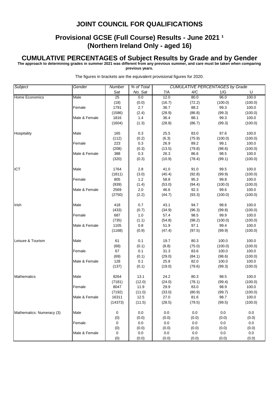# **Provisional GCSE (Full Course) Results - June 2021 1 (Northern Ireland Only - aged 16)**

#### **CUMULATIVE PERCENTAGES of Subject Results by Grade and by Gender**

**The approach to determining grades in summer 2021 was different from any previous summer, and care must be taken when comparing** 

**previous years.**

| Subject                   | Gender        | Number          | % of Total |        |        | <b>CUMULATIVE PERCENTAGES by Grade</b> |         |  |
|---------------------------|---------------|-----------------|------------|--------|--------|----------------------------------------|---------|--|
|                           |               | Sat             | No. Sat    | 7/A    | 4/C    | 1/G                                    | U       |  |
| Home Economics            | Male          | $\overline{25}$ | 0.0        | 12.0   | 80.0   | 96.0                                   | 100.0   |  |
|                           |               | (18)            | (0.0)      | (16.7) | (72.2) | (100.0)                                | (100.0) |  |
|                           | Female        | 1791            | 2.7        | 36.7   | 88.2   | 99.3                                   | 100.0   |  |
|                           |               | (1586)          | (2.4)      | (28.9) | (86.8) | (99.3)                                 | (100.0) |  |
|                           | Male & Female | 1816            | 1.4        | 36.4   | 88.1   | 99.3                                   | 100.0   |  |
|                           |               | (1604)          | (1.3)      | (28.8) | (86.7) | (99.3)                                 | (100.0) |  |
|                           |               |                 |            |        |        |                                        |         |  |
| Hospitality               | Male          | 165             | 0.3        | 25.5   | 83.0   | 97.6                                   | 100.0   |  |
|                           |               | (112)           | (0.2)      | (6.3)  | (75.9) | (100.0)                                | (100.0) |  |
|                           | Female        | 223             | 0.3        | 26.9   | 89.2   | 99.1                                   | 100.0   |  |
|                           |               | (208)           | (0.3)      | (13.5) | (79.8) | (98.6)                                 | (100.0) |  |
|                           | Male & Female | 388             | 0.3        | 26.3   | 86.6   | 98.5                                   | 100.0   |  |
|                           |               | (320)           | (0.3)      | (10.9) | (78.4) | (99.1)                                 | (100.0) |  |
| ICT                       | Male          | 1764            | 2.8        | 41.0   | 91.0   | 99.5                                   | 100.0   |  |
|                           |               | (1811)          | (3.0)      | (40.4) | (92.8) | (99.9)                                 | (100.0) |  |
|                           | Female        | 805             | 1.2        | 58.8   | 95.3   | 99.8                                   | 100.0   |  |
|                           |               | (939)           | (1.4)      | (53.0) | (94.4) | (100.0)                                | (100.0) |  |
|                           | Male & Female | 2569            | 2.0        | 46.6   | 92.3   | 99.6                                   | 100.0   |  |
|                           |               | (2750)          | (2.2)      | (44.7) | (93.3) | (100.0)                                | (100.0) |  |
|                           |               |                 |            |        |        |                                        |         |  |
| Irish                     | Male          | 418             | 0.7        | 43.1   | 94.7   | 98.6                                   | 100.0   |  |
|                           |               | (433)           | (0.7)      | (34.9) | (96.3) | (99.8)                                 | (100.0) |  |
|                           | Female        | 687             | 1.0        | 57.4   | 98.5   | 99.9                                   | 100.0   |  |
|                           |               | (735)           | (1.1)      | (54.8) | (98.2) | (100.0)                                | (100.0) |  |
|                           | Male & Female | 1105            | 0.8        | 51.9   | 97.1   | 99.4                                   | 100.0   |  |
|                           |               | (1168)          | (0.9)      | (47.4) | (97.5) | (99.9)                                 | (100.0) |  |
|                           |               |                 |            |        |        |                                        |         |  |
| Leisure & Tourism         | Male          | 61              | 0.1        | 19.7   | 80.3   | 100.0                                  | 100.0   |  |
|                           |               | (68)            | (0.1)      | (8.8)  | (75.0) | (100.0)                                | (100.0) |  |
|                           | Female        | 67              | 0.1        | 31.3   | 83.6   | 100.0                                  | 100.0   |  |
|                           |               | (69)            | (0.1)      | (29.0) | (84.1) | (98.6)                                 | (100.0) |  |
|                           | Male & Female | 128             | 0.1        | 25.8   | 82.0   | 100.0                                  | 100.0   |  |
|                           |               | (137)           | (0.1)      | (19.0) | (79.6) | (99.3)                                 | (100.0) |  |
| <b>Mathematics</b>        | Male          | 8264            | 13.1       | 24.2   | 80.3   | 98.5                                   | 100.0   |  |
|                           |               | (7181)          | (12.0)     | (24.0) | (78.1) | (99.4)                                 | (100.0) |  |
|                           | Female        | 8047            | 11.9       | 29.9   | 83.0   | 98.9                                   | 100.0   |  |
|                           |               | (7192)          | (11.0)     | (33.0) | (80.9) | (99.7)                                 | (100.0) |  |
|                           | Male & Female | 16311           | 12.5       | 27.0   | 81.6   | 98.7                                   | 100.0   |  |
|                           |               | (14373)         | (11.5)     | (28.5) | (79.5) | (99.5)                                 | (100.0) |  |
|                           |               |                 |            |        |        |                                        |         |  |
| Mathematics: Numeracy (3) | Male          | 0               | 0.0        | 0.0    | 0.0    | 0.0                                    | 0.0     |  |
|                           |               | (0)             | (0.0)      | (0.0)  | (0.0)  | (0.0)                                  | (0.0)   |  |
|                           | Female        | 0               | 0.0        | 0.0    | 0.0    | 0.0                                    | 0.0     |  |
|                           |               | (0)             | (0.0)      | (0.0)  | (0.0)  | (0.0)                                  | (0.0)   |  |
|                           | Male & Female | 0               | 0.0        | 0.0    | 0.0    | 0.0                                    | $0.0\,$ |  |
|                           |               | (0)             | (0.0)      | (0.0)  | (0.0)  | (0.0)                                  | (0.0)   |  |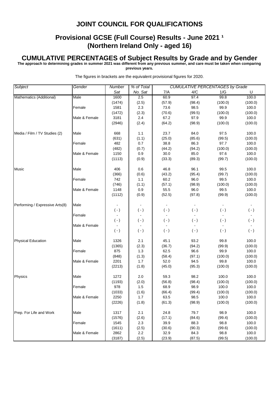# **Provisional GCSE (Full Course) Results - June 2021 1 (Northern Ireland Only - aged 16)**

#### **CUMULATIVE PERCENTAGES of Subject Results by Grade and by Gender**

**The approach to determining grades in summer 2021 was different from any previous summer, and care must be taken when comparing** 

**previous years.**

| <b>CUMULATIVE PERCENTAGES by Grade</b><br>Sat<br>7/A<br>No. Sat<br>4/C<br>1/G<br>U<br>60.9<br>97.4<br>99.8<br>100.0<br>Mathematics (Additional)<br>2.5<br>Male<br>1600<br>(2.5)<br>(57.9)<br>(1474)<br>(98.4)<br>(100.0)<br>(100.0)<br>99.9<br>2.3<br>73.6<br>98.5<br>100.0<br>Female<br>1581<br>(2.3)<br>(70.6)<br>(99.5)<br>(100.0)<br>(100.0)<br>(1472)<br>3181<br>2.4<br>67.2<br>97.9<br>99.9<br>100.0<br>Male & Female<br>(2946)<br>(2.4)<br>(64.2)<br>(98.9)<br>(100.0)<br>(100.0)<br>668<br>1.1<br>23.7<br>84.0<br>97.5<br>100.0<br>Media / Film / TV Studies (2)<br>Male<br>(25.0)<br>(1.1)<br>(85.6)<br>(99.5)<br>(100.0)<br>(631)<br>0.7<br>38.8<br>86.3<br>97.7<br>Female<br>482<br>100.0<br>(44.2)<br>(100.0)<br>(482)<br>(0.7)<br>(94.2)<br>(100.0)<br>Male & Female<br>30.0<br>85.0<br>97.6<br>100.0<br>1150<br>0.9<br>(1113)<br>(0.9)<br>(33.3)<br>(89.3)<br>(99.7)<br>(100.0)<br>Music<br>Male<br>46.8<br>96.1<br>99.5<br>100.0<br>406<br>0.6<br>(43.2)<br>(99.7)<br>(366)<br>(0.6)<br>(95.4)<br>(100.0)<br>742<br>1.1<br>60.2<br>96.0<br>99.5<br>Female<br>100.0<br>(746)<br>(1.1)<br>(57.1)<br>(100.0)<br>(98.9)<br>(100.0)<br>0.9<br>55.5<br>96.0<br>99.5<br>1148<br>100.0<br>Male & Female<br>(52.5)<br>(97.8)<br>(99.9)<br>(1112)<br>(0.9)<br>(100.0)<br>Performing / Expressive Arts(8)<br>Male<br>$\blacksquare$<br>$\sim$<br>$\blacksquare$<br>$\blacksquare$<br>$(-)$<br>$(-)$<br>$(\cdot)$<br>$(-)$<br>$(\cdot)$<br>$(\cdot)$<br>Female<br>$\mathbf{r}$<br>$\blacksquare$<br>$(-)$<br>$(-)$<br>$(\cdot)$<br>$(-)$<br>$(\cdot)$<br>$(\cdot)$<br>Male & Female<br>$\blacksquare$<br>$(-)$<br>$(-)$<br>$(\cdot)$<br>$(-)$<br>$(\cdot)$<br>$(\cdot)$<br><b>Physical Education</b><br>1326<br>45.1<br>93.2<br>99.8<br>100.0<br>Male<br>2.1<br>(2.3)<br>(36.7)<br>(1365)<br>(94.2)<br>(99.9)<br>(100.0)<br>62.5<br>99.9<br>875<br>1.3<br>96.6<br>100.0<br>Female<br>(58.4)<br>(100.0)<br>(848)<br>(1.3)<br>(97.1)<br>(100.0)<br>52.0<br>Male & Female<br>2201<br>1.7<br>94.5<br>99.8<br>100.0<br>(1.8)<br>(45.0)<br>(95.3)<br>(100.0)<br>(100.0)<br>(2213)<br>Physics<br>2.0<br>59.3<br>98.2<br>100.0<br>Male<br>1272<br>100.0<br>(1193)<br>(2.0)<br>(56.8)<br>(100.0)<br>(100.0)<br>(98.4)<br>Female<br>978<br>1.5<br>68.9<br>98.9<br>100.0<br>100.0<br>(1033)<br>(1.6)<br>(66.4)<br>(99.4)<br>(100.0)<br>(100.0)<br>63.5<br>100.0<br>Male & Female<br>2250<br>1.7<br>98.5<br>100.0<br>(1.8)<br>(61.3)<br>(100.0)<br>(2226)<br>(98.9)<br>(100.0)<br>Prep. For Life and Work<br>24.8<br>79.7<br>98.9<br>100.0<br>Male<br>1317<br>2.1<br>(2.6)<br>(17.1)<br>(1576)<br>(84.6)<br>(99.4)<br>(100.0)<br>2.3<br>39.9<br>88.3<br>98.8<br>Female<br>1545<br>100.0<br>(1611)<br>(2.5)<br>(30.6)<br>(90.3)<br>(99.6)<br>(100.0)<br>2862<br>2.2<br>32.9<br>84.3<br>98.8<br>100.0<br>Male & Female | Subject | Gender | Number | % of Total |        |        |        |         |  |
|-------------------------------------------------------------------------------------------------------------------------------------------------------------------------------------------------------------------------------------------------------------------------------------------------------------------------------------------------------------------------------------------------------------------------------------------------------------------------------------------------------------------------------------------------------------------------------------------------------------------------------------------------------------------------------------------------------------------------------------------------------------------------------------------------------------------------------------------------------------------------------------------------------------------------------------------------------------------------------------------------------------------------------------------------------------------------------------------------------------------------------------------------------------------------------------------------------------------------------------------------------------------------------------------------------------------------------------------------------------------------------------------------------------------------------------------------------------------------------------------------------------------------------------------------------------------------------------------------------------------------------------------------------------------------------------------------------------------------------------------------------------------------------------------------------------------------------------------------------------------------------------------------------------------------------------------------------------------------------------------------------------------------------------------------------------------------------------------------------------------------------------------------------------------------------------------------------------------------------------------------------------------------------------------------------------------------------------------------------------------------------------------------------------------------------------------------------------------------------------------------------------------------------------------------------------------------------------------------------------------------------------------------------------------------------------------------------------------------------------------------------------------------------------------------------------|---------|--------|--------|------------|--------|--------|--------|---------|--|
|                                                                                                                                                                                                                                                                                                                                                                                                                                                                                                                                                                                                                                                                                                                                                                                                                                                                                                                                                                                                                                                                                                                                                                                                                                                                                                                                                                                                                                                                                                                                                                                                                                                                                                                                                                                                                                                                                                                                                                                                                                                                                                                                                                                                                                                                                                                                                                                                                                                                                                                                                                                                                                                                                                                                                                                                             |         |        |        |            |        |        |        |         |  |
|                                                                                                                                                                                                                                                                                                                                                                                                                                                                                                                                                                                                                                                                                                                                                                                                                                                                                                                                                                                                                                                                                                                                                                                                                                                                                                                                                                                                                                                                                                                                                                                                                                                                                                                                                                                                                                                                                                                                                                                                                                                                                                                                                                                                                                                                                                                                                                                                                                                                                                                                                                                                                                                                                                                                                                                                             |         |        |        |            |        |        |        |         |  |
|                                                                                                                                                                                                                                                                                                                                                                                                                                                                                                                                                                                                                                                                                                                                                                                                                                                                                                                                                                                                                                                                                                                                                                                                                                                                                                                                                                                                                                                                                                                                                                                                                                                                                                                                                                                                                                                                                                                                                                                                                                                                                                                                                                                                                                                                                                                                                                                                                                                                                                                                                                                                                                                                                                                                                                                                             |         |        |        |            |        |        |        |         |  |
|                                                                                                                                                                                                                                                                                                                                                                                                                                                                                                                                                                                                                                                                                                                                                                                                                                                                                                                                                                                                                                                                                                                                                                                                                                                                                                                                                                                                                                                                                                                                                                                                                                                                                                                                                                                                                                                                                                                                                                                                                                                                                                                                                                                                                                                                                                                                                                                                                                                                                                                                                                                                                                                                                                                                                                                                             |         |        |        |            |        |        |        |         |  |
|                                                                                                                                                                                                                                                                                                                                                                                                                                                                                                                                                                                                                                                                                                                                                                                                                                                                                                                                                                                                                                                                                                                                                                                                                                                                                                                                                                                                                                                                                                                                                                                                                                                                                                                                                                                                                                                                                                                                                                                                                                                                                                                                                                                                                                                                                                                                                                                                                                                                                                                                                                                                                                                                                                                                                                                                             |         |        |        |            |        |        |        |         |  |
|                                                                                                                                                                                                                                                                                                                                                                                                                                                                                                                                                                                                                                                                                                                                                                                                                                                                                                                                                                                                                                                                                                                                                                                                                                                                                                                                                                                                                                                                                                                                                                                                                                                                                                                                                                                                                                                                                                                                                                                                                                                                                                                                                                                                                                                                                                                                                                                                                                                                                                                                                                                                                                                                                                                                                                                                             |         |        |        |            |        |        |        |         |  |
|                                                                                                                                                                                                                                                                                                                                                                                                                                                                                                                                                                                                                                                                                                                                                                                                                                                                                                                                                                                                                                                                                                                                                                                                                                                                                                                                                                                                                                                                                                                                                                                                                                                                                                                                                                                                                                                                                                                                                                                                                                                                                                                                                                                                                                                                                                                                                                                                                                                                                                                                                                                                                                                                                                                                                                                                             |         |        |        |            |        |        |        |         |  |
|                                                                                                                                                                                                                                                                                                                                                                                                                                                                                                                                                                                                                                                                                                                                                                                                                                                                                                                                                                                                                                                                                                                                                                                                                                                                                                                                                                                                                                                                                                                                                                                                                                                                                                                                                                                                                                                                                                                                                                                                                                                                                                                                                                                                                                                                                                                                                                                                                                                                                                                                                                                                                                                                                                                                                                                                             |         |        |        |            |        |        |        |         |  |
|                                                                                                                                                                                                                                                                                                                                                                                                                                                                                                                                                                                                                                                                                                                                                                                                                                                                                                                                                                                                                                                                                                                                                                                                                                                                                                                                                                                                                                                                                                                                                                                                                                                                                                                                                                                                                                                                                                                                                                                                                                                                                                                                                                                                                                                                                                                                                                                                                                                                                                                                                                                                                                                                                                                                                                                                             |         |        |        |            |        |        |        |         |  |
|                                                                                                                                                                                                                                                                                                                                                                                                                                                                                                                                                                                                                                                                                                                                                                                                                                                                                                                                                                                                                                                                                                                                                                                                                                                                                                                                                                                                                                                                                                                                                                                                                                                                                                                                                                                                                                                                                                                                                                                                                                                                                                                                                                                                                                                                                                                                                                                                                                                                                                                                                                                                                                                                                                                                                                                                             |         |        |        |            |        |        |        |         |  |
|                                                                                                                                                                                                                                                                                                                                                                                                                                                                                                                                                                                                                                                                                                                                                                                                                                                                                                                                                                                                                                                                                                                                                                                                                                                                                                                                                                                                                                                                                                                                                                                                                                                                                                                                                                                                                                                                                                                                                                                                                                                                                                                                                                                                                                                                                                                                                                                                                                                                                                                                                                                                                                                                                                                                                                                                             |         |        |        |            |        |        |        |         |  |
|                                                                                                                                                                                                                                                                                                                                                                                                                                                                                                                                                                                                                                                                                                                                                                                                                                                                                                                                                                                                                                                                                                                                                                                                                                                                                                                                                                                                                                                                                                                                                                                                                                                                                                                                                                                                                                                                                                                                                                                                                                                                                                                                                                                                                                                                                                                                                                                                                                                                                                                                                                                                                                                                                                                                                                                                             |         |        |        |            |        |        |        |         |  |
|                                                                                                                                                                                                                                                                                                                                                                                                                                                                                                                                                                                                                                                                                                                                                                                                                                                                                                                                                                                                                                                                                                                                                                                                                                                                                                                                                                                                                                                                                                                                                                                                                                                                                                                                                                                                                                                                                                                                                                                                                                                                                                                                                                                                                                                                                                                                                                                                                                                                                                                                                                                                                                                                                                                                                                                                             |         |        |        |            |        |        |        |         |  |
|                                                                                                                                                                                                                                                                                                                                                                                                                                                                                                                                                                                                                                                                                                                                                                                                                                                                                                                                                                                                                                                                                                                                                                                                                                                                                                                                                                                                                                                                                                                                                                                                                                                                                                                                                                                                                                                                                                                                                                                                                                                                                                                                                                                                                                                                                                                                                                                                                                                                                                                                                                                                                                                                                                                                                                                                             |         |        |        |            |        |        |        |         |  |
|                                                                                                                                                                                                                                                                                                                                                                                                                                                                                                                                                                                                                                                                                                                                                                                                                                                                                                                                                                                                                                                                                                                                                                                                                                                                                                                                                                                                                                                                                                                                                                                                                                                                                                                                                                                                                                                                                                                                                                                                                                                                                                                                                                                                                                                                                                                                                                                                                                                                                                                                                                                                                                                                                                                                                                                                             |         |        |        |            |        |        |        |         |  |
|                                                                                                                                                                                                                                                                                                                                                                                                                                                                                                                                                                                                                                                                                                                                                                                                                                                                                                                                                                                                                                                                                                                                                                                                                                                                                                                                                                                                                                                                                                                                                                                                                                                                                                                                                                                                                                                                                                                                                                                                                                                                                                                                                                                                                                                                                                                                                                                                                                                                                                                                                                                                                                                                                                                                                                                                             |         |        |        |            |        |        |        |         |  |
|                                                                                                                                                                                                                                                                                                                                                                                                                                                                                                                                                                                                                                                                                                                                                                                                                                                                                                                                                                                                                                                                                                                                                                                                                                                                                                                                                                                                                                                                                                                                                                                                                                                                                                                                                                                                                                                                                                                                                                                                                                                                                                                                                                                                                                                                                                                                                                                                                                                                                                                                                                                                                                                                                                                                                                                                             |         |        |        |            |        |        |        |         |  |
|                                                                                                                                                                                                                                                                                                                                                                                                                                                                                                                                                                                                                                                                                                                                                                                                                                                                                                                                                                                                                                                                                                                                                                                                                                                                                                                                                                                                                                                                                                                                                                                                                                                                                                                                                                                                                                                                                                                                                                                                                                                                                                                                                                                                                                                                                                                                                                                                                                                                                                                                                                                                                                                                                                                                                                                                             |         |        |        |            |        |        |        |         |  |
|                                                                                                                                                                                                                                                                                                                                                                                                                                                                                                                                                                                                                                                                                                                                                                                                                                                                                                                                                                                                                                                                                                                                                                                                                                                                                                                                                                                                                                                                                                                                                                                                                                                                                                                                                                                                                                                                                                                                                                                                                                                                                                                                                                                                                                                                                                                                                                                                                                                                                                                                                                                                                                                                                                                                                                                                             |         |        |        |            |        |        |        |         |  |
|                                                                                                                                                                                                                                                                                                                                                                                                                                                                                                                                                                                                                                                                                                                                                                                                                                                                                                                                                                                                                                                                                                                                                                                                                                                                                                                                                                                                                                                                                                                                                                                                                                                                                                                                                                                                                                                                                                                                                                                                                                                                                                                                                                                                                                                                                                                                                                                                                                                                                                                                                                                                                                                                                                                                                                                                             |         |        |        |            |        |        |        |         |  |
|                                                                                                                                                                                                                                                                                                                                                                                                                                                                                                                                                                                                                                                                                                                                                                                                                                                                                                                                                                                                                                                                                                                                                                                                                                                                                                                                                                                                                                                                                                                                                                                                                                                                                                                                                                                                                                                                                                                                                                                                                                                                                                                                                                                                                                                                                                                                                                                                                                                                                                                                                                                                                                                                                                                                                                                                             |         |        |        |            |        |        |        |         |  |
|                                                                                                                                                                                                                                                                                                                                                                                                                                                                                                                                                                                                                                                                                                                                                                                                                                                                                                                                                                                                                                                                                                                                                                                                                                                                                                                                                                                                                                                                                                                                                                                                                                                                                                                                                                                                                                                                                                                                                                                                                                                                                                                                                                                                                                                                                                                                                                                                                                                                                                                                                                                                                                                                                                                                                                                                             |         |        |        |            |        |        |        |         |  |
|                                                                                                                                                                                                                                                                                                                                                                                                                                                                                                                                                                                                                                                                                                                                                                                                                                                                                                                                                                                                                                                                                                                                                                                                                                                                                                                                                                                                                                                                                                                                                                                                                                                                                                                                                                                                                                                                                                                                                                                                                                                                                                                                                                                                                                                                                                                                                                                                                                                                                                                                                                                                                                                                                                                                                                                                             |         |        |        |            |        |        |        |         |  |
|                                                                                                                                                                                                                                                                                                                                                                                                                                                                                                                                                                                                                                                                                                                                                                                                                                                                                                                                                                                                                                                                                                                                                                                                                                                                                                                                                                                                                                                                                                                                                                                                                                                                                                                                                                                                                                                                                                                                                                                                                                                                                                                                                                                                                                                                                                                                                                                                                                                                                                                                                                                                                                                                                                                                                                                                             |         |        |        |            |        |        |        |         |  |
|                                                                                                                                                                                                                                                                                                                                                                                                                                                                                                                                                                                                                                                                                                                                                                                                                                                                                                                                                                                                                                                                                                                                                                                                                                                                                                                                                                                                                                                                                                                                                                                                                                                                                                                                                                                                                                                                                                                                                                                                                                                                                                                                                                                                                                                                                                                                                                                                                                                                                                                                                                                                                                                                                                                                                                                                             |         |        |        |            |        |        |        |         |  |
|                                                                                                                                                                                                                                                                                                                                                                                                                                                                                                                                                                                                                                                                                                                                                                                                                                                                                                                                                                                                                                                                                                                                                                                                                                                                                                                                                                                                                                                                                                                                                                                                                                                                                                                                                                                                                                                                                                                                                                                                                                                                                                                                                                                                                                                                                                                                                                                                                                                                                                                                                                                                                                                                                                                                                                                                             |         |        |        |            |        |        |        |         |  |
|                                                                                                                                                                                                                                                                                                                                                                                                                                                                                                                                                                                                                                                                                                                                                                                                                                                                                                                                                                                                                                                                                                                                                                                                                                                                                                                                                                                                                                                                                                                                                                                                                                                                                                                                                                                                                                                                                                                                                                                                                                                                                                                                                                                                                                                                                                                                                                                                                                                                                                                                                                                                                                                                                                                                                                                                             |         |        |        |            |        |        |        |         |  |
|                                                                                                                                                                                                                                                                                                                                                                                                                                                                                                                                                                                                                                                                                                                                                                                                                                                                                                                                                                                                                                                                                                                                                                                                                                                                                                                                                                                                                                                                                                                                                                                                                                                                                                                                                                                                                                                                                                                                                                                                                                                                                                                                                                                                                                                                                                                                                                                                                                                                                                                                                                                                                                                                                                                                                                                                             |         |        |        |            |        |        |        |         |  |
|                                                                                                                                                                                                                                                                                                                                                                                                                                                                                                                                                                                                                                                                                                                                                                                                                                                                                                                                                                                                                                                                                                                                                                                                                                                                                                                                                                                                                                                                                                                                                                                                                                                                                                                                                                                                                                                                                                                                                                                                                                                                                                                                                                                                                                                                                                                                                                                                                                                                                                                                                                                                                                                                                                                                                                                                             |         |        |        |            |        |        |        |         |  |
|                                                                                                                                                                                                                                                                                                                                                                                                                                                                                                                                                                                                                                                                                                                                                                                                                                                                                                                                                                                                                                                                                                                                                                                                                                                                                                                                                                                                                                                                                                                                                                                                                                                                                                                                                                                                                                                                                                                                                                                                                                                                                                                                                                                                                                                                                                                                                                                                                                                                                                                                                                                                                                                                                                                                                                                                             |         |        |        |            |        |        |        |         |  |
|                                                                                                                                                                                                                                                                                                                                                                                                                                                                                                                                                                                                                                                                                                                                                                                                                                                                                                                                                                                                                                                                                                                                                                                                                                                                                                                                                                                                                                                                                                                                                                                                                                                                                                                                                                                                                                                                                                                                                                                                                                                                                                                                                                                                                                                                                                                                                                                                                                                                                                                                                                                                                                                                                                                                                                                                             |         |        |        |            |        |        |        |         |  |
|                                                                                                                                                                                                                                                                                                                                                                                                                                                                                                                                                                                                                                                                                                                                                                                                                                                                                                                                                                                                                                                                                                                                                                                                                                                                                                                                                                                                                                                                                                                                                                                                                                                                                                                                                                                                                                                                                                                                                                                                                                                                                                                                                                                                                                                                                                                                                                                                                                                                                                                                                                                                                                                                                                                                                                                                             |         |        |        |            |        |        |        |         |  |
|                                                                                                                                                                                                                                                                                                                                                                                                                                                                                                                                                                                                                                                                                                                                                                                                                                                                                                                                                                                                                                                                                                                                                                                                                                                                                                                                                                                                                                                                                                                                                                                                                                                                                                                                                                                                                                                                                                                                                                                                                                                                                                                                                                                                                                                                                                                                                                                                                                                                                                                                                                                                                                                                                                                                                                                                             |         |        |        |            |        |        |        |         |  |
|                                                                                                                                                                                                                                                                                                                                                                                                                                                                                                                                                                                                                                                                                                                                                                                                                                                                                                                                                                                                                                                                                                                                                                                                                                                                                                                                                                                                                                                                                                                                                                                                                                                                                                                                                                                                                                                                                                                                                                                                                                                                                                                                                                                                                                                                                                                                                                                                                                                                                                                                                                                                                                                                                                                                                                                                             |         |        |        |            |        |        |        |         |  |
|                                                                                                                                                                                                                                                                                                                                                                                                                                                                                                                                                                                                                                                                                                                                                                                                                                                                                                                                                                                                                                                                                                                                                                                                                                                                                                                                                                                                                                                                                                                                                                                                                                                                                                                                                                                                                                                                                                                                                                                                                                                                                                                                                                                                                                                                                                                                                                                                                                                                                                                                                                                                                                                                                                                                                                                                             |         |        |        |            |        |        |        |         |  |
|                                                                                                                                                                                                                                                                                                                                                                                                                                                                                                                                                                                                                                                                                                                                                                                                                                                                                                                                                                                                                                                                                                                                                                                                                                                                                                                                                                                                                                                                                                                                                                                                                                                                                                                                                                                                                                                                                                                                                                                                                                                                                                                                                                                                                                                                                                                                                                                                                                                                                                                                                                                                                                                                                                                                                                                                             |         |        |        |            |        |        |        |         |  |
|                                                                                                                                                                                                                                                                                                                                                                                                                                                                                                                                                                                                                                                                                                                                                                                                                                                                                                                                                                                                                                                                                                                                                                                                                                                                                                                                                                                                                                                                                                                                                                                                                                                                                                                                                                                                                                                                                                                                                                                                                                                                                                                                                                                                                                                                                                                                                                                                                                                                                                                                                                                                                                                                                                                                                                                                             |         |        |        |            |        |        |        |         |  |
|                                                                                                                                                                                                                                                                                                                                                                                                                                                                                                                                                                                                                                                                                                                                                                                                                                                                                                                                                                                                                                                                                                                                                                                                                                                                                                                                                                                                                                                                                                                                                                                                                                                                                                                                                                                                                                                                                                                                                                                                                                                                                                                                                                                                                                                                                                                                                                                                                                                                                                                                                                                                                                                                                                                                                                                                             |         |        |        |            |        |        |        |         |  |
|                                                                                                                                                                                                                                                                                                                                                                                                                                                                                                                                                                                                                                                                                                                                                                                                                                                                                                                                                                                                                                                                                                                                                                                                                                                                                                                                                                                                                                                                                                                                                                                                                                                                                                                                                                                                                                                                                                                                                                                                                                                                                                                                                                                                                                                                                                                                                                                                                                                                                                                                                                                                                                                                                                                                                                                                             |         |        |        |            |        |        |        |         |  |
|                                                                                                                                                                                                                                                                                                                                                                                                                                                                                                                                                                                                                                                                                                                                                                                                                                                                                                                                                                                                                                                                                                                                                                                                                                                                                                                                                                                                                                                                                                                                                                                                                                                                                                                                                                                                                                                                                                                                                                                                                                                                                                                                                                                                                                                                                                                                                                                                                                                                                                                                                                                                                                                                                                                                                                                                             |         |        |        |            |        |        |        |         |  |
|                                                                                                                                                                                                                                                                                                                                                                                                                                                                                                                                                                                                                                                                                                                                                                                                                                                                                                                                                                                                                                                                                                                                                                                                                                                                                                                                                                                                                                                                                                                                                                                                                                                                                                                                                                                                                                                                                                                                                                                                                                                                                                                                                                                                                                                                                                                                                                                                                                                                                                                                                                                                                                                                                                                                                                                                             |         |        |        |            |        |        |        |         |  |
|                                                                                                                                                                                                                                                                                                                                                                                                                                                                                                                                                                                                                                                                                                                                                                                                                                                                                                                                                                                                                                                                                                                                                                                                                                                                                                                                                                                                                                                                                                                                                                                                                                                                                                                                                                                                                                                                                                                                                                                                                                                                                                                                                                                                                                                                                                                                                                                                                                                                                                                                                                                                                                                                                                                                                                                                             |         |        |        |            |        |        |        |         |  |
|                                                                                                                                                                                                                                                                                                                                                                                                                                                                                                                                                                                                                                                                                                                                                                                                                                                                                                                                                                                                                                                                                                                                                                                                                                                                                                                                                                                                                                                                                                                                                                                                                                                                                                                                                                                                                                                                                                                                                                                                                                                                                                                                                                                                                                                                                                                                                                                                                                                                                                                                                                                                                                                                                                                                                                                                             |         |        |        |            |        |        |        |         |  |
|                                                                                                                                                                                                                                                                                                                                                                                                                                                                                                                                                                                                                                                                                                                                                                                                                                                                                                                                                                                                                                                                                                                                                                                                                                                                                                                                                                                                                                                                                                                                                                                                                                                                                                                                                                                                                                                                                                                                                                                                                                                                                                                                                                                                                                                                                                                                                                                                                                                                                                                                                                                                                                                                                                                                                                                                             |         |        |        |            |        |        |        |         |  |
|                                                                                                                                                                                                                                                                                                                                                                                                                                                                                                                                                                                                                                                                                                                                                                                                                                                                                                                                                                                                                                                                                                                                                                                                                                                                                                                                                                                                                                                                                                                                                                                                                                                                                                                                                                                                                                                                                                                                                                                                                                                                                                                                                                                                                                                                                                                                                                                                                                                                                                                                                                                                                                                                                                                                                                                                             |         |        |        |            |        |        |        |         |  |
|                                                                                                                                                                                                                                                                                                                                                                                                                                                                                                                                                                                                                                                                                                                                                                                                                                                                                                                                                                                                                                                                                                                                                                                                                                                                                                                                                                                                                                                                                                                                                                                                                                                                                                                                                                                                                                                                                                                                                                                                                                                                                                                                                                                                                                                                                                                                                                                                                                                                                                                                                                                                                                                                                                                                                                                                             |         |        |        |            |        |        |        |         |  |
|                                                                                                                                                                                                                                                                                                                                                                                                                                                                                                                                                                                                                                                                                                                                                                                                                                                                                                                                                                                                                                                                                                                                                                                                                                                                                                                                                                                                                                                                                                                                                                                                                                                                                                                                                                                                                                                                                                                                                                                                                                                                                                                                                                                                                                                                                                                                                                                                                                                                                                                                                                                                                                                                                                                                                                                                             |         |        |        |            |        |        |        |         |  |
|                                                                                                                                                                                                                                                                                                                                                                                                                                                                                                                                                                                                                                                                                                                                                                                                                                                                                                                                                                                                                                                                                                                                                                                                                                                                                                                                                                                                                                                                                                                                                                                                                                                                                                                                                                                                                                                                                                                                                                                                                                                                                                                                                                                                                                                                                                                                                                                                                                                                                                                                                                                                                                                                                                                                                                                                             |         |        |        |            |        |        |        |         |  |
|                                                                                                                                                                                                                                                                                                                                                                                                                                                                                                                                                                                                                                                                                                                                                                                                                                                                                                                                                                                                                                                                                                                                                                                                                                                                                                                                                                                                                                                                                                                                                                                                                                                                                                                                                                                                                                                                                                                                                                                                                                                                                                                                                                                                                                                                                                                                                                                                                                                                                                                                                                                                                                                                                                                                                                                                             |         |        | (3187) | (2.5)      | (23.9) | (87.5) | (99.5) | (100.0) |  |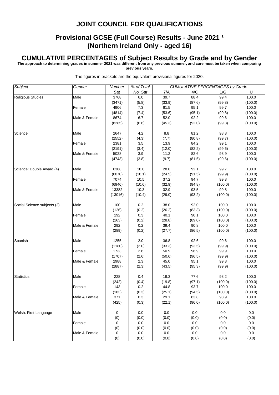# **Provisional GCSE (Full Course) Results - June 2021 1 (Northern Ireland Only - aged 16)**

#### **CUMULATIVE PERCENTAGES of Subject Results by Grade and by Gender**

**The approach to determining grades in summer 2021 was different from any previous summer, and care must be taken when comparing** 

**previous years.**

| Subject                     | Gender        | <b>Number</b> | % of Total |        |        | <b>CUMULATIVE PERCENTAGES by Grade</b> |         |  |
|-----------------------------|---------------|---------------|------------|--------|--------|----------------------------------------|---------|--|
|                             |               | Sat           | No. Sat    | 7/A    | 4/C    | 1/G                                    | U       |  |
| <b>Religious Studies</b>    | Male          | 3768          | 6.0        | 39.7   | 88.4   | 99.4                                   | 100.0   |  |
|                             |               | (3471)        | (5.8)      | (33.9) | (87.6) | (99.8)                                 | (100.0) |  |
|                             | Female        | 4906          | 7.3        | 61.5   | 95.1   | 99.7                                   | 100.0   |  |
|                             |               | (4814)        | (7.4)      | (53.6) | (95.1) | (99.8)                                 | (100.0) |  |
|                             | Male & Female | 8674          | 6.7        | 52.0   | 92.2   | 99.6                                   | 100.0   |  |
|                             |               | (8285)        | (6.6)      | (45.3) | (92.0) | (99.8)                                 | (100.0) |  |
|                             |               |               |            |        |        |                                        |         |  |
| Science                     | Male          | 2647          | 4.2        | 8.8    | 81.2   | 98.8                                   | 100.0   |  |
|                             |               | (2552)        | (4.3)      | (7.7)  | (80.8) | (99.7)                                 | (100.0) |  |
|                             | Female        | 2381          | 3.5        | 13.9   | 84.2   | 99.1                                   | 100.0   |  |
|                             |               | (2191)        | (3.4)      | (12.0) | (82.2) | (99.6)                                 | (100.0) |  |
|                             | Male & Female | 5028          | 3.9        | 11.2   | 82.6   | 98.9                                   | 100.0   |  |
|                             |               | (4743)        | (3.8)      | (9.7)  | (81.5) | (99.6)                                 | (100.0) |  |
|                             |               |               |            |        |        |                                        |         |  |
| Science: Double Award (4)   | Male          | 6308          | 10.0       | 28.0   | 92.1   | 99.7                                   | 100.0   |  |
|                             |               | (6070)        | (10.1)     | (24.5) | (91.5) | (99.9)                                 | (100.0) |  |
|                             | Female        | 7074          | 10.5       | 37.2   | 94.7   | 99.8                                   | 100.0   |  |
|                             |               | (6946)        | (10.6)     | (32.9) | (94.8) | (100.0)                                | (100.0) |  |
|                             | Male & Female | 13382         | 10.3       | 32.9   | 93.5   | 99.8                                   | 100.0   |  |
|                             |               | (13016)       | (10.4)     | (29.0) | (93.2) | (100.0)                                | (100.0) |  |
|                             |               |               |            |        |        |                                        |         |  |
| Social Science subjects (2) | Male          | 100           | 0.2        | 38.0   | 92.0   | 100.0                                  | 100.0   |  |
|                             |               | (126)         | (0.2)      | (26.2) | (83.3) | (100.0)                                | (100.0) |  |
|                             | Female        | 192           | 0.3        | 40.1   | 90.1   | 100.0                                  | 100.0   |  |
|                             |               | (163)         | (0.2)      | (28.8) | (89.0) | (100.0)                                | (100.0) |  |
|                             | Male & Female | 292           | 0.2        | 39.4   | 90.8   | 100.0                                  | 100.0   |  |
|                             |               | (289)         | (0.2)      | (27.7) | (86.5) | (100.0)                                | (100.0) |  |
|                             |               |               |            |        |        |                                        |         |  |
| Spanish                     | Male          | 1255          | 2.0        | 36.8   | 92.6   | 99.6                                   | 100.0   |  |
|                             |               | (1180)        | (2.0)      | (33.3) | (93.5) | (99.9)                                 | (100.0) |  |
|                             | Female        | 1733          | 2.6        | 50.9   | 96.9   | 99.9                                   | 100.0   |  |
|                             |               | (1707)        | (2.6)      | (50.6) | (96.5) | (99.9)                                 | (100.0) |  |
|                             | Male & Female | 2988          | 2.3        | 45.0   | 95.1   | 99.8                                   | 100.0   |  |
|                             |               | (2887)        | (2.3)      | (43.5) | (95.3) | (99.9)                                 | (100.0) |  |
|                             |               |               |            |        |        |                                        |         |  |
| <b>Statistics</b>           | Male          | 228           | 0.4        | 19.3   | 77.6   | 98.2                                   | 100.0   |  |
|                             |               | (242)         | (0.4)      | (19.8) | (97.1) | (100.0)                                | (100.0) |  |
|                             | Female        | 143           | 0.2        | 44.8   | 93.7   | 100.0                                  | 100.0   |  |
|                             |               | (183)         | (0.3)      | (25.1) | (94.5) | (100.0)                                | (100.0) |  |
|                             | Male & Female | 371           | 0.3        | 29.1   | 83.8   | 98.9                                   | 100.0   |  |
|                             |               | (425)         | (0.3)      | (22.1) | (96.0) | (100.0)                                | (100.0) |  |
|                             |               |               |            |        |        |                                        |         |  |
| Welsh: First Language       | Male          | 0             | 0.0        | 0.0    | 0.0    | 0.0                                    | 0.0     |  |
|                             |               | (0)           | (0.0)      | (0.0)  | (0.0)  | (0.0)                                  | (0.0)   |  |
|                             | Female        | 0             | 0.0        | 0.0    | 0.0    | 0.0                                    | 0.0     |  |
|                             |               | (0)           | (0.0)      | (0.0)  | (0.0)  | (0.0)                                  | (0.0)   |  |
|                             | Male & Female | 0             | 0.0        | 0.0    | 0.0    | 0.0                                    | 0.0     |  |
|                             |               | (0)           | (0.0)      | (0.0)  | (0.0)  | (0.0)                                  | (0.0)   |  |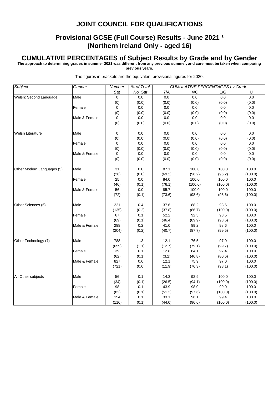# **Provisional GCSE (Full Course) Results - June 2021 1 (Northern Ireland Only - aged 16)**

#### **CUMULATIVE PERCENTAGES of Subject Results by Grade and by Gender**

**The approach to determining grades in summer 2021 was different from any previous summer, and care must be taken when comparing** 

**previous years.**

| Subject                    | Gender        | Number         | % of Total |         | <b>CUMULATIVE PERCENTAGES by Grade</b> |         |         |
|----------------------------|---------------|----------------|------------|---------|----------------------------------------|---------|---------|
|                            |               | Sat            | No. Sat    | 7/A     | 4/C                                    | 1/G     | U       |
| Welsh: Second Language     | Male          | $\overline{0}$ | 0.0        | 0.0     | 0.0                                    | 0.0     | 0.0     |
|                            |               | (0)            | (0.0)      | (0.0)   | (0.0)                                  | (0.0)   | (0.0)   |
|                            | Female        | 0              | 0.0        | $0.0\,$ | 0.0                                    | 0.0     | 0.0     |
|                            |               | (0)            | (0.0)      | (0.0)   | (0.0)                                  | (0.0)   | (0.0)   |
|                            | Male & Female | 0              | 0.0        | 0.0     | 0.0                                    | 0.0     | 0.0     |
|                            |               | (0)            | (0.0)      | (0.0)   | (0.0)                                  | (0.0)   | (0.0)   |
| Welsh Literature           | Male          | 0              | 0.0        | 0.0     | 0.0                                    | 0.0     | 0.0     |
|                            |               | (0)            | (0.0)      | (0.0)   | (0.0)                                  | (0.0)   | (0.0)   |
|                            | Female        | 0              | 0.0        | $0.0\,$ | 0.0                                    | 0.0     | 0.0     |
|                            |               | (0)            | (0.0)      | (0.0)   | (0.0)                                  | (0.0)   | (0.0)   |
|                            | Male & Female | $\mathbf 0$    | 0.0        | 0.0     | 0.0                                    | 0.0     | 0.0     |
|                            |               | (0)            | (0.0)      | (0.0)   | (0.0)                                  | (0.0)   | (0.0)   |
| Other Modern Languages (5) | Male          | 31             | 0.0        | 87.1    | 100.0                                  | 100.0   | 100.0   |
|                            |               | (26)           | (0.0)      | (69.2)  | (96.2)                                 | (96.2)  | (100.0) |
|                            | Female        | 25             | 0.0        | 84.0    | 100.0                                  | 100.0   | 100.0   |
|                            |               | (46)           | (0.1)      | (76.1)  | (100.0)                                | (100.0) | (100.0) |
|                            | Male & Female | 56             | 0.0        | 85.7    | 100.0                                  | 100.0   | 100.0   |
|                            |               | (72)           | (0.1)      | (73.6)  | (98.6)                                 | (98.6)  | (100.0) |
| Other Sciences (6)         | Male          | 221            | 0.4        | 37.6    | 88.2                                   | 98.6    | 100.0   |
|                            |               | (135)          | (0.2)      | (37.8)  | (86.7)                                 | (100.0) | (100.0) |
|                            | Female        | 67             | 0.1        | 52.2    | 92.5                                   | 98.5    | 100.0   |
|                            |               | (69)           | (0.1)      | (46.4)  | (89.9)                                 | (98.6)  | (100.0) |
|                            | Male & Female | 288            | 0.2        | 41.0    | 89.2                                   | 98.6    | 100.0   |
|                            |               | (204)          | (0.2)      | (40.7)  | (87.7)                                 | (99.5)  | (100.0) |
| Other Technology (7)       | Male          | 788            | 1.3        | 12.1    | 76.5                                   | 97.0    | 100.0   |
|                            |               | (659)          | (1.1)      | (12.7)  | (79.1)                                 | (99.7)  | (100.0) |
|                            | Female        | 39             | 0.1        | 12.8    | 64.1                                   | 97.4    | 100.0   |
|                            |               | (62)           | (0.1)      | (3.2)   | (46.8)                                 | (80.6)  | (100.0) |
|                            | Male & Female | 827            | 0.6        | 12.1    | 75.9                                   | 97.0    | 100.0   |
|                            |               | (721)          | (0.6)      | (11.9)  | (76.3)                                 | (98.1)  | (100.0) |
| All Other subjects         | Male          | 56             | 0.1        | 14.3    | 92.9                                   | 100.0   | 100.0   |
|                            |               | (34)           | (0.1)      | (26.5)  | (94.1)                                 | (100.0) | (100.0) |
|                            | Female        | 98             | 0.1        | 43.9    | 98.0                                   | 99.0    | 100.0   |
|                            |               | (82)           | (0.1)      | (51.2)  | (97.6)                                 | (100.0) | (100.0) |
|                            | Male & Female | 154            | 0.1        | 33.1    | 96.1                                   | 99.4    | 100.0   |
|                            |               | (116)          | (0.1)      | (44.0)  | (96.6)                                 | (100.0) | (100.0) |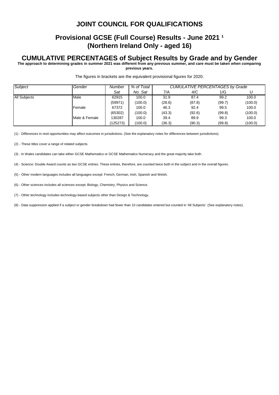## **Provisional GCSE (Full Course) Results - June 2021 1 (Northern Ireland Only - aged 16)**

#### **CUMULATIVE PERCENTAGES of Subject Results by Grade and by Gender**

**The approach to determining grades in summer 2021 was different from any previous summer, and care must be taken when comparing** 

**previous years.**

The figures in brackets are the equivalent provisional figures for 2020.

| Subject             | Gender        | Number   | % of Total | <b>CUMULATIVE PERCENTAGES by Grade</b> |        |        |         |  |
|---------------------|---------------|----------|------------|----------------------------------------|--------|--------|---------|--|
|                     |               | Sat      | No. Sat    | 7/A                                    | 4/C    | 1/G    |         |  |
| <b>All Subjects</b> | Male          | 62915    | 100.0      | 31.9                                   | 87.4   | 99.2   | 100.0   |  |
|                     |               | (59971)  | (100.0)    | (28.6)                                 | (87.8) | (99.7) | (100.0) |  |
|                     | Female        | 67372    | 100.0      | 46.3                                   | 92.4   | 99.5   | 100.0   |  |
|                     |               | (65302)  | (100.0)    | (43.3)                                 | (92.6) | (99.8) | (100.0) |  |
|                     | Male & Female | 130287   | 100.0      | 39.4                                   | 89.9   | 99.3   | 100.0   |  |
|                     |               | (125273) | (100.0)    | (36.3)                                 | (90.3) | (99.8) | (100.0) |  |

(1) - Differences in resit opportunities may affect outcomes in jurisdictions. (See the explanatory notes for differences between jurisdictions).

(2) - These titles cover a range of related subjects.

(3) - In Wales candidates can take either GCSE Mathematics or GCSE Mathematics Numeracy and the great majority take both.

(4) - Science: Double Award counts as two GCSE entries. These entries, therefore, are counted twice both in the subject and in the overall figures.

(5) - Other modern languages includes all languages except: French, German, Irish, Spanish and Welsh.

(6) - Other sciences includes all sciences except: Biology, Chemistry, Physics and Science.

(7) - Other technology includes technology-based subjects other than Design & Technology.

(8) - Data suppression applied if a subject or gender breakdown had fewer than 10 candidates entered but counted in 'All Subjects'. (See explanatory notes).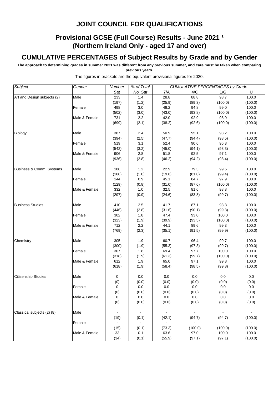# **Provisional GCSE (Full Course) Results - June 2021 1 (Northern Ireland Only - aged 17 and over)**

# **CUMULATIVE PERCENTAGES of Subject Results by Grade and by Gender**

**The approach to determining grades in summer 2021 was different from any previous summer, and care must be taken when comparing previous years.**

| Subject                     | Gender        | Number         | % of Total |        | <b>CUMULATIVE PERCENTAGES by Grade</b> |            |                |
|-----------------------------|---------------|----------------|------------|--------|----------------------------------------|------------|----------------|
|                             |               | Sat            | No. Sat    | 7/A    | 4/C                                    | 1/G        | U              |
| Art and Design subjects (2) | Male          | 233            | 1.4        | 28.8   | 88.8                                   | 98.7       | 100.0          |
|                             |               | (197)          | (1.2)      | (25.9) | (89.3)                                 | (100.0)    | (100.0)        |
|                             | Female        | 498            | 3.0        | 48.2   | 94.8                                   | 99.0       | 100.0          |
|                             |               | (502)          | (3.0)      | (43.0) | (93.8)                                 | (100.0)    | (100.0)        |
|                             | Male & Female | 731            | 2.2        | 42.0   | 92.9                                   | 98.9       | 100.0          |
|                             |               | (699)          | (2.1)      | (38.2) | (92.6)                                 | (100.0)    | (100.0)        |
| Biology                     | Male          | 387            | 2.4        | 50.9   | 95.1                                   | 98.2       | 100.0          |
|                             |               | (394)          | (2.5)      | (47.7) | (94.4)                                 | (98.5)     | (100.0)        |
|                             | Female        | 519            | 3.1        | 52.4   | 90.6                                   | 96.3       | 100.0          |
|                             |               | (542)          | (3.2)      | (45.0) | (94.1)                                 | (98.3)     | (100.0)        |
|                             | Male & Female | 906            | 2.8        | 51.8   | 92.5                                   | 97.1       | 100.0          |
|                             |               | (936)          | (2.8)      | (46.2) | (94.2)                                 | (98.4)     | (100.0)        |
| Business & Comm. Systems    | Male          | 188            | 1.2        | 22.9   | 79.3                                   | 99.5       | 100.0          |
|                             |               | (168)          | (1.0)      | (19.6) | (81.0)                                 | (99.4)     | (100.0)        |
|                             | Female        | 144            | 0.9        | 45.1   | 84.7                                   | 97.9       | 100.0          |
|                             |               | (129)          | (0.8)      | (31.0) | (87.6)                                 | (100.0)    | (100.0)        |
|                             | Male & Female | 332            | 1.0        | 32.5   | 81.6                                   | 98.8       | 100.0          |
|                             |               | (297)          | (0.9)      | (24.6) | (83.8)                                 | (99.7)     | (100.0)        |
| <b>Business Studies</b>     | Male          | 410            | 2.5        | 41.7   | 87.1                                   | 98.8       | 100.0          |
|                             |               | (446)          | (2.8)      | (31.6) | (90.1)                                 | (99.8)     | (100.0)        |
|                             | Female        | 302            | 1.8        | 47.4   | 93.0                                   | 100.0      | 100.0          |
|                             |               | (323)          | (1.9)      | (39.9) | (93.5)                                 | (100.0)    | (100.0)        |
|                             | Male & Female | 712            | 2.2        | 44.1   | 89.6                                   | 99.3       | 100.0          |
|                             |               | (769)          | (2.3)      | (35.1) | (91.5)                                 | (99.9)     | (100.0)        |
| Chemistry                   | Male          | 305            | 1.9        | 60.7   | 96.4                                   | 99.7       | 100.0          |
|                             |               | (300)          | (1.9)      | (55.3) | (97.3)                                 | (99.7)     | (100.0)        |
|                             | Female        | 307            | 1.8        | 69.4   | 97.7                                   | 100.0      | 100.0          |
|                             |               | (318)          | (1.9)      | (61.3) | (99.7)                                 | (100.0)    | (100.0)        |
|                             | Male & Female | 612            | 1.9        | 65.0   | 97.1                                   | 99.8       | 100.0          |
|                             |               | (618)          | (1.9)      | (58.4) | (98.5)                                 | (99.8)     | (100.0)        |
| <b>Citizenship Studies</b>  | Male          | 0              | 0.0        | 0.0    | 0.0                                    | 0.0        | 0.0            |
|                             |               | (0)            | (0.0)      | (0.0)  | (0.0)                                  | (0.0)      | (0.0)          |
|                             | Female        | 0              | 0.0        | 0.0    | 0.0                                    | 0.0        | 0.0            |
|                             |               | (0)            | (0.0)      | (0.0)  | (0.0)                                  | (0.0)      | (0.0)          |
|                             | Male & Female | 0              | 0.0        | 0.0    | 0.0                                    | 0.0        | 0.0            |
|                             |               | (0)            | (0.0)      | (0.0)  | (0.0)                                  | (0.0)      | (0.0)          |
| Classical subjects (2) (8)  | Male          |                |            | $\sim$ | $\sim$                                 | $\sim$     | $\sim$         |
|                             |               | (19)           | (0.1)      | (42.1) | (94.7)                                 | (94.7)     | (100.0)        |
|                             | Female        | $\blacksquare$ | $\bullet$  | $\sim$ | $\sim 10$                              | $\sim$ $-$ | $\sim$ $^{-1}$ |
|                             |               | (15)           | (0.1)      | (73.3) | (100.0)                                | (100.0)    | (100.0)        |
|                             | Male & Female | 33             | 0.1        | 63.6   | 97.0                                   | 100.0      | 100.0          |
|                             |               | (34)           | (0.1)      | (55.9) | (97.1)                                 | (97.1)     | (100.0)        |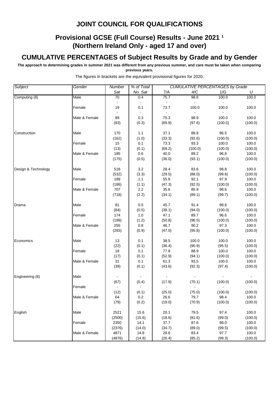# **Provisional GCSE (Full Course) Results - June 2021 1 (Northern Ireland Only - aged 17 and over)**

# **CUMULATIVE PERCENTAGES of Subject Results by Grade and by Gender**

**The approach to determining grades in summer 2021 was different from any previous summer, and care must be taken when comparing previous years.**

| Subject             | Gender        | Number         | % of Total |        | <b>CUMULATIVE PERCENTAGES by Grade</b> |         |                         |
|---------------------|---------------|----------------|------------|--------|----------------------------------------|---------|-------------------------|
|                     |               | Sat            | No. Sat    | 7/A    | 4/C                                    | 1/G     | U                       |
| Computing (8)       | Male          | 70             | 0.4        | 75.7   | 98.6                                   | 100.0   | 100.0                   |
|                     | Female        | 19             | 0.1        | 73.7   | 100.0                                  | 100.0   | $\blacksquare$<br>100.0 |
|                     | Male & Female | 89             | 0.3        | 75.3   | 98.9                                   | 100.0   | $\sim$<br>100.0         |
|                     |               | (83)           | (0.3)      | (69.9) | (97.6)                                 | (100.0) | (100.0)                 |
| Construction        | Male          | 170            | 1.1        | 37.1   | 88.8                                   | 96.5    | 100.0                   |
|                     |               | (162)          | (1.0)      | (33.3) | (92.6)                                 | (100.0) | (100.0)                 |
|                     | Female        | 15             | 0.1        | 73.3   | 93.3                                   | 100.0   | 100.0                   |
|                     |               | (13)           | (0.1)      | (69.2) | (100.0)                                | (100.0) | (100.0)                 |
|                     | Male & Female | 185            | 0.6        | 40.0   | 89.2                                   | 96.8    | 100.0                   |
|                     |               | (175)          | (0.5)      | (36.0) | (93.1)                                 | (100.0) | (100.0)                 |
| Design & Technology | Male          | 518            | 3.2        | 28.4   | 83.6                                   | 98.8    | 100.0                   |
|                     |               | (532)          | (3.3)      | (29.5) | (88.0)                                 | (99.6)  | (100.0)                 |
|                     | Female        | 189            | 1.1        | 55.6   | 92.1                                   | 97.9    | 100.0                   |
|                     |               | (186)          | (1.1)      | (47.3) | (92.5)                                 | (100.0) | (100.0)                 |
|                     | Male & Female | 707            | 2.2        | 35.6   | 85.9                                   | 98.6    | 100.0                   |
|                     |               | (718)          | (2.2)      | (34.1) | (89.1)                                 | (99.7)  | (100.0)                 |
| Drama               | Male          | 81             | 0.5        | 45.7   | 91.4                                   | 98.8    | 100.0                   |
|                     |               | (84)           | (0.5)      | (38.1) | (94.0)                                 | (100.0) | (100.0)                 |
|                     | Female        | 174            | 1.0        | 47.1   | 89.7                                   | 96.6    | 100.0                   |
|                     |               | (199)          | (1.2)      | (50.8) | (96.5)                                 | (100.0) | (100.0)                 |
|                     | Male & Female | 255            | 0.8        | 46.7   | 90.2                                   | 97.3    | 100.0                   |
|                     |               | (283)          | (0.9)      | (47.0) | (95.8)                                 | (100.0) | (100.0)                 |
| Economics           | Male          | 13             | 0.1        | 38.5   | 100.0                                  | 100.0   | 100.0                   |
|                     |               | (22)           | (0.1)      | (36.4) | (90.9)                                 | (95.5)  | (100.0)                 |
|                     | Female        | 18             | 0.1        | 77.8   | 88.9                                   | 100.0   | 100.0                   |
|                     |               | (17)           | (0.1)      | (52.9) | (94.1)                                 | (100.0) | (100.0)                 |
|                     | Male & Female | 31             | 0.1        | 61.3   | 93.5                                   | 100.0   | 100.0                   |
|                     |               | (39)           | (0.1)      | (43.6) | (92.3)                                 | (97.4)  | (100.0)                 |
| Engineering (8)     | Male          |                |            |        |                                        |         |                         |
|                     |               | (67)           | (0.4)      | (17.9) | (70.1)                                 | (100.0) | (100.0)                 |
|                     | Female        | $\blacksquare$ |            |        |                                        |         |                         |
|                     |               | (12)           | (0.1)      | (25.0) | (75.0)                                 | (100.0) | (100.0)                 |
|                     | Male & Female | 64             | 0.2        | 26.6   | 79.7                                   | 98.4    | 100.0                   |
|                     |               | (79)           | (0.2)      | (19.0) | (70.9)                                 | (100.0) | (100.0)                 |
| English             | Male          | 2521           | 15.6       | 20.1   | 79.5                                   | 97.4    | 100.0                   |
|                     |               | (2500)         | (15.6)     | (18.6) | (81.6)                                 | (99.0)  | (100.0)                 |
|                     | Female        | 2350           | 14.1       | 37.7   | 87.6                                   | 98.0    | 100.0                   |
|                     |               | (2376)         | (14.0)     | (34.7) | (89.0)                                 | (99.5)  | (100.0)                 |
|                     | Male & Female | 4871           | 14.8       | 28.6   | 83.4                                   | 97.7    | 100.0                   |
|                     |               | (4876)         | (14.8)     | (26.4) | (85.2)                                 | (99.3)  | (100.0)                 |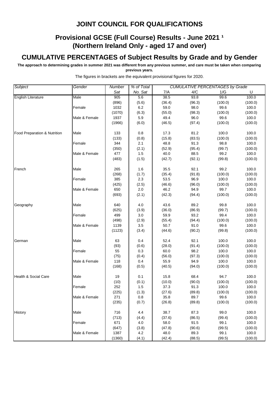# **Provisional GCSE (Full Course) Results - June 2021 1 (Northern Ireland Only - aged 17 and over)**

# **CUMULATIVE PERCENTAGES of Subject Results by Grade and by Gender**

**The approach to determining grades in summer 2021 was different from any previous summer, and care must be taken when comparing previous years.**

| Subject                      | Gender        | Number | % of Total |        |        | <b>CUMULATIVE PERCENTAGES by Grade</b> |         |
|------------------------------|---------------|--------|------------|--------|--------|----------------------------------------|---------|
|                              |               | Sat    | No. Sat    | 7/A    | 4/C    | 1/G                                    | U       |
| <b>English Literature</b>    | Male          | 905    | 5.6        | 38.5   | 93.8   | 99.6                                   | 100.0   |
|                              |               | (896)  | (5.6)      | (36.4) | (96.3) | (100.0)                                | (100.0) |
|                              | Female        | 1032   | 6.2        | 59.0   | 98.0   | 99.6                                   | 100.0   |
|                              |               | (1070) | (6.3)      | (55.0) | (98.3) | (100.0)                                | (100.0) |
|                              | Male & Female | 1937   | 5.9        | 49.4   | 96.0   | 99.6                                   | 100.0   |
|                              |               | (1966) | (6.0)      | (46.5) | (97.4) | (100.0)                                | (100.0) |
| Food Preparation & Nutrition | Male          | 133    | 0.8        | 17.3   | 81.2   | 100.0                                  | 100.0   |
|                              |               | (133)  | (0.8)      | (15.8) | (83.5) | (100.0)                                | (100.0) |
|                              | Female        | 344    | 2.1        | 48.8   | 91.3   | 98.8                                   | 100.0   |
|                              |               | (350)  | (2.1)      | (52.9) | (95.4) | (99.7)                                 | (100.0) |
|                              | Male & Female | 477    | 1.5        | 40.0   | 88.5   | 99.2                                   | 100.0   |
|                              |               | (483)  | (1.5)      | (42.7) | (92.1) | (99.8)                                 | (100.0) |
| French                       | Male          | 265    | 1.6        | 35.5   | 92.1   | 99.2                                   | 100.0   |
|                              |               | (268)  | (1.7)      | (35.4) | (91.8) | (100.0)                                | (100.0) |
|                              | Female        | 385    | 2.3        | 53.5   | 96.9   | 100.0                                  | 100.0   |
|                              |               | (425)  | (2.5)      | (46.6) | (96.0) | (100.0)                                | (100.0) |
|                              | Male & Female | 650    | 2.0        | 46.2   | 94.9   | 99.7                                   | 100.0   |
|                              |               | (693)  | (2.1)      | (42.3) | (94.4) | (100.0)                                | (100.0) |
| Geography                    | Male          | 640    | 4.0        | 43.6   | 89.2   | 99.8                                   | 100.0   |
|                              |               | (625)  | (3.9)      | (36.0) | (86.9) | (99.7)                                 | (100.0) |
|                              | Female        | 499    | 3.0        | 59.9   | 93.2   | 99.4                                   | 100.0   |
|                              |               | (498)  | (2.9)      | (55.4) | (94.4) | (100.0)                                | (100.0) |
|                              | Male & Female | 1139   | 3.5        | 50.7   | 91.0   | 99.6                                   | 100.0   |
|                              |               | (1123) | (3.4)      | (44.6) | (90.2) | (99.8)                                 | (100.0) |
| German                       | Male          | 63     | 0.4        | 52.4   | 92.1   | 100.0                                  | 100.0   |
|                              |               | (93)   | (0.6)      | (28.0) | (91.4) | (100.0)                                | (100.0) |
|                              | Female        | 55     | 0.3        | 60.0   | 98.2   | 100.0                                  | 100.0   |
|                              |               | (75)   | (0.4)      | (56.0) | (97.3) | (100.0)                                | (100.0) |
|                              | Male & Female | 118    | 0.4        | 55.9   | 94.9   | 100.0                                  | 100.0   |
|                              |               | (168)  | (0.5)      | (40.5) | (94.0) | (100.0)                                | (100.0) |
| Health & Social Care         | Male          | 19     | 0.1        | 15.8   | 68.4   | 94.7                                   | 100.0   |
|                              |               | (10)   | (0.1)      | (10.0) | (90.0) | (100.0)                                | (100.0) |
|                              | Female        | 252    | 1.5        | 37.3   | 91.3   | 100.0                                  | 100.0   |
|                              |               | (225)  | (1.3)      | (27.6) | (89.8) | (100.0)                                | (100.0) |
|                              | Male & Female | 271    | 0.8        | 35.8   | 89.7   | 99.6                                   | 100.0   |
|                              |               | (235)  | (0.7)      | (26.8) | (89.8) | (100.0)                                | (100.0) |
| <b>History</b>               | Male          | 716    | 4.4        | 38.7   | 87.3   | 99.0                                   | 100.0   |
|                              |               | (713)  | (4.4)      | (37.6) | (86.5) | (99.4)                                 | (100.0) |
|                              | Female        | 671    | 4.0        | 58.0   | 91.5   | 99.1                                   | 100.0   |
|                              |               | (647)  | (3.8)      | (47.8) | (90.6) | (99.5)                                 | (100.0) |
|                              | Male & Female | 1387   | 4.2        | 48.0   | 89.3   | 99.1                                   | 100.0   |
|                              |               | (1360) | (4.1)      | (42.4) | (88.5) | (99.5)                                 | (100.0) |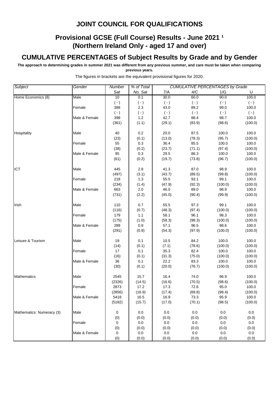# **Provisional GCSE (Full Course) Results - June 2021 1 (Northern Ireland Only - aged 17 and over)**

# **CUMULATIVE PERCENTAGES of Subject Results by Grade and by Gender**

**The approach to determining grades in summer 2021 was different from any previous summer, and care must be taken when comparing previous years.**

| Subject                   | Gender        | Number      | % of Total |           |           | <b>CUMULATIVE PERCENTAGES by Grade</b> |           |
|---------------------------|---------------|-------------|------------|-----------|-----------|----------------------------------------|-----------|
|                           |               | Sat         | No. Sat    | 7/A       | 4/C       | 1/G                                    | U         |
| Home Economics (8)        | Male          | 10          | 0.1        | 30.0      | 60.0      | 90.0                                   | 100.0     |
|                           |               | $(-)$       | $(\cdot)$  | $(-)$     | $(\cdot)$ | $(\cdot)$                              | $(\cdot)$ |
|                           | Female        | 388         | 2.3        | 43.0      | 89.2      | 99.0                                   | 100.0     |
|                           |               | $(\cdot)$   | $(\cdot)$  | $(\cdot)$ | $(\cdot)$ | $(\cdot)$                              | $(\cdot)$ |
|                           | Male & Female | 398         | $1.2$      | 42.7      | 88.4      | 98.7                                   | 100.0     |
|                           |               | (361)       | (1.1)      | (29.1)    | (83.9)    | (98.6)                                 | (100.0)   |
| Hospitality               | Male          | 40          | 0.2        | 20.0      | 87.5      | 100.0                                  | 100.0     |
|                           |               | (23)        | (0.1)      | (13.0)    | (78.3)    | (95.7)                                 | (100.0)   |
|                           | Female        | 55          | 0.3        | 36.4      | 85.5      | 100.0                                  | 100.0     |
|                           |               | (38)        | (0.2)      | (23.7)    | (71.1)    | (97.4)                                 | (100.0)   |
|                           | Male & Female | 95          | 0.3        | 29.5      | 86.3      | 100.0                                  | 100.0     |
|                           |               | (61)        | (0.2)      | (19.7)    | (73.8)    | (96.7)                                 | (100.0)   |
| ICT                       | Male          | 445         | 2.8        | 41.3      | 87.0      | 98.9                                   | 100.0     |
|                           |               | (497)       | (3.1)      | (43.7)    | (89.5)    | (99.8)                                 | (100.0)   |
|                           | Female        | 218         | 1.3        | 55.5      | 93.1      | 99.1                                   | 100.0     |
|                           |               | (234)       | (1.4)      | (47.9)    | (92.3)    | (100.0)                                | (100.0)   |
|                           | Male & Female | 663         | 2.0        | 46.0      | 89.0      | 98.9                                   | 100.0     |
|                           |               | (731)       | (2.2)      | (45.0)    | (90.4)    | (99.9)                                 | (100.0)   |
| Irish                     | Male          | 110         | 0.7        | 55.5      | 97.3      | 99.1                                   | 100.0     |
|                           |               | (116)       | (0.7)      | (48.3)    | (97.4)    | (100.0)                                | (100.0)   |
|                           | Female        | 179         | 1.1        | 58.1      | 96.1      | 98.3                                   | 100.0     |
|                           |               | (175)       | (1.0)      | (58.3)    | (98.3)    | (100.0)                                | (100.0)   |
|                           | Male & Female | 289         | 0.9        | 57.1      | 96.5      | 98.6                                   | 100.0     |
|                           |               | (291)       | (0.9)      | (54.3)    | (97.9)    | (100.0)                                | (100.0)   |
| Leisure & Tourism         | Male          | 19          | 0.1        | 10.5      | 84.2      | 100.0                                  | 100.0     |
|                           |               | (14)        | (0.1)      | (7.1)     | (78.6)    | (100.0)                                | (100.0)   |
|                           | Female        | 17          | 0.1        | 35.3      | 82.4      | 100.0                                  | 100.0     |
|                           |               | (16)        | (0.1)      | (31.3)    | (75.0)    | (100.0)                                | (100.0)   |
|                           | Male & Female | 36          | 0.1        | 22.2      | 83.3      | 100.0                                  | 100.0     |
|                           |               | (30)        | (0.1)      | (20.0)    | (76.7)    | (100.0)                                | (100.0)   |
| <b>Mathematics</b>        | Male          | 2545        | 15.7       | 16.4      | 74.0      | 96.9                                   | 100.0     |
|                           |               | (2326)      | (14.5)     | (16.6)    | (70.5)    | (98.6)                                 | (100.0)   |
|                           | Female        | 2873        | 17.2       | 17.3      | 72.6      | 95.0                                   | 100.0     |
|                           |               | (2856)      | (16.9)     | (17.4)    | (69.8)    | (98.4)                                 | (100.0)   |
|                           | Male & Female | 5418        | 16.5       | 16.9      | 73.3      | 95.9                                   | 100.0     |
|                           |               | (5182)      | (15.7)     | (17.0)    | (70.1)    | (98.5)                                 | (100.0)   |
| Mathematics: Numeracy (3) | Male          | $\mathbf 0$ | 0.0        | 0.0       | 0.0       | 0.0                                    | 0.0       |
|                           |               | (0)         | (0.0)      | (0.0)     | (0.0)     | (0.0)                                  | (0.0)     |
|                           | Female        | 0           | 0.0        | 0.0       | 0.0       | 0.0                                    | 0.0       |
|                           |               | (0)         | (0.0)      | (0.0)     | (0.0)     | (0.0)                                  | (0.0)     |
|                           | Male & Female | 0           | 0.0        | 0.0       | 0.0       | 0.0                                    | 0.0       |
|                           |               | (0)         | (0.0)      | (0.0)     | (0.0)     | (0.0)                                  | (0.0)     |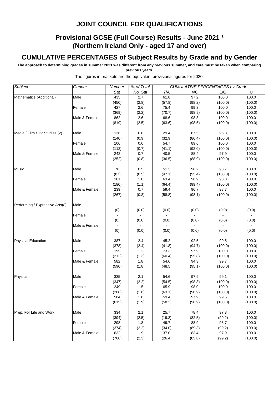# **Provisional GCSE (Full Course) Results - June 2021 1 (Northern Ireland Only - aged 17 and over)**

# **CUMULATIVE PERCENTAGES of Subject Results by Grade and by Gender**

**The approach to determining grades in summer 2021 was different from any previous summer, and care must be taken when comparing previous years.**

| Subject                         | Gender        | Number | % of Total |        |        | <b>CUMULATIVE PERCENTAGES by Grade</b> |         |
|---------------------------------|---------------|--------|------------|--------|--------|----------------------------------------|---------|
|                                 |               | Sat    | No. Sat    | 7/A    | 4/C    | 1/G                                    | U       |
| Mathematics (Additional)        | Male          | 435    | 2.7        | 61.8   | 97.2   | 100.0                                  | 100.0   |
|                                 |               | (450)  | (2.8)      | (57.8) | (98.2) | (100.0)                                | (100.0) |
|                                 | Female        | 427    | 2.6        | 75.4   | 99.3   | 100.0                                  | 100.0   |
|                                 |               | (369)  | (2.2)      | (70.7) | (98.9) | (100.0)                                | (100.0) |
|                                 | Male & Female | 862    | 2.6        | 68.6   | 98.3   | 100.0                                  | 100.0   |
|                                 |               | (819)  | (2.5)      | (63.6) | (98.5) | (100.0)                                | (100.0) |
| Media / Film / TV Studies (2)   | Male          | 136    | 0.8        | 29.4   | 87.5   | 96.3                                   | 100.0   |
|                                 |               | (140)  | (0.9)      | (32.9) | (86.4) | (100.0)                                | (100.0) |
|                                 | Female        | 106    | 0.6        | 54.7   | 89.6   | 100.0                                  | 100.0   |
|                                 |               | (112)  | (0.7)      | (41.1) | (92.0) | (100.0)                                | (100.0) |
|                                 | Male & Female | 242    | 0.7        | 40.5   | 88.4   | 97.9                                   | 100.0   |
|                                 |               | (252)  | (0.8)      | (36.5) | (88.9) | (100.0)                                | (100.0) |
| Music                           | Male          | 78     | 0.5        | 51.3   | 96.2   | 98.7                                   | 100.0   |
|                                 |               | (87)   | (0.5)      | (47.1) | (95.4) | (100.0)                                | (100.0) |
|                                 | Female        | 161    | 1.0        | 63.4   | 96.9   | 98.8                                   | 100.0   |
|                                 |               | (180)  | (1.1)      | (64.4) | (99.4) | (100.0)                                | (100.0) |
|                                 | Male & Female | 239    | 0.7        | 59.4   | 96.7   | 98.7                                   | 100.0   |
|                                 |               | (267)  | (0.8)      | (58.8) | (98.1) | (100.0)                                | (100.0) |
| Performing / Expressive Arts(8) | Male          |        |            |        |        |                                        |         |
|                                 |               | (0)    | (0.0)      | (0.0)  | (0.0)  | (0.0)                                  | (0.0)   |
|                                 | Female        |        |            |        |        |                                        |         |
|                                 |               | (0)    | (0.0)      | (0.0)  | (0.0)  | (0.0)                                  | (0.0)   |
|                                 | Male & Female |        |            |        |        |                                        |         |
|                                 |               | (0)    | (0.0)      | (0.0)  | (0.0)  | (0.0)                                  | (0.0)   |
| <b>Physical Education</b>       | Male          | 387    | 2.4        | 45.2   | 92.5   | 99.5                                   | 100.0   |
|                                 |               | (378)  | (2.4)      | (41.8) | (94.7) | (100.0)                                | (100.0) |
|                                 | Female        | 195    | 1.2        | 73.3   | 97.9   | 100.0                                  | 100.0   |
|                                 |               | (212)  | (1.3)      | (60.4) | (95.8) | (100.0)                                | (100.0) |
|                                 | Male & Female | 582    | 1.8        | 54.6   | 94.3   | 99.7                                   | 100.0   |
|                                 |               | (590)  | (1.8)      | (48.5) | (95.1) | (100.0)                                | (100.0) |
| Physics                         | Male          | 335    | 2.1        | 54.6   | 97.9   | 99.1                                   | 100.0   |
|                                 |               | (347)  | (2.2)      | (54.5) | (98.8) | (100.0)                                | (100.0) |
|                                 | Female        | 249    | 1.5        | 65.9   | 98.0   | 100.0                                  | 100.0   |
|                                 |               | (268)  | (1.6)      | (63.1) | (98.9) | (100.0)                                | (100.0) |
|                                 | Male & Female | 584    | 1.8        | 59.4   | 97.9   | 99.5                                   | 100.0   |
|                                 |               | (615)  | (1.9)      | (58.2) | (98.9) | (100.0)                                | (100.0) |
| Prep. For Life and Work         | Male          | 334    | 2.1        | 25.7   | 78.4   | 97.3                                   | 100.0   |
|                                 |               | (394)  | (2.5)      | (19.3) | (82.5) | (99.2)                                 | (100.0) |
|                                 | Female        | 298    | 1.8        | 49.7   | 88.9   | 98.7                                   | 100.0   |
|                                 |               | (374)  | (2.2)      | (34.0) | (89.3) | (99.2)                                 | (100.0) |
|                                 | Male & Female | 632    | 1.9        | 37.0   | 83.4   | 97.9                                   | 100.0   |
|                                 |               | (768)  | (2.3)      | (26.4) | (85.8) | (99.2)                                 | (100.0) |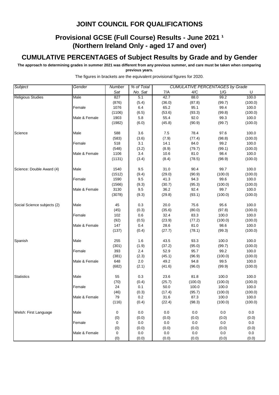# **Provisional GCSE (Full Course) Results - June 2021 1 (Northern Ireland Only - aged 17 and over)**

# **CUMULATIVE PERCENTAGES of Subject Results by Grade and by Gender**

**The approach to determining grades in summer 2021 was different from any previous summer, and care must be taken when comparing previous years.**

| Subject                     | Gender        | Number | % of Total |         | <b>CUMULATIVE PERCENTAGES by Grade</b> |         |         |  |
|-----------------------------|---------------|--------|------------|---------|----------------------------------------|---------|---------|--|
|                             |               | Sat    | No. Sat    | 7/A     | 4/C                                    | 1/G     | U       |  |
| <b>Religious Studies</b>    | Male          | 827    | 5.1        | 42.7    | 88.0                                   | 99.2    | 100.0   |  |
|                             |               | (876)  | (5.4)      | (36.0)  | (87.8)                                 | (99.7)  | (100.0) |  |
|                             | Female        | 1076   | 6.4        | 65.2    | 95.1                                   | 99.4    | 100.0   |  |
|                             |               | (1106) | (6.5)      | (53.6)  | (93.3)                                 | (99.8)  | (100.0) |  |
|                             | Male & Female | 1903   | 5.8        | 55.4    | 92.0                                   | 99.3    | 100.0   |  |
|                             |               | (1982) | (6.0)      | (45.8)  | (90.9)                                 | (99.7)  | (100.0) |  |
| Science                     | Male          | 588    | 3.6        | 7.5     | 78.4                                   | 97.6    | 100.0   |  |
|                             |               | (583)  | (3.6)      | (7.9)   | (77.4)                                 | (98.8)  | (100.0) |  |
|                             | Female        | 518    | 3.1        | 14.1    | 84.0                                   | 99.2    | 100.0   |  |
|                             |               | (548)  | (3.2)      | (8.9)   | (79.7)                                 | (99.1)  | (100.0) |  |
|                             | Male & Female | 1106   | 3.4        | 10.6    | 81.0                                   | 98.4    | 100.0   |  |
|                             |               | (1131) | (3.4)      | (8.4)   | (78.5)                                 | (98.9)  | (100.0) |  |
| Science: Double Award (4)   | Male          | 1540   | 9.5        | 31.0    | 90.4                                   | 99.7    | 100.0   |  |
|                             |               | (1512) | (9.4)      | (29.0)  | (90.9)                                 | (100.0) | (100.0) |  |
|                             | Female        | 1590   | 9.5        | 41.3    | 94.3                                   | 99.6    | 100.0   |  |
|                             |               | (1566) | (9.3)      | (30.7)  | (95.3)                                 | (100.0) | (100.0) |  |
|                             | Male & Female | 3130   | 9.5        | 36.2    | 92.4                                   | 99.7    | 100.0   |  |
|                             |               | (3078) | (9.3)      | (29.8)  | (93.1)                                 | (100.0) | (100.0) |  |
| Social Science subjects (2) | Male          | 45     | 0.3        | 20.0    | 75.6                                   | 95.6    | 100.0   |  |
|                             |               | (45)   | (0.3)      | (35.6)  | (80.0)                                 | (97.8)  | (100.0) |  |
|                             | Female        | 102    | 0.6        | 32.4    | 83.3                                   | 100.0   | 100.0   |  |
|                             |               | (92)   | (0.5)      | (23.9)  | (77.2)                                 | (100.0) | (100.0) |  |
|                             | Male & Female | 147    | 0.4        | 28.6    | 81.0                                   | 98.6    | 100.0   |  |
|                             |               | (137)  | (0.4)      | (27.7)  | (78.1)                                 | (99.3)  | (100.0) |  |
| Spanish                     | Male          | 255    | 1.6        | 43.5    | 93.3                                   | 100.0   | 100.0   |  |
|                             |               | (301)  | (1.9)      | (37.2)  | (95.0)                                 | (99.7)  | (100.0) |  |
|                             | Female        | 393    | 2.4        | 52.9    | 95.7                                   | 99.2    | 100.0   |  |
|                             |               | (381)  | (2.3)      | (45.1)  | (96.9)                                 | (100.0) | (100.0) |  |
|                             | Male & Female | 648    | 2.0        | 49.2    | 94.8                                   | 99.5    | 100.0   |  |
|                             |               | (682)  | (2.1)      | (41.6)  | (96.0)                                 | (99.9)  | (100.0) |  |
| <b>Statistics</b>           | Male          | 55     | 0.3        | 23.6    | 81.8                                   | 100.0   | 100.0   |  |
|                             |               | (70)   | (0.4)      | (25.7)  | (100.0)                                | (100.0) | (100.0) |  |
|                             | Female        | 24     | 0.1        | 50.0    | 100.0                                  | 100.0   | 100.0   |  |
|                             |               | (46)   | (0.3)      | (17.4)  | (95.7)                                 | (100.0) | (100.0) |  |
|                             | Male & Female | 79     | 0.2        | 31.6    | 87.3                                   | 100.0   | 100.0   |  |
|                             |               | (116)  | (0.4)      | (22.4)  | (98.3)                                 | (100.0) | (100.0) |  |
| Welsh: First Language       | Male          | 0      | 0.0        | 0.0     | $0.0\,$                                | $0.0\,$ | 0.0     |  |
|                             |               | (0)    | (0.0)      | (0.0)   | (0.0)                                  | (0.0)   | (0.0)   |  |
|                             | Female        | 0      | 0.0        | $0.0\,$ | $0.0\,$                                | 0.0     | $0.0\,$ |  |
|                             |               | (0)    | (0.0)      | (0.0)   | (0.0)                                  | (0.0)   | (0.0)   |  |
|                             | Male & Female | 0      | 0.0        | 0.0     | 0.0                                    | 0.0     | 0.0     |  |
|                             |               | (0)    | (0.0)      | (0.0)   | (0.0)                                  | (0.0)   | (0.0)   |  |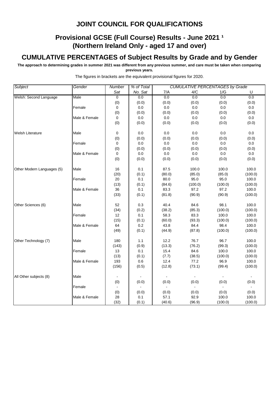# **Provisional GCSE (Full Course) Results - June 2021 1 (Northern Ireland Only - aged 17 and over)**

# **CUMULATIVE PERCENTAGES of Subject Results by Grade and by Gender**

**The approach to determining grades in summer 2021 was different from any previous summer, and care must be taken when comparing previous years.**

| Subject                    | Gender        | Number         | % of Total |        | <b>CUMULATIVE PERCENTAGES by Grade</b> |         |         |
|----------------------------|---------------|----------------|------------|--------|----------------------------------------|---------|---------|
|                            |               | Sat            | No. Sat    | 7/A    | 4/C                                    | 1/G     | U       |
| Welsh: Second Language     | Male          | $\overline{0}$ | 0.0        | 0.0    | 0.0                                    | 0.0     | 0.0     |
|                            |               | (0)            | (0.0)      | (0.0)  | (0.0)                                  | (0.0)   | (0.0)   |
|                            | Female        | 0              | 0.0        | 0.0    | 0.0                                    | 0.0     | 0.0     |
|                            |               | (0)            | (0.0)      | (0.0)  | (0.0)                                  | (0.0)   | (0.0)   |
|                            | Male & Female | 0              | 0.0        | 0.0    | 0.0                                    | 0.0     | 0.0     |
|                            |               | (0)            | (0.0)      | (0.0)  | (0.0)                                  | (0.0)   | (0.0)   |
| <b>Welsh Literature</b>    | Male          | 0              | 0.0        | 0.0    | 0.0                                    | 0.0     | 0.0     |
|                            |               | (0)            | (0.0)      | (0.0)  | (0.0)                                  | (0.0)   | (0.0)   |
|                            | Female        | 0              | 0.0        | 0.0    | 0.0                                    | 0.0     | 0.0     |
|                            |               | (0)            | (0.0)      | (0.0)  | (0.0)                                  | (0.0)   | (0.0)   |
|                            | Male & Female | $\mathbf 0$    | 0.0        | 0.0    | 0.0                                    | 0.0     | 0.0     |
|                            |               | (0)            | (0.0)      | (0.0)  | (0.0)                                  | (0.0)   | (0.0)   |
| Other Modern Languages (5) | Male          | 16             | 0.1        | 87.5   | 100.0                                  | 100.0   | 100.0   |
|                            |               | (20)           | (0.1)      | (80.0) | (85.0)                                 | (85.0)  | (100.0) |
|                            | Female        | 20             | 0.1        | 80.0   | 95.0                                   | 95.0    | 100.0   |
|                            |               | (13)           | (0.1)      | (84.6) | (100.0)                                | (100.0) | (100.0) |
|                            | Male & Female | 36             | 0.1        | 83.3   | 97.2                                   | 97.2    | 100.0   |
|                            |               | (33)           | (0.1)      | (81.8) | (90.9)                                 | (90.9)  | (100.0) |
| Other Sciences (6)         | Male          | 52             | 0.3        | 40.4   | 84.6                                   | 98.1    | 100.0   |
|                            |               | (34)           | (0.2)      | (38.2) | (85.3)                                 | (100.0) | (100.0) |
|                            | Female        | 12             | 0.1        | 58.3   | 83.3                                   | 100.0   | 100.0   |
|                            |               | (15)           | (0.1)      | (60.0) | (93.3)                                 | (100.0) | (100.0) |
|                            | Male & Female | 64             | 0.2        | 43.8   | 84.4                                   | 98.4    | 100.0   |
|                            |               | (49)           | (0.1)      | (44.9) | (87.8)                                 | (100.0) | (100.0) |
| Other Technology (7)       | Male          | 180            | 1.1        | 12.2   | 76.7                                   | 96.7    | 100.0   |
|                            |               | (143)          | (0.9)      | (13.3) | (76.2)                                 | (99.3)  | (100.0) |
|                            | Female        | 13             | 0.1        | 15.4   | 84.6                                   | 100.0   | 100.0   |
|                            |               | (13)           | (0.1)      | (7.7)  | (38.5)                                 | (100.0) | (100.0) |
|                            | Male & Female | 193            | 0.6        | 12.4   | 77.2                                   | 96.9    | 100.0   |
|                            |               | (156)          | (0.5)      | (12.8) | (73.1)                                 | (99.4)  | (100.0) |
| All Other subjects (8)     | Male          |                |            |        |                                        |         |         |
|                            |               | (0)            | (0.0)      | (0.0)  | (0.0)                                  | (0.0)   | (0.0)   |
|                            | Female        |                |            |        |                                        |         |         |
|                            |               | (0)            | (0.0)      | (0.0)  | (0.0)                                  | (0.0)   | (0.0)   |
|                            | Male & Female | 28             | 0.1        | 57.1   | 92.9                                   | 100.0   | 100.0   |
|                            |               | (32)           | (0.1)      | (40.6) | (96.9)                                 | (100.0) | (100.0) |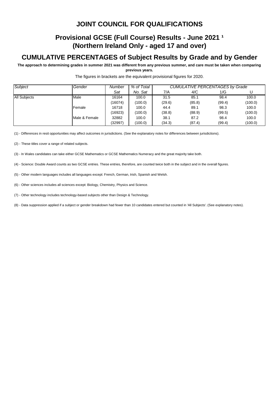# **Provisional GCSE (Full Course) Results - June 2021 1 (Northern Ireland Only - aged 17 and over)**

### **CUMULATIVE PERCENTAGES of Subject Results by Grade and by Gender**

**The approach to determining grades in summer 2021 was different from any previous summer, and care must be taken when comparing previous years.**

| Subject             | Gender        | Number  | % of Total | <b>CUMULATIVE PERCENTAGES by Grade</b> |        |        |         |  |
|---------------------|---------------|---------|------------|----------------------------------------|--------|--------|---------|--|
|                     |               | Sat     | No. Sat    | 7/A                                    | 4/C    | 1/G    | U       |  |
| <b>All Subjects</b> | Male          | 16164   | 100.0      | 31.5                                   | 85.1   | 98.4   | 100.0   |  |
|                     |               | (16074) | (100.0)    | (29.6)                                 | (85.8) | (99.4) | (100.0) |  |
|                     | Female        | 16718   | 100.0      | 44.4                                   | 89.1   | 98.3   | 100.0   |  |
|                     |               | (16923) | (100.0)    | (38.8)                                 | (88.9) | (99.5) | (100.0) |  |
|                     | Male & Female | 32882   | 100.0      | 38.1                                   | 87.2   | 98.4   | 100.0   |  |
|                     |               | (32997) | (100.0)    | (34.3)                                 | (87.4) | (99.4) | (100.0) |  |

The figures in brackets are the equivalent provisional figures for 2020.

(1) - Differences in resit opportunities may affect outcomes in jurisdictions. (See the explanatory notes for differences between jurisdictions).

(2) - These titles cover a range of related subjects.

(3) - In Wales candidates can take either GCSE Mathematics or GCSE Mathematics Numeracy and the great majority take both.

(4) - Science: Double Award counts as two GCSE entries. These entries, therefore, are counted twice both in the subject and in the overall figures.

(5) - Other modern languages includes all languages except: French, German, Irish, Spanish and Welsh.

(6) - Other sciences includes all sciences except: Biology, Chemistry, Physics and Science.

(7) - Other technology includes technology-based subjects other than Design & Technology.

(8) - Data suppression applied if a subject or gender breakdown had fewer than 10 candidates entered but counted in 'All Subjects'. (See explanatory notes).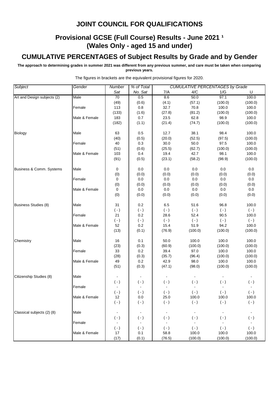# **Provisional GCSE (Full Course) Results - June 2021 1 (Wales Only - aged 15 and under)**

# **CUMULATIVE PERCENTAGES of Subject Results by Grade and by Gender**

**The approach to determining grades in summer 2021 was different from any previous summer, and care must be taken when comparing previous years.**

| Subject                     | Gender        | Number           | % of Total     |                | <b>CUMULATIVE PERCENTAGES by Grade</b> |                |                |
|-----------------------------|---------------|------------------|----------------|----------------|----------------------------------------|----------------|----------------|
|                             |               | Sat              | No. Sat        | 7/A            | 4/C                                    | 1/G            | U              |
| Art and Design subjects (2) | Male          | 70               | 0.5            | 8.6            | 50.0                                   | 97.1           | 100.0          |
|                             |               | (49)             | (0.6)          | (4.1)          | (57.1)                                 | (100.0)        | (100.0)        |
|                             | Female        | 113              | 0.8            | 32.7           | 70.8                                   | 100.0          | 100.0          |
|                             |               | (133)            | (1.6)          | (27.8)         | (81.2)                                 | (100.0)        | (100.0)        |
|                             | Male & Female | 183              | 0.7            | 23.5           | 62.8                                   | 98.9           | 100.0          |
|                             |               | (182)            | (1.1)          | (21.4)         | (74.7)                                 | (100.0)        | (100.0)        |
|                             |               |                  |                |                |                                        |                |                |
| <b>Biology</b>              | Male          | 63               | 0.5            | 12.7           | 38.1                                   | 98.4           | 100.0          |
|                             |               | (40)             | (0.5)          | (20.0)         | (52.5)                                 | (97.5)         | (100.0)        |
|                             | Female        | 40               | 0.3            | 30.0           | 50.0                                   | 97.5           | 100.0          |
|                             |               | (51)             | (0.6)          | (25.5)         | (62.7)                                 | (100.0)        | (100.0)        |
|                             | Male & Female | 103              | 0.4            | 19.4           | 42.7                                   | 98.1           | 100.0          |
|                             |               | (91)             | (0.5)          | (23.1)         | (58.2)                                 | (98.9)         | (100.0)        |
|                             |               |                  |                |                |                                        |                |                |
| Business & Comm. Systems    | Male          | 0                | 0.0            | 0.0            | 0.0                                    | 0.0            | $0.0\,$        |
|                             |               | (0)              | (0.0)          | (0.0)          | (0.0)                                  | (0.0)          | (0.0)          |
|                             | Female        | 0                | 0.0            | 0.0            | 0.0                                    | 0.0            | 0.0            |
|                             |               | (0)              | (0.0)          | (0.0)          | (0.0)                                  | (0.0)          | (0.0)          |
|                             | Male & Female | 0                | 0.0            | 0.0            | 0.0                                    | 0.0            | $0.0\,$        |
|                             |               | (0)              | (0.0)          | (0.0)          | (0.0)                                  | (0.0)          | (0.0)          |
| <b>Business Studies (8)</b> | Male          | 31               | 0.2            | 6.5            | 51.6                                   | 96.8           | 100.0          |
|                             |               | $(-)$            | $(-)$          | $(\cdot)$      | $(-)$                                  | $(\cdot)$      | $(\cdot)$      |
|                             | Female        | 21               | 0.2            | 28.6           | 52.4                                   | 90.5           | 100.0          |
|                             |               | $(\cdot)$        | $(\cdot)$      | $(\cdot)$      | $(\cdot)$                              | $(\cdot)$      | $(\cdot)$      |
|                             | Male & Female | 52               | 0.2            | 15.4           | 51.9                                   | 94.2           | 100.0          |
|                             |               | (13)             | (0.1)          | (76.9)         | (100.0)                                | (100.0)        | (100.0)        |
|                             |               |                  |                |                |                                        |                |                |
| Chemistry                   | Male          | 16               | 0.1            | 50.0           | 100.0                                  | 100.0          | 100.0          |
|                             |               | (23)             | (0.3)          | (60.9)         | (100.0)                                | (100.0)        | (100.0)        |
|                             | Female        | 33               | 0.2            | 39.4           | 97.0                                   | 100.0          | 100.0          |
|                             |               | (28)             | (0.3)          | (35.7)         | (96.4)                                 | (100.0)        | (100.0)        |
|                             | Male & Female | 49               | 0.2            | 42.9           | 98.0                                   | 100.0          | 100.0          |
|                             |               | (51)             | (0.3)          | (47.1)         | (98.0)                                 | (100.0)        | (100.0)        |
|                             |               |                  |                |                |                                        |                |                |
| Citizenship Studies (8)     | Male          |                  |                |                |                                        |                |                |
|                             |               | $(\cdot)$        | $(\cdot)$      | $(\cdot)$      | $(\cdot)$                              | $(\cdot)$      | $(\cdot)$      |
|                             | Female        | $\blacksquare$   | $\Box$         | ä,             |                                        |                |                |
|                             |               | $(\,\text{-}\,)$ | $(\cdot)$      | $(\cdot)$      | $(\cdot)$                              | $(\cdot)$      | $(\cdot)$      |
|                             | Male & Female | 12               | 0.0            | 25.0           | 100.0                                  | 100.0          | 100.0          |
|                             |               | $(\cdot)$        | $(\cdot)$      | $(\cdot)$      | $(\cdot)$                              | $(\cdot)$      | $(\cdot)$      |
| Classical subjects (2) (8)  | Male          | $\blacksquare$   | $\blacksquare$ | $\blacksquare$ | $\blacksquare$                         | $\blacksquare$ | $\blacksquare$ |
|                             |               | $(\cdot)$        | $(\cdot)$      | $(\cdot)$      | $(\cdot)$                              | $(\cdot)$      | $(\cdot)$      |
|                             | Female        | $\blacksquare$   | $\blacksquare$ | $\blacksquare$ | $\sim$                                 | $\blacksquare$ | $\bullet$      |
|                             |               | $(\cdot)$        | $(\cdot)$      | $(\cdot)$      | $(\cdot)$                              | $(\cdot)$      | $(\cdot)$      |
|                             | Male & Female | 17               | 0.1            | 58.8           | 100.0                                  | 100.0          | 100.0          |
|                             |               | (17)             | (0.1)          | (76.5)         | (100.0)                                | (100.0)        | (100.0)        |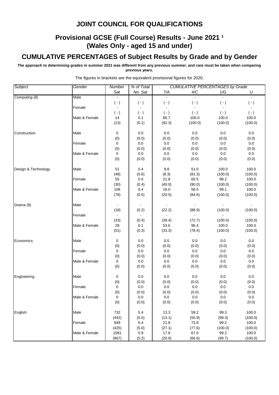# **Provisional GCSE (Full Course) Results - June 2021 1 (Wales Only - aged 15 and under)**

# **CUMULATIVE PERCENTAGES of Subject Results by Grade and by Gender**

**The approach to determining grades in summer 2021 was different from any previous summer, and care must be taken when comparing previous years.**

| Subject             | Gender        | Number         | % of Total |                | <b>CUMULATIVE PERCENTAGES by Grade</b> |                |                |
|---------------------|---------------|----------------|------------|----------------|----------------------------------------|----------------|----------------|
|                     |               | Sat            | No. Sat    | 7/A            | 4/C                                    | 1/G            | U              |
| Computing (8)       | Male          |                |            | $\sim$         |                                        |                | $\blacksquare$ |
|                     |               | $(\cdot)$      | $(\cdot)$  | $( - )$        | $(\cdot)$                              | $( - )$        | $(\cdot)$      |
|                     | Female        | $\blacksquare$ |            | $\blacksquare$ |                                        | $\blacksquare$ | $\blacksquare$ |
|                     |               | $(-)$          | $(\cdot)$  | $(\cdot)$      | $(-)$                                  | $(\cdot)$      | $(\cdot)$      |
|                     | Male & Female | 14             | 0.1        | 85.7           | 100.0                                  | 100.0          | 100.0          |
|                     |               | (13)           | (0.1)      | (92.3)         | (100.0)                                | (100.0)        | (100.0)        |
| Construction        | Male          | 0              | 0.0        | 0.0            | 0.0                                    | 0.0            | $0.0\,$        |
|                     |               | (0)            | (0.0)      | (0.0)          | (0.0)                                  | (0.0)          | (0.0)          |
|                     | Female        | 0              | 0.0        | $0.0\,$        | 0.0                                    | 0.0            | 0.0            |
|                     |               | (0)            | (0.0)      | (0.0)          | (0.0)                                  | (0.0)          | (0.0)          |
|                     | Male & Female | 0              | 0.0        | 0.0            | 0.0                                    | 0.0            | 0.0            |
|                     |               | (0)            | (0.0)      | (0.0)          | (0.0)                                  | (0.0)          | (0.0)          |
| Design & Technology | Male          | 51             | 0.4        | 9.8            | 51.0                                   | 100.0          | 100.0          |
|                     |               | (48)           | (0.6)      | (8.3)          | (81.3)                                 | (100.0)        | (100.0)        |
|                     | Female        | 55             | 0.4        | 21.8           | 65.5                                   | 98.2           | 100.0          |
|                     |               | (30)           | (0.4)      | (40.0)         | (90.0)                                 | (100.0)        | (100.0)        |
|                     | Male & Female | 106            | 0.4        | 16.0           | 58.5                                   | 99.1           | 100.0          |
|                     |               | (78)           | (0.5)      | (20.5)         | (84.6)                                 | (100.0)        | (100.0)        |
| Drama (8)           | Male          | $\blacksquare$ | $\sim$     | $\blacksquare$ |                                        |                |                |
|                     |               | (18)           | (0.2)      | (22.2)         | (88.9)                                 | (100.0)        | (100.0)        |
|                     | Female        |                |            | $\blacksquare$ | $\blacksquare$                         |                | $\blacksquare$ |
|                     |               | (33)           | (0.4)      | (39.4)         | (72.7)                                 | (100.0)        | (100.0)        |
|                     | Male & Female | 28             | 0.1        | 53.6           | 96.4                                   | 100.0          | 100.0          |
|                     |               | (51)           | (0.3)      | (33.3)         | (78.4)                                 | (100.0)        | (100.0)        |
| Economics           | Male          | 0              | 0.0        | 0.0            | 0.0                                    | 0.0            | 0.0            |
|                     |               | (0)            | (0.0)      | (0.0)          | (0.0)                                  | (0.0)          | (0.0)          |
|                     | Female        | 0              | 0.0        | 0.0            | 0.0                                    | 0.0            | $0.0\,$        |
|                     |               | (0)            | (0.0)      | (0.0)          | (0.0)                                  | (0.0)          | (0.0)          |
|                     | Male & Female | 0              | 0.0        | 0.0            | 0.0                                    | 0.0            | 0.0            |
|                     |               | (0)            | (0.0)      | (0.0)          | (0.0)                                  | (0.0)          | (0.0)          |
| Engineering         | Male          | 0              | 0.0        | 0.0            | 0.0                                    | 0.0            | 0.0            |
|                     |               | (0)            | (0.0)      | (0.0)          | (0.0)                                  | (0.0)          | (0.0)          |
|                     | Female        | $\mathbf 0$    | 0.0        | 0.0            | 0.0                                    | 0.0            | $0.0\,$        |
|                     |               | (0)            | (0.0)      | (0.0)          | (0.0)                                  | (0.0)          | (0.0)          |
|                     | Male & Female | 0              | 0.0        | 0.0            | 0.0                                    | 0.0            | 0.0            |
|                     |               | (0)            | (0.0)      | (0.0)          | (0.0)                                  | (0.0)          | (0.0)          |
| English             | Male          | 732            | 5.4        | 13.3           | 59.2                                   | 99.3           | 100.0          |
|                     |               | (442)          | (5.5)      | (13.1)         | (55.9)                                 | (99.3)         | (100.0)        |
|                     | Female        | 849            | 6.4        | 21.8           | 73.9                                   | 99.2           | 100.0          |
|                     |               | (425)          | (5.0)      | (27.1)         | (77.6)                                 | (100.0)        | (100.0)        |
|                     | Male & Female | 1581           | 5.9        | 17.8           | 67.0                                   | 99.2           | 100.0          |
|                     |               | (867)          | (5.2)      | (20.0)         | (66.6)                                 | (99.7)         | (100.0)        |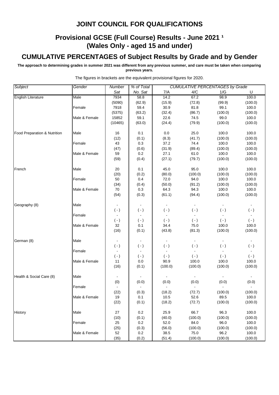# **Provisional GCSE (Full Course) Results - June 2021 1 (Wales Only - aged 15 and under)**

# **CUMULATIVE PERCENTAGES of Subject Results by Grade and by Gender**

**The approach to determining grades in summer 2021 was different from any previous summer, and care must be taken when comparing previous years.**

| Subject<br>Gender<br>% of Total<br><b>CUMULATIVE PERCENTAGES by Grade</b><br>Number<br>Sat<br>No. Sat<br>7/A<br>4/C<br>1/G<br>U<br>14.2<br>67.2<br>98.9<br>100.0<br><b>English Literature</b><br>Male<br>7934<br>58.8<br>(5090)<br>(62.9)<br>(15.9)<br>(72.8)<br>(99.9)<br>(100.0)<br>30.9<br>7918<br>59.4<br>81.8<br>99.1<br>100.0<br>Female<br>(32.4)<br>(86.7)<br>(100.0)<br>(100.0)<br>(5375)<br>(63.2)<br>99.0<br>Male & Female<br>15852<br>59.1<br>22.6<br>74.5<br>100.0<br>(100.0)<br>(10465)<br>(63.0)<br>(24.4)<br>(79.9)<br>(100.0)<br>16<br>0.1<br>0.0<br>25.0<br>100.0<br>100.0<br>Food Preparation & Nutrition<br>Male<br>(8.3)<br>(100.0)<br>(12)<br>(0.1)<br>(41.7)<br>(100.0)<br>0.3<br>37.2<br>74.4<br>100.0<br>100.0<br>Female<br>43<br>(100.0)<br>(47)<br>(0.6)<br>(31.9)<br>(89.4)<br>(100.0)<br>0.2<br>Male & Female<br>59<br>27.1<br>61.0<br>100.0<br>100.0<br>(27.1)<br>(59)<br>(0.4)<br>(79.7)<br>(100.0)<br>(100.0)<br>French<br>Male<br>0.1<br>45.0<br>95.0<br>100.0<br>100.0<br>20 |  |
|---------------------------------------------------------------------------------------------------------------------------------------------------------------------------------------------------------------------------------------------------------------------------------------------------------------------------------------------------------------------------------------------------------------------------------------------------------------------------------------------------------------------------------------------------------------------------------------------------------------------------------------------------------------------------------------------------------------------------------------------------------------------------------------------------------------------------------------------------------------------------------------------------------------------------------------------------------------------------------------------------------------|--|
|                                                                                                                                                                                                                                                                                                                                                                                                                                                                                                                                                                                                                                                                                                                                                                                                                                                                                                                                                                                                               |  |
|                                                                                                                                                                                                                                                                                                                                                                                                                                                                                                                                                                                                                                                                                                                                                                                                                                                                                                                                                                                                               |  |
|                                                                                                                                                                                                                                                                                                                                                                                                                                                                                                                                                                                                                                                                                                                                                                                                                                                                                                                                                                                                               |  |
|                                                                                                                                                                                                                                                                                                                                                                                                                                                                                                                                                                                                                                                                                                                                                                                                                                                                                                                                                                                                               |  |
|                                                                                                                                                                                                                                                                                                                                                                                                                                                                                                                                                                                                                                                                                                                                                                                                                                                                                                                                                                                                               |  |
|                                                                                                                                                                                                                                                                                                                                                                                                                                                                                                                                                                                                                                                                                                                                                                                                                                                                                                                                                                                                               |  |
|                                                                                                                                                                                                                                                                                                                                                                                                                                                                                                                                                                                                                                                                                                                                                                                                                                                                                                                                                                                                               |  |
|                                                                                                                                                                                                                                                                                                                                                                                                                                                                                                                                                                                                                                                                                                                                                                                                                                                                                                                                                                                                               |  |
|                                                                                                                                                                                                                                                                                                                                                                                                                                                                                                                                                                                                                                                                                                                                                                                                                                                                                                                                                                                                               |  |
|                                                                                                                                                                                                                                                                                                                                                                                                                                                                                                                                                                                                                                                                                                                                                                                                                                                                                                                                                                                                               |  |
|                                                                                                                                                                                                                                                                                                                                                                                                                                                                                                                                                                                                                                                                                                                                                                                                                                                                                                                                                                                                               |  |
|                                                                                                                                                                                                                                                                                                                                                                                                                                                                                                                                                                                                                                                                                                                                                                                                                                                                                                                                                                                                               |  |
|                                                                                                                                                                                                                                                                                                                                                                                                                                                                                                                                                                                                                                                                                                                                                                                                                                                                                                                                                                                                               |  |
|                                                                                                                                                                                                                                                                                                                                                                                                                                                                                                                                                                                                                                                                                                                                                                                                                                                                                                                                                                                                               |  |
|                                                                                                                                                                                                                                                                                                                                                                                                                                                                                                                                                                                                                                                                                                                                                                                                                                                                                                                                                                                                               |  |
|                                                                                                                                                                                                                                                                                                                                                                                                                                                                                                                                                                                                                                                                                                                                                                                                                                                                                                                                                                                                               |  |
| (0.2)<br>(80.0)<br>(100.0)<br>(20)<br>(100.0)<br>(100.0)                                                                                                                                                                                                                                                                                                                                                                                                                                                                                                                                                                                                                                                                                                                                                                                                                                                                                                                                                      |  |
| 50<br>0.4<br>72.0<br>94.0<br>100.0<br>100.0<br>Female                                                                                                                                                                                                                                                                                                                                                                                                                                                                                                                                                                                                                                                                                                                                                                                                                                                                                                                                                         |  |
| (34)<br>(0.4)<br>(100.0)<br>(100.0)<br>(50.0)<br>(91.2)                                                                                                                                                                                                                                                                                                                                                                                                                                                                                                                                                                                                                                                                                                                                                                                                                                                                                                                                                       |  |
| 64.3<br>Male & Female<br>70<br>0.3<br>94.3<br>100.0<br>100.0                                                                                                                                                                                                                                                                                                                                                                                                                                                                                                                                                                                                                                                                                                                                                                                                                                                                                                                                                  |  |
| (54)<br>(61.1)<br>(100.0)<br>(100.0)<br>(0.3)<br>(94.4)                                                                                                                                                                                                                                                                                                                                                                                                                                                                                                                                                                                                                                                                                                                                                                                                                                                                                                                                                       |  |
|                                                                                                                                                                                                                                                                                                                                                                                                                                                                                                                                                                                                                                                                                                                                                                                                                                                                                                                                                                                                               |  |
| Geography (8)<br>Male<br>$\blacksquare$<br>$\blacksquare$                                                                                                                                                                                                                                                                                                                                                                                                                                                                                                                                                                                                                                                                                                                                                                                                                                                                                                                                                     |  |
| $(-)$<br>$(\cdot)$<br>$(\cdot)$<br>$(\cdot)$<br>$(\cdot)$<br>$(\cdot)$                                                                                                                                                                                                                                                                                                                                                                                                                                                                                                                                                                                                                                                                                                                                                                                                                                                                                                                                        |  |
| Female                                                                                                                                                                                                                                                                                                                                                                                                                                                                                                                                                                                                                                                                                                                                                                                                                                                                                                                                                                                                        |  |
| $(\cdot)$<br>$(\cdot)$<br>$(\cdot)$<br>$(\cdot)$<br>$(-)$<br>$(\cdot)$                                                                                                                                                                                                                                                                                                                                                                                                                                                                                                                                                                                                                                                                                                                                                                                                                                                                                                                                        |  |
| 34.4<br>100.0<br>100.0<br>Male & Female<br>32<br>0.1<br>75.0                                                                                                                                                                                                                                                                                                                                                                                                                                                                                                                                                                                                                                                                                                                                                                                                                                                                                                                                                  |  |
| (16)<br>(0.1)<br>(43.8)<br>(81.3)<br>(100.0)<br>(100.0)                                                                                                                                                                                                                                                                                                                                                                                                                                                                                                                                                                                                                                                                                                                                                                                                                                                                                                                                                       |  |
|                                                                                                                                                                                                                                                                                                                                                                                                                                                                                                                                                                                                                                                                                                                                                                                                                                                                                                                                                                                                               |  |
| German (8)<br>Male                                                                                                                                                                                                                                                                                                                                                                                                                                                                                                                                                                                                                                                                                                                                                                                                                                                                                                                                                                                            |  |
| $(\cdot)$<br>$( - )$<br>$(\cdot)$<br>$(\cdot)$<br>$(\cdot)$<br>$(\cdot)$                                                                                                                                                                                                                                                                                                                                                                                                                                                                                                                                                                                                                                                                                                                                                                                                                                                                                                                                      |  |
| Female<br>$\blacksquare$<br>$\blacksquare$                                                                                                                                                                                                                                                                                                                                                                                                                                                                                                                                                                                                                                                                                                                                                                                                                                                                                                                                                                    |  |
| $(-)$<br>$(\cdot)$<br>$(-)$<br>$(-)$<br>$(\cdot)$<br>$(-)$                                                                                                                                                                                                                                                                                                                                                                                                                                                                                                                                                                                                                                                                                                                                                                                                                                                                                                                                                    |  |
| 90.9<br>Male & Female<br>11<br>0.0<br>100.0<br>100.0<br>100.0                                                                                                                                                                                                                                                                                                                                                                                                                                                                                                                                                                                                                                                                                                                                                                                                                                                                                                                                                 |  |
| (16)<br>(0.1)<br>(100.0)<br>(100.0)<br>(100.0)<br>(100.0)                                                                                                                                                                                                                                                                                                                                                                                                                                                                                                                                                                                                                                                                                                                                                                                                                                                                                                                                                     |  |
|                                                                                                                                                                                                                                                                                                                                                                                                                                                                                                                                                                                                                                                                                                                                                                                                                                                                                                                                                                                                               |  |
| Health & Social Care (8)<br>Male                                                                                                                                                                                                                                                                                                                                                                                                                                                                                                                                                                                                                                                                                                                                                                                                                                                                                                                                                                              |  |
| (0)<br>(0.0)<br>(0.0)<br>(0.0)<br>(0.0)<br>(0.0)<br>$\blacksquare$                                                                                                                                                                                                                                                                                                                                                                                                                                                                                                                                                                                                                                                                                                                                                                                                                                                                                                                                            |  |
| Female                                                                                                                                                                                                                                                                                                                                                                                                                                                                                                                                                                                                                                                                                                                                                                                                                                                                                                                                                                                                        |  |
| (22)<br>(0.3)<br>(18.2)<br>(72.7)<br>(100.0)<br>(100.0)<br>Male & Female<br>89.5<br>100.0<br>19<br>0.1<br>10.5<br>52.6                                                                                                                                                                                                                                                                                                                                                                                                                                                                                                                                                                                                                                                                                                                                                                                                                                                                                        |  |
| (18.2)<br>(72.7)<br>(100.0)                                                                                                                                                                                                                                                                                                                                                                                                                                                                                                                                                                                                                                                                                                                                                                                                                                                                                                                                                                                   |  |
| (22)<br>(0.1)<br>(100.0)                                                                                                                                                                                                                                                                                                                                                                                                                                                                                                                                                                                                                                                                                                                                                                                                                                                                                                                                                                                      |  |
| 0.2<br>25.9<br>66.7<br>96.3<br>100.0<br>History<br>Male<br>27                                                                                                                                                                                                                                                                                                                                                                                                                                                                                                                                                                                                                                                                                                                                                                                                                                                                                                                                                 |  |
| (0.1)<br>(40.0)<br>(100.0)<br>(100.0)<br>(100.0)<br>(10)                                                                                                                                                                                                                                                                                                                                                                                                                                                                                                                                                                                                                                                                                                                                                                                                                                                                                                                                                      |  |
| 0.2<br>52.0<br>84.0<br>96.0<br>100.0<br>Female<br>25                                                                                                                                                                                                                                                                                                                                                                                                                                                                                                                                                                                                                                                                                                                                                                                                                                                                                                                                                          |  |
| (100.0)<br>(25)<br>(0.3)<br>(56.0)<br>(100.0)<br>(100.0)                                                                                                                                                                                                                                                                                                                                                                                                                                                                                                                                                                                                                                                                                                                                                                                                                                                                                                                                                      |  |
| 52<br>$0.2\,$<br>38.5<br>75.0<br>96.2<br>100.0<br>Male & Female                                                                                                                                                                                                                                                                                                                                                                                                                                                                                                                                                                                                                                                                                                                                                                                                                                                                                                                                               |  |
| (35)<br>(0.2)<br>(51.4)<br>(100.0)<br>(100.0)<br>(100.0)                                                                                                                                                                                                                                                                                                                                                                                                                                                                                                                                                                                                                                                                                                                                                                                                                                                                                                                                                      |  |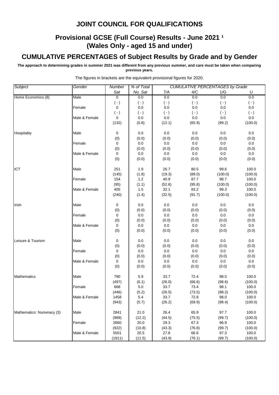# **Provisional GCSE (Full Course) Results - June 2021 1 (Wales Only - aged 15 and under)**

# **CUMULATIVE PERCENTAGES of Subject Results by Grade and by Gender**

**The approach to determining grades in summer 2021 was different from any previous summer, and care must be taken when comparing previous years.**

| Subject                   | Gender        | Number         | % of Total   |                | <b>CUMULATIVE PERCENTAGES by Grade</b> |                 |                  |
|---------------------------|---------------|----------------|--------------|----------------|----------------------------------------|-----------------|------------------|
|                           |               | Sat            | No. Sat      | 7/A            | 4/C                                    | 1/G             | U                |
| Home Economics (8)        | Male          | $\overline{0}$ | 0.0          | 0.0            | 0.0                                    | 0.0             | 0.0              |
|                           |               | $(-)$          | $(\cdot)$    | $(\cdot)$      | $(\cdot)$                              | $(\cdot)$       | $(\cdot)$        |
|                           | Female        | 0              | 0.0          | 0.0            | 0.0                                    | 0.0             | 0.0              |
|                           |               | $( - )$        | $(\cdot)$    | $( - )$        | $(\cdot)$                              | $(\cdot)$       | $(\cdot)$        |
|                           | Male & Female | 0              | 0.0          | 0.0            | 0.0                                    | 0.0             | $0.0\,$          |
|                           |               | (132)          | (0.8)        | (12.1)         | (65.9)                                 | (99.2)          | (100.0)          |
|                           |               |                |              |                |                                        |                 |                  |
| Hospitality               | Male          | 0              | 0.0          | 0.0            | 0.0                                    | 0.0             | $0.0\,$          |
|                           |               | (0)            | (0.0)        | (0.0)          | (0.0)                                  | (0.0)           | (0.0)            |
|                           | Female        | 0              | 0.0          | 0.0            | 0.0                                    | 0.0             | 0.0              |
|                           |               | (0)            | (0.0)        | (0.0)          | (0.0)                                  | (0.0)           | (0.0)            |
|                           | Male & Female | 0              | $0.0\,$      | 0.0            | $0.0\,$                                | 0.0             | $0.0\,$          |
|                           |               | (0)            | (0.0)        | (0.0)          | (0.0)                                  | (0.0)           | (0.0)            |
|                           |               |                |              |                |                                        |                 |                  |
| ICT                       | Male          | 251            | 1.9<br>(1.8) | 26.7<br>(19.3) | 80.5                                   | 99.6            | 100.0            |
|                           | Female        | (145)<br>154   | 1.2          | 40.9           | (89.0)<br>87.7                         | (100.0)<br>98.7 | (100.0)<br>100.0 |
|                           |               | (95)           | (1.1)        | (52.6)         | (95.8)                                 | (100.0)         | (100.0)          |
|                           | Male & Female | 405            | 1.5          | 32.1           | 83.2                                   | 99.3            | 100.0            |
|                           |               | (240)          | (1.4)        | (32.5)         | (91.7)                                 | (100.0)         | (100.0)          |
|                           |               |                |              |                |                                        |                 |                  |
| Irish                     | Male          | 0              | 0.0          | 0.0            | 0.0                                    | 0.0             | 0.0              |
|                           |               | (0)            | (0.0)        | (0.0)          | (0.0)                                  | (0.0)           | (0.0)            |
|                           | Female        | 0              | 0.0          | 0.0            | 0.0                                    | 0.0             | 0.0              |
|                           |               | (0)            | (0.0)        | (0.0)          | (0.0)                                  | (0.0)           | (0.0)            |
|                           | Male & Female | 0              | 0.0          | $0.0\,$        | 0.0                                    | 0.0             | 0.0              |
|                           |               | (0)            | (0.0)        | (0.0)          | (0.0)                                  | (0.0)           | (0.0)            |
|                           |               |                |              |                |                                        |                 |                  |
| Leisure & Tourism         | Male          | 0              | 0.0          | 0.0            | 0.0                                    | 0.0             | $0.0\,$          |
|                           |               | (0)            | (0.0)        | (0.0)          | (0.0)                                  | (0.0)           | (0.0)            |
|                           | Female        | 0              | 0.0          | 0.0            | 0.0                                    | 0.0             | 0.0              |
|                           | Male & Female | (0)<br>0       | (0.0)<br>0.0 | (0.0)<br>0.0   | (0.0)<br>0.0                           | (0.0)<br>0.0    | (0.0)<br>0.0     |
|                           |               | (0)            | (0.0)        | (0.0)          | (0.0)                                  | (0.0)           | (0.0)            |
|                           |               |                |              |                |                                        |                 |                  |
| <b>Mathematics</b>        | Male          | 790            | 5.9          | 33.7           | 72.4                                   | 98.0            | 100.0            |
|                           |               | (497)          | (6.1)        | (26.0)         | (66.6)                                 | (98.6)          | (100.0)          |
|                           | Female        | 668            | 5.0          | 33.7           | 73.4                                   | 98.1            | 100.0            |
|                           |               | (446)          | (5.2)        | (26.5)         | (73.5)                                 | (98.2)          | (100.0)          |
|                           | Male & Female | 1458           | 5.4          | 33.7           | 72.8                                   | 98.0            | 100.0            |
|                           |               | (943)          | (5.7)        | (26.2)         | (69.9)                                 | (98.4)          | (100.0)          |
|                           |               |                |              |                |                                        |                 |                  |
| Mathematics: Numeracy (3) | Male          | 2841           | 21.0         | 26.4           | 65.9                                   | 97.7            | 100.0            |
|                           |               | (989)          | (12.2)       | (44.5)         | (75.5)                                 | (99.7)          | (100.0)          |
|                           | Female        | 2660           | 20.0         | 29.3           | 67.3                                   | 96.9            | 100.0            |
|                           |               | (922)          | (10.8)       | (43.3)         | (76.8)                                 | (99.7)          | (100.0)          |
|                           | Male & Female | 5501           | 20.5         | 27.8           | 66.6                                   | 97.3            | 100.0            |
|                           |               | (1911)         | (11.5)       | (43.9)         | (76.1)                                 | (99.7)          | (100.0)          |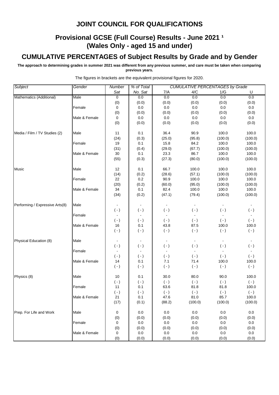# **Provisional GCSE (Full Course) Results - June 2021 1 (Wales Only - aged 15 and under)**

# **CUMULATIVE PERCENTAGES of Subject Results by Grade and by Gender**

**The approach to determining grades in summer 2021 was different from any previous summer, and care must be taken when comparing previous years.**

| Subject                         | Gender        | Number         | % of Total     |                | <b>CUMULATIVE PERCENTAGES by Grade</b> |           |                |
|---------------------------------|---------------|----------------|----------------|----------------|----------------------------------------|-----------|----------------|
|                                 |               | Sat            | No. Sat        | 7/A            | 4/C                                    | 1/G       | U              |
| Mathematics (Additional)        | Male          | $\overline{0}$ | 0.0            | 0.0            | 0.0                                    | 0.0       | 0.0            |
|                                 |               | (0)            | (0.0)          | (0.0)          | (0.0)                                  | (0.0)     | (0.0)          |
|                                 | Female        | 0              | 0.0            | $0.0\,$        | 0.0                                    | 0.0       | 0.0            |
|                                 |               | (0)            | (0.0)          | (0.0)          | (0.0)                                  | (0.0)     | (0.0)          |
|                                 | Male & Female | 0              | 0.0            | $0.0\,$        | 0.0                                    | 0.0       | $0.0\,$        |
|                                 |               | (0)            | (0.0)          | (0.0)          | (0.0)                                  | (0.0)     | (0.0)          |
| Media / Film / TV Studies (2)   | Male          | 11             | 0.1            | 36.4           | 90.9                                   | 100.0     | 100.0          |
|                                 |               | (24)           | (0.3)          | (25.0)         | (95.8)                                 | (100.0)   | (100.0)        |
|                                 | Female        | 19             | 0.1            | 15.8           | 84.2                                   | 100.0     | 100.0          |
|                                 |               | (31)           | (0.4)          | (29.0)         | (67.7)                                 | (100.0)   | (100.0)        |
|                                 | Male & Female | 30             | 0.1            | 23.3           | 86.7                                   | 100.0     | 100.0          |
|                                 |               | (55)           | (0.3)          | (27.3)         | (80.0)                                 | (100.0)   | (100.0)        |
| Music                           | Male          | 12             | 0.1            | 66.7           | 100.0                                  | 100.0     | 100.0          |
|                                 |               | (14)           | (0.2)          | (28.6)         | (57.1)                                 | (100.0)   | (100.0)        |
|                                 | Female        | 22             | 0.2            | 90.9           | 100.0                                  | 100.0     | 100.0          |
|                                 |               | (20)           | (0.2)          | (60.0)         | (95.0)                                 | (100.0)   | (100.0)        |
|                                 | Male & Female | 34             | 0.1            | 82.4           | 100.0                                  | 100.0     | 100.0          |
|                                 |               | (34)           | (0.2)          | (47.1)         | (79.4)                                 | (100.0)   | (100.0)        |
| Performing / Expressive Arts(8) | Male          |                |                |                |                                        |           |                |
|                                 |               | $(\cdot)$      | $(-)$          | $(\cdot)$      | $(-)$                                  | $(\cdot)$ | $(\cdot)$      |
|                                 | Female        |                |                |                |                                        |           |                |
|                                 |               | $(-)$          | $(-)$          | $(\cdot)$      | $(-)$                                  | $(\cdot)$ | $(\cdot)$      |
|                                 | Male & Female | 16             | 0.1            | 43.8           | 87.5                                   | 100.0     | 100.0          |
|                                 |               | $(-)$          | $(\cdot)$      | $(\cdot)$      | $(-)$                                  | $(\cdot)$ | $(\cdot)$      |
| Physical Education (8)          | Male          |                |                | $\blacksquare$ |                                        |           |                |
|                                 |               | $(-)$          | $(\cdot)$      | $(-)$          | $(-)$                                  | $(\cdot)$ | $(\cdot)$      |
|                                 | Female        | $\blacksquare$ | $\blacksquare$ | $\blacksquare$ |                                        |           | $\blacksquare$ |
|                                 |               | $(\cdot)$      | $(-)$          | $(\cdot)$      | $(-)$                                  | $(\cdot)$ | $(\cdot)$      |
|                                 | Male & Female | 14             | 0.1            | 7.1            | 71.4                                   | 100.0     | 100.0          |
|                                 |               | $(\cdot)$      | $(-)$          | $(\cdot)$      | $(\cdot)$                              | $(\cdot)$ | $(\cdot)$      |
| Physics (8)                     | Male          | 10             | 0.1            | 30.0           | 80.0                                   | 90.0      | 100.0          |
|                                 |               | $(\cdot)$      | $(\cdot)$      | $(\cdot)$      | $(\cdot)$                              | $(\cdot)$ | $(\cdot)$      |
|                                 | Female        | 11             | 0.1            | 63.6           | 81.8                                   | 81.8      | 100.0          |
|                                 |               | $(\cdot)$      | $(\cdot)$      | $(\cdot)$      | $(\cdot)$                              | $(\cdot)$ | $(\cdot)$      |
|                                 | Male & Female | 21             | 0.1            | 47.6           | 81.0                                   | 85.7      | 100.0          |
|                                 |               | (17)           | (0.1)          | (88.2)         | (100.0)                                | (100.0)   | (100.0)        |
| Prep. For Life and Work         | Male          | 0              | 0.0            | 0.0            | 0.0                                    | 0.0       | 0.0            |
|                                 |               | (0)            | (0.0)          | (0.0)          | (0.0)                                  | (0.0)     | (0.0)          |
|                                 | Female        | 0              | 0.0            | 0.0            | 0.0                                    | 0.0       | 0.0            |
|                                 |               | (0)            | (0.0)          | (0.0)          | (0.0)                                  | (0.0)     | (0.0)          |
|                                 | Male & Female | 0              | $0.0\,$        | $0.0\,$        | 0.0                                    | 0.0       | $0.0\,$        |
|                                 |               | (0)            | (0.0)          | (0.0)          | (0.0)                                  | (0.0)     | (0.0)          |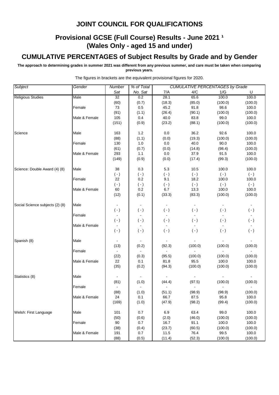# **Provisional GCSE (Full Course) Results - June 2021 1 (Wales Only - aged 15 and under)**

# **CUMULATIVE PERCENTAGES of Subject Results by Grade and by Gender**

**The approach to determining grades in summer 2021 was different from any previous summer, and care must be taken when comparing previous years.**

| Subject                         | Gender        | Number         | % of Total       |           |           | <b>CUMULATIVE PERCENTAGES by Grade</b> |           |
|---------------------------------|---------------|----------------|------------------|-----------|-----------|----------------------------------------|-----------|
|                                 |               | Sat            | No. Sat          | 7/A       | 4/C       | 1/G                                    | U         |
| <b>Religious Studies</b>        | Male          | 32             | 0.2              | 28.1      | 65.6      | 100.0                                  | 100.0     |
|                                 |               | (60)           | (0.7)            | (18.3)    | (85.0)    | (100.0)                                | (100.0)   |
|                                 | Female        | 73             | 0.5              | 45.2      | 91.8      | 98.6                                   | 100.0     |
|                                 |               | (91)           | (1.1)            | (26.4)    | (90.1)    | (100.0)                                | (100.0)   |
|                                 | Male & Female | 105            | 0.4              | 40.0      | 83.8      | 99.0                                   | 100.0     |
|                                 |               | (151)          | (0.9)            | (23.2)    | (88.1)    | (100.0)                                | (100.0)   |
| Science                         | Male          | 163            | $1.2$            | 0.0       | 36.2      | 92.6                                   | 100.0     |
|                                 |               | (88)           | (1.1)            | (0.0)     | (19.3)    | (100.0)                                | (100.0)   |
|                                 | Female        | 130            | 1.0              | 0.0       | 40.0      | 90.0                                   | 100.0     |
|                                 |               | (61)           | (0.7)            | (0.0)     | (14.8)    | (98.4)                                 | (100.0)   |
|                                 | Male & Female | 293            | 1.1              | 0.0       | 37.9      | 91.5                                   | 100.0     |
|                                 |               | (149)          | (0.9)            | (0.0)     | (17.4)    | (99.3)                                 | (100.0)   |
|                                 |               |                |                  |           |           |                                        |           |
| Science: Double Award (4) (8)   | Male          | 38             | 0.3              | 5.3       | 10.5      | 100.0                                  | 100.0     |
|                                 |               | $(-)$          | $(\cdot)$        | $( - )$   | $(\cdot)$ | $(\cdot)$                              | $(\cdot)$ |
|                                 | Female        | 22             | 0.2              | 9.1       | 18.2      | 100.0                                  | 100.0     |
|                                 |               | $(-)$          | $(\,\text{-}\,)$ | $(\cdot)$ | $(\cdot)$ | $(\cdot)$                              | $(\cdot)$ |
|                                 | Male & Female | 60             | 0.2              | 6.7       | 13.3      | 100.0                                  | 100.0     |
|                                 |               | (12)           | (0.1)            | (33.3)    | (83.3)    | (100.0)                                | (100.0)   |
| Social Science subjects (2) (8) | Male          |                |                  |           |           |                                        |           |
|                                 |               | $(-)$          | $(\cdot)$        | $(\cdot)$ | $(-)$     | $(\cdot)$                              | $(\cdot)$ |
|                                 | Female        |                |                  |           |           |                                        |           |
|                                 |               | $(-)$          | $(\cdot)$        | $( - )$   | $(-)$     | $(\cdot)$                              | $( - )$   |
|                                 | Male & Female | $\blacksquare$ |                  |           |           |                                        |           |
|                                 |               | $(-)$          | $(\cdot)$        | $( - )$   | $(\cdot)$ | $(\cdot)$                              | $(\cdot)$ |
|                                 |               |                |                  |           |           |                                        |           |
| Spanish (8)                     | Male          |                |                  |           |           |                                        |           |
|                                 | Female        | (13)           | (0.2)            | (92.3)    | (100.0)   | (100.0)                                | (100.0)   |
|                                 |               | (22)           | (0.3)            | (95.5)    | (100.0)   | (100.0)                                | (100.0)   |
|                                 | Male & Female | 22             | 0.1              | 81.8      | 95.5      | 100.0                                  | 100.0     |
|                                 |               | (35)           | (0.2)            | (94.3)    | (100.0)   | (100.0)                                | (100.0)   |
|                                 |               |                |                  |           |           |                                        |           |
| Statistics (8)                  | Male          |                |                  |           |           |                                        |           |
|                                 |               | (81)           | (1.0)            | (44.4)    | (97.5)    | (100.0)                                | (100.0)   |
|                                 | Female        | $\blacksquare$ |                  |           |           |                                        |           |
|                                 |               | (88)           | (1.0)            | (51.1)    | (98.9)    | (98.9)                                 | (100.0)   |
|                                 | Male & Female | 24             | 0.1              | 66.7      | 87.5      | 95.8                                   | 100.0     |
|                                 |               | (169)          | (1.0)            | (47.9)    | (98.2)    | (99.4)                                 | (100.0)   |
|                                 |               |                |                  |           |           |                                        |           |
| Welsh: First Language           | Male          | 101            | 0.7              | 6.9       | 63.4      | 99.0                                   | 100.0     |
|                                 |               | (50)           | (0.6)            | (2.0)     | (46.0)    | (100.0)                                | (100.0)   |
|                                 | Female        | 90             | 0.7              | 16.7      | 91.1      | 100.0                                  | 100.0     |
|                                 |               | (38)           | (0.4)            | (23.7)    | (60.5)    | (100.0)                                | (100.0)   |
|                                 | Male & Female | 191            | 0.7              | 11.5      | 76.4      | 99.5                                   | 100.0     |
|                                 |               | (88)           | (0.5)            | (11.4)    | (52.3)    | (100.0)                                | (100.0)   |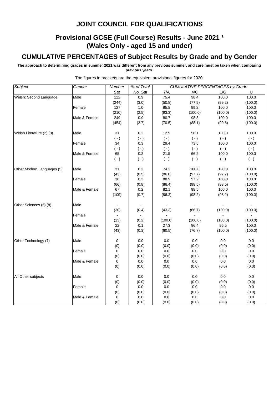# **Provisional GCSE (Full Course) Results - June 2021 1 (Wales Only - aged 15 and under)**

# **CUMULATIVE PERCENTAGES of Subject Results by Grade and by Gender**

**The approach to determining grades in summer 2021 was different from any previous summer, and care must be taken when comparing previous years.**

| Subject                    | Gender        | Number       | % of Total       |                | <b>CUMULATIVE PERCENTAGES by Grade</b> |                |                |
|----------------------------|---------------|--------------|------------------|----------------|----------------------------------------|----------------|----------------|
|                            |               | Sat          | No. Sat          | 7/A            | 4/C                                    | 1/G            | U              |
| Welsh: Second Language     | Male          | 122          | 0.9              | 75.4           | 98.4                                   | 100.0          | 100.0          |
|                            |               | (244)        | (3.0)            | (50.8)         | (77.9)                                 | (99.2)         | (100.0)        |
|                            | Female        | 127          | $1.0\,$          | 85.8           | 99.2                                   | 100.0          | 100.0          |
|                            |               | (210)        | (2.5)            | (93.3)         | (100.0)                                | (100.0)        | (100.0)        |
|                            | Male & Female | 249          | 0.9              | 80.7           | 98.8                                   | 100.0          | 100.0          |
|                            |               | (454)        | (2.7)            | (70.5)         | (88.1)                                 | (99.6)         | (100.0)        |
| Welsh Literature (2) (8)   | Male          | 31           | 0.2              | 12.9           | 58.1                                   | 100.0          | 100.0          |
|                            |               | $(-)$        | $(\,\text{-}\,)$ | $(\cdot)$      | $(\cdot)$                              | $(\cdot)$      | $(\cdot)$      |
|                            | Female        | 34           | 0.3              | 29.4           | 73.5                                   | 100.0          | 100.0          |
|                            |               | $(\cdot)$    | $(\,\text{-}\,)$ | $(\cdot)$      | $(-)$                                  | $(-)$          | $(-)$          |
|                            | Male & Female | 65           | 0.2              | 21.5           | 66.2                                   | 100.0          | 100.0          |
|                            |               | $(\cdot)$    | $(\cdot)$        | $(\cdot)$      | $(-)$                                  | $(\cdot)$      | $(\cdot)$      |
| Other Modern Languages (5) | Male          | 31           | 0.2              | 74.2           | 100.0                                  | 100.0          | 100.0          |
|                            |               | (43)         | (0.5)            | (86.0)         | (97.7)                                 | (97.7)         | (100.0)        |
|                            | Female        | 36           | 0.3              | 88.9           | 97.2                                   | 100.0          | 100.0          |
|                            |               | (66)         | (0.8)            | (86.4)         | (98.5)                                 | (98.5)         | (100.0)        |
|                            | Male & Female | 67           | 0.2              | 82.1           | 98.5                                   | 100.0          | 100.0          |
|                            |               | (109)        | (0.7)            | (86.2)         | (98.2)                                 | (98.2)         | (100.0)        |
| Other Sciences (6) (8)     | Male          |              |                  | $\blacksquare$ | $\sim$                                 | $\blacksquare$ | $\sim$         |
|                            |               | (30)         | (0.4)            | (43.3)         | (66.7)                                 | (100.0)        | (100.0)        |
|                            | Female        | $\mathbf{r}$ |                  |                |                                        | L.             | $\overline{a}$ |
|                            |               | (13)         | (0.2)            | (100.0)        | (100.0)                                | (100.0)        | (100.0)        |
|                            | Male & Female | 22           | 0.1              | 27.3           | 86.4                                   | 95.5           | 100.0          |
|                            |               | (43)         | (0.3)            | (60.5)         | (76.7)                                 | (100.0)        | (100.0)        |
| Other Technology (7)       | Male          | 0            | 0.0              | $0.0\,$        | 0.0                                    | 0.0            | $0.0\,$        |
|                            |               | (0)          | (0.0)            | (0.0)          | (0.0)                                  | (0.0)          | (0.0)          |
|                            | Female        | 0            | $0.0\,$          | $0.0\,$        | $0.0\,$                                | $0.0\,$        | $0.0\,$        |
|                            |               | (0)          | (0.0)            | (0.0)          | (0.0)                                  | (0.0)          | (0.0)          |
|                            | Male & Female | 0            | $0.0\,$          | $0.0\,$        | 0.0                                    | $0.0\,$        | $0.0\,$        |
|                            |               | (0)          | (0.0)            | (0.0)          | (0.0)                                  | (0.0)          | (0.0)          |
| All Other subjects         | Male          | 0            | 0.0              | $0.0\,$        | 0.0                                    | 0.0            | 0.0            |
|                            |               | (0)          | (0.0)            | (0.0)          | (0.0)                                  | (0.0)          | (0.0)          |
|                            | Female        | 0            | 0.0              | $0.0\,$        | $0.0\,$                                | 0.0            | 0.0            |
|                            |               | (0)          | (0.0)            | (0.0)          | (0.0)                                  | (0.0)          | (0.0)          |
|                            | Male & Female | 0            | 0.0              | $0.0\,$        | $0.0\,$                                | 0.0            | 0.0            |
|                            |               | (0)          | (0.0)            | (0.0)          | (0.0)                                  | (0.0)          | (0.0)          |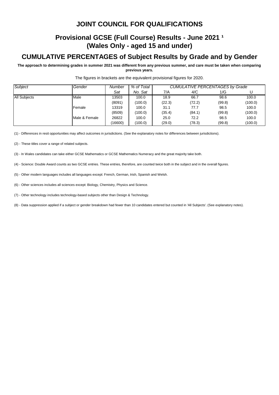# **Provisional GCSE (Full Course) Results - June 2021 <sup>1</sup> (Wales Only - aged 15 and under)**

# **CUMULATIVE PERCENTAGES of Subject Results by Grade and by Gender**

**The approach to determining grades in summer 2021 was different from any previous summer, and care must be taken when comparing previous years.**

| Subject             | Gender        | Number  | % of Total |        | <b>CUMULATIVE PERCENTAGES by Grade</b> |        |         |  |  |
|---------------------|---------------|---------|------------|--------|----------------------------------------|--------|---------|--|--|
|                     |               | Sat     | No. Sat    | 7/A    | 4/C                                    | 1/G    |         |  |  |
| <b>All Subjects</b> | Male          | 13503   | 100.0      | 18.9   | 66.7                                   | 98.6   | 100.0   |  |  |
|                     |               | (8091)  | (100.0)    | (22.3) | (72.2)                                 | (99.8) | (100.0) |  |  |
|                     | Female        | 13319   | 100.0      | 31.1   | 77.7                                   | 98.5   | 100.0   |  |  |
|                     |               | (8509)  | (100.0)    | (35.4) | (84.1)                                 | (99.8) | (100.0) |  |  |
|                     | Male & Female | 26822   | 100.0      | 25.0   | 72.2                                   | 98.5   | 100.0   |  |  |
|                     |               | (16600) | (100.0)    | (29.0) | (78.3)                                 | (99.8) | (100.0) |  |  |

The figures in brackets are the equivalent provisional figures for 2020.

(1) - Differences in resit opportunities may affect outcomes in jurisdictions. (See the explanatory notes for differences between jurisdictions).

(2) - These titles cover a range of related subjects.

(3) - In Wales candidates can take either GCSE Mathematics or GCSE Mathematics Numeracy and the great majority take both.

(4) - Science: Double Award counts as two GCSE entries. These entries, therefore, are counted twice both in the subject and in the overall figures.

(5) - Other modern languages includes all languages except: French, German, Irish, Spanish and Welsh.

(6) - Other sciences includes all sciences except: Biology, Chemistry, Physics and Science.

(7) - Other technology includes technology-based subjects other than Design & Technology.

(8) - Data suppression applied if a subject or gender breakdown had fewer than 10 candidates entered but counted in 'All Subjects'. (See explanatory notes).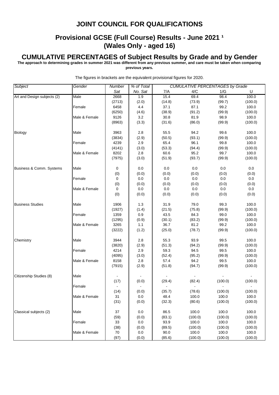# **Provisional GCSE (Full Course) Results - June 2021 1 (Wales Only - aged 16)**

#### **CUMULATIVE PERCENTAGES of Subject Results by Grade and by Gender**

**The approach to determining grades in summer 2021 was different from any previous summer, and care must be taken when comparing previous years.**

*Subject Gender Number % of Total Sat No. Sat* 7/A 4/C 1/G U Art and Design subjects (2) Male 2668 1.9 15.4 69.4 98.4 100.0 (2713) (2.0) (14.8) (73.9) (99.7) (100.0) Female  $\begin{array}{|c|c|c|c|c|c|} \hline \end{array}$  6458 | 4.4 | 37.1 87.1 99.2 100.0 (6250) (4.6) (38.9) (91.2) (99.9) (100.0) Male & Female | 9126 | 3.2 | 30.8 81.9 98.9 100.0 (8963) (3.3) (31.6) (86.0) (99.9) (100.0) Biology |Male | 3963 | 2.8 | 55.5 94.2 99.6 100.0 (3834) (2.9) (50.5) (93.1) (99.9) (100.0) Female 1 4239 2.9 65.4 96.1 99.8 100.0 (4141) (3.0) (53.3) (94.4) (99.9) (100.0) Male & Female 8202 2.8 60.6 95.2 99.7 100.0 (7975) (3.0) (51.9) (93.7) (99.9) (100.0) Business & Comm. Systems Male 0 0.0 0.0 0.0 0.0 0.0 (0) (0.0) (0.0) (0.0) (0.0) (0.0) Female  $\begin{array}{|c|c|c|c|c|c|c|c|} \hline \text{Female} & \text{O} & \text{O} & \text{O} & \text{O} & \text{O} & \text{O} & \text{O} & \text{O} & \text{O} & \text{O} & \text{O} & \text{O} & \text{O} & \text{O} & \text{O} & \text{O} & \text{O} & \text{O} & \text{O} & \text{O} & \text{O} & \text{O} & \text{O} & \text{O} & \text{O} & \text{O} & \text{O} & \text{O} & \text{O} & \text{O} & \$ (0) (0.0) (0.0) (0.0) (0.0) (0.0) Male & Female  $\begin{array}{|c|c|c|c|c|c|c|c|} \hline 0 & 0.0 & 0.0 & 0.0 & 0.0 & 0.0 \ \hline \end{array}$ (0) (0.0) (0.0) (0.0) (0.0) (0.0) Business Studies |Male | 1906 | 1.3 | 31.9 79.0 99.3 100.0 (1927) (1.4) (21.5) (75.8) (99.9) (100.0) Female 1359 0.9 43.5 84.3 99.0 100.0 (1295) (0.9) (30.1) (83.2) (99.9) (100.0) Male & Female 3265 1.1 36.7 81.2 99.2 100.0 (3222) (1.2) (25.0) (78.7) (99.9) (100.0) Chemistry |Male | 3944 | 2.8 | 55.3 93.9 99.5 100.0 (3820) (2.9) (51.3) (94.2) (99.9) (100.0) Female 1 4214 2.9 59.3 94.5 99.5 100.0 (4095) (3.0) (52.4) (95.2) (99.9) (100.0) Male & Female **8158 2.8 57.4** 94.2 99.5 100.0 (7915) (2.9) (51.8) (94.7) (99.9) (100.0) Citizenship Studies (8) Male (17) (0.0) (29.4) (82.4) (100.0) (100.0) Female - - - - - - (14) (0.0) (35.7) (78.6) (100.0) (100.0) Male & Female  $\begin{array}{|c|c|c|c|c|c|c|c|} \hline \end{array}$  31 0.0 100.0 100.0 100.0 100.0 (31) (0.0) (32.3) (80.6) (100.0) (100.0) Classical subjects (2) Male 37 0.0 86.5 100.0 100.0 100.0 (59) (0.0) (83.1) (100.0) (100.0) (100.0) Female 33 0.0 93.9 100.0 100.0 100.0 (38) (0.0) (89.5) (100.0) (100.0) (100.0) Male & Female **70** 0.0 90.0 100.0 100.0 100.0 100.0 (97) (0.0) (85.6) (100.0) (100.0) (100.0) *CUMULATIVE PERCENTAGES by Grade*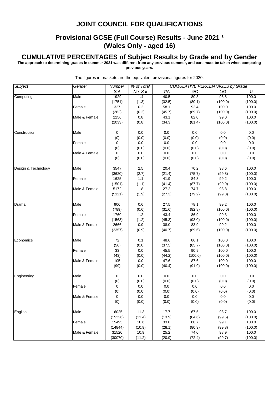## **Provisional GCSE (Full Course) Results - June 2021 1 (Wales Only - aged 16)**

#### **CUMULATIVE PERCENTAGES of Subject Results by Grade and by Gender**

**The approach to determining grades in summer 2021 was different from any previous summer, and care must be taken when comparing previous years.**

*Subject Gender Number % of Total Sat No. Sat* 7/A 4/C 1/G U *CUMULATIVE PERCENTAGES by Grade* Computing |Male | 1929 | 1.4 | 40.5 80.3 98.8 100.0 (1751) (1.3) (32.5) (80.1) (100.0) (100.0) Female 1 327 0.2 58.1 92.4 100.0 100.0 (282) (0.2) (45.7) (89.7) (100.0) (100.0) Male & Female 2256 0.8 43.1 82.0 99.0 100.0 (2033) (0.8) (34.3) (81.4) (100.0) (100.0) Construction Male 0 0.0 0.0 0.0 0.0 0.0 (0) (0.0) (0.0) (0.0) (0.0) (0.0) Female  $\begin{array}{|c|c|c|c|c|c|c|c|} \hline \text{Female} & \text{O} & \text{O} & \text{O} & \text{O} & \text{O} & \text{O} & \text{O} & \text{O} & \text{O} & \text{O} & \text{O} & \text{O} & \text{O} & \text{O} & \text{O} & \text{O} & \text{O} & \text{O} & \text{O} & \text{O} & \text{O} & \text{O} & \text{O} & \text{O} & \text{O} & \text{O} & \text{O} & \text{O} & \text{O} & \text{O} & \$ (0) (0.0) (0.0) (0.0) (0.0) (0.0) Male & Female  $\begin{array}{|c|c|c|c|c|c|} \hline \multicolumn{1}{c|}{0.0} \multicolumn{1}{c|}{0.0} \multicolumn{1}{c|}{0.0} \multicolumn{1}{c|}{0.0} \multicolumn{1}{c|}{0.0} \multicolumn{1}{c|}{0.0} \multicolumn{1}{c|}{0.0} \multicolumn{1}{c|}{0.0} \multicolumn{1}{c|}{0.0} \multicolumn{1}{c|}{0.0} \multicolumn{1}{c|}{0.0} \multicolumn{1}{c|}{0.0} \multicolumn{1}{c|}{0.0} \multic$ (0) (0.0) (0.0) (0.0) (0.0) (0.0) Design & Technology Male 3547 2.5 20.4 70.2 98.6 100.0 (3620) (2.7) (21.4) (75.7) (99.8) (100.0) Female 1625 | 1.1 | 41.9 84.3 99.2 100.0 (1501) (1.1) (41.4) (87.7) (99.9) (100.0) Male & Female | 5172 | 1.8 | 27.2 74.7 98.8 100.0 (5121) (1.9) (27.3) (79.2) (99.8) (100.0) Drama Male 906 0.6 27.5 78.1 99.2 100.0 (789) (0.6) (31.6) (82.8) (100.0) (100.0) Female 1760 1.2 43.4 86.9 99.3 100.0 (1568) (1.2) (45.3) (93.0) (100.0) (100.0) Male & Female | 2666 | 0.9 | 38.0 83.9 99.2 100.0 (2357) (0.9) (40.7) (89.6) (100.0) (100.0) Economics |Male | 72 | 0.1 | 48.6 86.1 100.0 100.0 (56) (0.0) (37.5) (85.7) (100.0) (100.0) Female 33 0.0 45.5 90.9 100.0 100.0 (43) (0.0) (44.2) (100.0) (100.0) (100.0) Male & Female **105 0.0 47.6 87.6 100.0 100.0** (99) (0.0) (40.4) (91.9) (100.0) (100.0) Engineering Male 0 0.0 0.0 0.0 0.0 0.0 (0) (0.0) (0.0) (0.0) (0.0) (0.0) Female  $\begin{array}{|c|c|c|c|c|c|c|c|} \hline \text{Female} & \text{O} & \text{O} & \text{O} & \text{O} & \text{O} & \text{O} & \text{O} & \text{O} & \text{O} & \text{O} & \text{O} & \text{O} & \text{O} & \text{O} & \text{O} & \text{O} & \text{O} & \text{O} & \text{O} & \text{O} & \text{O} & \text{O} & \text{O} & \text{O} & \text{O} & \text{O} & \text{O} & \text{O} & \text{O} & \text{O} & \$ (0) (0.0) (0.0) (0.0) (0.0) (0.0) Male & Female  $\begin{array}{|c|c|c|c|c|c|c|c|} \hline 0 & 0.0 & 0.0 & 0.0 & 0.0 & 0.0 \ \hline \end{array}$ (0) (0.0) (0.0) (0.0) (0.0) (0.0) English Male 16025 11.3 17.7 67.5 98.7 100.0 (15226) (11.4) (13.9) (64.6) (99.6) (100.0) Female 15495 10.6 33.0 80.7 99.1 100.0 (14844) (10.9) (28.1) (80.3) (99.8) (100.0) Male & Female 31520 10.9 25.2 74.0 98.9 100.0 (30070) (11.2) (20.9) (72.4) (99.7) (100.0)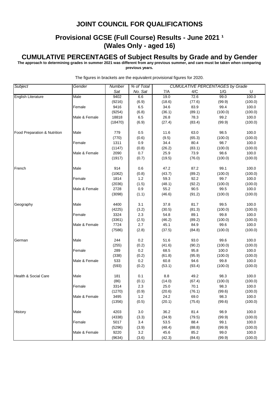## **Provisional GCSE (Full Course) Results - June 2021 1 (Wales Only - aged 16)**

#### **CUMULATIVE PERCENTAGES of Subject Results by Grade and by Gender**

**The approach to determining grades in summer 2021 was different from any previous summer, and care must be taken when comparing previous years.**

*Subject Gender Number % of Total Sat No. Sat* 7/A 4/C 1/G U *CUMULATIVE PERCENTAGES by Grade* English Literature Male 9402 6.6 19.0 72.6 99.0 100.0 (9216) (6.9) (18.6) (77.6) (99.9) (100.0) Female 19416 6.5 34.6 83.9 99.4 100.0 (9254) (6.8) (36.1) (89.1) (100.0) (100.0) Male & Female | 18818 | 6.5 | 26.8 78.3 99.2 100.0 (18470) (6.9) (27.4) (83.4) (99.9) (100.0) Food Preparation & Nutrition Male 779 0.5 11.6 63.0 98.5 100.0 (770) (0.6) (9.5) (65.3) (100.0) (100.0) Female 1311 0.9 34.4 80.4 98.7 100.0 (1147) (0.8) (26.2) (83.1) (100.0) (100.0) Male & Female 2090 0.7 25.9 73.9 98.6 100.0 (1917) (0.7) (19.5) (76.0) (100.0) (100.0) French Male 914 0.6 47.2 87.2 99.1 100.0 (1062) (0.8) (43.7) (89.2) (100.0) (100.0) Female 1814 1.2 59.3 92.2 99.7 100.0 (2036) (1.5) (48.1) (92.2) (100.0) (100.0) Male & Female | 2728 | 0.9 | 55.2 90.5 99.5 100.0 (3098) (1.1) (46.6) (91.2) (100.0) (100.0) Geography Male 4400 3.1 37.8 81.7 99.5 100.0 (4225) (3.2) (30.5) (81.3) (100.0) (100.0) Female 1 3324 2.3 54.8 89.1 99.8 100.0 (3361) (2.5) (46.2) (89.2) (100.0) (100.0) Male & Female | 7724 | 2.7 | 45.1 84.9 99.6 100.0 (7586) (2.8) (37.5) (84.8) (100.0) (100.0) German Male 244 0.2 51.6 93.0 99.6 100.0 (255) (0.2) (41.6) (90.2) (100.0) (100.0) Female 289 0.2 68.5 95.8 100.0 100.0 (338) (0.2) (61.8) (95.9) (100.0) (100.0) Male & Female  $\begin{array}{|c|c|c|c|c|c|c|c|} \hline \text{Male & B.} & \text{Female} & \text{533} & 0.2 & 60.8 & 94.6 & 99.8 & 100.0 \ \hline \end{array}$ (593) (0.2) (53.1) (93.4) (100.0) (100.0) Health & Social Care Male 181 0.1 8.8 49.2 98.3 100.0 (86) (0.1) (14.0) (67.4) (100.0) (100.0) Female 3314 2.3 25.0 70.1 98.3 100.0 (1270) (0.9) (20.6) (76.1) (99.6) (100.0) Male & Female  $\begin{array}{|c|c|c|c|c|c|c|c|c|} \hline \text{Male & Female} & \text{3495} & \text{1.2} & \text{24.2} & \text{69.0} & \text{98.3} & \text{100.0} \\ \hline \end{array}$ (1356) (0.5) (20.1) (75.6) (99.6) (100.0) History |Male | 4203 | 3.0 | 36.2 81.4 98.9 100.0 (4338) (3.3) (34.9) (79.5) (99.9) (100.0) Female 1 5017 3.4 53.5 88.4 99.1 100.0 (5296) (3.9) (48.4) (88.8) (99.9) (100.0) Male & Female 9220 3.2 45.6 85.2 99.0 100.0 (9634) (3.6) (42.3) (84.6) (99.9) (100.0)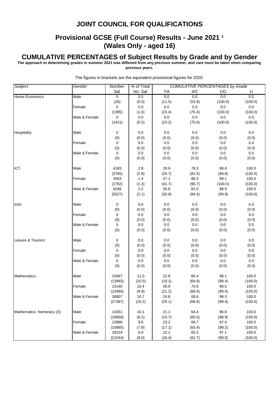# **Provisional GCSE (Full Course) Results - June 2021 1 (Wales Only - aged 16)**

#### **CUMULATIVE PERCENTAGES of Subject Results by Grade and by Gender**

**The approach to determining grades in summer 2021 was different from any previous summer, and care must be taken when comparing previous years.**

| Subject                   | Gender        | Number      | % of Total |         |         | <b>CUMULATIVE PERCENTAGES by Grade</b> |         |
|---------------------------|---------------|-------------|------------|---------|---------|----------------------------------------|---------|
|                           |               | Sat         | No. Sat    | 7/A     | 4/C     | 1/G                                    | U       |
| Home Economics            | Male          | $\mathbf 0$ | 0.0        | 0.0     | 0.0     | 0.0                                    | 0.0     |
|                           |               | (26)        | (0.0)      | (11.5)  | (53.8)  | (100.0)                                | (100.0) |
|                           | Female        | 0           | $0.0\,$    | 0.0     | $0.0\,$ | $0.0\,$                                | 0.0     |
|                           |               | (1395)      | (1.0)      | (23.4)  | (75.4)  | (100.0)                                | (100.0) |
|                           | Male & Female | 0           | 0.0        | 0.0     | 0.0     | $0.0\,$                                | 0.0     |
|                           |               | (1421)      | (0.5)      | (23.2)  | (75.0)  | (100.0)                                | (100.0) |
| Hospitality               | Male          | 0           | 0.0        | 0.0     | 0.0     | 0.0                                    | 0.0     |
|                           |               | (0)         | (0.0)      | (0.0)   | (0.0)   | (0.0)                                  | (0.0)   |
|                           | Female        | $\pmb{0}$   | $0.0\,$    | $0.0\,$ | 0.0     | 0.0                                    | 0.0     |
|                           |               | (0)         | (0.0)      | (0.0)   | (0.0)   | (0.0)                                  | (0.0)   |
|                           | Male & Female | $\mathbf 0$ | 0.0        | 0.0     | 0.0     | 0.0                                    | $0.0\,$ |
|                           |               | (0)         | (0.0)      | (0.0)   | (0.0)   | (0.0)                                  | (0.0)   |
| ICT                       | Male          | 4183        | 2.9        | 29.9    | 78.3    | 98.8                                   | 100.0   |
|                           |               | (3765)      | (2.8)      | (25.7)  | (81.5)  | (99.8)                                 | (100.0) |
|                           | Female        | 2063        | 1.4        | 47.1    | 86.5    | 99.1                                   | 100.0   |
|                           |               | (1762)      | (1.3)      | (41.7)  | (90.7)  | (100.0)                                | (100.0) |
|                           | Male & Female | 6246        | 2.2        | 35.6    | 81.0    | 98.9                                   | 100.0   |
|                           |               | (5527)      | (2.1)      | (30.8)  | (84.4)  | (99.9)                                 | (100.0) |
| Irish                     | Male          | 0           | 0.0        | 0.0     | 0.0     | 0.0                                    | 0.0     |
|                           |               | (0)         | (0.0)      | (0.0)   | (0.0)   | (0.0)                                  | (0.0)   |
|                           | Female        | 0           | 0.0        | $0.0\,$ | 0.0     | 0.0                                    | 0.0     |
|                           |               | (0)         | (0.0)      | (0.0)   | (0.0)   | (0.0)                                  | (0.0)   |
|                           | Male & Female | 0           | 0.0        | 0.0     | 0.0     | $0.0\,$                                | 0.0     |
|                           |               | (0)         | (0.0)      | (0.0)   | (0.0)   | (0.0)                                  | (0.0)   |
| Leisure & Tourism         | Male          | 0           | 0.0        | 0.0     | 0.0     | 0.0                                    | 0.0     |
|                           |               | (0)         | (0.0)      | (0.0)   | (0.0)   | (0.0)                                  | (0.0)   |
|                           | Female        | 0           | 0.0        | 0.0     | 0.0     | 0.0                                    | 0.0     |
|                           |               | (0)         | (0.0)      | (0.0)   | (0.0)   | (0.0)                                  | (0.0)   |
|                           | Male & Female | 0           | 0.0        | 0.0     | 0.0     | 0.0                                    | 0.0     |
|                           |               | (0)         | (0.0)      | (0.0)   | (0.0)   | (0.0)                                  | (0.0)   |
| Mathematics               | Male          | 15667       | 11.0       | 22.8    | 66.4    | 98.1                                   | 100.0   |
|                           |               | (13993)     | (10.5)     | (19.1)  | (64.6)  | (99.4)                                 | (100.0) |
|                           | Female        | 15140       | 10.4       | 26.9    | 70.8    | 98.5                                   | 100.0   |
|                           |               | (13494)     | (9.9)      | (21.2)  | (68.6)  | (99.4)                                 | (100.0) |
|                           | Male & Female | 30807       | 10.7       | 24.8    | 68.6    | 98.3                                   | 100.0   |
|                           |               | (27487)     | (10.2)     | (20.1)  | (66.6)  | (99.4)                                 | (100.0) |
|                           |               |             |            |         |         |                                        |         |
| Mathematics: Numeracy (3) | Male          | 14351       | 10.1       | 21.1    | 64.4    | 96.8                                   | 100.0   |
|                           |               | (10859)     | (8.2)      | (15.7)  | (60.0)  | (98.9)                                 | (100.0) |
|                           | Female        | 13968       | 9.6        | 23.2    | 66.7    | 97.4                                   | 100.0   |
|                           |               | (10685)     | (7.8)      | (17.1)  | (63.4)  | (99.2)                                 | (100.0) |
|                           | Male & Female | 28319       | 9.8        | 22.1    | 65.5    | 97.1                                   | 100.0   |
|                           |               | (21544)     | (8.0)      | (16.4)  | (61.7)  | (99.0)                                 | (100.0) |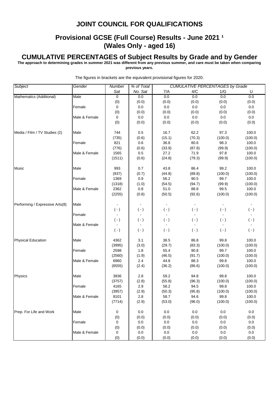# **Provisional GCSE (Full Course) Results - June 2021 1 (Wales Only - aged 16)**

#### **CUMULATIVE PERCENTAGES of Subject Results by Grade and by Gender**

**The approach to determining grades in summer 2021 was different from any previous summer, and care must be taken when comparing previous years.**

*Subject Gender Number % of Total Sat No. Sat* 7/A 4/C 1/G U *CUMULATIVE PERCENTAGES by Grade* Mathematics (Additional) Male 0 0.0 0.0 0.0 0.0 0.0 (0) (0.0) (0.0) (0.0) (0.0) (0.0) Female  $\begin{array}{|c|c|c|c|c|c|c|c|} \hline \text{Female} & \text{O} & \text{O} & \text{O} & \text{O} & \text{O} & \text{O} & \text{O} & \text{O} & \text{O} & \text{O} & \text{O} & \text{O} & \text{O} & \text{O} & \text{O} & \text{O} & \text{O} & \text{O} & \text{O} & \text{O} & \text{O} & \text{O} & \text{O} & \text{O} & \text{O} & \text{O} & \text{O} & \text{O} & \text{O} & \text{O} & \$ (0) (0.0) (0.0) (0.0) (0.0) (0.0) Male & Female  $\begin{array}{|c|c|c|c|c|c|c|c|} \hline 0 & 0.0 & 0.0 & 0.0 & 0.0 & 0.0 \ \hline \end{array}$ (0) (0.0) (0.0) (0.0) (0.0) (0.0) Media / Film / TV Studies (2) Male 100.0 16.5 16.7 62.2 97.3 100.0 (735) (0.6) (15.1) (70.3) (100.0) (100.0) Female 1 821 0.6 36.8 80.6 98.3 100.0 (776) (0.6) (33.9) (87.8) (99.9) (100.0) Male & Female 1565 0.5 27.2 71.9 97.8 100.0 (1511) (0.6) (24.8) (79.3) (99.9) (100.0) Music Male 993 0.7 43.8 86.4 99.2 100.0 (937) (0.7) (44.8) (89.8) (100.0) (100.0) Female 1369 0.9 56.2 90.5 99.7 100.0 (1318) (1.0) (54.5) (94.7) (99.9) (100.0) Male & Female | 2362 | 0.8 | 51.0 88.8 99.5 100.0 (2255) (0.8) (50.5) (92.6) (100.0) (100.0) Performing / Expressive Arts(8) Male ( - ) ( - ) ( - ) ( - ) ( - ) ( - ) ( - ) ( - ) ( - ) ( - ) ( - ) ( - ) ( - ) ( - ) ( - ) ( - ) ( - ) ( - ) ( - ) ( - ) ( - ) ( - ) ( - ) ( - ) ( - ) ( - ) ( - ) ( - ) ( - ) ( - ) ( - ) ( - ) ( - ) ( - ) ( - ) ( - ) ( - ) Female - - - - - - ( - ) ( - ) ( - ) ( - ) ( - ) ( - ) ( - ) ( - ) ( - ) ( - ) ( - ) ( - ) ( - ) ( - ) ( - ) ( - ) ( - ) ( - ) ( - ) ( - ) ( - ) ( - ) ( - ) ( - ) ( - ) ( - ) ( - ) ( - ) ( - ) ( - ) ( - ) ( - ) ( - ) ( - ) ( - ) ( - ) ( - ) Male & Female 2012 - 2022 - 2022 - 2022 - 2022 - 2022 - 2022 - 2022 - 2022 - 2022 - 2022 - 2022 - 2022 - 2022 -( - ) ( - ) ( - ) ( - ) ( - ) ( - ) ( - ) ( - ) ( - ) ( - ) ( - ) ( - ) ( - ) ( - ) ( - ) ( - ) ( - ) ( - ) ( - ) ( - ) ( - ) ( - ) ( - ) ( - ) ( - ) ( - ) ( - ) ( - ) ( - ) ( - ) ( - ) ( - ) ( - ) ( - ) ( - ) ( - ) ( - ) Physical Education Male 4362 3.1 38.5 86.8 99.8 100.0 (3995) (3.0) (29.7) (83.3) (100.0) (100.0) Female 2598 1.8 55.4 90.8 99.7 100.0 (2560) (1.9) (46.5) (91.7) (100.0) (100.0) Male & Female **6960 12.4 144.8 88.3** 99.8 100.0 (6555) (2.4) (36.2) (86.6) (100.0) (100.0) Physics |Male | 3936 | 2.8 | 59.2 94.8 99.8 100.0 (3757) (2.8) (55.8) (96.3) (100.0) (100.0) Female 4165 2.9 58.2 94.5 99.8 100.0 (3957) (2.9) (50.3) (95.8) (100.0) (100.0) Male & Female **8101** 2.8 58.7 94.6 99.8 100.0 (7714) (2.9) (53.0) (96.0) (100.0) (100.0) Prep. For Life and Work Male  $\begin{array}{|c|c|c|c|c|c|c|c|c|} \hline \text{O}&0.0 &0.0 &0.0 &0.0 &0.0 \ \hline \end{array}$ (0) (0.0) (0.0) (0.0) (0.0) (0.0) Female  $\begin{array}{|c|c|c|c|c|c|c|c|} \hline \text{Female} & \text{O} & \text{O} & \text{O} & \text{O} & \text{O} & \text{O} & \text{O} & \text{O} & \text{O} & \text{O} & \text{O} & \text{O} & \text{O} & \text{O} & \text{O} & \text{O} & \text{O} & \text{O} & \text{O} & \text{O} & \text{O} & \text{O} & \text{O} & \text{O} & \text{O} & \text{O} & \text{O} & \text{O} & \text{O} & \text{O} & \$ (0) (0.0) (0.0) (0.0) (0.0) (0.0) Male & Female  $\begin{array}{cccc} 0 & 0 & 0.0 & 0.0 & 0.0 & 0.0 & 0.0 & 0.0 \end{array}$ (0) (0.0) (0.0) (0.0) (0.0) (0.0)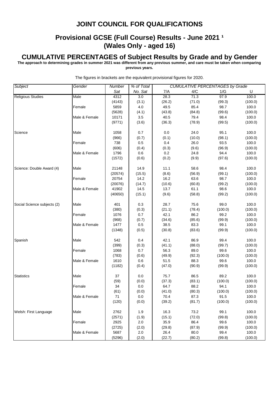## **Provisional GCSE (Full Course) Results - June 2021 1 (Wales Only - aged 16)**

#### **CUMULATIVE PERCENTAGES of Subject Results by Grade and by Gender**

**The approach to determining grades in summer 2021 was different from any previous summer, and care must be taken when comparing previous years.**

*Subject Gender Number % of Total Sat No. Sat* 7/A 4/C 1/G U *CUMULATIVE PERCENTAGES by Grade* Religious Studies **Male** 197.9 100.0 (4143) (3.1) (26.2) (71.0) (99.3) (100.0) Female 1 5859 4.0 49.5 85.4 98.7 100.0 (5628) (4.1) (43.8) (84.8) (99.6) (100.0) Male & Female | 10171 | 3.5 | 40.5 79.4 98.4 100.0 (9771) (3.6) (36.3) (78.9) (99.5) (100.0) Science Male 1058 0.7 0.0 24.0 95.1 100.0 (966) (0.7) (0.1) (10.0) (98.1) (100.0) Female 738 0.5 0.4 26.0 93.5 100.0 (606) (0.4) (0.3) (9.6) (96.9) (100.0) Male & Female 1796 0.6 0.2 24.8 94.4 100.0 (1572) (0.6) (0.2) (9.9) (97.6) (100.0) Science: Double Award (4) Male 21148 14.9 11.1 58.6 98.4 100.0 (20574) (15.5) (8.6) (56.9) (99.1) (100.0) Female 20754 14.2 16.2 63.6 98.7 100.0 (20076) (14.7) (10.6) (60.8) (99.2) (100.0) Male & Female | 41902 | 14.5 | 13.7 61.1 98.6 100.0 (40650) (15.1) (9.6) (58.8) (99.2) (100.0) Social Science subjects (2) Male 401 0.3 28.7 75.6 99.0 100.0 (380) (0.3) (21.1) (78.4) (100.0) (100.0) Female 1076 0.7 42.1 86.2 99.2 100.0 (968) (0.7) (34.6) (85.6) (99.9) (100.0) Male & Female | 1477 | 0.5 | 38.5 83.3 99.1 100.0 (1348) (0.5) (30.8) (83.6) (99.9) (100.0) Spanish Male 542 0.4 42.1 86.9 99.4 100.0 (399) (0.3) (41.1) (88.0) (99.7) (100.0) Female 1068 0.7 56.3 89.0 99.6 100.0 (783) (0.6) (49.9) (92.3) (100.0) (100.0) Male & Female | 1610 | 0.6 | 51.5 88.3 99.6 100.0 (1182) (0.4) (47.0) (90.9) (99.9) (100.0) Statistics Male 37 0.0 75.7 86.5 89.2 100.0 (59) (0.0) (37.3) (83.1) (100.0) (100.0) Female 34 0.0 64.7 88.2 94.1 100.0 (61) (0.0) (41.0) (80.3) (100.0) (100.0) Male & Female **71** 0.0 70.4 87.3 91.5 100.0 (120) (0.0) (39.2) (81.7) (100.0) (100.0) Welsh: First Language Male 100.0 (2571) (1.9) (15.1) (72.0) (99.8) (100.0) Female 2925 2.0 35.9 86.4 99.6 100.0 (2725) (2.0) (29.8) (87.9) (99.9) (100.0) Male & Female 5687 2.0 26.4 80.0 99.4 100.0 (5296) (2.0) (22.7) (80.2) (99.8) (100.0)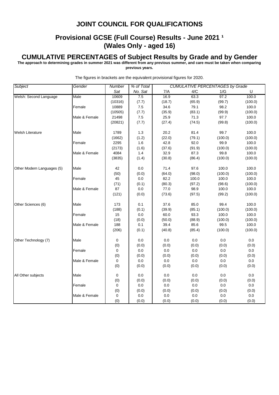# **Provisional GCSE (Full Course) Results - June 2021 1 (Wales Only - aged 16)**

#### **CUMULATIVE PERCENTAGES of Subject Results by Grade and by Gender**

**The approach to determining grades in summer 2021 was different from any previous summer, and care must be taken when comparing previous years.**

*Subject Gender Number % of Total Sat No. Sat* 7/A 4/C 1/G U *CUMULATIVE PERCENTAGES by Grade* Welsh: Second Language Male 10609 7.5 16.9 63.3 97.2 100.0 (10316) (7.7) (18.7) (65.9) (99.7) (100.0) Female 10889 7.5 34.6 79.1 98.2 100.0 (10505) (7.7) (35.9) (83.1) (99.9) (100.0) Male & Female 21498 7.5 25.9 71.3 97.7 100.0 (20821) (7.7) (27.4) (74.5) (99.8) (100.0) Welsh Literature Male 1789 1.3 20.2 81.4 99.7 100.0 (1662) (1.2) (22.0) (79.1) (100.0) (100.0) Female 2295 1.6 42.8 92.0 99.9 100.0 (2173) (1.6) (37.6) (91.9) (100.0) (100.0) Male & Female 4084 1.4 32.9 87.3 99.8 100.0 (3835) (1.4) (30.8) (86.4) (100.0) (100.0) Other Modern Languages (5) Male 42 0.0 71.4 97.6 100.0 100.0 (50) (0.0) (64.0) (98.0) (100.0) (100.0) Female 1 45 0.0 82.2 100.0 100.0 100.0 (71) (0.1) (80.3) (97.2) (98.6) (100.0) Male & Female | 87 | 0.0 | 77.0 98.9 100.0 100.0 (121) (0.0) (73.6) (97.5) (99.2) (100.0) Other Sciences (6) Male 173 0.1 37.6 85.0 99.4 100.0 (188) (0.1) (39.9) (85.1) (100.0) (100.0) Female 15 0.0 60.0 93.3 100.0 100.0 (18) (0.0) (50.0) (88.9) (100.0) (100.0) Male & Female | 188 | 0.1 | 39.4 85.6 99.5 100.0 (206) (0.1) (40.8) (85.4) (100.0) (100.0) Other Technology (7) Male 0 0.0 0.0 0.0 0.0 0.0 (0) (0.0) (0.0) (0.0) (0.0) (0.0) Female  $\begin{array}{|c|c|c|c|c|c|c|c|} \hline \text{Female} & \text{O} & \text{O} & \text{O} & \text{O} & \text{O} & \text{O} & \text{O} & \text{O} & \text{O} & \text{O} & \text{O} & \text{O} & \text{O} & \text{O} & \text{O} & \text{O} & \text{O} & \text{O} & \text{O} & \text{O} & \text{O} & \text{O} & \text{O} & \text{O} & \text{O} & \text{O} & \text{O} & \text{O} & \text{O} & \text{O} & \$ (0) (0.0) (0.0) (0.0) (0.0) (0.0) Male & Female  $\begin{array}{|c|c|c|c|c|c|} \hline 0 & 0.0 & 0.0 & 0.0 & 0.0 & 0.0 \ \hline \end{array}$ (0) (0.0) (0.0) (0.0) (0.0) (0.0) All Other subjects Male 0 0.0 0.0 0.0 0.0 0.0 (0) (0.0) (0.0) (0.0) (0.0) (0.0) Female  $\begin{array}{|c|c|c|c|c|c|c|c|} \hline \text{Female} & \text{O} & \text{O} & \text{O} & \text{O} & \text{O} & \text{O} & \text{O} & \text{O} & \text{O} & \text{O} & \text{O} & \text{O} & \text{O} & \text{O} & \text{O} & \text{O} & \text{O} & \text{O} & \text{O} & \text{O} & \text{O} & \text{O} & \text{O} & \text{O} & \text{O} & \text{O} & \text{O} & \text{O} & \text{O} & \text{O} & \$ (0) (0.0) (0.0) (0.0) (0.0) (0.0) Male & Female 0 0.0 0.0 0.0 0.0 0.0 0.0 0.0 (0) (0.0) (0.0) (0.0) (0.0) (0.0)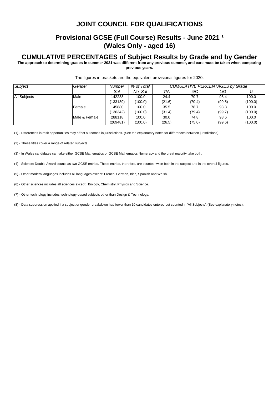# **Provisional GCSE (Full Course) Results - June 2021 1 (Wales Only - aged 16)**

#### **CUMULATIVE PERCENTAGES of Subject Results by Grade and by Gender**

**The approach to determining grades in summer 2021 was different from any previous summer, and care must be taken when comparing previous years.**

| <b>Subject</b> | Gender        | Number   | % of Total | <b>CUMULATIVE PERCENTAGES by Grade</b> |        |        |         |  |
|----------------|---------------|----------|------------|----------------------------------------|--------|--------|---------|--|
|                |               | Sat      | No. Sat    | 7/A                                    | 4/C    | 1/G    |         |  |
| All Subjects   | Male          | 142238   | 100.0      | 24.4                                   | 70.7   | 98.4   | 100.0   |  |
|                |               | (133139) | (100.0)    | (21.6)                                 | (70.4) | (99.5) | (100.0) |  |
|                | Female        | 145880   | 100.0      | 35.5                                   | 78.7   | 98.8   | 100.0   |  |
|                |               | (136342) | (100.0)    | (31.4)                                 | (79.4) | (99.7) | (100.0) |  |
|                | Male & Female | 288118   | 100.0      | 30.0                                   | 74.8   | 98.6   | 100.0   |  |
|                |               | (269481) | (100.0)    | (26.5)                                 | (75.0) | (99.6) | (100.0) |  |

The figures in brackets are the equivalent provisional figures for 2020.

(1) - Differences in resit opportunities may affect outcomes in jurisdictions. (See the explanatory notes for differences between jurisdictions).

(2) - These titles cover a range of related subjects.

(3) - In Wales candidates can take either GCSE Mathematics or GCSE Mathematics Numeracy and the great majority take both.

(4) - Science: Double Award counts as two GCSE entries. These entries, therefore, are counted twice both in the subject and in the overall figures.

(5) - Other modern languages includes all languages except: French, German, Irish, Spanish and Welsh.

(6) - Other sciences includes all sciences except: Biology, Chemistry, Physics and Science.

(7) - Other technology includes technology-based subjects other than Design & Technology.

(8) - Data suppression applied if a subject or gender breakdown had fewer than 10 candidates entered but counted in 'All Subjects'. (See explanatory notes).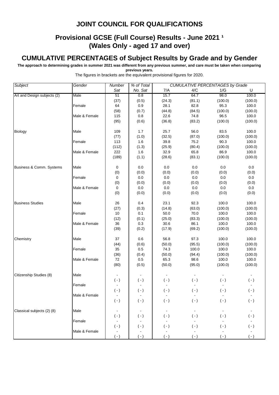# **Provisional GCSE (Full Course) Results - June 2021 1 (Wales Only - aged 17 and over)**

### **CUMULATIVE PERCENTAGES of Subject Results by Grade and by Gender**

**The approach to determining grades in summer 2021 was different from any previous summer, and care must be taken when comparing previous years.**

*Subject Gender Number % of Total CUMULATIVE PERCENTAGES by Grade* The figures in brackets are the equivalent provisional figures for 2020.

|                             |               | Sat            | No. Sat        | 7/A            | 4/C       | 1/G       | U              |
|-----------------------------|---------------|----------------|----------------|----------------|-----------|-----------|----------------|
| Art and Design subjects (2) | Male          | 51             | 0.8            | 15.7           | 64.7      | 98.0      | 100.0          |
|                             |               | (37)           | (0.5)          | (24.3)         | (81.1)    | (100.0)   | (100.0)        |
|                             | Female        | 64             | 0.9            | 28.1           | 82.8      | 95.3      | 100.0          |
|                             |               | (58)           | (0.7)          | (44.8)         | (84.5)    | (100.0)   | (100.0)        |
|                             | Male & Female | 115            | 0.8            | 22.6           | 74.8      | 96.5      | 100.0          |
|                             |               | (95)           | (0.6)          | (36.8)         | (83.2)    | (100.0)   | (100.0)        |
|                             |               |                |                |                |           |           |                |
|                             |               |                |                |                |           | 83.5      | 100.0          |
| <b>Biology</b>              | Male          | 109            | 1.7            | 25.7           | 56.0      |           |                |
|                             |               | (77)           | (1.0)          | (32.5)         | (87.0)    | (100.0)   | (100.0)        |
|                             | Female        | 113            | 1.6            | 39.8           | 75.2      | 90.3      | 100.0          |
|                             |               | (112)          | (1.3)          | (25.9)         | (80.4)    | (100.0)   | (100.0)        |
|                             | Male & Female | 222            | 1.6            | 32.9           | 65.8      | 86.9      | 100.0          |
|                             |               | (189)          | (1.1)          | (28.6)         | (83.1)    | (100.0)   | (100.0)        |
|                             |               |                |                |                |           |           |                |
| Business & Comm. Systems    | Male          | 0              | 0.0            | 0.0            | 0.0       | 0.0       | $0.0\,$        |
|                             |               | (0)            | (0.0)          | (0.0)          | (0.0)     | (0.0)     | (0.0)          |
|                             | Female        | 0              | 0.0            | $0.0\,$        | 0.0       | 0.0       | 0.0            |
|                             |               | (0)            | (0.0)          | (0.0)          | (0.0)     | (0.0)     | (0.0)          |
|                             | Male & Female | 0              | 0.0            | 0.0            | $0.0\,$   | $0.0\,$   | 0.0            |
|                             |               | (0)            | (0.0)          | (0.0)          | (0.0)     | (0.0)     | (0.0)          |
|                             |               |                |                |                |           |           |                |
| <b>Business Studies</b>     | Male          | 26             | 0.4            | 23.1           | 92.3      | 100.0     | 100.0          |
|                             |               | (27)           | (0.3)          | (14.8)         | (63.0)    | (100.0)   | (100.0)        |
|                             | Female        | 10             | 0.1            | 50.0           | 70.0      | 100.0     | 100.0          |
|                             |               | (12)           | (0.1)          | (25.0)         | (83.3)    | (100.0)   | (100.0)        |
|                             | Male & Female | 36             | 0.3            | 30.6           | 86.1      | 100.0     | 100.0          |
|                             |               | (39)           | (0.2)          | (17.9)         | (69.2)    | (100.0)   | (100.0)        |
|                             |               |                |                |                |           |           |                |
| Chemistry                   | Male          | 37             | 0.6            | 56.8           | 97.3      | 100.0     | 100.0          |
|                             |               | (44)           | (0.6)          | (50.0)         | (95.5)    | (100.0)   | (100.0)        |
|                             | Female        | 35             | 0.5            | 74.3           | 100.0     | 100.0     | 100.0          |
|                             |               | (36)           | (0.4)          | (50.0)         | (94.4)    | (100.0)   | (100.0)        |
|                             | Male & Female | 72             | 0.5            | 65.3           | 98.6      | 100.0     | 100.0          |
|                             |               | (80)           | (0.5)          | (50.0)         | (95.0)    | (100.0)   | (100.0)        |
|                             |               |                |                |                |           |           |                |
| Citizenship Studies (8)     | Male          |                |                |                |           |           |                |
|                             |               |                |                | $( - )$        |           |           | $(\cdot)$      |
|                             |               | $( - )$        | $(\cdot)$      |                | $(\cdot)$ | $(-)$     |                |
|                             | Female        |                |                |                |           |           |                |
|                             |               | $( - )$        | $(\cdot)$      | $(\cdot)$      | $(\cdot)$ | $(\cdot)$ | $(\cdot)$      |
|                             | Male & Female | $\blacksquare$ | $\blacksquare$ | $\blacksquare$ |           |           | $\blacksquare$ |
|                             |               | $(\cdot)$      | $(\cdot)$      | $(\cdot)$      | $(\cdot)$ | $(\cdot)$ | $(\cdot)$      |
|                             |               |                |                |                |           |           |                |
| Classical subjects (2) (8)  | Male          |                |                |                |           |           |                |
|                             |               | $(\cdot)$      | $(\cdot)$      | $(\cdot)$      | $(\cdot)$ | $(-)$     | $(\cdot)$      |
|                             | Female        |                |                |                |           |           |                |
|                             |               | $(-)$          | $(-)$          | $(\cdot)$      | $(\cdot)$ | $(\cdot)$ | $(\cdot)$      |
|                             | Male & Female |                |                |                |           |           |                |
|                             |               | ( - )          | $(\cdot)$      | $(\cdot)$      | $(-)$     | $(-)$     | $(-)$          |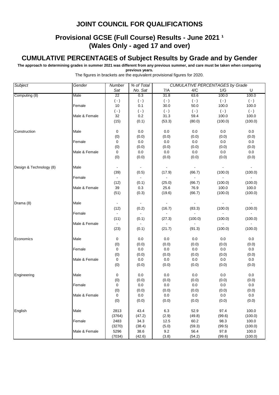# **Provisional GCSE (Full Course) Results - June 2021 1 (Wales Only - aged 17 and over)**

## **CUMULATIVE PERCENTAGES of Subject Results by Grade and by Gender**

**The approach to determining grades in summer 2021 was different from any previous summer, and care must be taken when comparing previous years.**

| <b>Subject</b>          | Gender        | Number          | % of Total | <b>CUMULATIVE PERCENTAGES by Grade</b> |              |                                                                                                                                                                                                                                                                |           |
|-------------------------|---------------|-----------------|------------|----------------------------------------|--------------|----------------------------------------------------------------------------------------------------------------------------------------------------------------------------------------------------------------------------------------------------------------|-----------|
|                         |               | Sat             | No. Sat    | 7/A                                    | 4/C          |                                                                                                                                                                                                                                                                | U         |
| Computing (8)           | Male          | $\overline{22}$ | 0.3        | 31.8                                   | 63.6         | 100.0                                                                                                                                                                                                                                                          | 100.0     |
|                         |               | $(-)$           | $(\cdot)$  | $(\cdot)$                              | $(-)$        |                                                                                                                                                                                                                                                                | $(\cdot)$ |
|                         | Female        | 10              | 0.1        | 30.0                                   | 50.0         | 100.0                                                                                                                                                                                                                                                          | 100.0     |
|                         |               | $(\cdot)$       | $(\cdot)$  | $(\cdot)$                              | $(\cdot)$    |                                                                                                                                                                                                                                                                | $(\cdot)$ |
|                         | Male & Female | 32              | 0.2        | 31.3                                   | 59.4         | 100.0                                                                                                                                                                                                                                                          | 100.0     |
|                         |               | (15)            | (0.1)      | (53.3)                                 | (80.0)       | (100.0)                                                                                                                                                                                                                                                        | (100.0)   |
| Construction            | Male          | 0               | 0.0        | 0.0                                    | 0.0          | 0.0                                                                                                                                                                                                                                                            | $0.0\,$   |
|                         |               | (0)             | (0.0)      | (0.0)                                  | (0.0)        | (0.0)                                                                                                                                                                                                                                                          | (0.0)     |
|                         | Female        | 0               | $0.0\,$    | 0.0                                    | 0.0          | 0.0                                                                                                                                                                                                                                                            | $0.0\,$   |
|                         |               | (0)             | (0.0)      | (0.0)                                  | (0.0)        | (0.0)                                                                                                                                                                                                                                                          | (0.0)     |
|                         | Male & Female | 0               | 0.0        | 0.0                                    | 0.0          | 0.0                                                                                                                                                                                                                                                            | 0.0       |
|                         |               | (0)             | (0.0)      | (0.0)                                  | (0.0)        | (0.0)                                                                                                                                                                                                                                                          | (0.0)     |
| Design & Technology (8) | Male          |                 |            |                                        |              | 1/G<br>$(\cdot)$<br>$(\cdot)$<br>(100.0)<br>(100.0)<br>100.0<br>(100.0)<br>(100.0)<br>(100.0)<br>(100.0)<br>0.0<br>(0.0)<br>0.0<br>(0.0)<br>0.0<br>(0.0)<br>0.0<br>(0.0)<br>0.0<br>(0.0)<br>0.0<br>(0.0)<br>97.4<br>(99.6)<br>98.3<br>(99.5)<br>97.8<br>(99.6) |           |
|                         |               | (39)            | (0.5)      | (17.9)                                 | (66.7)       |                                                                                                                                                                                                                                                                | (100.0)   |
|                         | Female        | $\blacksquare$  |            |                                        | $\mathbf{r}$ |                                                                                                                                                                                                                                                                | ä,        |
|                         |               | (12)            | (0.1)      | (25.0)                                 | (66.7)       |                                                                                                                                                                                                                                                                | (100.0)   |
|                         | Male & Female | 39              | 0.3        | 25.6                                   | 76.9         |                                                                                                                                                                                                                                                                | 100.0     |
|                         |               | (51)            | (0.3)      | (19.6)                                 | (66.7)       |                                                                                                                                                                                                                                                                | (100.0)   |
| Drama (8)               | Male          |                 |            |                                        |              |                                                                                                                                                                                                                                                                |           |
|                         |               | (12)            | (0.2)      | (16.7)                                 | (83.3)       |                                                                                                                                                                                                                                                                | (100.0)   |
|                         | Female        |                 |            |                                        |              |                                                                                                                                                                                                                                                                |           |
|                         |               | (11)            | (0.1)      | (27.3)                                 | (100.0)      |                                                                                                                                                                                                                                                                | (100.0)   |
|                         | Male & Female |                 |            |                                        |              |                                                                                                                                                                                                                                                                |           |
|                         |               | (23)            | (0.1)      | (21.7)                                 | (91.3)       |                                                                                                                                                                                                                                                                | (100.0)   |
| Economics               | Male          | 0               | 0.0        | 0.0                                    | 0.0          |                                                                                                                                                                                                                                                                | 0.0       |
|                         |               | (0)             | (0.0)      | (0.0)                                  | (0.0)        |                                                                                                                                                                                                                                                                | (0.0)     |
| Engineering<br>English  | Female        | 0               | 0.0        | 0.0                                    | 0.0          |                                                                                                                                                                                                                                                                | $0.0\,$   |
|                         |               | (0)             | (0.0)      | (0.0)                                  | (0.0)        |                                                                                                                                                                                                                                                                | (0.0)     |
|                         | Male & Female | 0               | 0.0        | 0.0                                    | 0.0          |                                                                                                                                                                                                                                                                | $0.0\,$   |
|                         |               | (0)             | (0.0)      | (0.0)                                  | (0.0)        |                                                                                                                                                                                                                                                                | (0.0)     |
|                         | Male          | 0               | 0.0        | 0.0                                    | 0.0          |                                                                                                                                                                                                                                                                | 0.0       |
|                         |               | (0)             | (0.0)      | (0.0)                                  | (0.0)        |                                                                                                                                                                                                                                                                | (0.0)     |
|                         | Female        | 0               | 0.0        | 0.0                                    | 0.0          |                                                                                                                                                                                                                                                                | 0.0       |
|                         |               | $(0)$           | (0.0)      | (0.0)                                  | (0.0)        |                                                                                                                                                                                                                                                                | (0.0)     |
|                         | Male & Female | 0               | 0.0        | 0.0                                    | 0.0          |                                                                                                                                                                                                                                                                | 0.0       |
|                         |               | (0)             | (0.0)      | (0.0)                                  | (0.0)        |                                                                                                                                                                                                                                                                | (0.0)     |
|                         | Male          | 2813            | 43.4       | 6.3                                    | 52.9         |                                                                                                                                                                                                                                                                | 100.0     |
|                         |               | (3764)          | (47.2)     | (2.9)                                  | (49.8)       |                                                                                                                                                                                                                                                                | (100.0)   |
|                         | Female        | 2483            | 34.3       | 12.5                                   | 60.2         |                                                                                                                                                                                                                                                                | 100.0     |
|                         |               | (3270)          | (38.4)     | (5.0)                                  | (59.3)       |                                                                                                                                                                                                                                                                | (100.0)   |
|                         | Male & Female | 5296            | 38.6       | 9.2                                    | 56.4         |                                                                                                                                                                                                                                                                | 100.0     |
|                         |               | (7034)          | (42.6)     | (3.8)                                  | (54.2)       |                                                                                                                                                                                                                                                                | (100.0)   |
|                         |               |                 |            |                                        |              |                                                                                                                                                                                                                                                                |           |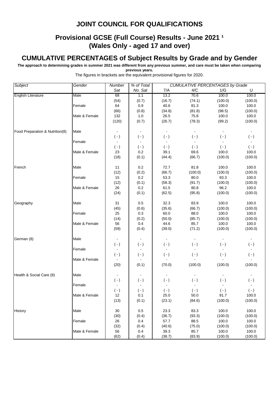# **Provisional GCSE (Full Course) Results - June 2021 1 (Wales Only - aged 17 and over)**

# **CUMULATIVE PERCENTAGES of Subject Results by Grade and by Gender**

**The approach to determining grades in summer 2021 was different from any previous summer, and care must be taken when comparing previous years.**

| <b>Subject</b>                  | Gender        | % of Total<br><b>CUMULATIVE PERCENTAGES by Grade</b><br>Number |           |                |                |           |           |
|---------------------------------|---------------|----------------------------------------------------------------|-----------|----------------|----------------|-----------|-----------|
|                                 |               | Sat                                                            | No. Sat   | 7/A            | 4/C            | 1/G       | U         |
| English Literature              | Male          | 68                                                             | 1.1       | 13.2           | 70.6           | 100.0     | 100.0     |
|                                 |               | (54)                                                           | (0.7)     | (16.7)         | (74.1)         | (100.0)   | (100.0)   |
|                                 | Female        | 64                                                             | 0.9       | 40.6           | 81.3           | 100.0     | 100.0     |
|                                 |               | (66)                                                           | (0.8)     | (34.8)         | (81.8)         | (98.5)    | (100.0)   |
|                                 | Male & Female | 132                                                            | 1.0       | 26.5           | 75.8           | 100.0     | 100.0     |
|                                 |               | (120)                                                          | (0.7)     | (26.7)         | (78.3)         | (99.2)    | (100.0)   |
| Food Preparation & Nutrition(8) | Male          |                                                                |           | $\blacksquare$ | $\overline{a}$ |           |           |
|                                 |               | $( - )$                                                        | $(\cdot)$ | $(\cdot)$      | $(-)$          | $(\cdot)$ | $(\cdot)$ |
|                                 | Female        |                                                                |           |                |                |           |           |
|                                 |               | $( - )$                                                        | $(\cdot)$ | $( - )$        | $(-)$          | $(\cdot)$ | $(\cdot)$ |
|                                 | Male & Female | 23                                                             | 0.2       | 39.1           | 69.6           | 100.0     | 100.0     |
|                                 |               | (18)                                                           | (0.1)     | (44.4)         | (66.7)         | (100.0)   | (100.0)   |
| French                          | Male          | 11                                                             | 0.2       | 72.7           | 81.8           | 100.0     | 100.0     |
|                                 |               | (12)                                                           | (0.2)     | (66.7)         | (100.0)        | (100.0)   | (100.0)   |
|                                 | Female        | 15                                                             | 0.2       | 53.3           | 80.0           | 93.3      | 100.0     |
|                                 |               | (12)                                                           | (0.1)     | (58.3)         | (91.7)         | (100.0)   | (100.0)   |
|                                 | Male & Female | 26                                                             | 0.2       | 61.5           | 80.8           | 96.2      | 100.0     |
|                                 |               | (24)                                                           | (0.1)     | (62.5)         | (95.8)         | (100.0)   | (100.0)   |
| Geography                       | Male          | 31                                                             | 0.5       | 32.3           | 83.9           | 100.0     | 100.0     |
|                                 |               | (45)                                                           | (0.6)     | (35.6)         | (66.7)         | (100.0)   | (100.0)   |
|                                 | Female        | 25                                                             | 0.3       | 60.0           | 88.0           | 100.0     | 100.0     |
|                                 |               | (14)                                                           | (0.2)     | (50.0)         | (85.7)         | (100.0)   | (100.0)   |
|                                 | Male & Female | 56                                                             | 0.4       | 44.6           | 85.7           | 100.0     | 100.0     |
|                                 |               | (59)                                                           | (0.4)     | (39.0)         | (71.2)         | (100.0)   | (100.0)   |
| German (8)                      | Male          |                                                                |           |                |                |           |           |
|                                 |               | $(\cdot)$                                                      | $(\cdot)$ | $(\cdot)$      | $(\cdot)$      | $(\cdot)$ | $(\cdot)$ |
|                                 | Female        |                                                                |           |                |                |           |           |
|                                 |               | $(\cdot)$                                                      | $(\cdot)$ | $( - )$        | $(-)$          | $(-)$     | $(\cdot)$ |
|                                 | Male & Female |                                                                |           |                |                |           |           |
|                                 |               | (20)                                                           | (0.1)     | (70.0)         | (100.0)        | (100.0)   | (100.0)   |
| Health & Social Care (8)        | Male          |                                                                |           |                |                |           |           |
|                                 |               | $(\cdot)$                                                      | $(\cdot)$ | $(\cdot)$      | $(\cdot)$      | $(-)$     | $(\cdot)$ |
|                                 | Female        |                                                                |           |                |                |           |           |
|                                 |               | $(\cdot)$                                                      | $(\cdot)$ | $(\cdot)$      | $(\cdot)$      | $(\cdot)$ | $(\cdot)$ |
|                                 | Male & Female | 12                                                             | 0.1       | 25.0           | 50.0           | 91.7      | 100.0     |
|                                 |               | (13)                                                           | (0.1)     | (23.1)         | (84.6)         | (100.0)   | (100.0)   |
| History                         | Male          | 30                                                             | 0.5       | 23.3           | 83.3           | 100.0     | 100.0     |
|                                 |               | (30)                                                           | (0.4)     | (36.7)         | (93.3)         | (100.0)   | (100.0)   |
|                                 | Female        | 26                                                             | 0.4       | 57.7           | 88.5           | 100.0     | 100.0     |
|                                 |               | (32)                                                           | (0.4)     | (40.6)         | (75.0)         | (100.0)   | (100.0)   |
|                                 | Male & Female | 56                                                             | 0.4       | 39.3           | 85.7           | 100.0     | 100.0     |
|                                 |               | (62)                                                           | (0.4)     | (38.7)         | (83.9)         | (100.0)   | (100.0)   |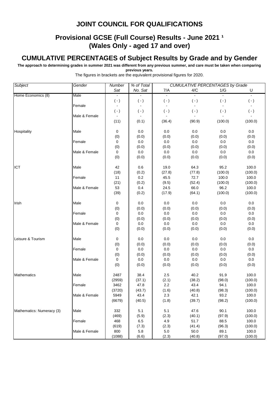# **Provisional GCSE (Full Course) Results - June 2021 1 (Wales Only - aged 17 and over)**

# **CUMULATIVE PERCENTAGES of Subject Results by Grade and by Gender**

**The approach to determining grades in summer 2021 was different from any previous summer, and care must be taken when comparing previous years.**

| Subject                   | Gender        | % of Total<br><b>CUMULATIVE PERCENTAGES by Grade</b><br><b>Number</b> |                |              |                |                                                                                                                                                                                                                                                                                                 |                  |  |
|---------------------------|---------------|-----------------------------------------------------------------------|----------------|--------------|----------------|-------------------------------------------------------------------------------------------------------------------------------------------------------------------------------------------------------------------------------------------------------------------------------------------------|------------------|--|
|                           |               | Sat                                                                   | No. Sat        | 7/A          | 4/C            | 1/G                                                                                                                                                                                                                                                                                             | U                |  |
| Home Economics (8)        | Male          | $\omega$                                                              |                | $\mathbf{L}$ | $\mathbf{r}$   | $\mathbf{r}$                                                                                                                                                                                                                                                                                    | $\mathbb{Z}^2$   |  |
|                           |               | $(\cdot)$                                                             | $(\cdot)$      | $(\cdot)$    | $(\cdot)$      | $(\cdot)$                                                                                                                                                                                                                                                                                       | $(\cdot)$        |  |
|                           | Female        |                                                                       |                |              |                |                                                                                                                                                                                                                                                                                                 |                  |  |
|                           |               | $(-)$                                                                 | $(\cdot)$      | $(\cdot)$    | $(-)$          |                                                                                                                                                                                                                                                                                                 | $(\cdot)$        |  |
|                           | Male & Female | $\blacksquare$                                                        |                |              | $\overline{a}$ |                                                                                                                                                                                                                                                                                                 | $\blacksquare$   |  |
|                           |               | (11)                                                                  | (0.1)          | (36.4)       | (90.9)         |                                                                                                                                                                                                                                                                                                 | (100.0)          |  |
| Hospitality               | Male          | 0                                                                     | 0.0            | 0.0          | 0.0            | 0.0                                                                                                                                                                                                                                                                                             | 0.0              |  |
|                           |               | (0)                                                                   | (0.0)          | (0.0)        | (0.0)          | (0.0)                                                                                                                                                                                                                                                                                           | (0.0)            |  |
|                           | Female        | $\pmb{0}$                                                             | 0.0            | 0.0          | 0.0            | 0.0                                                                                                                                                                                                                                                                                             | 0.0              |  |
|                           |               | (0)                                                                   | (0.0)          | (0.0)        | (0.0)          | (0.0)                                                                                                                                                                                                                                                                                           | (0.0)            |  |
|                           | Male & Female | $\pmb{0}$                                                             | 0.0            | 0.0          | 0.0            | 0.0                                                                                                                                                                                                                                                                                             | 0.0              |  |
|                           |               | (0)                                                                   | (0.0)          | (0.0)        | (0.0)          | $(-)$<br>(100.0)<br>(0.0)<br>95.2<br>(100.0)<br>100.0<br>(100.0)<br>96.2<br>(100.0)<br>0.0<br>(0.0)<br>0.0<br>(0.0)<br>0.0<br>(0.0)<br>0.0<br>(0.0)<br>0.0<br>(0.0)<br>0.0<br>(0.0)<br>91.9<br>(98.0)<br>94.1<br>(98.3)<br>93.2<br>(98.2)<br>90.1<br>(97.9)<br>88.5<br>(96.3)<br>89.1<br>(97.0) | (0.0)            |  |
| <b>ICT</b>                | Male          | 42                                                                    | 0.6            | 19.0         | 64.3           |                                                                                                                                                                                                                                                                                                 | 100.0            |  |
|                           |               | (18)                                                                  | (0.2)          | (27.8)       | (77.8)         |                                                                                                                                                                                                                                                                                                 | (100.0)          |  |
|                           | Female        | 11                                                                    | 0.2            | 45.5         | 72.7           |                                                                                                                                                                                                                                                                                                 | 100.0            |  |
|                           |               | (21)                                                                  | (0.2)          | (9.5)        | (52.4)         |                                                                                                                                                                                                                                                                                                 | (100.0)          |  |
|                           | Male & Female | 53                                                                    | 0.4            | 24.5         | 66.0           |                                                                                                                                                                                                                                                                                                 | 100.0            |  |
|                           |               | (39)                                                                  | (0.2)          | (17.9)       | (64.1)         |                                                                                                                                                                                                                                                                                                 | (100.0)          |  |
| Irish                     | Male          | 0                                                                     | 0.0            | 0.0          | 0.0            |                                                                                                                                                                                                                                                                                                 | 0.0              |  |
|                           |               | (0)                                                                   | (0.0)          | (0.0)        | (0.0)          |                                                                                                                                                                                                                                                                                                 | (0.0)            |  |
|                           | Female        | 0                                                                     | 0.0            | 0.0          | 0.0            |                                                                                                                                                                                                                                                                                                 | 0.0              |  |
|                           |               | (0)                                                                   | (0.0)          | (0.0)        | (0.0)          |                                                                                                                                                                                                                                                                                                 | (0.0)            |  |
|                           | Male & Female | $\mathbf 0$                                                           | 0.0            | 0.0          | $0.0\,$        |                                                                                                                                                                                                                                                                                                 | $0.0\,$          |  |
|                           |               | (0)                                                                   | (0.0)          | (0.0)        | (0.0)          |                                                                                                                                                                                                                                                                                                 | (0.0)            |  |
| Leisure & Tourism         | Male          | 0                                                                     | 0.0            | 0.0          | 0.0            |                                                                                                                                                                                                                                                                                                 | 0.0              |  |
|                           |               | (0)                                                                   | (0.0)          | (0.0)        | (0.0)          |                                                                                                                                                                                                                                                                                                 | (0.0)            |  |
|                           | Female        | 0                                                                     | $0.0\,$        | 0.0          | 0.0            |                                                                                                                                                                                                                                                                                                 | 0.0              |  |
|                           |               | (0)                                                                   | (0.0)          | (0.0)        | (0.0)          |                                                                                                                                                                                                                                                                                                 | (0.0)            |  |
|                           | Male & Female | 0                                                                     | 0.0            | 0.0          | 0.0            |                                                                                                                                                                                                                                                                                                 | 0.0              |  |
|                           |               | (0)                                                                   | (0.0)          | (0.0)        | (0.0)          |                                                                                                                                                                                                                                                                                                 | (0.0)            |  |
|                           |               |                                                                       |                |              |                |                                                                                                                                                                                                                                                                                                 |                  |  |
| Mathematics               | Male          | 2487                                                                  | 38.4           | 2.5          | 40.2           |                                                                                                                                                                                                                                                                                                 | 100.0            |  |
|                           |               | (2959)                                                                | (37.1)         | (2.1)<br>2.2 | (38.2)<br>43.4 |                                                                                                                                                                                                                                                                                                 | (100.0)          |  |
|                           | Female        | 3462                                                                  | 47.8           |              |                |                                                                                                                                                                                                                                                                                                 | 100.0            |  |
|                           | Male & Female | (3720)                                                                | (43.7)         | (1.6)        | (40.8)         |                                                                                                                                                                                                                                                                                                 | (100.0)          |  |
|                           |               | 5949<br>(6679)                                                        | 43.4<br>(40.5) | 2.3<br>(1.8) | 42.1<br>(39.7) |                                                                                                                                                                                                                                                                                                 | 100.0<br>(100.0) |  |
|                           |               |                                                                       |                |              |                |                                                                                                                                                                                                                                                                                                 |                  |  |
| Mathematics: Numeracy (3) | Male          | 332                                                                   | 5.1            | 5.1          | 47.6           |                                                                                                                                                                                                                                                                                                 | 100.0            |  |
|                           |               | (469)                                                                 | (5.9)          | (2.3)        | (40.1)         |                                                                                                                                                                                                                                                                                                 | (100.0)          |  |
|                           | Female        | 468                                                                   | 6.5            | 4.9          | 51.7           |                                                                                                                                                                                                                                                                                                 | 100.0            |  |
|                           |               | (619)                                                                 | (7.3)          | (2.3)        | (41.4)         |                                                                                                                                                                                                                                                                                                 | (100.0)          |  |
|                           | Male & Female | 800                                                                   | 5.8            | $5.0\,$      | 50.0           |                                                                                                                                                                                                                                                                                                 | 100.0            |  |
|                           |               | (1088)                                                                | (6.6)          | (2.3)        | (40.8)         |                                                                                                                                                                                                                                                                                                 | (100.0)          |  |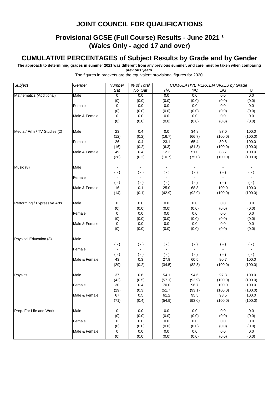# **Provisional GCSE (Full Course) Results - June 2021 1 (Wales Only - aged 17 and over)**

# **CUMULATIVE PERCENTAGES of Subject Results by Grade and by Gender**

**The approach to determining grades in summer 2021 was different from any previous summer, and care must be taken when comparing previous years.**

| <b>Subject</b>                | Gender        | Number         | % of Total | <b>CUMULATIVE PERCENTAGES by Grade</b> |                |                |                |  |
|-------------------------------|---------------|----------------|------------|----------------------------------------|----------------|----------------|----------------|--|
|                               |               | Sat            | No. Sat    | 7/A                                    | 4/C            | 1/G            | U              |  |
| Mathematics (Additional)      | Male          | $\overline{0}$ | 0.0        | 0.0                                    | 0.0            | 0.0            | 0.0            |  |
|                               |               | (0)            | (0.0)      | (0.0)                                  | (0.0)          | (0.0)          | (0.0)          |  |
|                               | Female        | $\pmb{0}$      | 0.0        | 0.0                                    | 0.0            | 0.0            | 0.0            |  |
|                               |               | (0)            | (0.0)      | (0.0)                                  | (0.0)          | (0.0)          | (0.0)          |  |
|                               | Male & Female | 0              | 0.0        | 0.0                                    | 0.0            | 0.0            | 0.0            |  |
|                               |               | (0)            | (0.0)      | (0.0)                                  | (0.0)          | (0.0)          | (0.0)          |  |
| Media / Film / TV Studies (2) | Male          | 23             | 0.4        | 0.0                                    | 34.8           | 87.0           | 100.0          |  |
|                               |               | (12)           | (0.2)      | (16.7)                                 | (66.7)         | (100.0)        | (100.0)        |  |
|                               | Female        | 26             | 0.4        | 23.1                                   | 65.4           | 80.8           | 100.0          |  |
|                               |               | (16)           | (0.2)      | (6.3)                                  | (81.3)         | (100.0)        | (100.0)        |  |
|                               | Male & Female | 49             | 0.4        | 12.2                                   | 51.0           | 83.7           | 100.0          |  |
|                               |               | (28)           | (0.2)      | (10.7)                                 | (75.0)         | (100.0)        | (100.0)        |  |
| Music (8)                     | Male          |                |            |                                        |                |                |                |  |
|                               |               | $(-)$          | $(\cdot)$  | $(\cdot)$                              | $(\cdot)$      | $(\cdot)$      | $(\cdot)$      |  |
|                               | Female        | $\blacksquare$ |            | $\sim$                                 | $\blacksquare$ |                | $\blacksquare$ |  |
|                               |               | $(-)$          | $(\cdot)$  | $(\cdot)$                              | $(-)$          | $(\cdot)$      | $(\cdot)$      |  |
|                               | Male & Female | 16             | 0.1        | 25.0                                   | 68.8           | 100.0          | 100.0          |  |
|                               |               | (14)           | (0.1)      | (42.9)                                 | (92.9)         | (100.0)        | (100.0)        |  |
| Performing / Expressive Arts  | Male          | 0              | 0.0        | 0.0                                    | 0.0            | 0.0            | 0.0            |  |
|                               |               | (0)            | (0.0)      | (0.0)                                  | (0.0)          | (0.0)          | (0.0)          |  |
|                               | Female        | 0              | 0.0        | 0.0                                    | 0.0            | 0.0            | 0.0            |  |
|                               |               | (0)            | (0.0)      | (0.0)                                  | (0.0)          | (0.0)          | (0.0)          |  |
|                               | Male & Female | 0              | 0.0        | 0.0                                    | 0.0            | 0.0            | $0.0\,$        |  |
|                               |               | (0)            | (0.0)      | (0.0)                                  | (0.0)          | (0.0)          | (0.0)          |  |
| Physical Education (8)        | Male          | $\blacksquare$ | $\sim$     | $\blacksquare$                         | $\blacksquare$ | $\blacksquare$ | $\blacksquare$ |  |
|                               |               | $(-)$          | $(\cdot)$  | $(\cdot)$                              | $(\cdot)$      | $(\cdot)$      | $(\cdot)$      |  |
|                               | Female        |                | $\sim$     | $\blacksquare$                         | $\blacksquare$ | $\blacksquare$ |                |  |
|                               |               | $(-)$          | $(\cdot)$  | $(-)$                                  | $(\cdot)$      | $(\cdot)$      | $(\cdot)$      |  |
|                               | Male & Female | 43             | 0.3        | 27.9                                   | 60.5           | 90.7           | 100.0          |  |
|                               |               | (29)           | (0.2)      | (34.5)                                 | (82.8)         | (100.0)        | (100.0)        |  |
| Physics                       | Male          | 37             | 0.6        | 54.1                                   | 94.6           | 97.3           | 100.0          |  |
|                               |               | (42)           | (0.5)      | (57.1)                                 | (92.9)         | (100.0)        | (100.0)        |  |
|                               | Female        | 30             | 0.4        | 70.0                                   | 96.7           | 100.0          | 100.0          |  |
|                               |               | (29)           | (0.3)      | (51.7)                                 | (93.1)         | (100.0)        | (100.0)        |  |
|                               | Male & Female | 67             | 0.5        | 61.2                                   | 95.5           | 98.5           | 100.0          |  |
|                               |               | (71)           | (0.4)      | (54.9)                                 | (93.0)         | (100.0)        | (100.0)        |  |
| Prep. For Life and Work       | Male          | 0              | 0.0        | 0.0                                    | 0.0            | 0.0            | 0.0            |  |
|                               |               | (0)            | (0.0)      | (0.0)                                  | (0.0)          | (0.0)          | (0.0)          |  |
|                               | Female        | 0              | 0.0        | $0.0\,$                                | 0.0            | 0.0            | 0.0            |  |
|                               |               | (0)            | (0.0)      | (0.0)                                  | (0.0)          | (0.0)          | (0.0)          |  |
|                               | Male & Female | 0              | 0.0        | $0.0\,$                                | 0.0            | 0.0            | 0.0            |  |
|                               |               | (0)            | (0.0)      | (0.0)                                  | (0.0)          | (0.0)          | (0.0)          |  |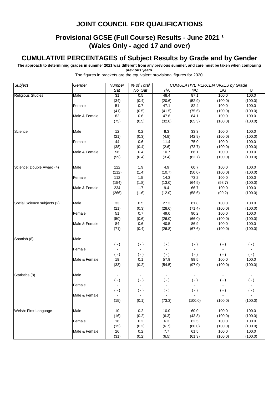# **Provisional GCSE (Full Course) Results - June 2021 1 (Wales Only - aged 17 and over)**

## **CUMULATIVE PERCENTAGES of Subject Results by Grade and by Gender**

**The approach to determining grades in summer 2021 was different from any previous summer, and care must be taken when comparing previous years.**

| Subject                     | Gender        | Number           | % of Total       | <b>CUMULATIVE PERCENTAGES by Grade</b> |                |           |           |  |
|-----------------------------|---------------|------------------|------------------|----------------------------------------|----------------|-----------|-----------|--|
|                             |               | Sat              | No. Sat          | 7/A                                    | 4/C            | 1/G       | U         |  |
| <b>Religious Studies</b>    | Male          | $\overline{31}$  | 0.5              | 48.4                                   | 87.1           | 100.0     | 100.0     |  |
|                             |               | (34)             | (0.4)            | (20.6)                                 | (52.9)         | (100.0)   | (100.0)   |  |
|                             | Female        | 51               | 0.7              | 47.1                                   | 82.4           | 100.0     | 100.0     |  |
|                             |               | (41)             | (0.5)            | (41.5)                                 | (75.6)         | (100.0)   | (100.0)   |  |
|                             | Male & Female | 82               | 0.6              | 47.6                                   | 84.1           | 100.0     | 100.0     |  |
|                             |               | (75)             | (0.5)            | (32.0)                                 | (65.3)         | (100.0)   | (100.0)   |  |
| Science                     | Male          | 12               | 0.2              | 8.3                                    | 33.3           | 100.0     | 100.0     |  |
|                             |               | (21)             | (0.3)            | (4.8)                                  | (42.9)         | (100.0)   | (100.0)   |  |
|                             | Female        | 44               | 0.6              | 11.4                                   | 75.0           | 100.0     | 100.0     |  |
|                             |               | (38)             | (0.4)            | (2.6)                                  | (73.7)         | (100.0)   | (100.0)   |  |
|                             | Male & Female | 56               | 0.4              | 10.7                                   | 66.1           | 100.0     | 100.0     |  |
|                             |               | (59)             | (0.4)            | (3.4)                                  | (62.7)         | (100.0)   | (100.0)   |  |
| Science: Double Award (4)   | Male          | 122              | 1.9              | 4.9                                    | 60.7           | 100.0     | 100.0     |  |
|                             |               | (112)            | (1.4)            | (10.7)                                 | (50.0)         | (100.0)   | (100.0)   |  |
|                             | Female        | 112              | 1.5              | 14.3                                   | 73.2           | 100.0     | 100.0     |  |
|                             |               | (154)            | (1.8)            | (13.0)                                 | (64.9)         | (98.7)    | (100.0)   |  |
|                             | Male & Female | 234              | 1.7              | 9.4                                    | 66.7           | 100.0     | 100.0     |  |
|                             |               | (266)            | (1.6)            | (12.0)                                 | (58.6)         | (99.2)    | (100.0)   |  |
| Social Science subjects (2) | Male          | 33               | 0.5              | 27.3                                   | 81.8           | 100.0     | 100.0     |  |
|                             |               | (21)             | (0.3)            | (28.6)                                 | (71.4)         | (100.0)   | (100.0)   |  |
|                             | Female        | 51               | 0.7              | 49.0                                   | 90.2           | 100.0     | 100.0     |  |
|                             |               | (50)             | (0.6)            | (26.0)                                 | (66.0)         | (100.0)   | (100.0)   |  |
|                             | Male & Female | 84               | 0.6              | 40.5                                   | 86.9           | 100.0     | 100.0     |  |
|                             |               | (71)             | (0.4)            | (26.8)                                 | (67.6)         | (100.0)   | (100.0)   |  |
| Spanish (8)                 | Male          |                  |                  |                                        | $\blacksquare$ |           |           |  |
|                             |               | $( - )$          | $(\cdot)$        | $(\cdot)$                              | $(-)$          | $(-)$     | $( - )$   |  |
|                             | Female        |                  |                  |                                        |                |           |           |  |
|                             |               | $( - )$          | $(\cdot)$        | $(\cdot)$                              | $(\cdot)$      | $(\cdot)$ | $(\cdot)$ |  |
|                             | Male & Female | 19               | 0.1              | 57.9                                   | 89.5           | 100.0     | 100.0     |  |
|                             |               | (33)             | (0.2)            | (54.5)                                 | (97.0)         | (100.0)   | (100.0)   |  |
| Statistics (8)              | Male          |                  |                  |                                        |                |           |           |  |
|                             |               | $(-)$            | $(\cdot)$        | $( - )$                                | $(\cdot)$      | $(-)$     | $(-)$     |  |
|                             | Female        |                  |                  |                                        |                |           |           |  |
|                             |               | $(\,\text{-}\,)$ | $(\,\text{-}\,)$ | $(\cdot)$                              | $(\cdot)$      | $(-)$     | $( - )$   |  |
|                             | Male & Female |                  |                  |                                        |                |           |           |  |
|                             |               | (15)             | (0.1)            | (73.3)                                 | (100.0)        | (100.0)   | (100.0)   |  |
| Welsh: First Language       | Male          | 10               | 0.2              | 10.0                                   | 60.0           | 100.0     | 100.0     |  |
|                             |               | (16)             | (0.2)            | (6.3)                                  | (43.8)         | (100.0)   | (100.0)   |  |

Female 16 0.2 6.3 62.5 100.0 100.0

Male & Female | 26 | 0.2 | 7.7 61.5 100.0 100.0

(15) (0.2) (6.7) (80.0) (100.0) (100.0)

(31) (0.2) (6.5) (61.3) (100.0) (100.0)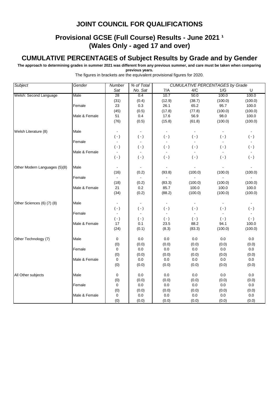# **Provisional GCSE (Full Course) Results - June 2021 1 (Wales Only - aged 17 and over)**

## **CUMULATIVE PERCENTAGES of Subject Results by Grade and by Gender**

**The approach to determining grades in summer 2021 was different from any previous summer, and care must be taken when comparing previous years.**

| Subject                       | Gender        | Number         | % of Total       |                |           | <b>CUMULATIVE PERCENTAGES by Grade</b> |                  |  |
|-------------------------------|---------------|----------------|------------------|----------------|-----------|----------------------------------------|------------------|--|
|                               |               | Sat            | No. Sat          | 7/A            | 4/C       | 1/G                                    | U                |  |
| Welsh: Second Language        | Male          | 28             | 0.4              | 10.7           | 50.0      | 100.0                                  | 100.0            |  |
|                               |               | (31)           | (0.4)            | (12.9)         | (38.7)    | (100.0)                                | (100.0)          |  |
|                               | Female        | 23             | 0.3              | 26.1           | 65.2      | 95.7                                   | 100.0            |  |
|                               |               | (45)           | (0.5)            | (17.8)         | (77.8)    | (100.0)                                | (100.0)          |  |
|                               | Male & Female | 51             | 0.4              | 17.6           | 56.9      | 98.0                                   | 100.0            |  |
|                               |               | (76)           | (0.5)            | (15.8)         | (61.8)    | (100.0)                                | (100.0)          |  |
| Welsh Literature (8)          | Male          |                |                  |                |           |                                        |                  |  |
|                               |               | $(-)$          | $( - )$          | $(\cdot)$      | $(-)$     | $(-)$                                  | $(-)$            |  |
|                               | Female        | $\blacksquare$ |                  |                |           |                                        |                  |  |
|                               |               | $(\cdot)$      | $(\,\text{-}\,)$ | $(\cdot)$      | $(\cdot)$ | $(-)$                                  | $(\,\text{-}\,)$ |  |
|                               | Male & Female |                |                  |                |           |                                        |                  |  |
|                               |               | $(\cdot)$      | $( - )$          | $(\cdot)$      | $(\cdot)$ | $(\cdot)$                              | $(\cdot)$        |  |
| Other Modern Languages (5)(8) | Male          |                |                  |                |           |                                        |                  |  |
|                               |               | (16)           | (0.2)            | (93.8)         | (100.0)   | (100.0)                                | (100.0)          |  |
|                               | Female        |                |                  |                |           |                                        |                  |  |
|                               |               | (18)           | (0.2)            | (83.3)         | (100.0)   | (100.0)                                | (100.0)          |  |
|                               | Male & Female | 21             | 0.2              | 85.7           | 100.0     | 100.0                                  | 100.0            |  |
|                               |               | (34)           | (0.2)            | (88.2)         | (100.0)   | (100.0)                                | (100.0)          |  |
| Other Sciences (6) (7) (8)    | Male          |                |                  | $\blacksquare$ |           |                                        |                  |  |
|                               |               | $(-)$          | $( - )$          | $(\cdot)$      | $(\cdot)$ | $(\cdot)$                              | $(\cdot)$        |  |
|                               | Female        |                |                  |                |           |                                        |                  |  |
|                               |               | $(-)$          | $( - )$          | $(-)$          | $(-)$     | $(-)$                                  | $(-)$            |  |
|                               | Male & Female | 17             | 0.1              | 23.5           | 88.2      | 94.1                                   | 100.0            |  |
|                               |               | (24)           | (0.1)            | (8.3)          | (83.3)    | (100.0)                                | (100.0)          |  |
| Other Technology (7)          | Male          | 0              | 0.0              | 0.0            | 0.0       | 0.0                                    | 0.0              |  |
|                               |               | (0)            | (0.0)            | (0.0)          | (0.0)     | (0.0)                                  | (0.0)            |  |
|                               | Female        | 0              | $0.0\,$          | 0.0            | 0.0       | 0.0                                    | $0.0\,$          |  |
|                               |               | (0)            | (0.0)            | (0.0)          | (0.0)     | (0.0)                                  | (0.0)            |  |
|                               | Male & Female | 0              | 0.0              | 0.0            | $0.0\,$   | 0.0                                    | $0.0\,$          |  |
|                               |               | (0)            | (0.0)            | (0.0)          | (0.0)     | (0.0)                                  | (0.0)            |  |
| All Other subjects            | Male          | 0              | $0.0\,$          | $0.0\,$        | 0.0       | 0.0                                    | $0.0\,$          |  |
|                               |               | (0)            | (0.0)            | (0.0)          | (0.0)     | (0.0)                                  | (0.0)            |  |
|                               | Female        | 0              | 0.0              | 0.0            | 0.0       | 0.0                                    | $0.0\,$          |  |
|                               |               | (0)            | (0.0)            | (0.0)          | (0.0)     | (0.0)                                  | (0.0)            |  |
|                               | Male & Female | 0              | 0.0              | 0.0            | 0.0       | 0.0                                    | 0.0              |  |
|                               |               | (0)            | (0.0)            | (0.0)          | (0.0)     | (0.0)                                  | (0.0)            |  |